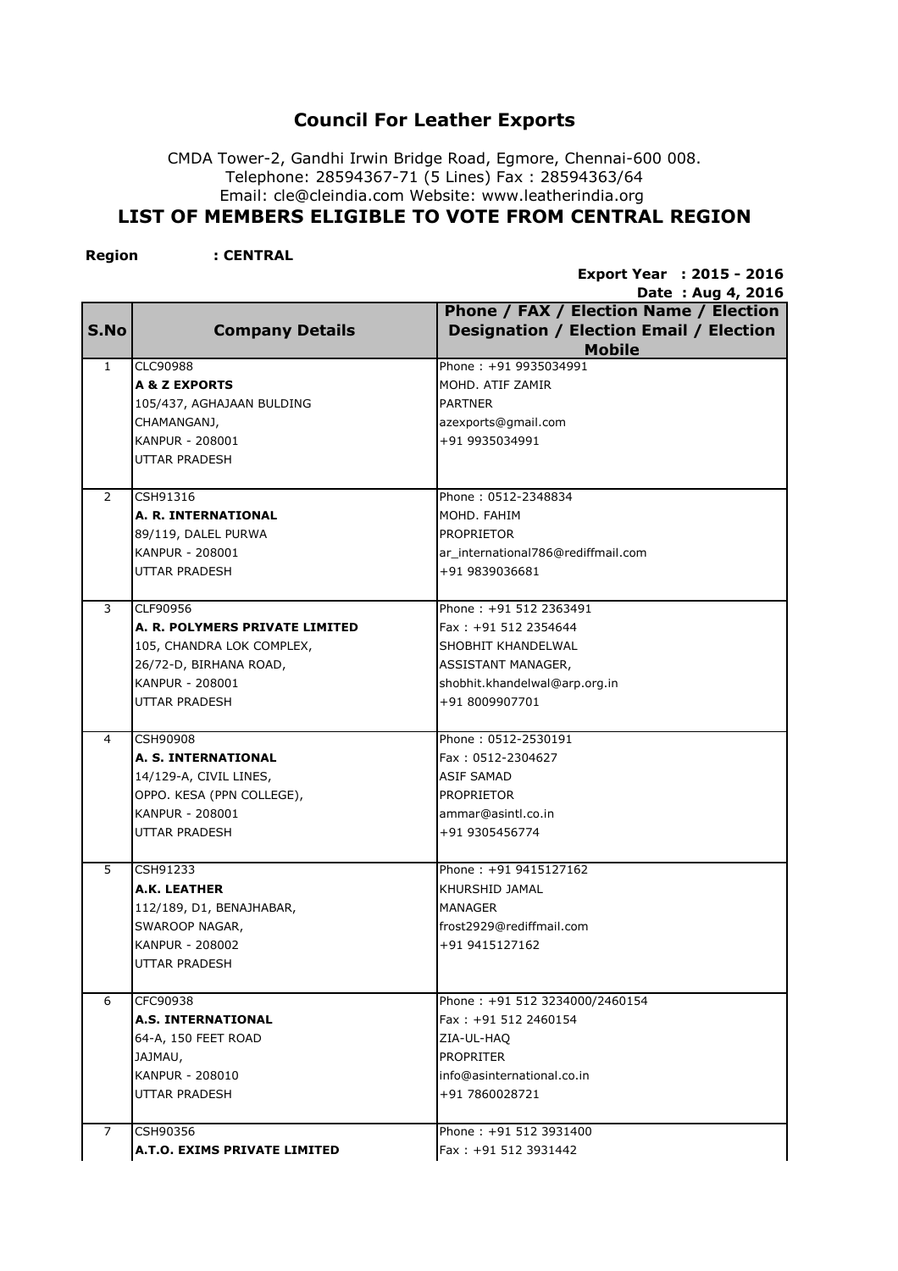## **Council For Leather Exports**

CMDA Tower-2, Gandhi Irwin Bridge Road, Egmore, Chennai-600 008. Telephone: 28594367-71 (5 Lines) Fax : 28594363/64 Email: cle@cleindia.com Website: www.leatherindia.org

## **LIST OF MEMBERS ELIGIBLE TO VOTE FROM CENTRAL REGION**

## **Region : CENTRAL**

**Export Year : 2015 - 2016 Date : Aug 4, 2016**

|              |                                     | <b>Phone / FAX / Election Name / Election</b>                   |
|--------------|-------------------------------------|-----------------------------------------------------------------|
| S.No         | <b>Company Details</b>              | <b>Designation / Election Email / Election</b><br><b>Mobile</b> |
| $\mathbf{1}$ | CLC90988                            | Phone: +91 9935034991                                           |
|              | <b>A &amp; Z EXPORTS</b>            | MOHD, ATIF ZAMIR                                                |
|              | 105/437, AGHAJAAN BULDING           | <b>PARTNER</b>                                                  |
|              | CHAMANGANJ,                         | azexports@gmail.com                                             |
|              | KANPUR - 208001                     | +91 9935034991                                                  |
|              | <b>UTTAR PRADESH</b>                |                                                                 |
|              |                                     |                                                                 |
| 2            | CSH91316                            | Phone: 0512-2348834                                             |
|              | A. R. INTERNATIONAL                 | MOHD, FAHIM                                                     |
|              | 89/119, DALEL PURWA                 | <b>PROPRIETOR</b>                                               |
|              | KANPUR - 208001                     | ar_international786@rediffmail.com                              |
|              | <b>UTTAR PRADESH</b>                | +91 9839036681                                                  |
| 3            | CLF90956                            | Phone: +91 512 2363491                                          |
|              | A. R. POLYMERS PRIVATE LIMITED      | Fax: +91 512 2354644                                            |
|              | 105, CHANDRA LOK COMPLEX,           | SHOBHIT KHANDELWAL                                              |
|              | 26/72-D, BIRHANA ROAD,              | ASSISTANT MANAGER,                                              |
|              | KANPUR - 208001                     | shobhit.khandelwal@arp.org.in                                   |
|              | UTTAR PRADESH                       | +91 8009907701                                                  |
|              |                                     |                                                                 |
| 4            | <b>CSH90908</b>                     | Phone: 0512-2530191                                             |
|              | A. S. INTERNATIONAL                 | Fax: 0512-2304627                                               |
|              | 14/129-A, CIVIL LINES,              | <b>ASIF SAMAD</b>                                               |
|              | OPPO. KESA (PPN COLLEGE),           | <b>PROPRIETOR</b>                                               |
|              | KANPUR - 208001                     | ammar@asintl.co.in                                              |
|              | <b>UTTAR PRADESH</b>                | +91 9305456774                                                  |
|              |                                     |                                                                 |
| 5            | CSH91233                            | Phone: +91 9415127162                                           |
|              | A.K. LEATHER                        | <b>KHURSHID JAMAL</b>                                           |
|              | 112/189, D1, BENAJHABAR,            | <b>MANAGER</b>                                                  |
|              | SWAROOP NAGAR,                      | frost2929@rediffmail.com                                        |
|              | <b>KANPUR - 208002</b>              | +91 9415127162                                                  |
|              | <b>UTTAR PRADESH</b>                |                                                                 |
| 6            | CFC90938                            | Phone: +91 512 3234000/2460154                                  |
|              | A.S. INTERNATIONAL                  | Fax: +91 512 2460154                                            |
|              | 64-A, 150 FEET ROAD                 | ZIA-UL-HAQ                                                      |
|              | JAJMAU,                             | <b>PROPRITER</b>                                                |
|              | KANPUR - 208010                     | info@asinternational.co.in                                      |
|              | UTTAR PRADESH                       | +91 7860028721                                                  |
|              |                                     |                                                                 |
| 7            | CSH90356                            | Phone: +91 512 3931400                                          |
|              | <b>A.T.O. EXIMS PRIVATE LIMITED</b> | Fax: +91 512 3931442                                            |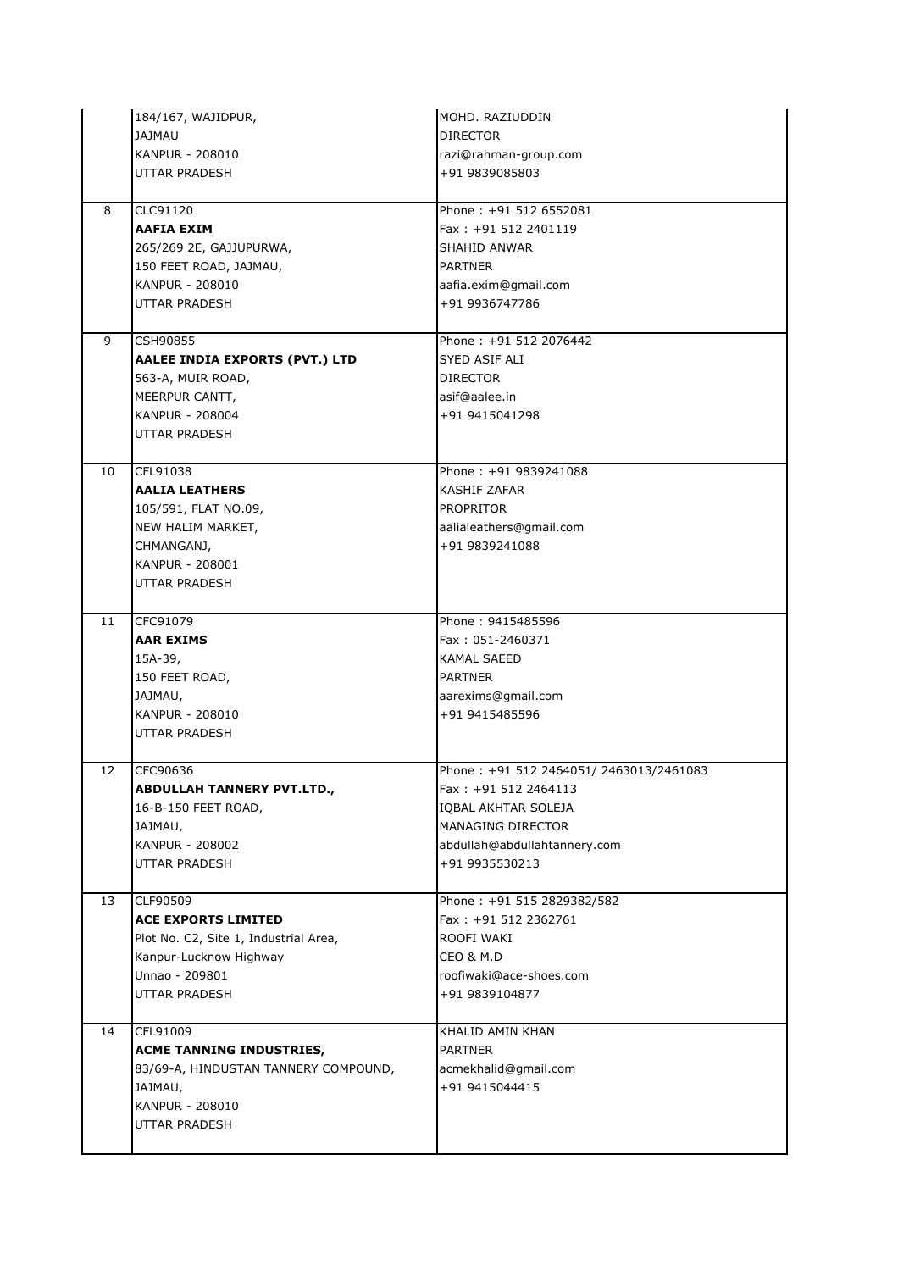|    | 184/167, WAJIDPUR,                    | MOHD, RAZIUDDIN                        |
|----|---------------------------------------|----------------------------------------|
|    | <b>JAJMAU</b>                         | <b>DIRECTOR</b>                        |
|    | KANPUR - 208010                       | razi@rahman-group.com                  |
|    | UTTAR PRADESH                         | +91 9839085803                         |
|    |                                       |                                        |
| 8  | CLC91120                              | Phone: +91 512 6552081                 |
|    | <b>AAFIA EXIM</b>                     | Fax: +91 512 2401119                   |
|    | 265/269 2E, GAJJUPURWA,               | SHAHID ANWAR                           |
|    | 150 FEET ROAD, JAJMAU,                | <b>PARTNER</b>                         |
|    | KANPUR - 208010                       | aafia.exim@gmail.com                   |
|    | <b>UTTAR PRADESH</b>                  | +91 9936747786                         |
| 9  | <b>CSH90855</b>                       | Phone: +91 512 2076442                 |
|    | AALEE INDIA EXPORTS (PVT.) LTD        | SYED ASIF ALI                          |
|    | 563-A, MUIR ROAD,                     | DIRECTOR                               |
|    | MEERPUR CANTT,                        | asif@aalee.in                          |
|    | KANPUR - 208004                       | +91 9415041298                         |
|    | <b>UTTAR PRADESH</b>                  |                                        |
|    |                                       |                                        |
| 10 | CFL91038                              | Phone: +91 9839241088                  |
|    | <b>AALIA LEATHERS</b>                 | <b>KASHIF ZAFAR</b>                    |
|    | 105/591, FLAT NO.09,                  | <b>PROPRITOR</b>                       |
|    | NEW HALIM MARKET,                     | aalialeathers@gmail.com                |
|    | CHMANGANJ,                            | +91 9839241088                         |
|    | KANPUR - 208001                       |                                        |
|    | UTTAR PRADESH                         |                                        |
|    |                                       |                                        |
| 11 | CFC91079                              | Phone: 9415485596                      |
|    | <b>AAR EXIMS</b>                      | Fax: 051-2460371                       |
|    | 15A-39,                               | <b>KAMAL SAEED</b>                     |
|    | 150 FEET ROAD,                        | <b>PARTNER</b>                         |
|    | JAJMAU,                               | aarexims@gmail.com                     |
|    | KANPUR - 208010                       | +91 9415485596                         |
|    | <b>UTTAR PRADESH</b>                  |                                        |
| 12 | CFC90636                              | Phone: +91 512 2464051/2463013/2461083 |
|    | <b>ABDULLAH TANNERY PVT.LTD.,</b>     | Fax: +91 512 2464113                   |
|    | 16-B-150 FEET ROAD,                   | IQBAL AKHTAR SOLEJA                    |
|    | JAJMAU,                               | MANAGING DIRECTOR                      |
|    | <b>KANPUR - 208002</b>                | abdullah@abdullahtannery.com           |
|    | UTTAR PRADESH                         | +91 9935530213                         |
|    |                                       |                                        |
| 13 | CLF90509                              | Phone: +91 515 2829382/582             |
|    | <b>ACE EXPORTS LIMITED</b>            | Fax: +91 512 2362761                   |
|    | Plot No. C2, Site 1, Industrial Area, | ROOFI WAKI                             |
|    | Kanpur-Lucknow Highway                | CEO & M.D                              |
|    | Unnao - 209801                        | roofiwaki@ace-shoes.com                |
|    | UTTAR PRADESH                         | +91 9839104877                         |
|    |                                       |                                        |
| 14 | CFL91009                              | KHALID AMIN KHAN                       |
|    |                                       |                                        |
|    | ACME TANNING INDUSTRIES,              | <b>PARTNER</b>                         |
|    | 83/69-A, HINDUSTAN TANNERY COMPOUND,  | acmekhalid@gmail.com                   |
|    | JAJMAU,                               | +91 9415044415                         |
|    | KANPUR - 208010                       |                                        |
|    | <b>UTTAR PRADESH</b>                  |                                        |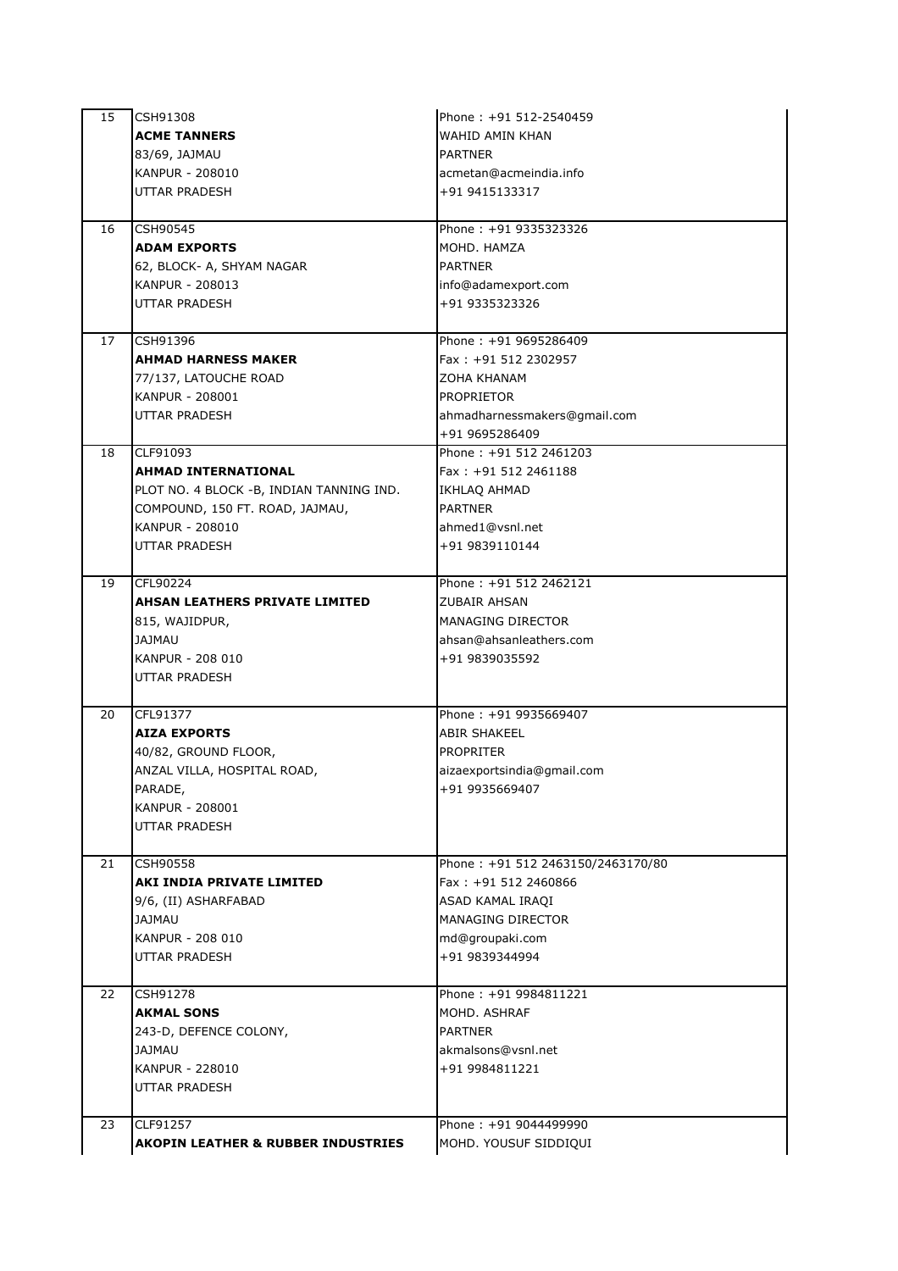| 15 | CSH91308                                      | Phone: +91 512-2540459                   |
|----|-----------------------------------------------|------------------------------------------|
|    | <b>ACME TANNERS</b>                           | WAHID AMIN KHAN                          |
|    | 83/69, JAJMAU                                 | <b>PARTNER</b>                           |
|    | KANPUR - 208010                               | acmetan@acmeindia.info                   |
|    | UTTAR PRADESH                                 | +91 9415133317                           |
|    |                                               |                                          |
| 16 | CSH90545                                      | Phone: +91 9335323326                    |
|    | <b>ADAM EXPORTS</b>                           | MOHD, HAMZA                              |
|    | 62, BLOCK- A, SHYAM NAGAR                     | <b>PARTNER</b>                           |
|    | KANPUR - 208013                               | info@adamexport.com                      |
|    | UTTAR PRADESH                                 | +91 9335323326                           |
|    |                                               |                                          |
| 17 | CSH91396                                      | Phone: +91 9695286409                    |
|    | AHMAD HARNESS MAKER                           | Fax: +91 512 2302957                     |
|    | 77/137, LATOUCHE ROAD                         | ZOHA KHANAM                              |
|    | KANPUR - 208001                               | <b>PROPRIETOR</b>                        |
|    | UTTAR PRADESH                                 | ahmadharnessmakers@gmail.com             |
|    |                                               |                                          |
| 18 | CLF91093                                      | +91 9695286409<br>Phone: +91 512 2461203 |
|    | AHMAD INTERNATIONAL                           | Fax: +91 512 2461188                     |
|    | PLOT NO. 4 BLOCK - B, INDIAN TANNING IND.     |                                          |
|    |                                               | <b>IKHLAO AHMAD</b>                      |
|    | COMPOUND, 150 FT. ROAD, JAJMAU,               | <b>PARTNER</b>                           |
|    | KANPUR - 208010                               | ahmed1@vsnl.net                          |
|    | UTTAR PRADESH                                 | +91 9839110144                           |
|    |                                               |                                          |
| 19 | CFL90224                                      | Phone: +91 512 2462121                   |
|    | <b>AHSAN LEATHERS PRIVATE LIMITED</b>         | <b>ZUBAIR AHSAN</b>                      |
|    | 815, WAJIDPUR,                                | <b>MANAGING DIRECTOR</b>                 |
|    | UAMLAL                                        | ahsan@ahsanleathers.com                  |
|    | KANPUR - 208 010                              | +91 9839035592                           |
|    | UTTAR PRADESH                                 |                                          |
|    |                                               |                                          |
| 20 | CFL91377                                      | Phone: +91 9935669407                    |
|    | AIZA EXPORTS                                  | <b>ABIR SHAKEEL</b>                      |
|    | 40/82, GROUND FLOOR,                          | <b>PROPRITER</b>                         |
|    | ANZAL VILLA, HOSPITAL ROAD,                   | aizaexportsindia@gmail.com               |
|    | PARADE,                                       | +91 9935669407                           |
|    | KANPUR - 208001                               |                                          |
|    | UTTAR PRADESH                                 |                                          |
|    |                                               |                                          |
| 21 | <b>CSH90558</b>                               | Phone: +91 512 2463150/2463170/80        |
|    | AKI INDIA PRIVATE LIMITED                     | Fax: +91 512 2460866                     |
|    | 9/6, (II) ASHARFABAD                          | ASAD KAMAL IRAQI                         |
|    | UAMLAL                                        | MANAGING DIRECTOR                        |
|    | KANPUR - 208 010                              | md@groupaki.com                          |
|    | UTTAR PRADESH                                 | +91 9839344994                           |
|    |                                               |                                          |
| 22 | CSH91278                                      | Phone: +91 9984811221                    |
|    | <b>AKMAL SONS</b>                             | MOHD, ASHRAF                             |
|    | 243-D, DEFENCE COLONY,                        | <b>PARTNER</b>                           |
|    | UAMLAL                                        | akmalsons@vsnl.net                       |
|    | KANPUR - 228010                               | +91 9984811221                           |
|    | UTTAR PRADESH                                 |                                          |
|    |                                               |                                          |
| 23 | CLF91257                                      | Phone: +91 9044499990                    |
|    | <b>AKOPIN LEATHER &amp; RUBBER INDUSTRIES</b> | MOHD. YOUSUF SIDDIQUI                    |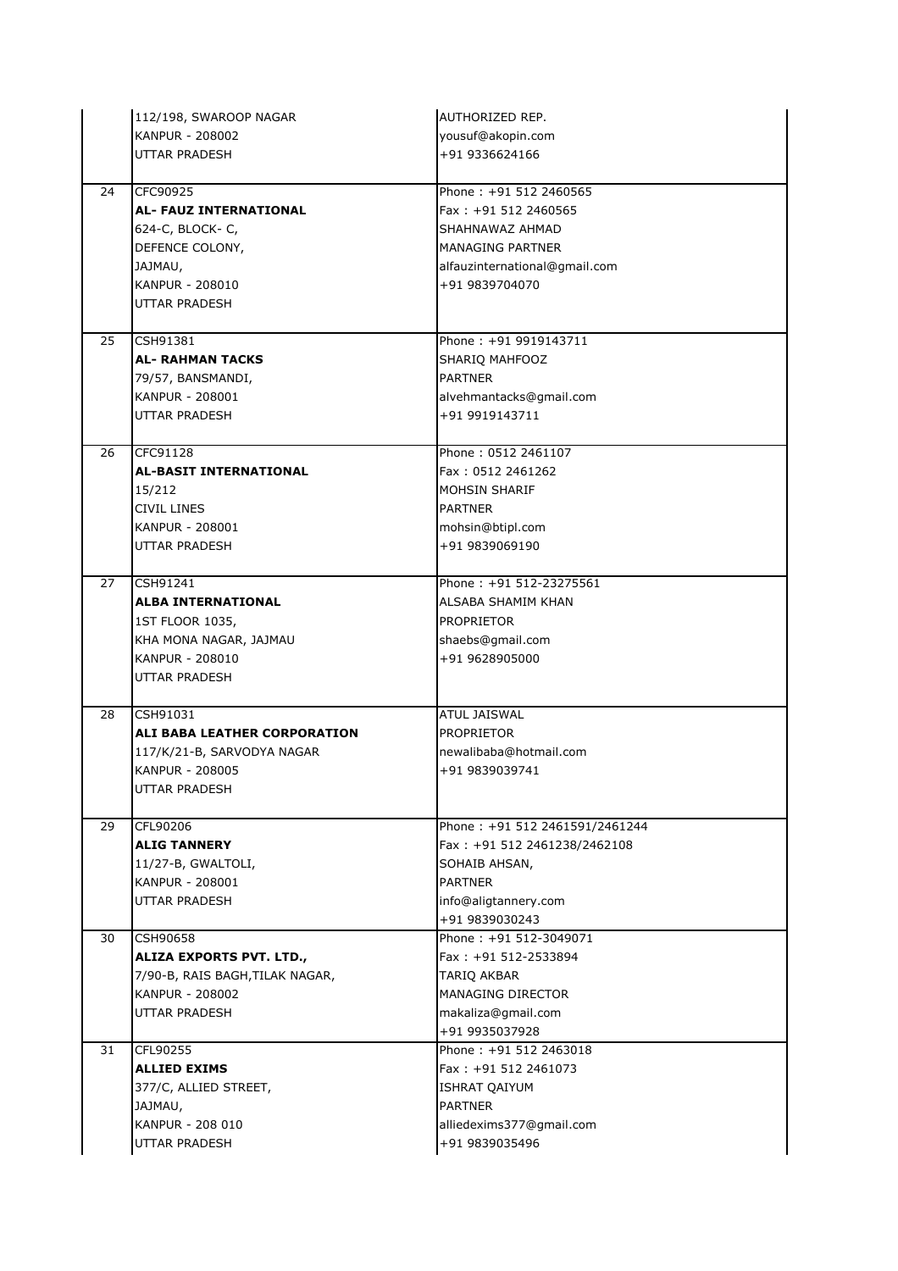|    | 112/198, SWAROOP NAGAR          | AUTHORIZED REP.                |
|----|---------------------------------|--------------------------------|
|    | KANPUR - 208002                 | yousuf@akopin.com              |
|    | <b>UTTAR PRADESH</b>            | +91 9336624166                 |
|    |                                 |                                |
| 24 | CFC90925                        | Phone: +91 512 2460565         |
|    | <b>AL- FAUZ INTERNATIONAL</b>   | Fax: +91 512 2460565           |
|    | 624-C, BLOCK- C,                | SHAHNAWAZ AHMAD                |
|    | DEFENCE COLONY,                 | <b>MANAGING PARTNER</b>        |
|    | JAJMAU,                         | alfauzinternational@gmail.com  |
|    | KANPUR - 208010                 | +91 9839704070                 |
|    | UTTAR PRADESH                   |                                |
| 25 | CSH91381                        | Phone: +91 9919143711          |
|    | <b>AL- RAHMAN TACKS</b>         | SHARIQ MAHFOOZ                 |
|    | 79/57, BANSMANDI,               | <b>PARTNER</b>                 |
|    | KANPUR - 208001                 | alvehmantacks@gmail.com        |
|    | UTTAR PRADESH                   | +91 9919143711                 |
|    |                                 |                                |
| 26 | CFC91128                        | Phone: 0512 2461107            |
|    | <b>AL-BASIT INTERNATIONAL</b>   | Fax: 0512 2461262              |
|    | 15/212                          | MOHSIN SHARIF                  |
|    | CIVIL LINES                     | <b>PARTNER</b>                 |
|    | KANPUR - 208001                 | mohsin@btipl.com               |
|    | UTTAR PRADESH                   | +91 9839069190                 |
|    |                                 |                                |
| 27 | CSH91241                        | Phone: +91 512-23275561        |
|    | ALBA INTERNATIONAL              | ALSABA SHAMIM KHAN             |
|    | 1ST FLOOR 1035,                 | <b>PROPRIETOR</b>              |
|    | KHA MONA NAGAR, JAJMAU          | shaebs@gmail.com               |
|    | KANPUR - 208010                 | +91 9628905000                 |
|    | UTTAR PRADESH                   |                                |
|    |                                 | ATUL JAISWAL                   |
| 28 | CSH91031                        | <b>PROPRIETOR</b>              |
|    | ALI BABA LEATHER CORPORATION    |                                |
|    | 117/K/21-B, SARVODYA NAGAR      | newalibaba@hotmail.com         |
|    | KANPUR - 208005                 | +91 9839039741                 |
|    | UTTAR PRADESH                   |                                |
| 29 | CFL90206                        | Phone: +91 512 2461591/2461244 |
|    | <b>ALIG TANNERY</b>             | Fax: +91 512 2461238/2462108   |
|    | 11/27-B, GWALTOLI,              | SOHAIB AHSAN,                  |
|    | KANPUR - 208001                 | <b>PARTNER</b>                 |
|    | UTTAR PRADESH                   | info@aligtannery.com           |
|    |                                 | +91 9839030243                 |
| 30 | CSH90658                        | Phone: +91 512-3049071         |
|    | ALIZA EXPORTS PVT. LTD.,        | Fax: +91 512-2533894           |
|    | 7/90-B, RAIS BAGH, TILAK NAGAR, | TARIO AKBAR                    |
|    | KANPUR - 208002                 | <b>MANAGING DIRECTOR</b>       |
|    | UTTAR PRADESH                   | makaliza@gmail.com             |
|    |                                 | +91 9935037928                 |
| 31 | CFL90255                        | Phone: +91 512 2463018         |
|    | <b>ALLIED EXIMS</b>             | Fax: +91 512 2461073           |
|    | 377/C, ALLIED STREET,           | <b>ISHRAT QAIYUM</b>           |
|    | JAJMAU,                         | <b>PARTNER</b>                 |
|    | KANPUR - 208 010                | alliedexims377@gmail.com       |
|    | UTTAR PRADESH                   | +91 9839035496                 |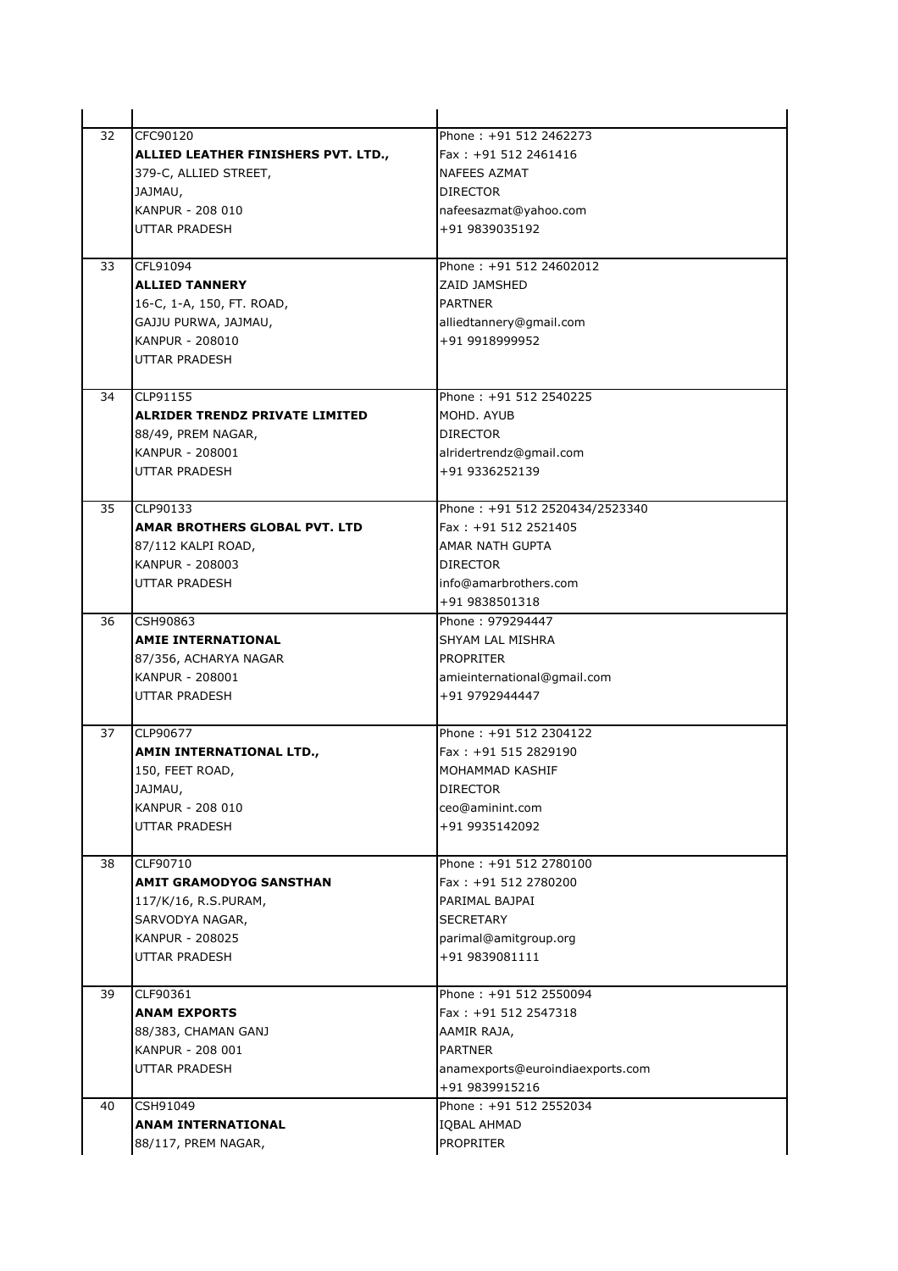| 32 | CFC90120                              | Phone: +91 512 2462273           |
|----|---------------------------------------|----------------------------------|
|    | ALLIED LEATHER FINISHERS PVT. LTD.,   | Fax: +91 512 2461416             |
|    | 379-C, ALLIED STREET,                 | <b>NAFEES AZMAT</b>              |
|    | JAJMAU,                               | <b>DIRECTOR</b>                  |
|    | KANPUR - 208 010                      | nafeesazmat@yahoo.com            |
|    |                                       |                                  |
|    | UTTAR PRADESH                         | +91 9839035192                   |
| 33 | CFL91094                              | Phone: +91 512 24602012          |
|    | <b>ALLIED TANNERY</b>                 | ZAID JAMSHED                     |
|    | 16-C, 1-A, 150, FT. ROAD,             | <b>PARTNER</b>                   |
|    | GAJJU PURWA, JAJMAU,                  | alliedtannery@gmail.com          |
|    | KANPUR - 208010                       | +91 9918999952                   |
|    | UTTAR PRADESH                         |                                  |
|    |                                       |                                  |
| 34 | CLP91155                              | Phone: +91 512 2540225           |
|    | <b>ALRIDER TRENDZ PRIVATE LIMITED</b> | MOHD, AYUB                       |
|    | 88/49, PREM NAGAR,                    | <b>DIRECTOR</b>                  |
|    | KANPUR - 208001                       | alridertrendz@gmail.com          |
|    | <b>UTTAR PRADESH</b>                  | +91 9336252139                   |
|    |                                       |                                  |
| 35 | CLP90133                              | Phone: +91 512 2520434/2523340   |
|    | <b>AMAR BROTHERS GLOBAL PVT. LTD</b>  | Fax: +91 512 2521405             |
|    | 87/112 KALPI ROAD,                    | AMAR NATH GUPTA                  |
|    | KANPUR - 208003                       | <b>DIRECTOR</b>                  |
|    | UTTAR PRADESH                         | info@amarbrothers.com            |
|    |                                       | +91 9838501318                   |
| 36 | CSH90863                              | Phone: 979294447                 |
|    | <b>AMIE INTERNATIONAL</b>             | SHYAM LAL MISHRA                 |
|    | 87/356, ACHARYA NAGAR                 | <b>PROPRITER</b>                 |
|    | KANPUR - 208001                       | amieinternational@gmail.com      |
|    | UTTAR PRADESH                         | +91 9792944447                   |
|    |                                       |                                  |
| 37 | CLP90677                              | Phone: +91 512 2304122           |
|    | AMIN INTERNATIONAL LTD.,              | Fax: +91 515 2829190             |
|    | 150, FEET ROAD,                       | MOHAMMAD KASHIF                  |
|    | JAJMAU,                               | <b>DIRECTOR</b>                  |
|    | KANPUR - 208 010                      | ceo@aminint.com                  |
|    | <b>UTTAR PRADESH</b>                  | +91 9935142092                   |
|    |                                       |                                  |
| 38 | CLF90710                              | Phone: +91 512 2780100           |
|    | AMIT GRAMODYOG SANSTHAN               | Fax: +91 512 2780200             |
|    | 117/K/16, R.S.PURAM,                  | PARIMAL BAJPAI                   |
|    | SARVODYA NAGAR,                       | <b>SECRETARY</b>                 |
|    | KANPUR - 208025                       | parimal@amitgroup.org            |
|    | UTTAR PRADESH                         | +91 9839081111                   |
|    |                                       |                                  |
| 39 | CLF90361                              | Phone: +91 512 2550094           |
|    | <b>ANAM EXPORTS</b>                   | Fax: +91 512 2547318             |
|    | 88/383, CHAMAN GANJ                   | AAMIR RAJA,                      |
|    | KANPUR - 208 001                      | <b>PARTNER</b>                   |
|    | UTTAR PRADESH                         | anamexports@euroindiaexports.com |
|    |                                       | +91 9839915216                   |
| 40 | CSH91049                              | Phone: +91 512 2552034           |
|    | <b>ANAM INTERNATIONAL</b>             | <b>IQBAL AHMAD</b>               |
|    | 88/117, PREM NAGAR,                   | <b>PROPRITER</b>                 |
|    |                                       |                                  |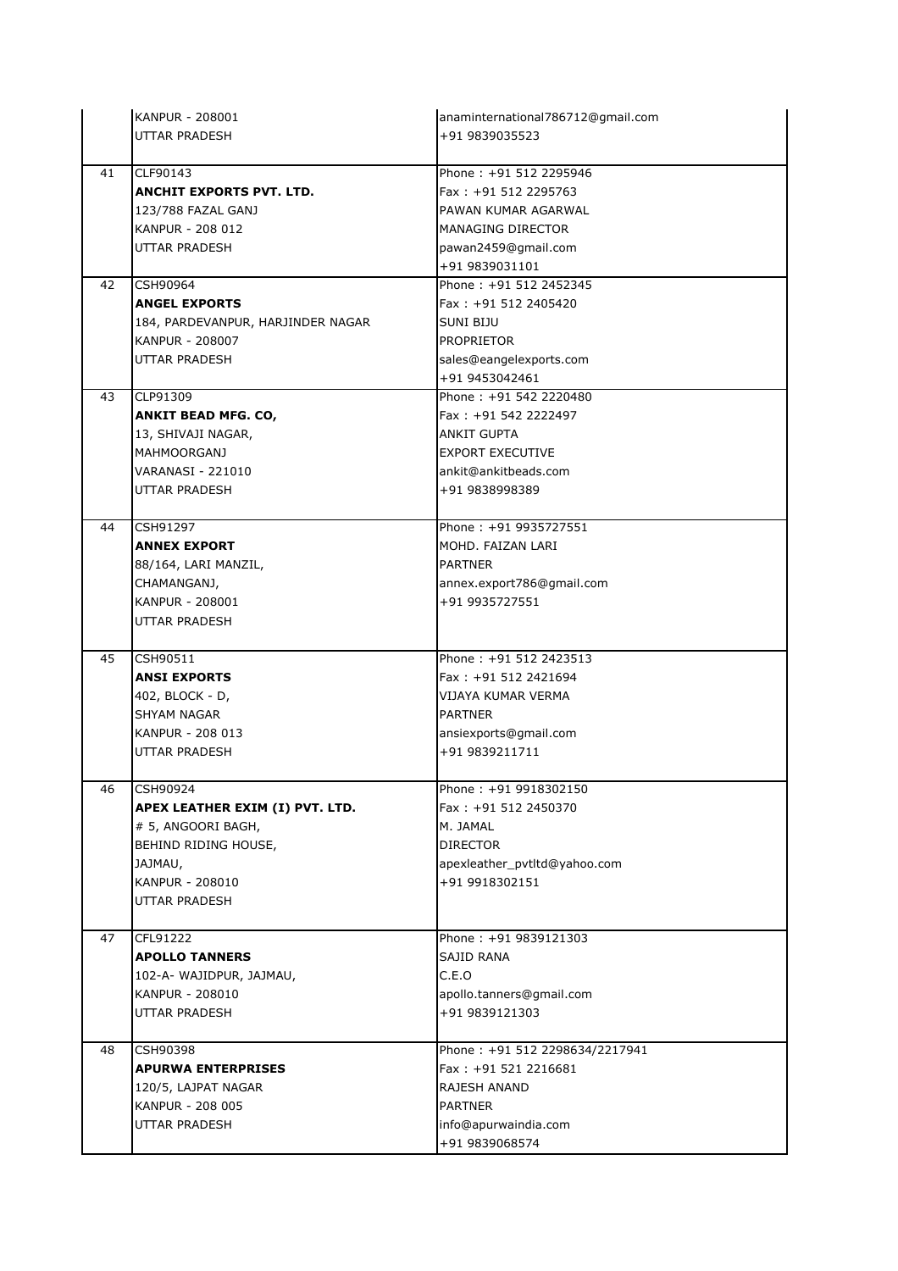|    | KANPUR - 208001                   | anaminternational786712@gmail.com |
|----|-----------------------------------|-----------------------------------|
|    | <b>UTTAR PRADESH</b>              | +91 9839035523                    |
|    |                                   |                                   |
| 41 | CLF90143                          | Phone: +91 512 2295946            |
|    | <b>ANCHIT EXPORTS PVT. LTD.</b>   | Fax: +91 512 2295763              |
|    | 123/788 FAZAL GANJ                | PAWAN KUMAR AGARWAL               |
|    | KANPUR - 208 012                  | MANAGING DIRECTOR                 |
|    | UTTAR PRADESH                     | pawan2459@gmail.com               |
|    |                                   | +91 9839031101                    |
| 42 | CSH90964                          | Phone: +91 512 2452345            |
|    | <b>ANGEL EXPORTS</b>              | Fax: +91 512 2405420              |
|    | 184, PARDEVANPUR, HARJINDER NAGAR | SUNI BIJU                         |
|    | KANPUR - 208007                   | PROPRIETOR                        |
|    | <b>UTTAR PRADESH</b>              | sales@eangelexports.com           |
|    |                                   | +91 9453042461                    |
| 43 | CLP91309                          | Phone: +91 542 2220480            |
|    | <b>ANKIT BEAD MFG. CO,</b>        | Fax: +91 542 2222497              |
|    | 13, SHIVAJI NAGAR,                | ANKIT GUPTA                       |
|    | <b>MAHMOORGANJ</b>                | EXPORT EXECUTIVE                  |
|    | VARANASI - 221010                 | ankit@ankitbeads.com              |
|    | UTTAR PRADESH                     | +91 9838998389                    |
|    |                                   |                                   |
| 44 | CSH91297                          | Phone: +91 9935727551             |
|    | <b>ANNEX EXPORT</b>               | MOHD. FAIZAN LARI                 |
|    | 88/164, LARI MANZIL,              | PARTNER                           |
|    | CHAMANGANJ,                       | annex.export786@gmail.com         |
|    | KANPUR - 208001                   | +91 9935727551                    |
|    | UTTAR PRADESH                     |                                   |
|    |                                   |                                   |
| 45 | CSH90511                          | Phone: +91 512 2423513            |
|    | <b>ANSI EXPORTS</b>               | Fax: +91 512 2421694              |
|    | 402, BLOCK - D,                   | VIJAYA KUMAR VERMA                |
|    | <b>SHYAM NAGAR</b>                | PARTNER                           |
|    | KANPUR - 208 013                  | ansiexports@gmail.com             |
|    | UTTAR PRADESH                     | +91 9839211711                    |
|    |                                   |                                   |
| 46 | CSH90924                          | Phone: +91 9918302150             |
|    | APEX LEATHER EXIM (I) PVT. LTD.   | Fax: +91 512 2450370              |
|    | # 5, ANGOORI BAGH,                | M. JAMAL                          |
|    | BEHIND RIDING HOUSE,              | <b>DIRECTOR</b>                   |
|    | JAJMAU,                           | apexleather_pvtltd@yahoo.com      |
|    | KANPUR - 208010                   | +91 9918302151                    |
|    | UTTAR PRADESH                     |                                   |
|    |                                   |                                   |
| 47 | CFL91222                          | Phone: +91 9839121303             |
|    | <b>APOLLO TANNERS</b>             | SAJID RANA                        |
|    | 102-A- WAJIDPUR, JAJMAU,          | C.E.O                             |
|    | KANPUR - 208010                   | apollo.tanners@gmail.com          |
|    | UTTAR PRADESH                     | +91 9839121303                    |
|    |                                   |                                   |
| 48 | CSH90398                          | Phone: +91 512 2298634/2217941    |
|    | <b>APURWA ENTERPRISES</b>         | Fax: +91 521 2216681              |
|    | 120/5, LAJPAT NAGAR               | RAJESH ANAND                      |
|    | KANPUR - 208 005                  | PARTNER                           |
|    | <b>UTTAR PRADESH</b>              | info@apurwaindia.com              |
|    |                                   | +91 9839068574                    |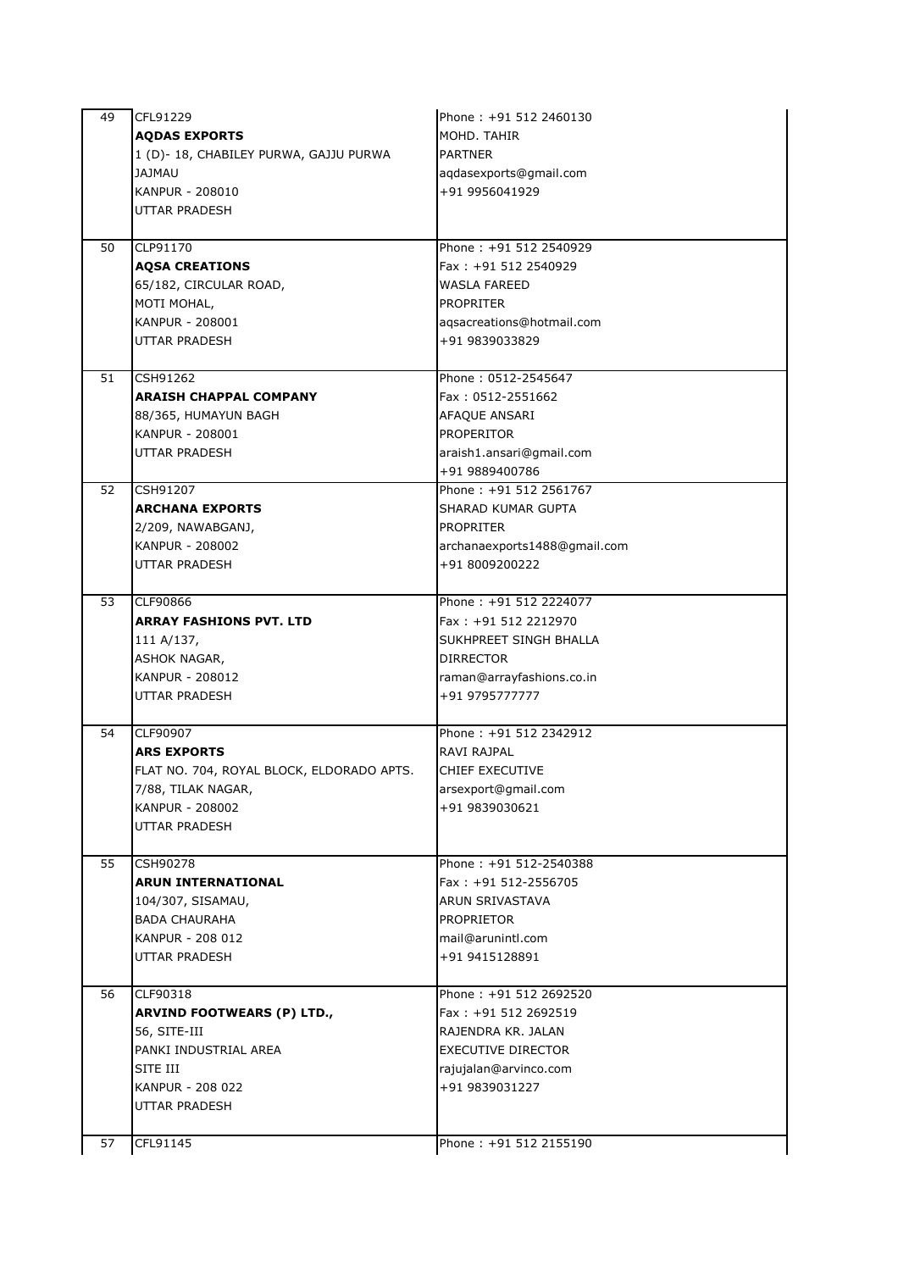| 49 | CFL91229                                  | Phone: +91 512 2460130       |
|----|-------------------------------------------|------------------------------|
|    | <b>AQDAS EXPORTS</b>                      | MOHD, TAHIR                  |
|    | 1 (D)- 18, CHABILEY PURWA, GAJJU PURWA    | <b>PARTNER</b>               |
|    | UAMLAL                                    | aqdasexports@gmail.com       |
|    | KANPUR - 208010                           | +91 9956041929               |
|    | UTTAR PRADESH                             |                              |
|    |                                           |                              |
| 50 | CLP91170                                  | Phone: +91 512 2540929       |
|    | <b>AQSA CREATIONS</b>                     | Fax: +91 512 2540929         |
|    | 65/182, CIRCULAR ROAD,                    | <b>WASLA FAREED</b>          |
|    | MOTI MOHAL,                               | <b>PROPRITER</b>             |
|    | KANPUR - 208001                           | aqsacreations@hotmail.com    |
|    | <b>UTTAR PRADESH</b>                      | +91 9839033829               |
|    |                                           |                              |
| 51 | CSH91262                                  | Phone: 0512-2545647          |
|    | <b>ARAISH CHAPPAL COMPANY</b>             | Fax: 0512-2551662            |
|    | 88/365, HUMAYUN BAGH                      | <b>AFAQUE ANSARI</b>         |
|    | KANPUR - 208001                           | <b>PROPERITOR</b>            |
|    | UTTAR PRADESH                             | araish1.ansari@gmail.com     |
|    |                                           | +91 9889400786               |
| 52 | CSH91207                                  | Phone: +91 512 2561767       |
|    | <b>ARCHANA EXPORTS</b>                    | SHARAD KUMAR GUPTA           |
|    | 2/209, NAWABGANJ,                         | <b>PROPRITER</b>             |
|    | KANPUR - 208002                           | archanaexports1488@gmail.com |
|    | <b>UTTAR PRADESH</b>                      | +91 8009200222               |
|    |                                           |                              |
| 53 | CLF90866                                  | Phone: +91 512 2224077       |
|    | <b>ARRAY FASHIONS PVT. LTD</b>            | Fax: +91 512 2212970         |
|    | 111 A/137,                                | SUKHPREET SINGH BHALLA       |
|    | ASHOK NAGAR,                              | <b>DIRRECTOR</b>             |
|    | KANPUR - 208012                           | raman@arrayfashions.co.in    |
|    | <b>UTTAR PRADESH</b>                      | +91 9795777777               |
|    |                                           |                              |
| 54 | CLF90907                                  | Phone: +91 512 2342912       |
|    | <b>ARS EXPORTS</b>                        | RAVI RAJPAL                  |
|    | FLAT NO. 704, ROYAL BLOCK, ELDORADO APTS. | <b>CHIEF EXECUTIVE</b>       |
|    | 7/88, TILAK NAGAR,                        | arsexport@gmail.com          |
|    | KANPUR - 208002                           | +91 9839030621               |
|    | UTTAR PRADESH                             |                              |
| 55 | CSH90278                                  | Phone: +91 512-2540388       |
|    | <b>ARUN INTERNATIONAL</b>                 | $Fax: +91512-2556705$        |
|    | 104/307, SISAMAU,                         | ARUN SRIVASTAVA              |
|    | <b>BADA CHAURAHA</b>                      | <b>PROPRIETOR</b>            |
|    | KANPUR - 208 012                          | mail@arunintl.com            |
|    | UTTAR PRADESH                             | +91 9415128891               |
|    |                                           |                              |
| 56 | CLF90318                                  | Phone: +91 512 2692520       |
|    | <b>ARVIND FOOTWEARS (P) LTD.,</b>         | Fax: +91 512 2692519         |
|    | 56, SITE-III                              | RAJENDRA KR. JALAN           |
|    | PANKI INDUSTRIAL AREA                     | <b>EXECUTIVE DIRECTOR</b>    |
|    | SITE III                                  | rajujalan@arvinco.com        |
|    | KANPUR - 208 022                          | +91 9839031227               |
|    | UTTAR PRADESH                             |                              |
|    |                                           |                              |
| 57 | CFL91145                                  | Phone: +91 512 2155190       |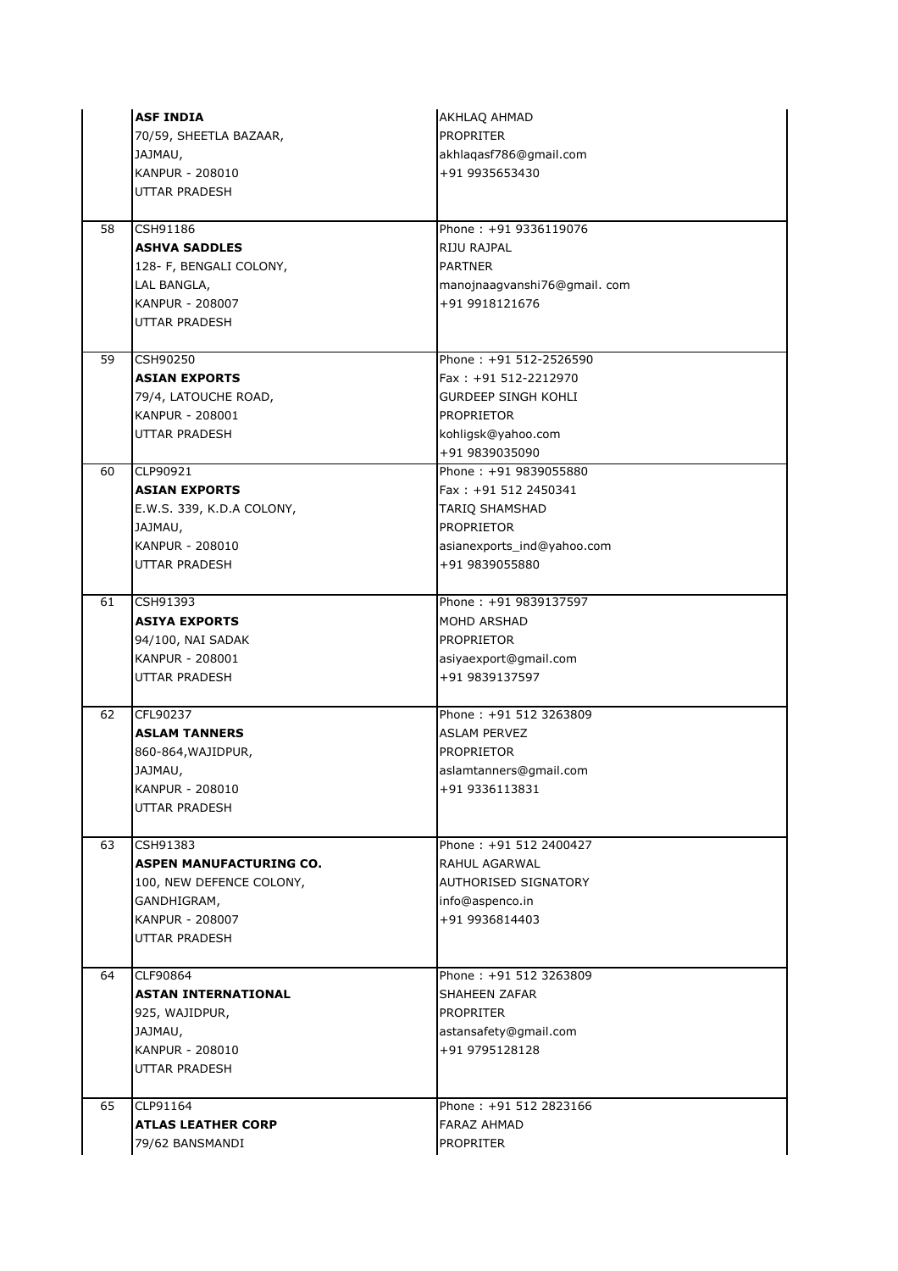| 58 | <b>ASF INDIA</b><br>70/59, SHEETLA BAZAAR,<br>JAJMAU,<br>KANPUR - 208010<br>UTTAR PRADESH<br>CSH91186<br><b>ASHVA SADDLES</b><br>128- F, BENGALI COLONY,<br>LAL BANGLA,<br>KANPUR - 208007<br>UTTAR PRADESH | AKHLAQ AHMAD<br><b>PROPRITER</b><br>akhlagasf786@gmail.com<br>+91 9935653430<br>Phone: +91 9336119076<br>RIJU RAJPAL<br><b>PARTNER</b><br>manojnaagvanshi76@gmail.com<br>+91 9918121676 |
|----|-------------------------------------------------------------------------------------------------------------------------------------------------------------------------------------------------------------|-----------------------------------------------------------------------------------------------------------------------------------------------------------------------------------------|
| 59 | CSH90250<br><b>ASIAN EXPORTS</b><br>79/4, LATOUCHE ROAD,<br>KANPUR - 208001<br>UTTAR PRADESH                                                                                                                | Phone: +91 512-2526590<br>Fax: +91 512-2212970<br>GURDEEP SINGH KOHLI<br><b>PROPRIETOR</b><br>kohligsk@yahoo.com<br>+91 9839035090                                                      |
| 60 | CLP90921<br><b>ASIAN EXPORTS</b><br>E.W.S. 339, K.D.A COLONY,<br>JAJMAU,<br>KANPUR - 208010<br>UTTAR PRADESH                                                                                                | Phone: +91 9839055880<br>Fax: +91 512 2450341<br><b>TARIQ SHAMSHAD</b><br><b>PROPRIETOR</b><br>asianexports_ind@yahoo.com<br>+91 9839055880                                             |
| 61 | CSH91393<br><b>ASIYA EXPORTS</b><br>94/100, NAI SADAK<br>KANPUR - 208001<br>UTTAR PRADESH                                                                                                                   | Phone: +91 9839137597<br>MOHD ARSHAD<br><b>PROPRIETOR</b><br>asiyaexport@gmail.com<br>+91 9839137597                                                                                    |
| 62 | CFL90237<br><b>ASLAM TANNERS</b><br>860-864, WAJIDPUR,<br>JAJMAU,<br>KANPUR - 208010<br>UTTAR PRADESH                                                                                                       | Phone: +91 512 3263809<br>ASLAM PERVEZ<br><b>PROPRIETOR</b><br>aslamtanners@gmail.com<br>+91 9336113831                                                                                 |
| 63 | CSH91383<br>ASPEN MANUFACTURING CO.<br>100, NEW DEFENCE COLONY,<br>GANDHIGRAM,<br>KANPUR - 208007<br>UTTAR PRADESH                                                                                          | Phone: +91 512 2400427<br>RAHUL AGARWAL<br>AUTHORISED SIGNATORY<br>info@aspenco.in<br>+91 9936814403                                                                                    |
| 64 | CLF90864<br><b>ASTAN INTERNATIONAL</b><br>925, WAJIDPUR,<br>JAJMAU,<br>KANPUR - 208010<br>UTTAR PRADESH                                                                                                     | Phone: +91 512 3263809<br><b>SHAHEEN ZAFAR</b><br><b>PROPRITER</b><br>astansafety@gmail.com<br>+91 9795128128                                                                           |
| 65 | CLP91164<br><b>ATLAS LEATHER CORP</b><br>79/62 BANSMANDI                                                                                                                                                    | Phone: +91 512 2823166<br>FARAZ AHMAD<br><b>PROPRITER</b>                                                                                                                               |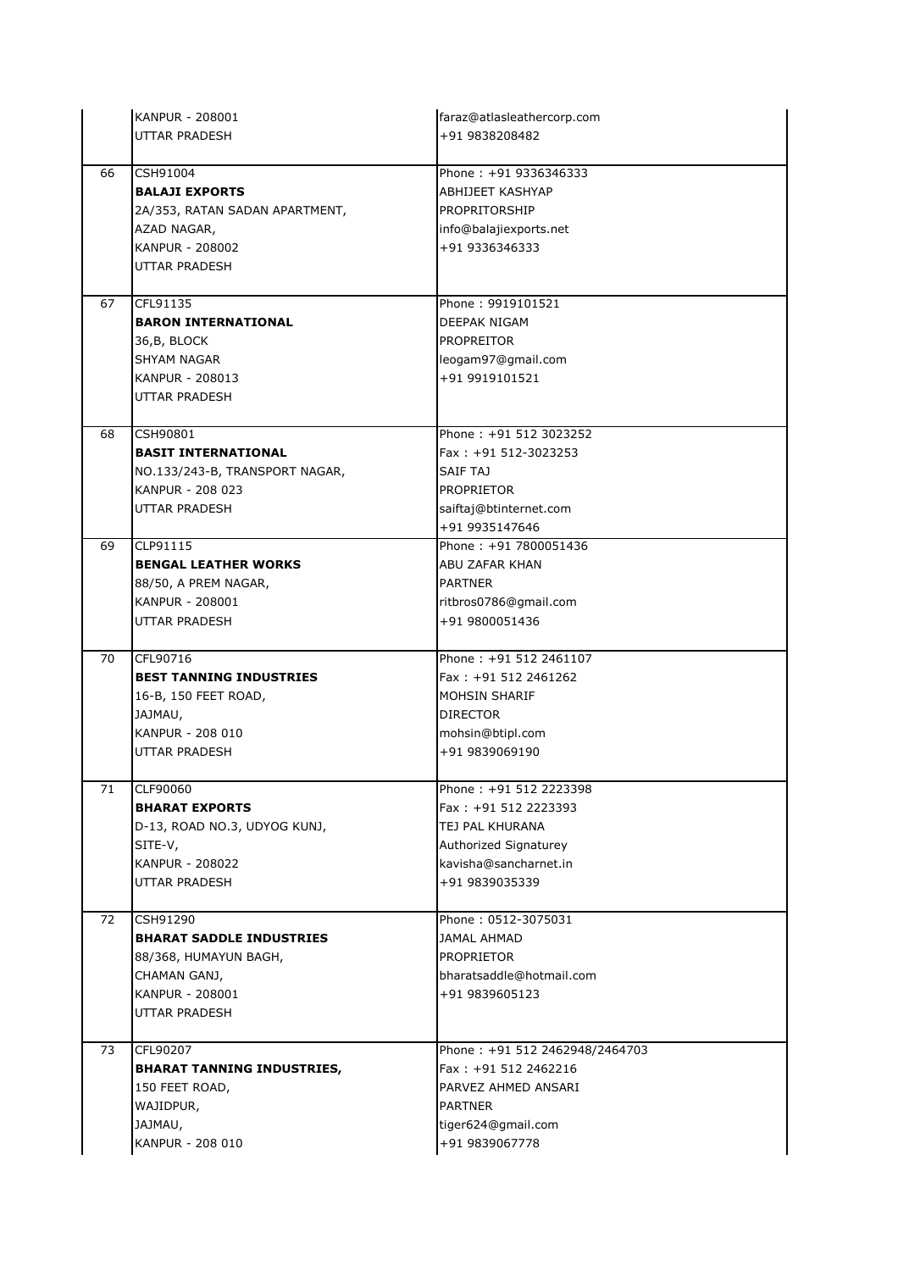|    | KANPUR - 208001<br><b>UTTAR PRADESH</b>                                                                                         | faraz@atlasleathercorp.com<br>+91 9838208482                                                                                            |
|----|---------------------------------------------------------------------------------------------------------------------------------|-----------------------------------------------------------------------------------------------------------------------------------------|
| 66 | CSH91004<br><b>BALAJI EXPORTS</b><br>2A/353, RATAN SADAN APARTMENT,<br>AZAD NAGAR,<br>KANPUR - 208002<br><b>UTTAR PRADESH</b>   | Phone: +91 9336346333<br><b>ABHIJEET KASHYAP</b><br>PROPRITORSHIP<br>info@balajiexports.net<br>+91 9336346333                           |
| 67 | CFL91135<br><b>BARON INTERNATIONAL</b><br>36, B, BLOCK<br><b>SHYAM NAGAR</b><br>KANPUR - 208013<br>UTTAR PRADESH                | Phone: 9919101521<br>DEEPAK NIGAM<br><b>PROPREITOR</b><br>leogam97@gmail.com<br>+91 9919101521                                          |
| 68 | CSH90801<br><b>BASIT INTERNATIONAL</b><br>NO.133/243-B, TRANSPORT NAGAR,<br>KANPUR - 208 023<br><b>UTTAR PRADESH</b>            | Phone: +91 512 3023252<br>Fax: +91 512-3023253<br><b>SAIF TAJ</b><br><b>PROPRIETOR</b><br>saiftaj@btinternet.com<br>+91 9935147646      |
| 69 | CLP91115<br><b>BENGAL LEATHER WORKS</b><br>88/50, A PREM NAGAR,<br>KANPUR - 208001<br>UTTAR PRADESH                             | Phone: +91 7800051436<br>ABU ZAFAR KHAN<br><b>PARTNER</b><br>ritbros0786@gmail.com<br>+91 9800051436                                    |
| 70 | CFL90716<br><b>BEST TANNING INDUSTRIES</b><br>16-B, 150 FEET ROAD,<br>JAJMAU,<br>KANPUR - 208 010<br><b>UTTAR PRADESH</b>       | Phone: +91 512 2461107<br>Fax: +91 512 2461262<br><b>MOHSIN SHARIF</b><br><b>DIRECTOR</b><br>mohsin@btipl.com<br>+91 9839069190         |
| 71 | CLF90060<br><b>BHARAT EXPORTS</b><br>D-13, ROAD NO.3, UDYOG KUNJ,<br>SITE-V,<br><b>KANPUR - 208022</b><br>UTTAR PRADESH         | Phone: +91 512 2223398<br>Fax: +91 512 2223393<br>TEJ PAL KHURANA<br>Authorized Signaturey<br>kavisha@sancharnet.in<br>+91 9839035339   |
| 72 | CSH91290<br><b>BHARAT SADDLE INDUSTRIES</b><br>88/368, HUMAYUN BAGH,<br>CHAMAN GANJ,<br><b>KANPUR - 208001</b><br>UTTAR PRADESH | Phone: 0512-3075031<br>JAMAL AHMAD<br><b>PROPRIETOR</b><br>bharatsaddle@hotmail.com<br>+91 9839605123                                   |
| 73 | CFL90207<br><b>BHARAT TANNING INDUSTRIES,</b><br>150 FEET ROAD,<br>WAJIDPUR,<br>JAJMAU,<br>KANPUR - 208 010                     | Phone: +91 512 2462948/2464703<br>Fax: +91 512 2462216<br>PARVEZ AHMED ANSARI<br><b>PARTNER</b><br>tiger624@gmail.com<br>+91 9839067778 |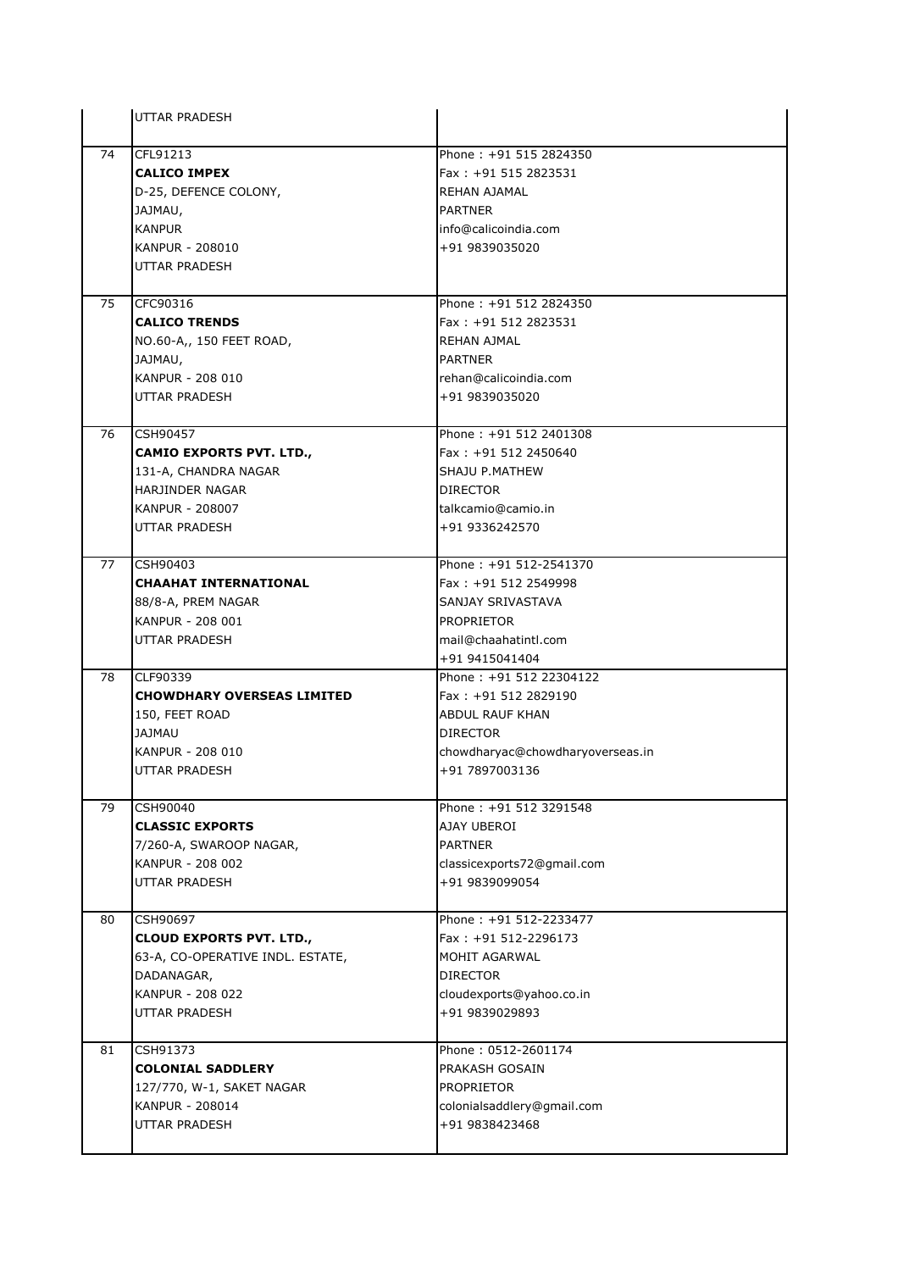|    | <b>UTTAR PRADESH</b>                     |                                  |
|----|------------------------------------------|----------------------------------|
| 74 | CFL91213                                 | Phone: +91 515 2824350           |
|    | <b>CALICO IMPEX</b>                      | Fax: +91 515 2823531             |
|    | D-25, DEFENCE COLONY,                    | REHAN AJAMAL                     |
|    | JAJMAU,                                  | <b>PARTNER</b>                   |
|    | <b>KANPUR</b>                            | info@calicoindia.com             |
|    | KANPUR - 208010                          | +91 9839035020                   |
|    | UTTAR PRADESH                            |                                  |
|    |                                          |                                  |
| 75 | CFC90316                                 | Phone: +91 512 2824350           |
|    | <b>CALICO TRENDS</b>                     | Fax: +91 512 2823531             |
|    | NO.60-A,, 150 FEET ROAD,                 | REHAN AJMAL                      |
|    | JAJMAU,                                  | <b>PARTNER</b>                   |
|    | KANPUR - 208 010<br><b>UTTAR PRADESH</b> | rehan@calicoindia.com            |
|    |                                          | +91 9839035020                   |
| 76 | CSH90457                                 | Phone: +91 512 2401308           |
|    | <b>CAMIO EXPORTS PVT. LTD.,</b>          | Fax: +91 512 2450640             |
|    | 131-A, CHANDRA NAGAR                     | SHAJU P.MATHEW                   |
|    | HARJINDER NAGAR                          | <b>DIRECTOR</b>                  |
|    | KANPUR - 208007                          | talkcamio@camio.in               |
|    | <b>UTTAR PRADESH</b>                     | +91 9336242570                   |
| 77 | CSH90403                                 | Phone: +91 512-2541370           |
|    | <b>CHAAHAT INTERNATIONAL</b>             | Fax: +91 512 2549998             |
|    | 88/8-A, PREM NAGAR                       | SANJAY SRIVASTAVA                |
|    | KANPUR - 208 001                         | <b>PROPRIETOR</b>                |
|    | UTTAR PRADESH                            | mail@chaahatintl.com             |
|    |                                          | +91 9415041404                   |
| 78 | CLF90339                                 | Phone: +91 512 22304122          |
|    | <b>CHOWDHARY OVERSEAS LIMITED</b>        | Fax: +91 512 2829190             |
|    | 150, FEET ROAD                           | ABDUL RAUF KHAN                  |
|    | <b>UANLAL</b>                            | <b>DIRECTOR</b>                  |
|    | KANPUR - 208 010                         | chowdharyac@chowdharyoverseas.in |
|    | <b>UTTAR PRADESH</b>                     | +91 7897003136                   |
|    |                                          |                                  |
| 79 | CSH90040                                 | Phone: +91 512 3291548           |
|    | <b>CLASSIC EXPORTS</b>                   | AJAY UBEROI                      |
|    | 7/260-A, SWAROOP NAGAR,                  | <b>PARTNER</b>                   |
|    | KANPUR - 208 002                         | classicexports72@gmail.com       |
|    | UTTAR PRADESH                            | +91 9839099054                   |
| 80 | CSH90697                                 | Phone: +91 512-2233477           |
|    | <b>CLOUD EXPORTS PVT. LTD.,</b>          | Fax: $+91$ 512-2296173           |
|    | 63-A, CO-OPERATIVE INDL. ESTATE,         | MOHIT AGARWAL                    |
|    | DADANAGAR,                               | <b>DIRECTOR</b>                  |
|    | KANPUR - 208 022                         | cloudexports@yahoo.co.in         |
|    | <b>UTTAR PRADESH</b>                     | +91 9839029893                   |
| 81 | CSH91373                                 | Phone: 0512-2601174              |
|    | <b>COLONIAL SADDLERY</b>                 | <b>PRAKASH GOSAIN</b>            |
|    | 127/770, W-1, SAKET NAGAR                | <b>PROPRIETOR</b>                |
|    | KANPUR - 208014                          | colonialsaddlery@gmail.com       |
|    | <b>UTTAR PRADESH</b>                     | +91 9838423468                   |
|    |                                          |                                  |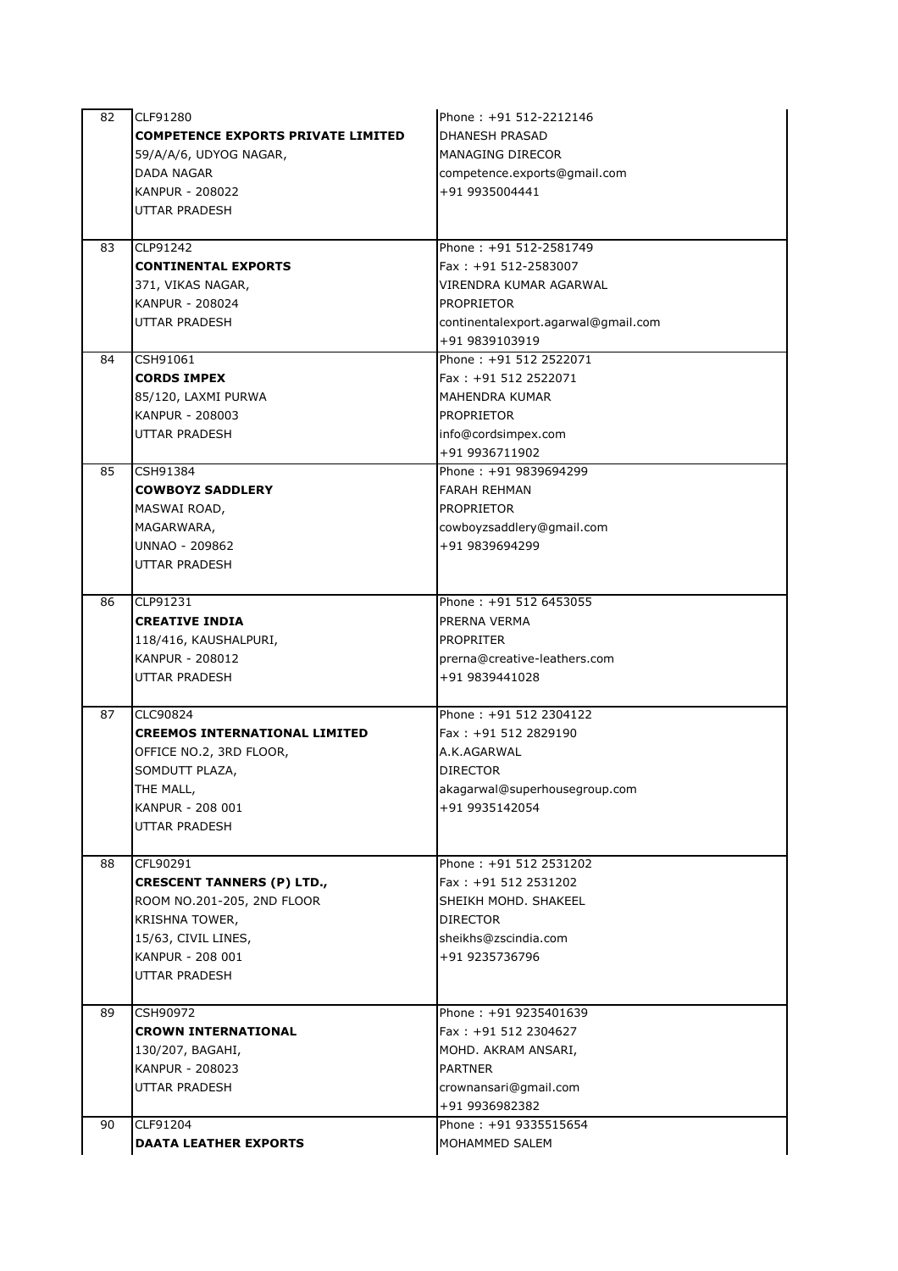| 82 | CLF91280                                  | Phone: +91 512-2212146              |
|----|-------------------------------------------|-------------------------------------|
|    | <b>COMPETENCE EXPORTS PRIVATE LIMITED</b> | <b>DHANESH PRASAD</b>               |
|    | 59/A/A/6, UDYOG NAGAR,                    | MANAGING DIRECOR                    |
|    | DADA NAGAR                                | competence.exports@gmail.com        |
|    | <b>KANPUR - 208022</b>                    | +91 9935004441                      |
|    | <b>UTTAR PRADESH</b>                      |                                     |
|    |                                           |                                     |
| 83 | CLP91242                                  | Phone: +91 512-2581749              |
|    | <b>CONTINENTAL EXPORTS</b>                | $Fax: +91512-2583007$               |
|    | 371, VIKAS NAGAR,                         | VIRENDRA KUMAR AGARWAL              |
|    | <b>KANPUR - 208024</b>                    | <b>PROPRIETOR</b>                   |
|    | <b>UTTAR PRADESH</b>                      | continentalexport.agarwal@gmail.com |
|    |                                           | +91 9839103919                      |
| 84 | CSH91061                                  | Phone: +91 512 2522071              |
|    | <b>CORDS IMPEX</b>                        | Fax: +91 512 2522071                |
|    | 85/120, LAXMI PURWA                       | <b>MAHENDRA KUMAR</b>               |
|    | KANPUR - 208003                           | <b>PROPRIETOR</b>                   |
|    | UTTAR PRADESH                             | info@cordsimpex.com                 |
|    |                                           | +91 9936711902                      |
| 85 | CSH91384                                  | Phone: +91 9839694299               |
|    | <b>COWBOYZ SADDLERY</b>                   | <b>FARAH REHMAN</b>                 |
|    | MASWAI ROAD,                              | <b>PROPRIETOR</b>                   |
|    | MAGARWARA,                                | cowboyzsaddlery@gmail.com           |
|    | UNNAO - 209862                            | +91 9839694299                      |
|    | UTTAR PRADESH                             |                                     |
|    |                                           |                                     |
| 86 | CLP91231                                  | Phone: +91 512 6453055              |
|    | <b>CREATIVE INDIA</b>                     | PRERNA VERMA                        |
|    | 118/416, KAUSHALPURI,                     | <b>PROPRITER</b>                    |
|    | KANPUR - 208012                           | prerna@creative-leathers.com        |
|    | UTTAR PRADESH                             | +91 9839441028                      |
|    |                                           |                                     |
| 87 | CLC90824                                  | Phone: +91 512 2304122              |
|    | <b>CREEMOS INTERNATIONAL LIMITED</b>      | Fax: +91 512 2829190                |
|    | OFFICE NO.2, 3RD FLOOR,                   | A.K.AGARWAL                         |
|    | SOMDUTT PLAZA,                            | <b>DIRECTOR</b>                     |
|    | THE MALL,                                 | akagarwal@superhousegroup.com       |
|    | KANPUR - 208 001                          | +91 9935142054                      |
|    | UTTAR PRADESH                             |                                     |
|    |                                           |                                     |
| 88 | CFL90291                                  | Phone: +91 512 2531202              |
|    | <b>CRESCENT TANNERS (P) LTD.,</b>         | Fax: +91 512 2531202                |
|    | ROOM NO.201-205, 2ND FLOOR                | SHEIKH MOHD. SHAKEEL                |
|    | KRISHNA TOWER,                            | <b>DIRECTOR</b>                     |
|    | 15/63, CIVIL LINES,                       | sheikhs@zscindia.com                |
|    | KANPUR - 208 001                          | +91 9235736796                      |
|    | UTTAR PRADESH                             |                                     |
|    |                                           |                                     |
| 89 | CSH90972                                  | Phone: +91 9235401639               |
|    | <b>CROWN INTERNATIONAL</b>                | Fax: +91 512 2304627                |
|    | 130/207, BAGAHI,                          | MOHD. AKRAM ANSARI,                 |
|    | KANPUR - 208023                           | <b>PARTNER</b>                      |
|    | UTTAR PRADESH                             | crownansari@gmail.com               |
|    |                                           | +91 9936982382                      |
| 90 | CLF91204                                  | Phone: +91 9335515654               |
|    | <b>DAATA LEATHER EXPORTS</b>              | MOHAMMED SALEM                      |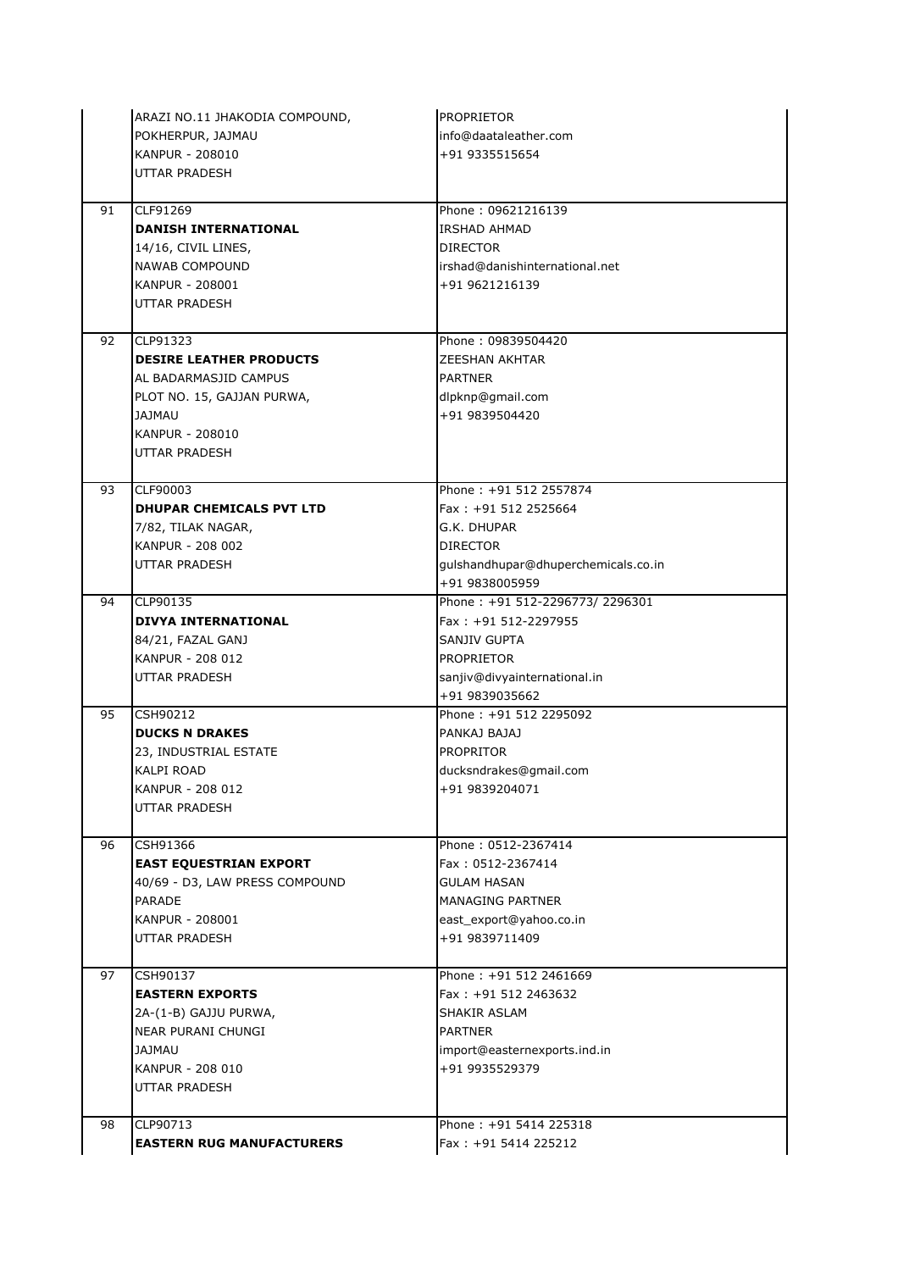|    | ARAZI NO.11 JHAKODIA COMPOUND,   | <b>PROPRIETOR</b>                   |
|----|----------------------------------|-------------------------------------|
|    | POKHERPUR, JAJMAU                | info@daataleather.com               |
|    | KANPUR - 208010                  | +91 9335515654                      |
|    | <b>UTTAR PRADESH</b>             |                                     |
|    |                                  |                                     |
| 91 | CLF91269                         | Phone: 09621216139                  |
|    | <b>DANISH INTERNATIONAL</b>      | <b>IRSHAD AHMAD</b>                 |
|    | 14/16, CIVIL LINES,              | <b>DIRECTOR</b>                     |
|    | <b>NAWAB COMPOUND</b>            | irshad@danishinternational.net      |
|    | KANPUR - 208001                  | +91 9621216139                      |
|    | UTTAR PRADESH                    |                                     |
|    |                                  |                                     |
| 92 | CLP91323                         | Phone: 09839504420                  |
|    | <b>DESIRE LEATHER PRODUCTS</b>   | ZEESHAN AKHTAR                      |
|    | AL BADARMASJID CAMPUS            | <b>PARTNER</b>                      |
|    | PLOT NO. 15, GAJJAN PURWA,       | dlpknp@gmail.com                    |
|    | UAMLAL                           | +91 9839504420                      |
|    | KANPUR - 208010                  |                                     |
|    | <b>UTTAR PRADESH</b>             |                                     |
|    |                                  |                                     |
| 93 | CLF90003                         | Phone: +91 512 2557874              |
|    | <b>DHUPAR CHEMICALS PVT LTD</b>  | Fax: +91 512 2525664                |
|    | 7/82, TILAK NAGAR,               | G.K. DHUPAR                         |
|    | KANPUR - 208 002                 | <b>DIRECTOR</b>                     |
|    | <b>UTTAR PRADESH</b>             | gulshandhupar@dhuperchemicals.co.in |
|    |                                  | +91 9838005959                      |
| 94 | CLP90135                         | Phone: +91 512-2296773/ 2296301     |
|    | <b>DIVYA INTERNATIONAL</b>       | Fax: +91 512-2297955                |
|    | 84/21, FAZAL GANJ                | SANJIV GUPTA                        |
|    | KANPUR - 208 012                 | <b>PROPRIETOR</b>                   |
|    | UTTAR PRADESH                    | sanjiv@divyainternational.in        |
|    |                                  | +91 9839035662                      |
| 95 | CSH90212                         | Phone: +91 512 2295092              |
|    | <b>DUCKS N DRAKES</b>            | PANKAJ BAJAJ                        |
|    | 23, INDUSTRIAL ESTATE            | <b>PROPRITOR</b>                    |
|    | <b>KALPI ROAD</b>                | ducksndrakes@gmail.com              |
|    | KANPUR - 208 012                 | +91 9839204071                      |
|    | UTTAR PRADESH                    |                                     |
| 96 | CSH91366                         | Phone: 0512-2367414                 |
|    | <b>EAST EQUESTRIAN EXPORT</b>    | Fax: 0512-2367414                   |
|    | 40/69 - D3, LAW PRESS COMPOUND   | <b>GULAM HASAN</b>                  |
|    | <b>PARADE</b>                    | <b>MANAGING PARTNER</b>             |
|    |                                  |                                     |
|    | KANPUR - 208001                  | east export@yahoo.co.in             |
|    | UTTAR PRADESH                    | +91 9839711409                      |
| 97 | CSH90137                         | Phone: +91 512 2461669              |
|    | <b>EASTERN EXPORTS</b>           | Fax: +91 512 2463632                |
|    | 2A-(1-B) GAJJU PURWA,            | SHAKIR ASLAM                        |
|    | NEAR PURANI CHUNGI               | <b>PARTNER</b>                      |
|    | UAMLAL                           | import@easternexports.ind.in        |
|    | KANPUR - 208 010                 | +91 9935529379                      |
|    | UTTAR PRADESH                    |                                     |
|    |                                  |                                     |
| 98 | CLP90713                         | Phone: +91 5414 225318              |
|    | <b>EASTERN RUG MANUFACTURERS</b> | Fax: +91 5414 225212                |
|    |                                  |                                     |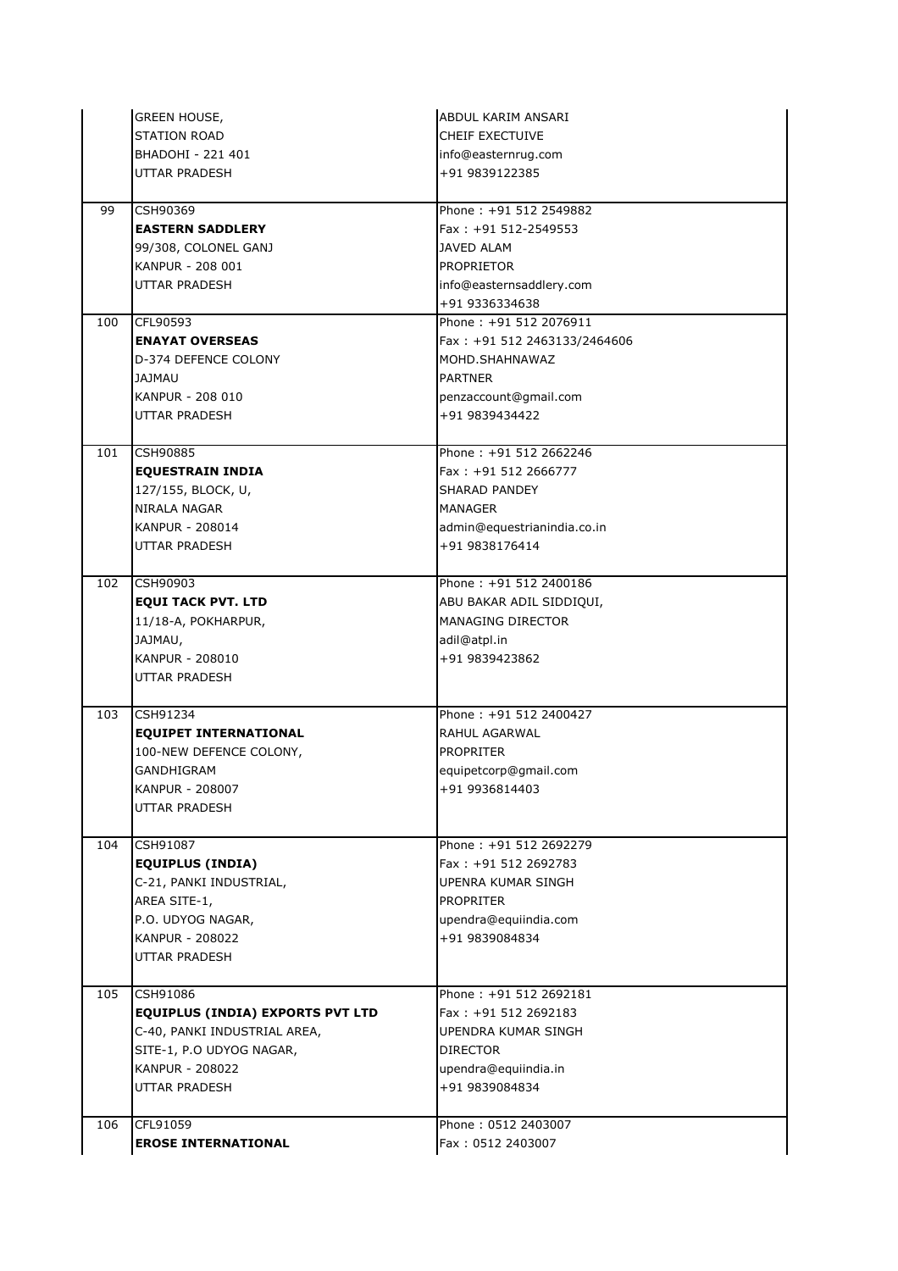|     | <b>GREEN HOUSE,</b>                                | ABDUL KARIM ANSARI                      |
|-----|----------------------------------------------------|-----------------------------------------|
|     | <b>STATION ROAD</b>                                | <b>CHEIF EXECTUIVE</b>                  |
|     | BHADOHI - 221 401                                  | info@easternrug.com                     |
|     | UTTAR PRADESH                                      | +91 9839122385                          |
|     |                                                    |                                         |
| 99  | CSH90369                                           | Phone: +91 512 2549882                  |
|     | <b>EASTERN SADDLERY</b>                            | $Fax: +91512-2549553$                   |
|     | 99/308, COLONEL GANJ                               | JAVED ALAM                              |
|     | KANPUR - 208 001                                   | <b>PROPRIETOR</b>                       |
|     | <b>UTTAR PRADESH</b>                               | info@easternsaddlery.com                |
|     |                                                    | +91 9336334638                          |
| 100 | CFL90593                                           | Phone: +91 512 2076911                  |
|     | <b>ENAYAT OVERSEAS</b>                             | Fax: +91 512 2463133/2464606            |
|     | D-374 DEFENCE COLONY                               | MOHD.SHAHNAWAZ                          |
|     | UAMLAL                                             | <b>PARTNER</b>                          |
|     | KANPUR - 208 010                                   | penzaccount@gmail.com                   |
|     | UTTAR PRADESH                                      | +91 9839434422                          |
|     |                                                    |                                         |
| 101 | <b>CSH90885</b>                                    | Phone: +91 512 2662246                  |
|     | <b>EQUESTRAIN INDIA</b>                            | Fax: +91 512 2666777                    |
|     | 127/155, BLOCK, U,                                 | <b>SHARAD PANDEY</b>                    |
|     | NIRALA NAGAR                                       | <b>MANAGER</b>                          |
|     |                                                    |                                         |
|     | KANPUR - 208014                                    | admin@equestrianindia.co.in             |
|     | UTTAR PRADESH                                      | +91 9838176414                          |
| 102 | CSH90903                                           | Phone: +91 512 2400186                  |
|     | <b>EQUI TACK PVT. LTD</b>                          | ABU BAKAR ADIL SIDDIQUI,                |
|     |                                                    | <b>MANAGING DIRECTOR</b>                |
|     | 11/18-A, POKHARPUR,                                |                                         |
|     | JAJMAU,                                            | adil@atpl.in                            |
|     | KANPUR - 208010                                    | +91 9839423862                          |
|     | <b>UTTAR PRADESH</b>                               |                                         |
|     |                                                    |                                         |
| 103 | CSH91234                                           | Phone: +91 512 2400427<br>RAHUL AGARWAL |
|     | <b>EQUIPET INTERNATIONAL</b>                       |                                         |
|     | 100-NEW DEFENCE COLONY,                            | <b>PROPRITER</b>                        |
|     | GANDHIGRAM                                         | equipetcorp@gmail.com                   |
|     | KANPUR - 208007                                    | +91 9936814403                          |
|     | UTTAR PRADESH                                      |                                         |
| 104 | CSH91087                                           | Phone: +91 512 2692279                  |
|     |                                                    |                                         |
|     | <b>EQUIPLUS (INDIA)</b><br>C-21, PANKI INDUSTRIAL, | Fax: +91 512 2692783                    |
|     |                                                    | UPENRA KUMAR SINGH                      |
|     | AREA SITE-1,                                       | <b>PROPRITER</b>                        |
|     | P.O. UDYOG NAGAR,                                  | upendra@equiindia.com                   |
|     | KANPUR - 208022                                    | +91 9839084834                          |
|     | UTTAR PRADESH                                      |                                         |
|     |                                                    |                                         |
| 105 | CSH91086                                           | Phone: +91 512 2692181                  |
|     | <b>EQUIPLUS (INDIA) EXPORTS PVT LTD</b>            | Fax: +91 512 2692183                    |
|     | C-40, PANKI INDUSTRIAL AREA,                       | UPENDRA KUMAR SINGH                     |
|     | SITE-1, P.O UDYOG NAGAR,                           | <b>DIRECTOR</b>                         |
|     | KANPUR - 208022                                    | upendra@equiindia.in                    |
|     | UTTAR PRADESH                                      | +91 9839084834                          |
|     |                                                    |                                         |
| 106 | CFL91059                                           | Phone: 0512 2403007                     |
|     | <b>EROSE INTERNATIONAL</b>                         | Fax: 0512 2403007                       |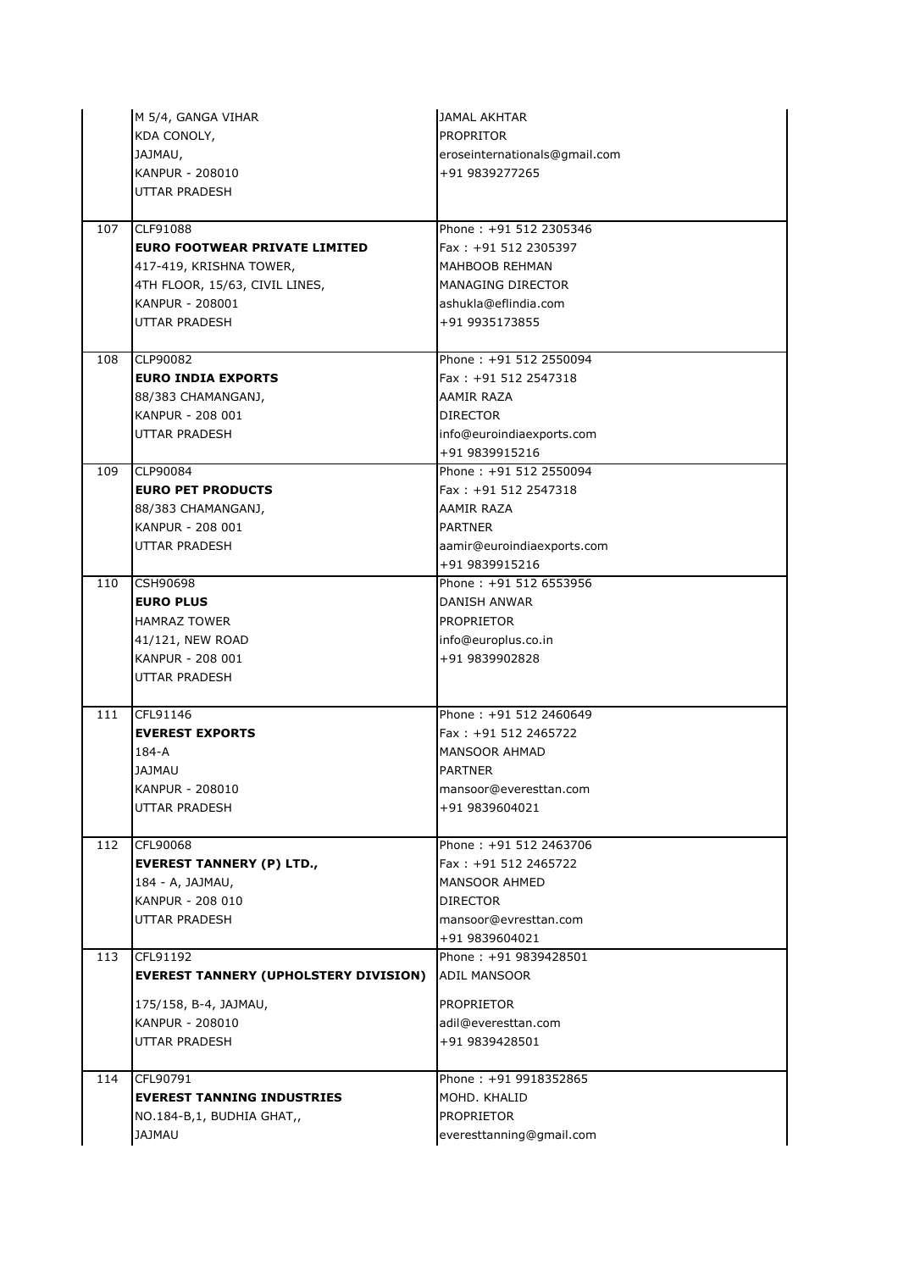|     | M 5/4, GANGA VIHAR                           | <b>JAMAL AKHTAR</b>           |
|-----|----------------------------------------------|-------------------------------|
|     | KDA CONOLY,                                  | <b>PROPRITOR</b>              |
|     | JAJMAU,                                      | eroseinternationals@gmail.com |
|     | KANPUR - 208010                              | +91 9839277265                |
|     | UTTAR PRADESH                                |                               |
|     |                                              |                               |
| 107 | CLF91088                                     | Phone: +91 512 2305346        |
|     | <b>EURO FOOTWEAR PRIVATE LIMITED</b>         | Fax: +91 512 2305397          |
|     | 417-419, KRISHNA TOWER,                      | MAHBOOB REHMAN                |
|     | 4TH FLOOR, 15/63, CIVIL LINES,               | MANAGING DIRECTOR             |
|     | KANPUR - 208001                              | ashukla@eflindia.com          |
|     | UTTAR PRADESH                                | +91 9935173855                |
|     |                                              |                               |
| 108 | CLP90082                                     | Phone: +91 512 2550094        |
|     | <b>EURO INDIA EXPORTS</b>                    | Fax: +91 512 2547318          |
|     | 88/383 CHAMANGANJ,                           | AAMIR RAZA                    |
|     | KANPUR - 208 001                             | <b>DIRECTOR</b>               |
|     | UTTAR PRADESH                                | info@euroindiaexports.com     |
|     |                                              | +91 9839915216                |
| 109 | CLP90084                                     | Phone: +91 512 2550094        |
|     | <b>EURO PET PRODUCTS</b>                     | Fax: +91 512 2547318          |
|     | 88/383 CHAMANGANJ,                           | AAMIR RAZA                    |
|     | KANPUR - 208 001                             | <b>PARTNER</b>                |
|     | <b>UTTAR PRADESH</b>                         | aamir@euroindiaexports.com    |
|     |                                              | +91 9839915216                |
| 110 | <b>CSH90698</b>                              | Phone: +91 512 6553956        |
|     |                                              | DANISH ANWAR                  |
|     | <b>EURO PLUS</b>                             |                               |
|     | <b>HAMRAZ TOWER</b>                          | <b>PROPRIETOR</b>             |
|     | 41/121, NEW ROAD                             | info@europlus.co.in           |
|     | KANPUR - 208 001                             | +91 9839902828                |
|     | UTTAR PRADESH                                |                               |
| 111 | CFL91146                                     | Phone: +91 512 2460649        |
|     | <b>EVEREST EXPORTS</b>                       | Fax: +91 512 2465722          |
|     | 184-A                                        | <b>MANSOOR AHMAD</b>          |
|     | UAMLAL                                       | <b>PARTNER</b>                |
|     | KANPUR - 208010                              |                               |
|     |                                              | mansoor@everesttan.com        |
|     | UTTAR PRADESH                                | +91 9839604021                |
| 112 | CFL90068                                     | Phone: +91 512 2463706        |
|     | <b>EVEREST TANNERY (P) LTD.,</b>             | Fax: +91 512 2465722          |
|     | 184 - A, JAJMAU,                             | MANSOOR AHMED                 |
|     | KANPUR - 208 010                             | <b>DIRECTOR</b>               |
|     | UTTAR PRADESH                                | mansoor@evresttan.com         |
|     |                                              | +91 9839604021                |
| 113 | CFL91192                                     | Phone: +91 9839428501         |
|     | <b>EVEREST TANNERY (UPHOLSTERY DIVISION)</b> | ADIL MANSOOR                  |
|     |                                              |                               |
|     | 175/158, B-4, JAJMAU,                        | <b>PROPRIETOR</b>             |
|     | KANPUR - 208010                              | adil@everesttan.com           |
|     | UTTAR PRADESH                                | +91 9839428501                |
|     |                                              |                               |
| 114 | CFL90791                                     | Phone: +91 9918352865         |
|     | <b>EVEREST TANNING INDUSTRIES</b>            | MOHD. KHALID                  |
|     | NO.184-B,1, BUDHIA GHAT,                     | <b>PROPRIETOR</b>             |
|     | <b>UANLAL</b>                                | everesttanning@gmail.com      |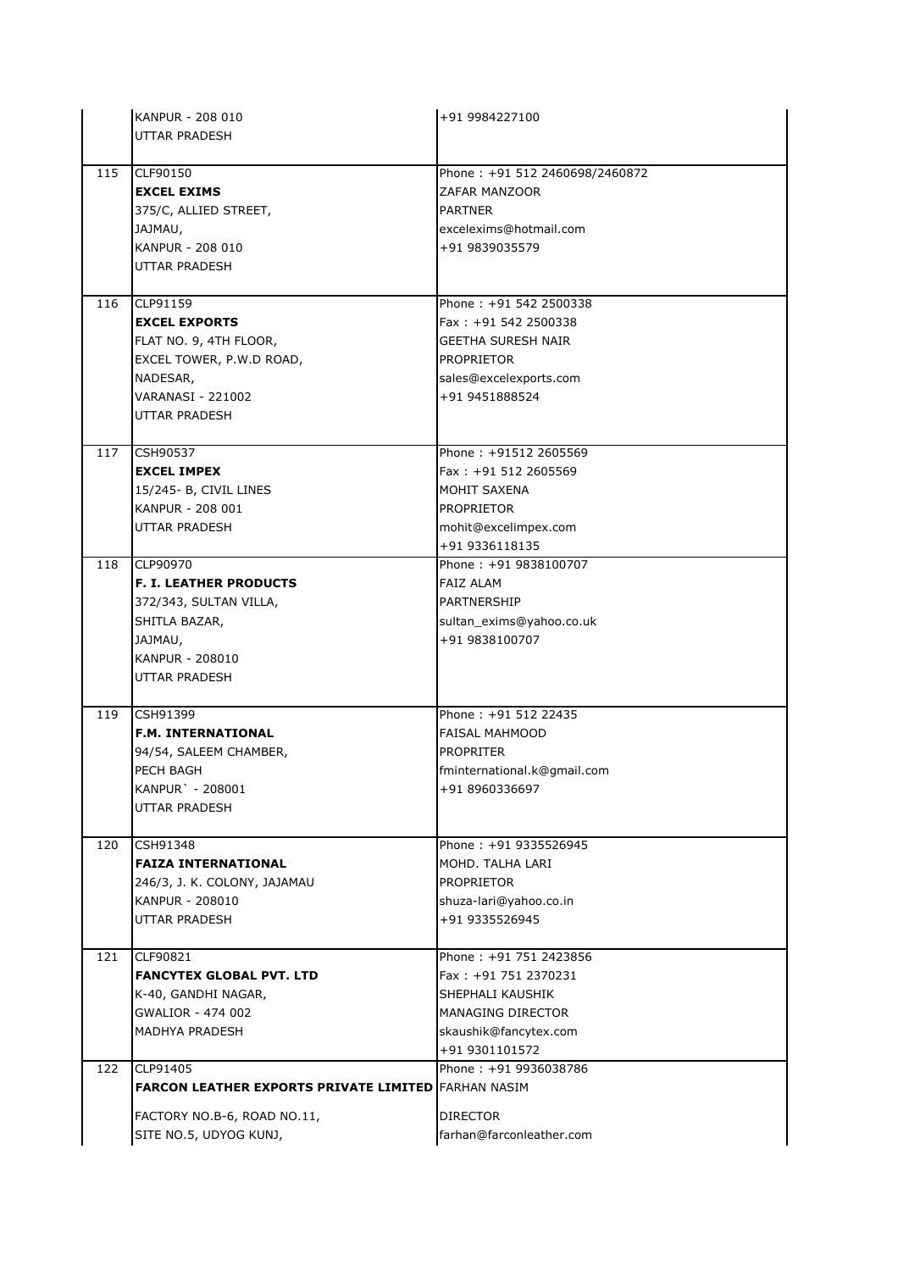|     | KANPUR - 208 010<br><b>UTTAR PRADESH</b>                                                                                                        | +91 9984227100                                                                                                                     |
|-----|-------------------------------------------------------------------------------------------------------------------------------------------------|------------------------------------------------------------------------------------------------------------------------------------|
| 115 | CLF90150<br><b>EXCEL EXIMS</b><br>375/C, ALLIED STREET,<br>JAJMAU,<br>KANPUR - 208 010<br><b>UTTAR PRADESH</b>                                  | Phone: +91 512 2460698/2460872<br>ZAFAR MANZOOR<br>PARTNER<br>excelexims@hotmail.com<br>+91 9839035579                             |
| 116 | CLP91159<br><b>EXCEL EXPORTS</b><br>FLAT NO. 9, 4TH FLOOR,<br>EXCEL TOWER, P.W.D ROAD,<br>NADESAR,<br>VARANASI - 221002<br><b>UTTAR PRADESH</b> | Phone: +91 542 2500338<br>Fax: +91 542 2500338<br>GEETHA SURESH NAIR<br>PROPRIETOR<br>sales@excelexports.com<br>+91 9451888524     |
| 117 | CSH90537<br><b>EXCEL IMPEX</b><br>15/245- B, CIVIL LINES<br>KANPUR - 208 001<br><b>UTTAR PRADESH</b>                                            | Phone: +91512 2605569<br>Fax: +91 512 2605569<br>MOHIT SAXENA<br><b>PROPRIETOR</b><br>mohit@excelimpex.com<br>+91 9336118135       |
| 118 | CLP90970<br><b>F. I. LEATHER PRODUCTS</b><br>372/343, SULTAN VILLA,<br>SHITLA BAZAR,<br>JAJMAU,<br>KANPUR - 208010<br>UTTAR PRADESH             | Phone: +91 9838100707<br>FAIZ ALAM<br>PARTNERSHIP<br>sultan_exims@yahoo.co.uk<br>+91 9838100707                                    |
| 119 | CSH91399<br><b>F.M. INTERNATIONAL</b><br>94/54, SALEEM CHAMBER,<br>PECH BAGH<br>KANPUR' - 208001<br>UTTAR PRADESH                               | Phone: +91 512 22435<br><b>FAISAL MAHMOOD</b><br>PROPRITER<br>fminternational.k@gmail.com<br>+91 8960336697                        |
| 120 | CSH91348<br><b>FAIZA INTERNATIONAL</b><br>246/3, J. K. COLONY, JAJAMAU<br>KANPUR - 208010<br>UTTAR PRADESH                                      | Phone: +91 9335526945<br>MOHD. TALHA LARI<br>PROPRIETOR<br>shuza-lari@yahoo.co.in<br>+91 9335526945                                |
| 121 | CLF90821<br><b>FANCYTEX GLOBAL PVT. LTD</b><br>K-40, GANDHI NAGAR,<br>GWALIOR - 474 002<br>MADHYA PRADESH                                       | Phone: +91 751 2423856<br>Fax: +91 751 2370231<br>SHEPHALI KAUSHIK<br>MANAGING DIRECTOR<br>skaushik@fancytex.com<br>+91 9301101572 |
| 122 | CLP91405<br><b>FARCON LEATHER EXPORTS PRIVATE LIMITED FARHAN NASIM</b><br>FACTORY NO.B-6, ROAD NO.11,<br>SITE NO.5, UDYOG KUNJ,                 | Phone: +91 9936038786<br>DIRECTOR<br>farhan@farconleather.com                                                                      |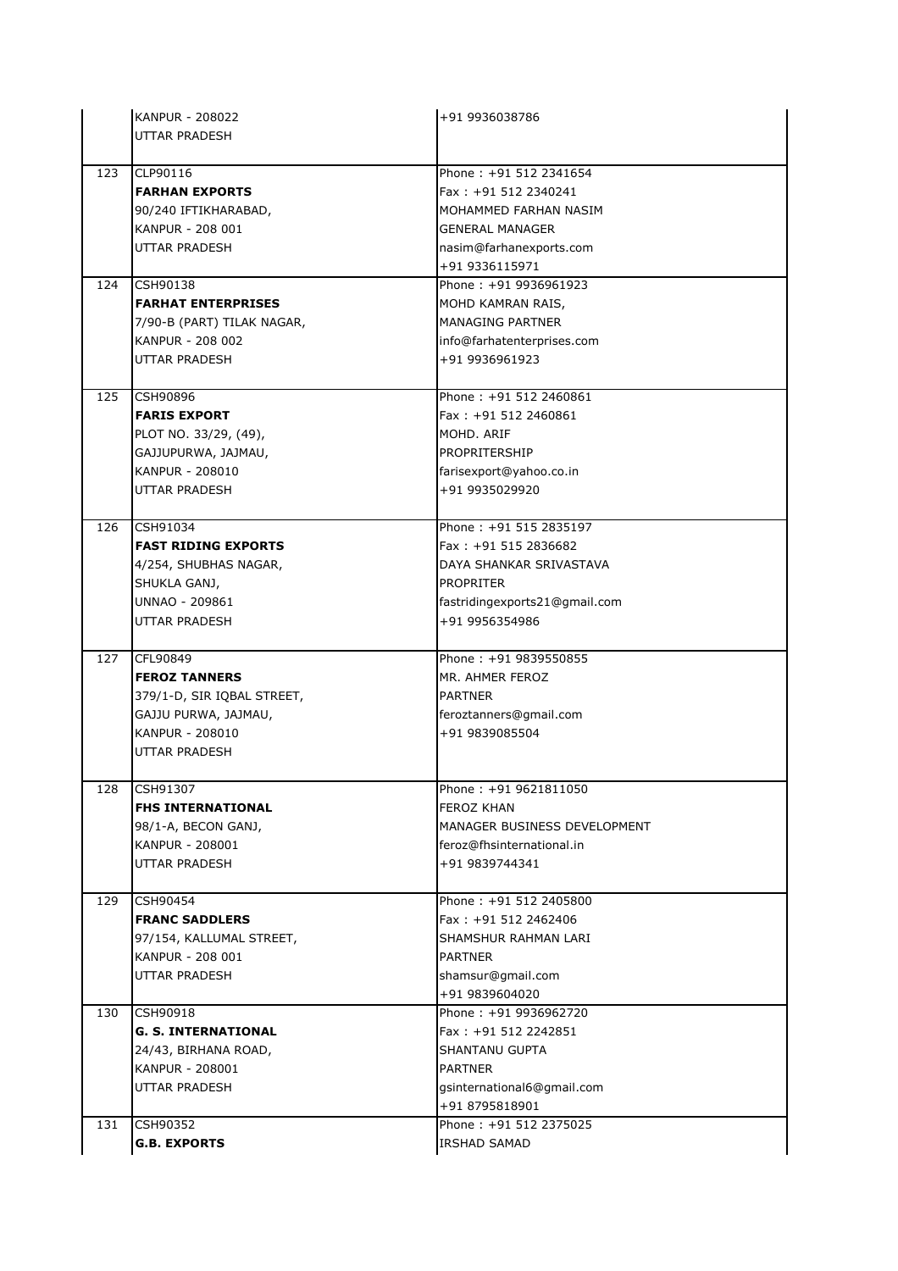|     | KANPUR - 208022            | +91 9936038786                |
|-----|----------------------------|-------------------------------|
|     | <b>UTTAR PRADESH</b>       |                               |
|     |                            |                               |
| 123 | CLP90116                   | Phone: +91 512 2341654        |
|     | <b>FARHAN EXPORTS</b>      | Fax: +91 512 2340241          |
|     | 90/240 IFTIKHARABAD,       | MOHAMMED FARHAN NASIM         |
|     | KANPUR - 208 001           | GENERAL MANAGER               |
|     | UTTAR PRADESH              | nasim@farhanexports.com       |
|     |                            | +91 9336115971                |
| 124 | CSH90138                   | Phone: +91 9936961923         |
|     |                            |                               |
|     | <b>FARHAT ENTERPRISES</b>  | MOHD KAMRAN RAIS,             |
|     | 7/90-B (PART) TILAK NAGAR, | <b>MANAGING PARTNER</b>       |
|     | KANPUR - 208 002           | info@farhatenterprises.com    |
|     | UTTAR PRADESH              | +91 9936961923                |
| 125 | <b>CSH90896</b>            | Phone: +91 512 2460861        |
|     | <b>FARIS EXPORT</b>        | Fax: +91 512 2460861          |
|     | PLOT NO. 33/29, (49),      | MOHD, ARIF                    |
|     | GAJJUPURWA, JAJMAU,        | PROPRITERSHIP                 |
|     | KANPUR - 208010            | farisexport@yahoo.co.in       |
|     | <b>UTTAR PRADESH</b>       | +91 9935029920                |
|     |                            |                               |
| 126 | CSH91034                   | Phone: +91 515 2835197        |
|     | <b>FAST RIDING EXPORTS</b> | Fax: +91 515 2836682          |
|     | 4/254, SHUBHAS NAGAR,      | DAYA SHANKAR SRIVASTAVA       |
|     | SHUKLA GANJ,               | PROPRITER                     |
|     | UNNAO - 209861             | fastridingexports21@gmail.com |
|     | UTTAR PRADESH              | +91 9956354986                |
|     |                            |                               |
| 127 | CFL90849                   | Phone: +91 9839550855         |
|     | <b>FEROZ TANNERS</b>       | MR. AHMER FEROZ               |
|     | 379/1-D, SIR IQBAL STREET, | PARTNER                       |
|     | GAJJU PURWA, JAJMAU,       | feroztanners@gmail.com        |
|     | KANPUR - 208010            | +91 9839085504                |
|     | <b>UTTAR PRADESH</b>       |                               |
|     |                            |                               |
| 128 | <b>CSH91307</b>            | Phone: +91 9621811050         |
|     | <b>FHS INTERNATIONAL</b>   | FEROZ KHAN                    |
|     | 98/1-A, BECON GANJ,        | MANAGER BUSINESS DEVELOPMENT  |
|     | KANPUR - 208001            | feroz@fhsinternational.in     |
|     | UTTAR PRADESH              | +91 9839744341                |
| 129 | CSH90454                   | Phone: +91 512 2405800        |
|     | <b>FRANC SADDLERS</b>      | Fax: +91 512 2462406          |
|     | 97/154, KALLUMAL STREET,   | SHAMSHUR RAHMAN LARI          |
|     | KANPUR - 208 001           | PARTNER                       |
|     |                            |                               |
|     | UTTAR PRADESH              | shamsur@qmail.com             |
|     |                            | +91 9839604020                |
| 130 | CSH90918                   | Phone: +91 9936962720         |
|     | <b>G. S. INTERNATIONAL</b> | Fax: +91 512 2242851          |
|     | 24/43, BIRHANA ROAD,       | SHANTANU GUPTA                |
|     | KANPUR - 208001            | PARTNER                       |
|     | UTTAR PRADESH              | gsinternational6@gmail.com    |
|     |                            | +91 8795818901                |
| 131 | CSH90352                   | Phone: +91 512 2375025        |
|     | <b>G.B. EXPORTS</b>        | <b>IRSHAD SAMAD</b>           |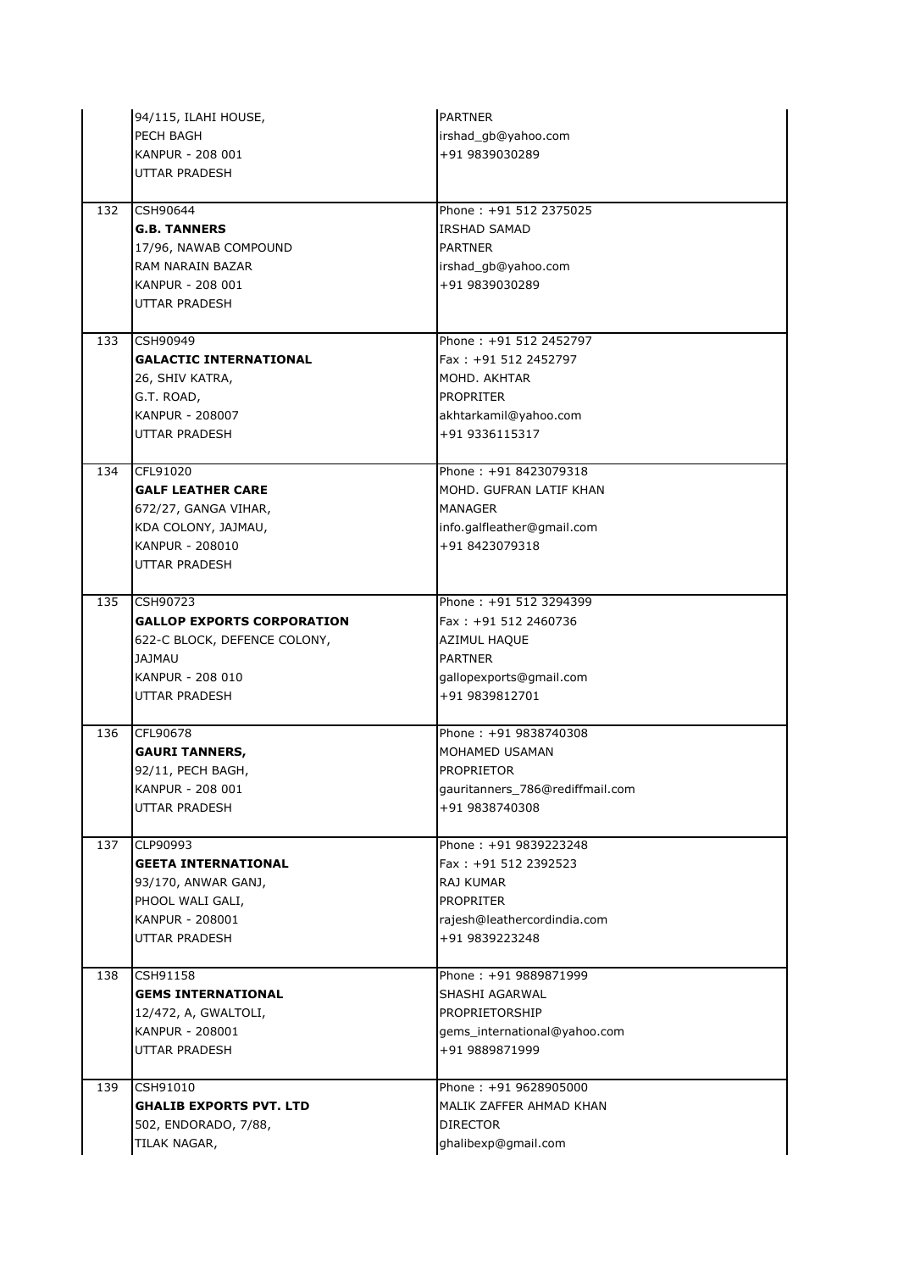|     | 94/115, ILAHI HOUSE,              | <b>PARTNER</b>                  |
|-----|-----------------------------------|---------------------------------|
|     | PECH BAGH                         | irshad_gb@yahoo.com             |
|     | KANPUR - 208 001                  | +91 9839030289                  |
|     | <b>UTTAR PRADESH</b>              |                                 |
|     |                                   |                                 |
| 132 | CSH90644                          | Phone: +91 512 2375025          |
|     | <b>G.B. TANNERS</b>               | <b>IRSHAD SAMAD</b>             |
|     | 17/96, NAWAB COMPOUND             | <b>PARTNER</b>                  |
|     | RAM NARAIN BAZAR                  | irshad_gb@yahoo.com             |
|     | KANPUR - 208 001                  | +91 9839030289                  |
|     | <b>UTTAR PRADESH</b>              |                                 |
| 133 | CSH90949                          | Phone: +91 512 2452797          |
|     | <b>GALACTIC INTERNATIONAL</b>     | Fax: +91 512 2452797            |
|     | 26, SHIV KATRA,                   | MOHD. AKHTAR                    |
|     | G.T. ROAD,                        | <b>PROPRITER</b>                |
|     | KANPUR - 208007                   | akhtarkamil@yahoo.com           |
|     | UTTAR PRADESH                     | +91 9336115317                  |
|     |                                   |                                 |
| 134 | CFL91020                          | Phone: +91 8423079318           |
|     | <b>GALF LEATHER CARE</b>          | MOHD. GUFRAN LATIF KHAN         |
|     | 672/27, GANGA VIHAR,              | MANAGER                         |
|     | KDA COLONY, JAJMAU,               | info.galfleather@gmail.com      |
|     | KANPUR - 208010                   | +91 8423079318                  |
|     | <b>UTTAR PRADESH</b>              |                                 |
| 135 | CSH90723                          | Phone: +91 512 3294399          |
|     | <b>GALLOP EXPORTS CORPORATION</b> | Fax: +91 512 2460736            |
|     | 622-C BLOCK, DEFENCE COLONY,      | AZIMUL HAQUE                    |
|     | UAMLAL                            | <b>PARTNER</b>                  |
|     | KANPUR - 208 010                  | gallopexports@gmail.com         |
|     | <b>UTTAR PRADESH</b>              | +91 9839812701                  |
|     |                                   |                                 |
| 136 | CFL90678                          | Phone: +91 9838740308           |
|     | <b>GAURI TANNERS,</b>             | MOHAMED USAMAN                  |
|     | 92/11, PECH BAGH,                 | <b>PROPRIETOR</b>               |
|     | KANPUR - 208 001                  | gauritanners_786@rediffmail.com |
|     | UTTAR PRADESH                     | +91 9838740308                  |
| 137 | CLP90993                          | Phone: +91 9839223248           |
|     | <b>GEETA INTERNATIONAL</b>        | Fax: +91 512 2392523            |
|     | 93/170, ANWAR GANJ,               | RAJ KUMAR                       |
|     | PHOOL WALI GALI,                  | <b>PROPRITER</b>                |
|     | KANPUR - 208001                   | rajesh@leathercordindia.com     |
|     | UTTAR PRADESH                     | +91 9839223248                  |
| 138 | CSH91158                          | Phone: +91 9889871999           |
|     | <b>GEMS INTERNATIONAL</b>         | SHASHI AGARWAL                  |
|     | 12/472, A, GWALTOLI,              | PROPRIETORSHIP                  |
|     | KANPUR - 208001                   | gems_international@yahoo.com    |
|     | UTTAR PRADESH                     | +91 9889871999                  |
|     |                                   |                                 |
| 139 | CSH91010                          | Phone: +91 9628905000           |
|     | <b>GHALIB EXPORTS PVT. LTD</b>    | MALIK ZAFFER AHMAD KHAN         |
|     | 502, ENDORADO, 7/88,              | <b>DIRECTOR</b>                 |
|     | TILAK NAGAR,                      | ghalibexp@gmail.com             |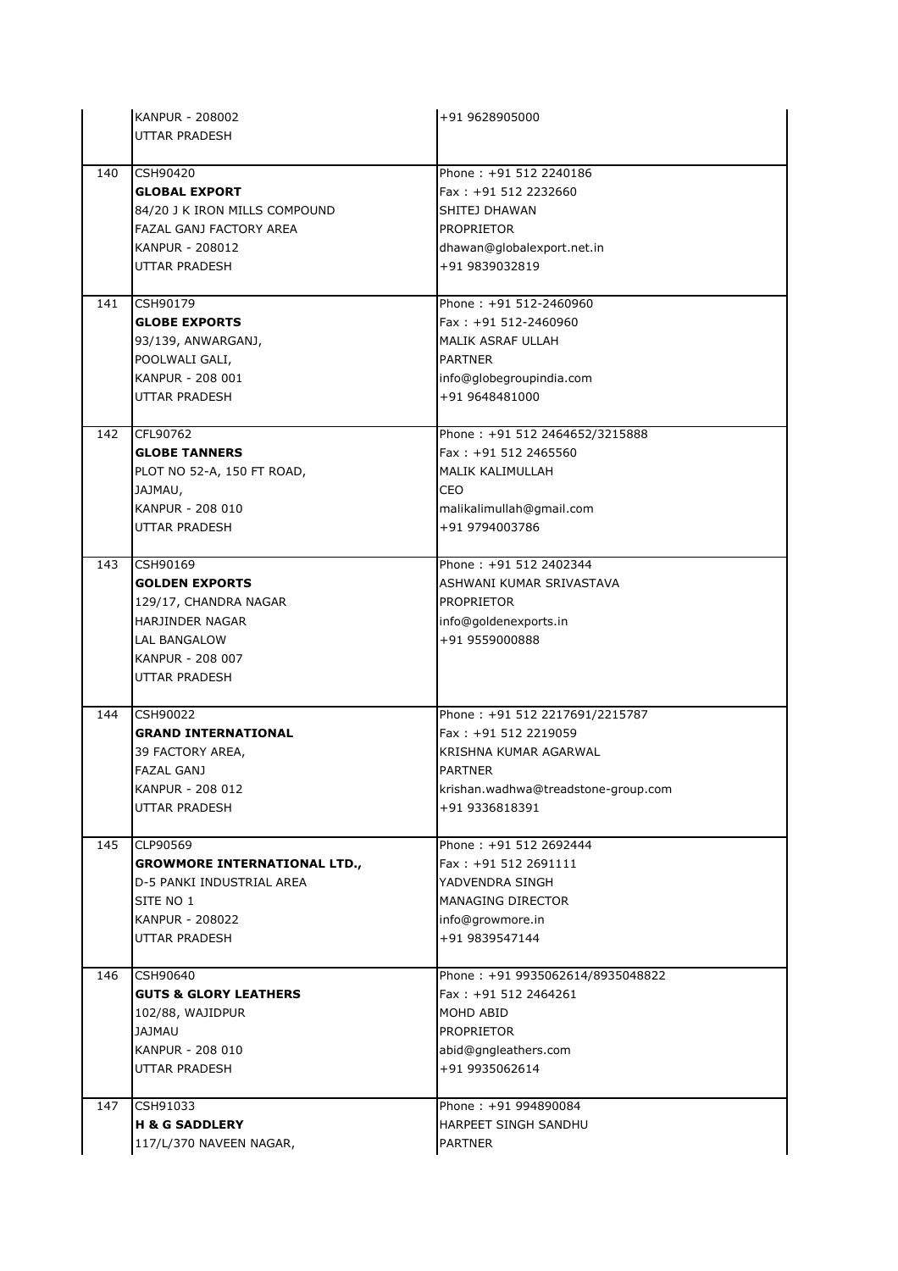|     | KANPUR - 208002                     | +91 9628905000                      |
|-----|-------------------------------------|-------------------------------------|
|     | <b>UTTAR PRADESH</b>                |                                     |
|     |                                     |                                     |
| 140 | CSH90420                            | Phone: +91 512 2240186              |
|     | <b>GLOBAL EXPORT</b>                | Fax: +91 512 2232660                |
|     | 84/20 J K IRON MILLS COMPOUND       | SHITEJ DHAWAN                       |
|     | FAZAL GANJ FACTORY AREA             | <b>PROPRIETOR</b>                   |
|     | KANPUR - 208012                     | dhawan@globalexport.net.in          |
|     | UTTAR PRADESH                       | +91 9839032819                      |
|     |                                     |                                     |
| 141 | CSH90179                            | Phone: +91 512-2460960              |
|     | <b>GLOBE EXPORTS</b>                | Fax: +91 512-2460960                |
|     | 93/139, ANWARGANJ,                  | MALIK ASRAF ULLAH                   |
|     | POOLWALI GALI,                      | <b>PARTNER</b>                      |
|     | KANPUR - 208 001                    | info@globegroupindia.com            |
|     | UTTAR PRADESH                       | +91 9648481000                      |
|     |                                     |                                     |
| 142 | CFL90762                            | Phone: +91 512 2464652/3215888      |
|     | <b>GLOBE TANNERS</b>                | Fax: +91 512 2465560                |
|     | PLOT NO 52-A, 150 FT ROAD,          | MALIK KALIMULLAH                    |
|     | JAJMAU,                             | CEO                                 |
|     | KANPUR - 208 010                    | malikalimullah@gmail.com            |
|     | <b>UTTAR PRADESH</b>                | +91 9794003786                      |
|     |                                     |                                     |
| 143 | CSH90169                            | Phone: +91 512 2402344              |
|     | <b>GOLDEN EXPORTS</b>               | ASHWANI KUMAR SRIVASTAVA            |
|     | 129/17, CHANDRA NAGAR               | <b>PROPRIETOR</b>                   |
|     | <b>HARJINDER NAGAR</b>              | info@goldenexports.in               |
|     | <b>LAL BANGALOW</b>                 | +91 9559000888                      |
|     | KANPUR - 208 007                    |                                     |
|     | <b>UTTAR PRADESH</b>                |                                     |
|     |                                     |                                     |
| 144 | CSH90022                            | Phone: +91 512 2217691/2215787      |
|     | <b>GRAND INTERNATIONAL</b>          | Fax: +91 512 2219059                |
|     | 39 FACTORY AREA,                    | KRISHNA KUMAR AGARWAL               |
|     | <b>FAZAL GANJ</b>                   | <b>PARTNER</b>                      |
|     | KANPUR - 208 012                    | krishan.wadhwa@treadstone-group.com |
|     | <b>UTTAR PRADESH</b>                | +91 9336818391                      |
|     |                                     |                                     |
| 145 | CLP90569                            | Phone: +91 512 2692444              |
|     | <b>GROWMORE INTERNATIONAL LTD.,</b> | Fax: +91 512 2691111                |
|     | D-5 PANKI INDUSTRIAL AREA           | YADVENDRA SINGH                     |
|     | SITE NO 1                           | MANAGING DIRECTOR                   |
|     | KANPUR - 208022                     | info@growmore.in                    |
|     | UTTAR PRADESH                       | +91 9839547144                      |
|     |                                     |                                     |
| 146 | CSH90640                            | Phone: +91 9935062614/8935048822    |
|     | <b>GUTS &amp; GLORY LEATHERS</b>    | Fax: +91 512 2464261                |
|     | 102/88, WAJIDPUR                    | MOHD ABID                           |
|     | UAMLAL                              | <b>PROPRIETOR</b>                   |
|     | KANPUR - 208 010                    | abid@gngleathers.com                |
|     | UTTAR PRADESH                       | +91 9935062614                      |
|     |                                     |                                     |
| 147 | CSH91033                            | Phone: +91 994890084                |
|     | <b>H &amp; G SADDLERY</b>           | HARPEET SINGH SANDHU                |
|     | 117/L/370 NAVEEN NAGAR,             | <b>PARTNER</b>                      |
|     |                                     |                                     |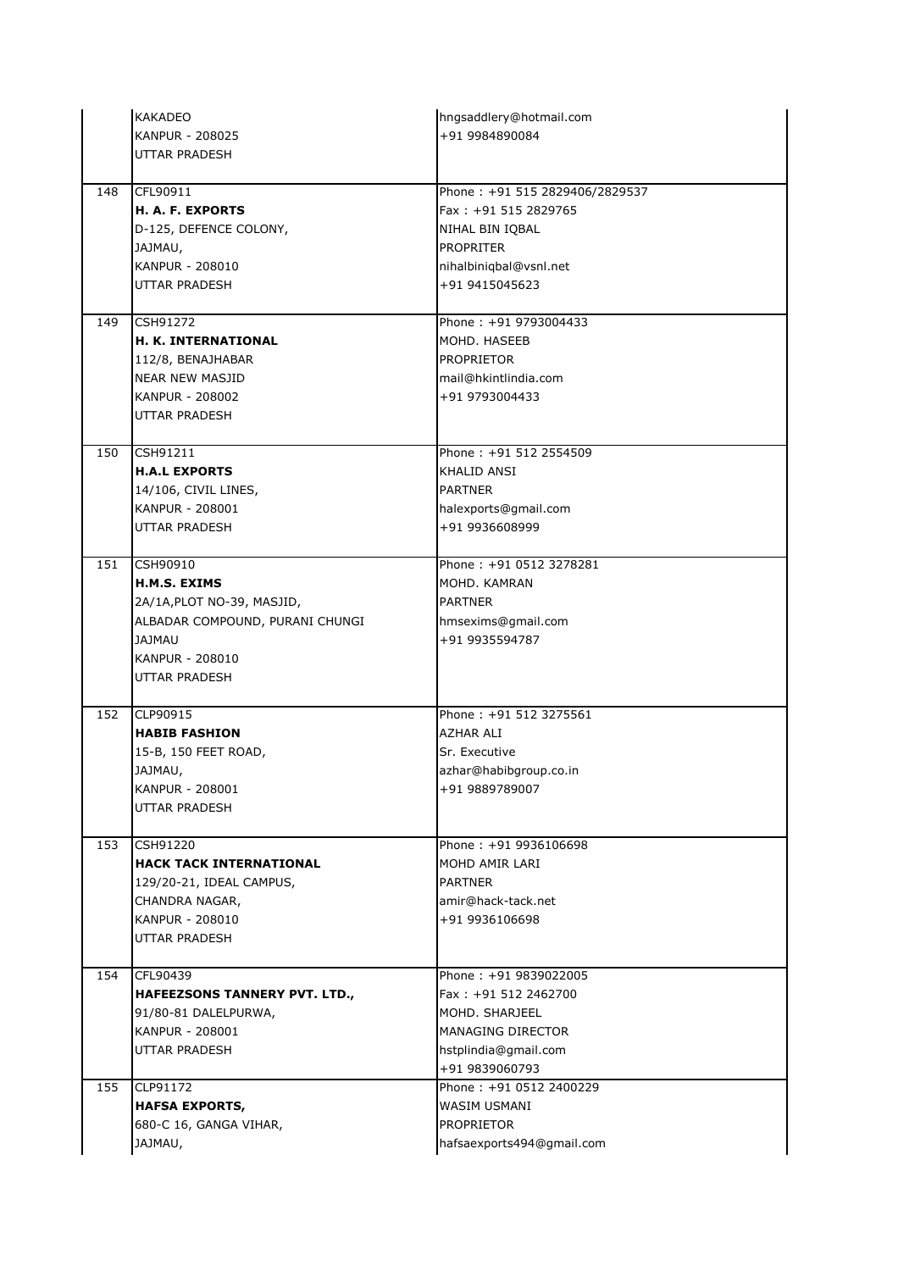|     | <b>KAKADEO</b><br>KANPUR - 208025<br>UTTAR PRADESH                                                                                                    | hngsaddlery@hotmail.com<br>+91 9984890084                                                                                          |
|-----|-------------------------------------------------------------------------------------------------------------------------------------------------------|------------------------------------------------------------------------------------------------------------------------------------|
| 148 | CFL90911<br>H. A. F. EXPORTS<br>D-125, DEFENCE COLONY,<br>JAJMAU,<br>KANPUR - 208010<br>UTTAR PRADESH                                                 | Phone: +91 515 2829406/2829537<br>Fax: +91 515 2829765<br>NIHAL BIN IQBAL<br>PROPRITER<br>nihalbiniqbal@vsnl.net<br>+91 9415045623 |
| 149 | CSH91272<br><b>H. K. INTERNATIONAL</b><br>112/8, BENAJHABAR<br><b>NEAR NEW MASJID</b><br>KANPUR - 208002<br>UTTAR PRADESH                             | Phone: +91 9793004433<br>MOHD. HASEEB<br>PROPRIETOR<br>mail@hkintlindia.com<br>+91 9793004433                                      |
| 150 | CSH91211<br><b>H.A.L EXPORTS</b><br>14/106, CIVIL LINES,<br>KANPUR - 208001<br><b>UTTAR PRADESH</b>                                                   | Phone: +91 512 2554509<br><b>KHALID ANSI</b><br><b>PARTNER</b><br>halexports@gmail.com<br>+91 9936608999                           |
| 151 | CSH90910<br><b>H.M.S. EXIMS</b><br>2A/1A, PLOT NO-39, MASJID,<br>ALBADAR COMPOUND, PURANI CHUNGI<br>UAMLAL<br>KANPUR - 208010<br><b>UTTAR PRADESH</b> | Phone: +91 0512 3278281<br>MOHD. KAMRAN<br>PARTNER<br>hmsexims@gmail.com<br>+91 9935594787                                         |
| 152 | CLP90915<br><b>HABIB FASHION</b><br>15-B, 150 FEET ROAD,<br>JAJMAU,<br>KANPUR - 208001<br>UTTAR PRADESH                                               | Phone: +91 512 3275561<br>AZHAR ALI<br>Sr. Executive<br>azhar@habibgroup.co.in<br>+91 9889789007                                   |
| 153 | CSH91220<br><b>HACK TACK INTERNATIONAL</b><br>129/20-21, IDEAL CAMPUS,<br>CHANDRA NAGAR,<br>KANPUR - 208010<br>UTTAR PRADESH                          | Phone: +91 9936106698<br>MOHD AMIR LARI<br>PARTNER<br>amir@hack-tack.net<br>+91 9936106698                                         |
| 154 | CFL90439<br>HAFEEZSONS TANNERY PVT. LTD.,<br>91/80-81 DALELPURWA,<br>KANPUR - 208001<br>UTTAR PRADESH                                                 | Phone: +91 9839022005<br>Fax: +91 512 2462700<br>MOHD. SHARJEEL<br>MANAGING DIRECTOR<br>hstplindia@gmail.com<br>+91 9839060793     |
| 155 | CLP91172<br><b>HAFSA EXPORTS,</b><br>680-C 16, GANGA VIHAR,<br>JAJMAU,                                                                                | Phone: +91 0512 2400229<br>WASIM USMANI<br>PROPRIETOR<br>hafsaexports494@gmail.com                                                 |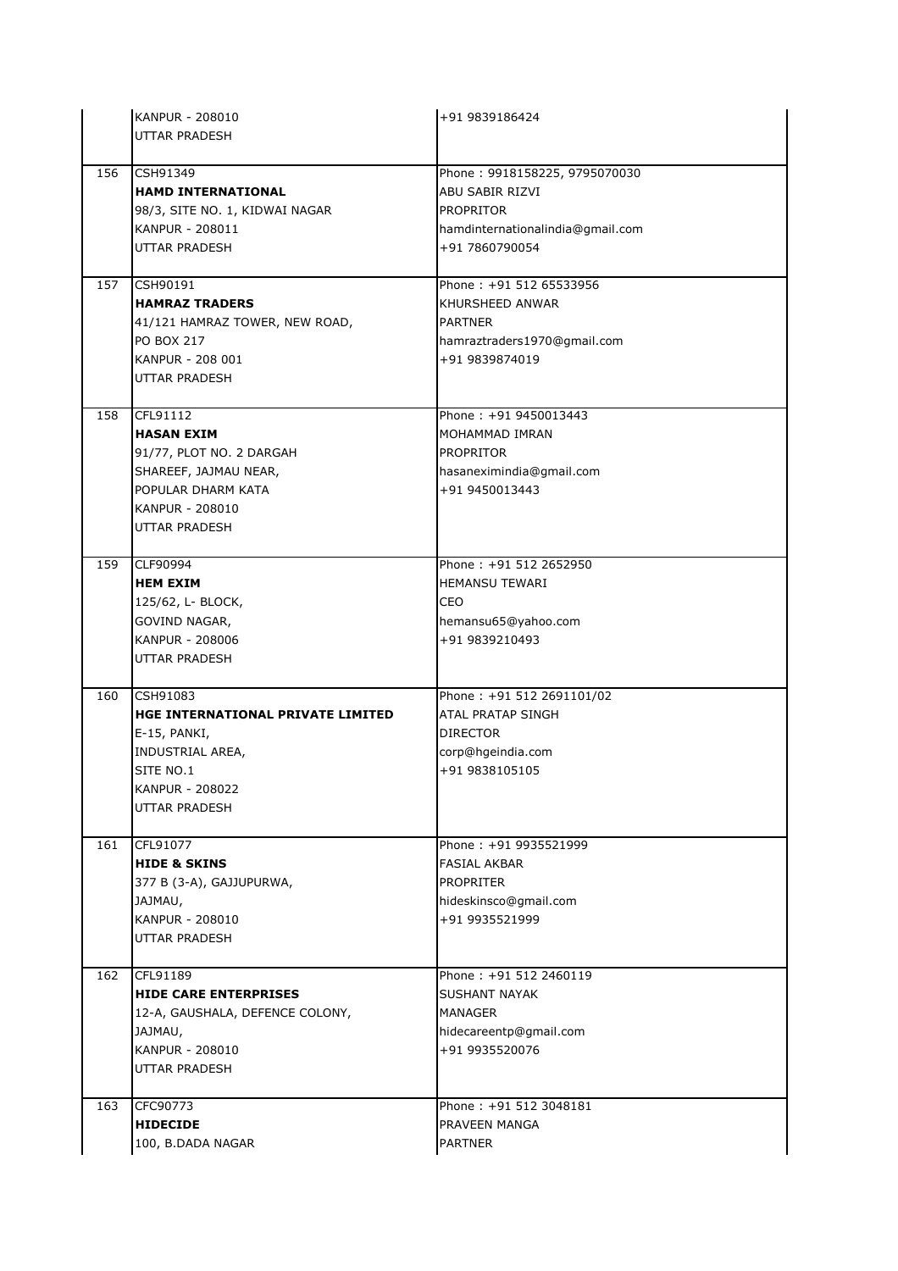|     | KANPUR - 208010                   | +91 9839186424                   |
|-----|-----------------------------------|----------------------------------|
|     | UTTAR PRADESH                     |                                  |
| 156 | CSH91349                          | Phone: 9918158225, 9795070030    |
|     | <b>HAMD INTERNATIONAL</b>         | ABU SABIR RIZVI                  |
|     | 98/3, SITE NO. 1, KIDWAI NAGAR    | <b>PROPRITOR</b>                 |
|     | KANPUR - 208011                   | hamdinternationalindia@gmail.com |
|     | UTTAR PRADESH                     | +91 7860790054                   |
|     |                                   |                                  |
| 157 | CSH90191                          | Phone: +91 512 65533956          |
|     | <b>HAMRAZ TRADERS</b>             | KHURSHEED ANWAR                  |
|     | 41/121 HAMRAZ TOWER, NEW ROAD,    | PARTNER                          |
|     | PO BOX 217                        | hamraztraders1970@gmail.com      |
|     | KANPUR - 208 001                  | +91 9839874019                   |
|     | UTTAR PRADESH                     |                                  |
| 158 | CFL91112                          | Phone: +91 9450013443            |
|     | <b>HASAN EXIM</b>                 | MOHAMMAD IMRAN                   |
|     | 91/77, PLOT NO. 2 DARGAH          | <b>PROPRITOR</b>                 |
|     | SHAREEF, JAJMAU NEAR,             | hasaneximindia@gmail.com         |
|     | POPULAR DHARM KATA                | +91 9450013443                   |
|     | KANPUR - 208010                   |                                  |
|     | UTTAR PRADESH                     |                                  |
| 159 | CLF90994                          | Phone: +91 512 2652950           |
|     | <b>HEM EXIM</b>                   | <b>HEMANSU TEWARI</b>            |
|     | 125/62, L- BLOCK,                 | CEO                              |
|     | GOVIND NAGAR,                     | hemansu65@yahoo.com              |
|     | KANPUR - 208006                   | +91 9839210493                   |
|     | UTTAR PRADESH                     |                                  |
| 160 | CSH91083                          | Phone: +91 512 2691101/02        |
|     | HGE INTERNATIONAL PRIVATE LIMITED | ATAL PRATAP SINGH                |
|     | E-15, PANKI,                      | <b>DIRECTOR</b>                  |
|     | INDUSTRIAL AREA,                  | corp@hgeindia.com                |
|     | SITE NO.1                         | +91 9838105105                   |
|     | KANPUR - 208022                   |                                  |
|     | UTTAR PRADESH                     |                                  |
| 161 | CFL91077                          | Phone: +91 9935521999            |
|     | <b>HIDE &amp; SKINS</b>           | <b>FASIAL AKBAR</b>              |
|     | 377 B (3-A), GAJJUPURWA,          | <b>PROPRITER</b>                 |
|     | JAJMAU,                           | hideskinsco@gmail.com            |
|     | KANPUR - 208010                   | +91 9935521999                   |
|     | <b>UTTAR PRADESH</b>              |                                  |
| 162 | CFL91189                          | Phone: +91 512 2460119           |
|     | <b>HIDE CARE ENTERPRISES</b>      | SUSHANT NAYAK                    |
|     | 12-A, GAUSHALA, DEFENCE COLONY,   | MANAGER                          |
|     | JAJMAU,                           | hidecareentp@gmail.com           |
|     | KANPUR - 208010                   | +91 9935520076                   |
|     | UTTAR PRADESH                     |                                  |
|     |                                   |                                  |
| 163 | CFC90773                          | Phone: +91 512 3048181           |
|     | <b>HIDECIDE</b>                   | PRAVEEN MANGA                    |
|     | 100, B.DADA NAGAR                 | <b>PARTNER</b>                   |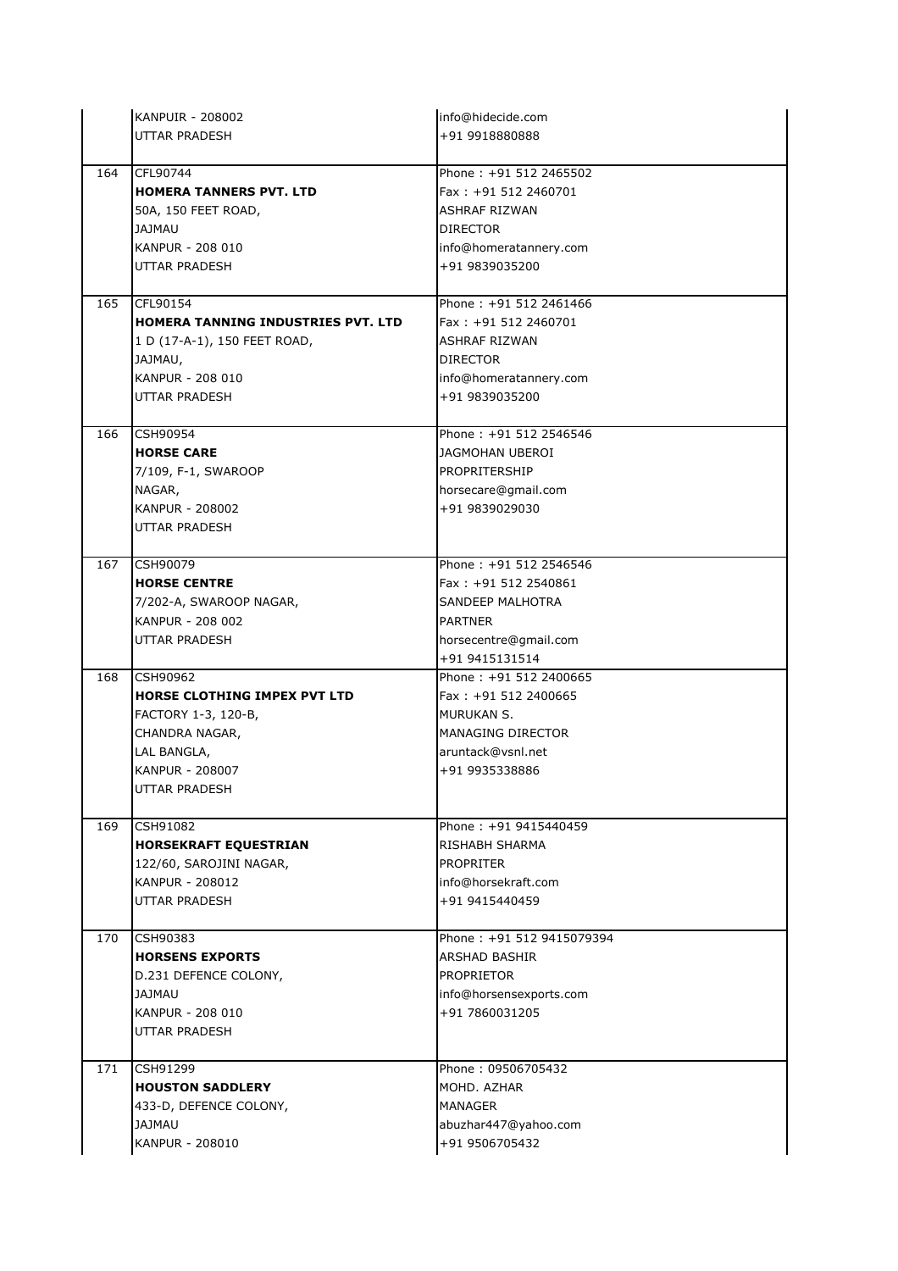| UTTAR PRADESH<br>+91 9918880888<br>164<br>Phone: +91 512 2465502<br>CFL90744<br><b>HOMERA TANNERS PVT. LTD</b><br>Fax: +91 512 2460701<br>50A, 150 FEET ROAD,<br>ASHRAF RIZWAN<br><b>JAJMAU</b><br><b>DIRECTOR</b><br>KANPUR - 208 010<br>info@homeratannery.com<br>UTTAR PRADESH<br>+91 9839035200<br>165<br>CFL90154<br>Phone: +91 512 2461466<br><b>HOMERA TANNING INDUSTRIES PVT. LTD</b><br>Fax: +91 512 2460701<br>1 D (17-A-1), 150 FEET ROAD,<br>ASHRAF RIZWAN<br>JAJMAU,<br><b>DIRECTOR</b><br>KANPUR - 208 010<br>info@homeratannery.com<br>UTTAR PRADESH<br>+91 9839035200<br>166<br><b>CSH90954</b><br>Phone: +91 512 2546546<br><b>HORSE CARE</b><br>JAGMOHAN UBEROI<br>7/109, F-1, SWAROOP<br>PROPRITERSHIP<br>horsecare@gmail.com<br>NAGAR,<br>KANPUR - 208002<br>+91 9839029030<br>UTTAR PRADESH<br><b>CSH90079</b><br>Phone: +91 512 2546546<br>167<br><b>HORSE CENTRE</b><br>Fax: +91 512 2540861<br>SANDEEP MALHOTRA<br>7/202-A, SWAROOP NAGAR,<br>KANPUR - 208 002<br><b>PARTNER</b><br>UTTAR PRADESH<br>horsecentre@gmail.com<br>+91 9415131514<br>168<br><b>CSH90962</b><br>Phone: +91 512 2400665<br><b>HORSE CLOTHING IMPEX PVT LTD</b><br>Fax: +91 512 2400665<br>FACTORY 1-3, 120-B,<br>MURUKAN S.<br>MANAGING DIRECTOR<br>CHANDRA NAGAR,<br>LAL BANGLA,<br>aruntack@vsnl.net<br>KANPUR - 208007<br>+91 9935338886<br><b>UTTAR PRADESH</b><br>169<br>CSH91082<br>Phone: +91 9415440459<br><b>HORSEKRAFT EQUESTRIAN</b><br>RISHABH SHARMA<br>122/60, SAROJINI NAGAR,<br><b>PROPRITER</b><br>KANPUR - 208012<br>info@horsekraft.com<br>UTTAR PRADESH<br>+91 9415440459<br>170<br>CSH90383<br>Phone: +91 512 9415079394<br><b>HORSENS EXPORTS</b><br>ARSHAD BASHIR<br><b>PROPRIETOR</b><br>D.231 DEFENCE COLONY,<br><b>JAJMAU</b><br>info@horsensexports.com<br>KANPUR - 208 010<br>+91 7860031205<br>UTTAR PRADESH<br>171<br>CSH91299<br>Phone: 09506705432<br><b>HOUSTON SADDLERY</b><br>MOHD, AZHAR<br>433-D, DEFENCE COLONY,<br>MANAGER<br><b>JAJMAU</b><br>abuzhar447@yahoo.com<br>KANPUR - 208010<br>+91 9506705432 | <b>KANPUIR - 208002</b> | info@hidecide.com |
|--------------------------------------------------------------------------------------------------------------------------------------------------------------------------------------------------------------------------------------------------------------------------------------------------------------------------------------------------------------------------------------------------------------------------------------------------------------------------------------------------------------------------------------------------------------------------------------------------------------------------------------------------------------------------------------------------------------------------------------------------------------------------------------------------------------------------------------------------------------------------------------------------------------------------------------------------------------------------------------------------------------------------------------------------------------------------------------------------------------------------------------------------------------------------------------------------------------------------------------------------------------------------------------------------------------------------------------------------------------------------------------------------------------------------------------------------------------------------------------------------------------------------------------------------------------------------------------------------------------------------------------------------------------------------------------------------------------------------------------------------------------------------------------------------------------------------------------------------------------------------------------------------------------------------------------------------------------------------------------------------------------------------------------------------|-------------------------|-------------------|
|                                                                                                                                                                                                                                                                                                                                                                                                                                                                                                                                                                                                                                                                                                                                                                                                                                                                                                                                                                                                                                                                                                                                                                                                                                                                                                                                                                                                                                                                                                                                                                                                                                                                                                                                                                                                                                                                                                                                                                                                                                                  |                         |                   |
|                                                                                                                                                                                                                                                                                                                                                                                                                                                                                                                                                                                                                                                                                                                                                                                                                                                                                                                                                                                                                                                                                                                                                                                                                                                                                                                                                                                                                                                                                                                                                                                                                                                                                                                                                                                                                                                                                                                                                                                                                                                  |                         |                   |
|                                                                                                                                                                                                                                                                                                                                                                                                                                                                                                                                                                                                                                                                                                                                                                                                                                                                                                                                                                                                                                                                                                                                                                                                                                                                                                                                                                                                                                                                                                                                                                                                                                                                                                                                                                                                                                                                                                                                                                                                                                                  |                         |                   |
|                                                                                                                                                                                                                                                                                                                                                                                                                                                                                                                                                                                                                                                                                                                                                                                                                                                                                                                                                                                                                                                                                                                                                                                                                                                                                                                                                                                                                                                                                                                                                                                                                                                                                                                                                                                                                                                                                                                                                                                                                                                  |                         |                   |
|                                                                                                                                                                                                                                                                                                                                                                                                                                                                                                                                                                                                                                                                                                                                                                                                                                                                                                                                                                                                                                                                                                                                                                                                                                                                                                                                                                                                                                                                                                                                                                                                                                                                                                                                                                                                                                                                                                                                                                                                                                                  |                         |                   |
|                                                                                                                                                                                                                                                                                                                                                                                                                                                                                                                                                                                                                                                                                                                                                                                                                                                                                                                                                                                                                                                                                                                                                                                                                                                                                                                                                                                                                                                                                                                                                                                                                                                                                                                                                                                                                                                                                                                                                                                                                                                  |                         |                   |
|                                                                                                                                                                                                                                                                                                                                                                                                                                                                                                                                                                                                                                                                                                                                                                                                                                                                                                                                                                                                                                                                                                                                                                                                                                                                                                                                                                                                                                                                                                                                                                                                                                                                                                                                                                                                                                                                                                                                                                                                                                                  |                         |                   |
|                                                                                                                                                                                                                                                                                                                                                                                                                                                                                                                                                                                                                                                                                                                                                                                                                                                                                                                                                                                                                                                                                                                                                                                                                                                                                                                                                                                                                                                                                                                                                                                                                                                                                                                                                                                                                                                                                                                                                                                                                                                  |                         |                   |
|                                                                                                                                                                                                                                                                                                                                                                                                                                                                                                                                                                                                                                                                                                                                                                                                                                                                                                                                                                                                                                                                                                                                                                                                                                                                                                                                                                                                                                                                                                                                                                                                                                                                                                                                                                                                                                                                                                                                                                                                                                                  |                         |                   |
|                                                                                                                                                                                                                                                                                                                                                                                                                                                                                                                                                                                                                                                                                                                                                                                                                                                                                                                                                                                                                                                                                                                                                                                                                                                                                                                                                                                                                                                                                                                                                                                                                                                                                                                                                                                                                                                                                                                                                                                                                                                  |                         |                   |
|                                                                                                                                                                                                                                                                                                                                                                                                                                                                                                                                                                                                                                                                                                                                                                                                                                                                                                                                                                                                                                                                                                                                                                                                                                                                                                                                                                                                                                                                                                                                                                                                                                                                                                                                                                                                                                                                                                                                                                                                                                                  |                         |                   |
|                                                                                                                                                                                                                                                                                                                                                                                                                                                                                                                                                                                                                                                                                                                                                                                                                                                                                                                                                                                                                                                                                                                                                                                                                                                                                                                                                                                                                                                                                                                                                                                                                                                                                                                                                                                                                                                                                                                                                                                                                                                  |                         |                   |
|                                                                                                                                                                                                                                                                                                                                                                                                                                                                                                                                                                                                                                                                                                                                                                                                                                                                                                                                                                                                                                                                                                                                                                                                                                                                                                                                                                                                                                                                                                                                                                                                                                                                                                                                                                                                                                                                                                                                                                                                                                                  |                         |                   |
|                                                                                                                                                                                                                                                                                                                                                                                                                                                                                                                                                                                                                                                                                                                                                                                                                                                                                                                                                                                                                                                                                                                                                                                                                                                                                                                                                                                                                                                                                                                                                                                                                                                                                                                                                                                                                                                                                                                                                                                                                                                  |                         |                   |
|                                                                                                                                                                                                                                                                                                                                                                                                                                                                                                                                                                                                                                                                                                                                                                                                                                                                                                                                                                                                                                                                                                                                                                                                                                                                                                                                                                                                                                                                                                                                                                                                                                                                                                                                                                                                                                                                                                                                                                                                                                                  |                         |                   |
|                                                                                                                                                                                                                                                                                                                                                                                                                                                                                                                                                                                                                                                                                                                                                                                                                                                                                                                                                                                                                                                                                                                                                                                                                                                                                                                                                                                                                                                                                                                                                                                                                                                                                                                                                                                                                                                                                                                                                                                                                                                  |                         |                   |
|                                                                                                                                                                                                                                                                                                                                                                                                                                                                                                                                                                                                                                                                                                                                                                                                                                                                                                                                                                                                                                                                                                                                                                                                                                                                                                                                                                                                                                                                                                                                                                                                                                                                                                                                                                                                                                                                                                                                                                                                                                                  |                         |                   |
|                                                                                                                                                                                                                                                                                                                                                                                                                                                                                                                                                                                                                                                                                                                                                                                                                                                                                                                                                                                                                                                                                                                                                                                                                                                                                                                                                                                                                                                                                                                                                                                                                                                                                                                                                                                                                                                                                                                                                                                                                                                  |                         |                   |
|                                                                                                                                                                                                                                                                                                                                                                                                                                                                                                                                                                                                                                                                                                                                                                                                                                                                                                                                                                                                                                                                                                                                                                                                                                                                                                                                                                                                                                                                                                                                                                                                                                                                                                                                                                                                                                                                                                                                                                                                                                                  |                         |                   |
|                                                                                                                                                                                                                                                                                                                                                                                                                                                                                                                                                                                                                                                                                                                                                                                                                                                                                                                                                                                                                                                                                                                                                                                                                                                                                                                                                                                                                                                                                                                                                                                                                                                                                                                                                                                                                                                                                                                                                                                                                                                  |                         |                   |
|                                                                                                                                                                                                                                                                                                                                                                                                                                                                                                                                                                                                                                                                                                                                                                                                                                                                                                                                                                                                                                                                                                                                                                                                                                                                                                                                                                                                                                                                                                                                                                                                                                                                                                                                                                                                                                                                                                                                                                                                                                                  |                         |                   |
|                                                                                                                                                                                                                                                                                                                                                                                                                                                                                                                                                                                                                                                                                                                                                                                                                                                                                                                                                                                                                                                                                                                                                                                                                                                                                                                                                                                                                                                                                                                                                                                                                                                                                                                                                                                                                                                                                                                                                                                                                                                  |                         |                   |
|                                                                                                                                                                                                                                                                                                                                                                                                                                                                                                                                                                                                                                                                                                                                                                                                                                                                                                                                                                                                                                                                                                                                                                                                                                                                                                                                                                                                                                                                                                                                                                                                                                                                                                                                                                                                                                                                                                                                                                                                                                                  |                         |                   |
|                                                                                                                                                                                                                                                                                                                                                                                                                                                                                                                                                                                                                                                                                                                                                                                                                                                                                                                                                                                                                                                                                                                                                                                                                                                                                                                                                                                                                                                                                                                                                                                                                                                                                                                                                                                                                                                                                                                                                                                                                                                  |                         |                   |
|                                                                                                                                                                                                                                                                                                                                                                                                                                                                                                                                                                                                                                                                                                                                                                                                                                                                                                                                                                                                                                                                                                                                                                                                                                                                                                                                                                                                                                                                                                                                                                                                                                                                                                                                                                                                                                                                                                                                                                                                                                                  |                         |                   |
|                                                                                                                                                                                                                                                                                                                                                                                                                                                                                                                                                                                                                                                                                                                                                                                                                                                                                                                                                                                                                                                                                                                                                                                                                                                                                                                                                                                                                                                                                                                                                                                                                                                                                                                                                                                                                                                                                                                                                                                                                                                  |                         |                   |
|                                                                                                                                                                                                                                                                                                                                                                                                                                                                                                                                                                                                                                                                                                                                                                                                                                                                                                                                                                                                                                                                                                                                                                                                                                                                                                                                                                                                                                                                                                                                                                                                                                                                                                                                                                                                                                                                                                                                                                                                                                                  |                         |                   |
|                                                                                                                                                                                                                                                                                                                                                                                                                                                                                                                                                                                                                                                                                                                                                                                                                                                                                                                                                                                                                                                                                                                                                                                                                                                                                                                                                                                                                                                                                                                                                                                                                                                                                                                                                                                                                                                                                                                                                                                                                                                  |                         |                   |
|                                                                                                                                                                                                                                                                                                                                                                                                                                                                                                                                                                                                                                                                                                                                                                                                                                                                                                                                                                                                                                                                                                                                                                                                                                                                                                                                                                                                                                                                                                                                                                                                                                                                                                                                                                                                                                                                                                                                                                                                                                                  |                         |                   |
|                                                                                                                                                                                                                                                                                                                                                                                                                                                                                                                                                                                                                                                                                                                                                                                                                                                                                                                                                                                                                                                                                                                                                                                                                                                                                                                                                                                                                                                                                                                                                                                                                                                                                                                                                                                                                                                                                                                                                                                                                                                  |                         |                   |
|                                                                                                                                                                                                                                                                                                                                                                                                                                                                                                                                                                                                                                                                                                                                                                                                                                                                                                                                                                                                                                                                                                                                                                                                                                                                                                                                                                                                                                                                                                                                                                                                                                                                                                                                                                                                                                                                                                                                                                                                                                                  |                         |                   |
|                                                                                                                                                                                                                                                                                                                                                                                                                                                                                                                                                                                                                                                                                                                                                                                                                                                                                                                                                                                                                                                                                                                                                                                                                                                                                                                                                                                                                                                                                                                                                                                                                                                                                                                                                                                                                                                                                                                                                                                                                                                  |                         |                   |
|                                                                                                                                                                                                                                                                                                                                                                                                                                                                                                                                                                                                                                                                                                                                                                                                                                                                                                                                                                                                                                                                                                                                                                                                                                                                                                                                                                                                                                                                                                                                                                                                                                                                                                                                                                                                                                                                                                                                                                                                                                                  |                         |                   |
|                                                                                                                                                                                                                                                                                                                                                                                                                                                                                                                                                                                                                                                                                                                                                                                                                                                                                                                                                                                                                                                                                                                                                                                                                                                                                                                                                                                                                                                                                                                                                                                                                                                                                                                                                                                                                                                                                                                                                                                                                                                  |                         |                   |
|                                                                                                                                                                                                                                                                                                                                                                                                                                                                                                                                                                                                                                                                                                                                                                                                                                                                                                                                                                                                                                                                                                                                                                                                                                                                                                                                                                                                                                                                                                                                                                                                                                                                                                                                                                                                                                                                                                                                                                                                                                                  |                         |                   |
|                                                                                                                                                                                                                                                                                                                                                                                                                                                                                                                                                                                                                                                                                                                                                                                                                                                                                                                                                                                                                                                                                                                                                                                                                                                                                                                                                                                                                                                                                                                                                                                                                                                                                                                                                                                                                                                                                                                                                                                                                                                  |                         |                   |
|                                                                                                                                                                                                                                                                                                                                                                                                                                                                                                                                                                                                                                                                                                                                                                                                                                                                                                                                                                                                                                                                                                                                                                                                                                                                                                                                                                                                                                                                                                                                                                                                                                                                                                                                                                                                                                                                                                                                                                                                                                                  |                         |                   |
|                                                                                                                                                                                                                                                                                                                                                                                                                                                                                                                                                                                                                                                                                                                                                                                                                                                                                                                                                                                                                                                                                                                                                                                                                                                                                                                                                                                                                                                                                                                                                                                                                                                                                                                                                                                                                                                                                                                                                                                                                                                  |                         |                   |
|                                                                                                                                                                                                                                                                                                                                                                                                                                                                                                                                                                                                                                                                                                                                                                                                                                                                                                                                                                                                                                                                                                                                                                                                                                                                                                                                                                                                                                                                                                                                                                                                                                                                                                                                                                                                                                                                                                                                                                                                                                                  |                         |                   |
|                                                                                                                                                                                                                                                                                                                                                                                                                                                                                                                                                                                                                                                                                                                                                                                                                                                                                                                                                                                                                                                                                                                                                                                                                                                                                                                                                                                                                                                                                                                                                                                                                                                                                                                                                                                                                                                                                                                                                                                                                                                  |                         |                   |
|                                                                                                                                                                                                                                                                                                                                                                                                                                                                                                                                                                                                                                                                                                                                                                                                                                                                                                                                                                                                                                                                                                                                                                                                                                                                                                                                                                                                                                                                                                                                                                                                                                                                                                                                                                                                                                                                                                                                                                                                                                                  |                         |                   |
|                                                                                                                                                                                                                                                                                                                                                                                                                                                                                                                                                                                                                                                                                                                                                                                                                                                                                                                                                                                                                                                                                                                                                                                                                                                                                                                                                                                                                                                                                                                                                                                                                                                                                                                                                                                                                                                                                                                                                                                                                                                  |                         |                   |
|                                                                                                                                                                                                                                                                                                                                                                                                                                                                                                                                                                                                                                                                                                                                                                                                                                                                                                                                                                                                                                                                                                                                                                                                                                                                                                                                                                                                                                                                                                                                                                                                                                                                                                                                                                                                                                                                                                                                                                                                                                                  |                         |                   |
|                                                                                                                                                                                                                                                                                                                                                                                                                                                                                                                                                                                                                                                                                                                                                                                                                                                                                                                                                                                                                                                                                                                                                                                                                                                                                                                                                                                                                                                                                                                                                                                                                                                                                                                                                                                                                                                                                                                                                                                                                                                  |                         |                   |
|                                                                                                                                                                                                                                                                                                                                                                                                                                                                                                                                                                                                                                                                                                                                                                                                                                                                                                                                                                                                                                                                                                                                                                                                                                                                                                                                                                                                                                                                                                                                                                                                                                                                                                                                                                                                                                                                                                                                                                                                                                                  |                         |                   |
|                                                                                                                                                                                                                                                                                                                                                                                                                                                                                                                                                                                                                                                                                                                                                                                                                                                                                                                                                                                                                                                                                                                                                                                                                                                                                                                                                                                                                                                                                                                                                                                                                                                                                                                                                                                                                                                                                                                                                                                                                                                  |                         |                   |
|                                                                                                                                                                                                                                                                                                                                                                                                                                                                                                                                                                                                                                                                                                                                                                                                                                                                                                                                                                                                                                                                                                                                                                                                                                                                                                                                                                                                                                                                                                                                                                                                                                                                                                                                                                                                                                                                                                                                                                                                                                                  |                         |                   |
|                                                                                                                                                                                                                                                                                                                                                                                                                                                                                                                                                                                                                                                                                                                                                                                                                                                                                                                                                                                                                                                                                                                                                                                                                                                                                                                                                                                                                                                                                                                                                                                                                                                                                                                                                                                                                                                                                                                                                                                                                                                  |                         |                   |
|                                                                                                                                                                                                                                                                                                                                                                                                                                                                                                                                                                                                                                                                                                                                                                                                                                                                                                                                                                                                                                                                                                                                                                                                                                                                                                                                                                                                                                                                                                                                                                                                                                                                                                                                                                                                                                                                                                                                                                                                                                                  |                         |                   |
|                                                                                                                                                                                                                                                                                                                                                                                                                                                                                                                                                                                                                                                                                                                                                                                                                                                                                                                                                                                                                                                                                                                                                                                                                                                                                                                                                                                                                                                                                                                                                                                                                                                                                                                                                                                                                                                                                                                                                                                                                                                  |                         |                   |
|                                                                                                                                                                                                                                                                                                                                                                                                                                                                                                                                                                                                                                                                                                                                                                                                                                                                                                                                                                                                                                                                                                                                                                                                                                                                                                                                                                                                                                                                                                                                                                                                                                                                                                                                                                                                                                                                                                                                                                                                                                                  |                         |                   |
|                                                                                                                                                                                                                                                                                                                                                                                                                                                                                                                                                                                                                                                                                                                                                                                                                                                                                                                                                                                                                                                                                                                                                                                                                                                                                                                                                                                                                                                                                                                                                                                                                                                                                                                                                                                                                                                                                                                                                                                                                                                  |                         |                   |
|                                                                                                                                                                                                                                                                                                                                                                                                                                                                                                                                                                                                                                                                                                                                                                                                                                                                                                                                                                                                                                                                                                                                                                                                                                                                                                                                                                                                                                                                                                                                                                                                                                                                                                                                                                                                                                                                                                                                                                                                                                                  |                         |                   |
|                                                                                                                                                                                                                                                                                                                                                                                                                                                                                                                                                                                                                                                                                                                                                                                                                                                                                                                                                                                                                                                                                                                                                                                                                                                                                                                                                                                                                                                                                                                                                                                                                                                                                                                                                                                                                                                                                                                                                                                                                                                  |                         |                   |
|                                                                                                                                                                                                                                                                                                                                                                                                                                                                                                                                                                                                                                                                                                                                                                                                                                                                                                                                                                                                                                                                                                                                                                                                                                                                                                                                                                                                                                                                                                                                                                                                                                                                                                                                                                                                                                                                                                                                                                                                                                                  |                         |                   |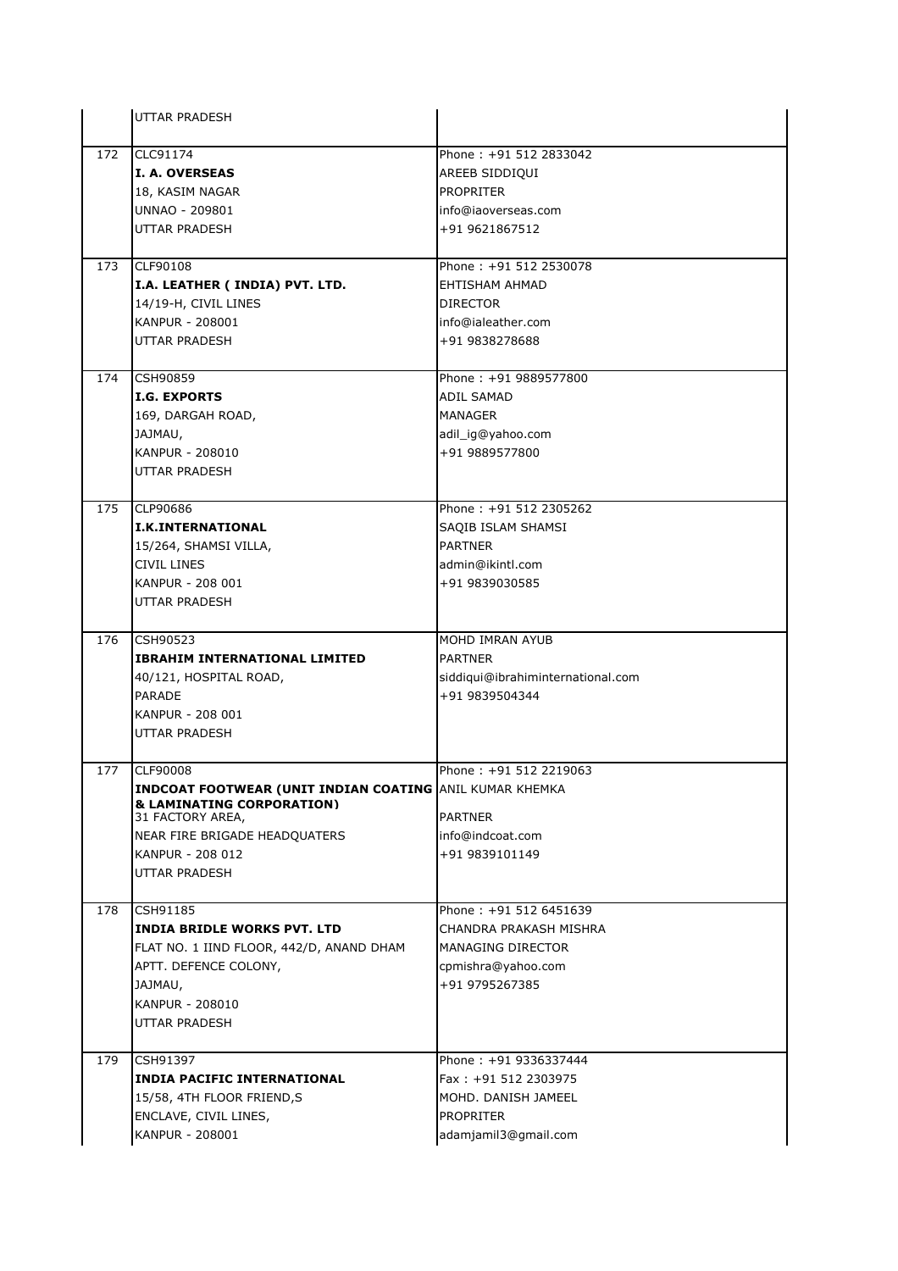|     | <b>UTTAR PRADESH</b>                                           |                                          |
|-----|----------------------------------------------------------------|------------------------------------------|
|     |                                                                |                                          |
| 172 | CLC91174                                                       | Phone: +91 512 2833042                   |
|     | I. A. OVERSEAS                                                 | AREEB SIDDIQUI                           |
|     | 18, KASIM NAGAR                                                | <b>PROPRITER</b>                         |
|     | UNNAO - 209801                                                 | info@iaoverseas.com                      |
|     | UTTAR PRADESH                                                  | +91 9621867512                           |
|     |                                                                |                                          |
| 173 | CLF90108                                                       | Phone: +91 512 2530078                   |
|     | I.A. LEATHER (INDIA) PVT. LTD.                                 | EHTISHAM AHMAD                           |
|     | 14/19-H, CIVIL LINES                                           | <b>DIRECTOR</b>                          |
|     | KANPUR - 208001                                                | info@ialeather.com                       |
|     | <b>UTTAR PRADESH</b>                                           | +91 9838278688                           |
|     |                                                                |                                          |
| 174 | <b>CSH90859</b>                                                | Phone: +91 9889577800                    |
|     | <b>I.G. EXPORTS</b>                                            | <b>ADIL SAMAD</b>                        |
|     | 169, DARGAH ROAD,                                              | <b>MANAGER</b>                           |
|     | JAJMAU,                                                        | adil ig@yahoo.com                        |
|     | KANPUR - 208010                                                | +91 9889577800                           |
|     | UTTAR PRADESH                                                  |                                          |
| 175 | CLP90686                                                       | Phone: +91 512 2305262                   |
|     | <b>I.K.INTERNATIONAL</b>                                       | SAQIB ISLAM SHAMSI                       |
|     | 15/264, SHAMSI VILLA,                                          | <b>PARTNER</b>                           |
|     | CIVIL LINES                                                    | admin@ikintl.com                         |
|     | KANPUR - 208 001                                               | +91 9839030585                           |
|     | <b>UTTAR PRADESH</b>                                           |                                          |
|     |                                                                |                                          |
| 176 | <b>CSH90523</b>                                                | <b>MOHD IMRAN AYUB</b>                   |
|     | <b>IBRAHIM INTERNATIONAL LIMITED</b>                           | <b>PARTNER</b>                           |
|     | 40/121, HOSPITAL ROAD,                                         | siddiqui@ibrahiminternational.com        |
|     | PARADE                                                         | +91 9839504344                           |
|     | KANPUR - 208 001                                               |                                          |
|     | <b>UTTAR PRADESH</b>                                           |                                          |
|     |                                                                |                                          |
|     |                                                                |                                          |
| 177 | CLF90008                                                       | Phone: +91 512 2219063                   |
|     | <b>INDCOAT FOOTWEAR (UNIT INDIAN COATING ANIL KUMAR KHEMKA</b> |                                          |
|     | & LAMINATING CORPORATION)<br>31 FACTORY AREA,                  | <b>PARTNER</b>                           |
|     | NEAR FIRE BRIGADE HEADQUATERS                                  | info@indcoat.com                         |
|     | KANPUR - 208 012                                               | +91 9839101149                           |
|     | <b>UTTAR PRADESH</b>                                           |                                          |
|     |                                                                |                                          |
| 178 | CSH91185                                                       | Phone: +91 512 6451639                   |
|     | <b>INDIA BRIDLE WORKS PVT. LTD</b>                             | CHANDRA PRAKASH MISHRA                   |
|     | FLAT NO. 1 IIND FLOOR, 442/D, ANAND DHAM                       | <b>MANAGING DIRECTOR</b>                 |
|     | APTT. DEFENCE COLONY,                                          | cpmishra@yahoo.com                       |
|     | JAJMAU,                                                        | +91 9795267385                           |
|     | KANPUR - 208010                                                |                                          |
|     | UTTAR PRADESH                                                  |                                          |
|     |                                                                |                                          |
| 179 | CSH91397                                                       | Phone: +91 9336337444                    |
|     | <b>INDIA PACIFIC INTERNATIONAL</b>                             | Fax: +91 512 2303975                     |
|     | 15/58, 4TH FLOOR FRIEND, S                                     | MOHD. DANISH JAMEEL                      |
|     | ENCLAVE, CIVIL LINES,<br>KANPUR - 208001                       | <b>PROPRITER</b><br>adamjamil3@gmail.com |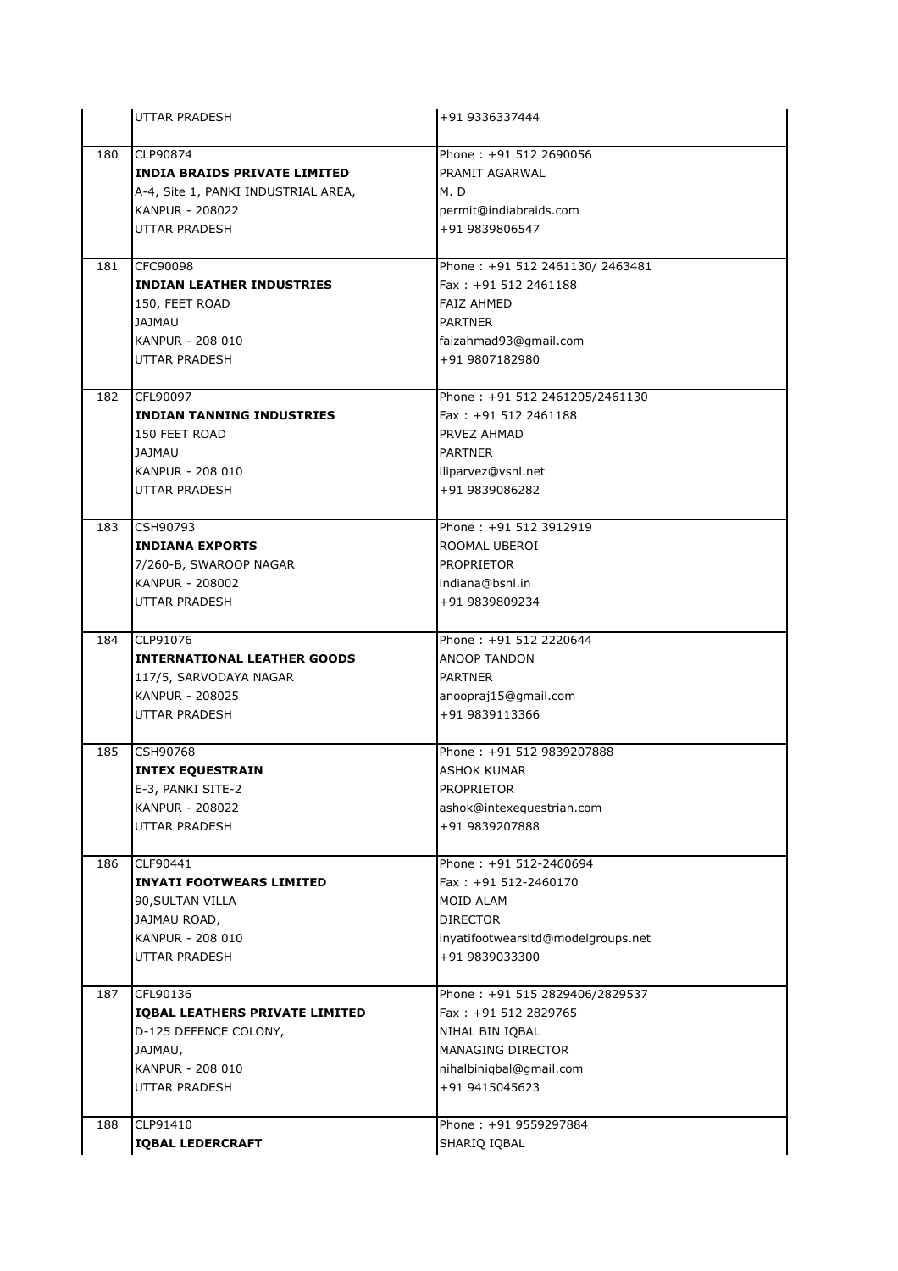| Phone: +91 512 2690056<br>180<br>CLP90874<br><b>INDIA BRAIDS PRIVATE LIMITED</b><br>PRAMIT AGARWAL<br>A-4, Site 1, PANKI INDUSTRIAL AREA,<br>M. D<br>KANPUR - 208022<br>permit@indiabraids.com<br><b>UTTAR PRADESH</b><br>+91 9839806547<br>CFC90098<br>Phone: +91 512 2461130/ 2463481<br>181<br><b>INDIAN LEATHER INDUSTRIES</b><br>Fax: +91 512 2461188<br><b>FAIZ AHMED</b><br>150, FEET ROAD<br><b>UANLAL</b><br>PARTNER<br>KANPUR - 208 010<br>faizahmad93@gmail.com<br><b>UTTAR PRADESH</b><br>+91 9807182980<br>182<br>CFL90097<br>Phone: +91 512 2461205/2461130<br>Fax: +91 512 2461188<br><b>INDIAN TANNING INDUSTRIES</b><br>150 FEET ROAD<br>PRVEZ AHMAD<br>PARTNER<br>UAMLAL<br>KANPUR - 208 010<br>iliparvez@vsnl.net<br>UTTAR PRADESH<br>+91 9839086282<br>CSH90793<br>Phone: +91 512 3912919<br>183<br><b>INDIANA EXPORTS</b><br>ROOMAL UBEROI<br>PROPRIETOR<br>7/260-B, SWAROOP NAGAR<br>KANPUR - 208002<br>indiana@bsnl.in<br><b>UTTAR PRADESH</b><br>+91 9839809234<br>CLP91076<br>Phone: +91 512 2220644<br>184<br><b>INTERNATIONAL LEATHER GOODS</b><br>ANOOP TANDON<br>PARTNER<br>117/5, SARVODAYA NAGAR<br>KANPUR - 208025<br>anoopraj15@gmail.com<br>UTTAR PRADESH<br>+91 9839113366<br>Phone: +91 512 9839207888<br>185<br>CSH90768<br><b>INTEX EQUESTRAIN</b><br>ASHOK KUMAR<br>E-3, PANKI SITE-2<br>PROPRIETOR<br>KANPUR - 208022<br>ashok@intexequestrian.com<br>+91 9839207888<br>UTTAR PRADESH<br>CLF90441<br>Phone: +91 512-2460694<br>186<br><b>INYATI FOOTWEARS LIMITED</b><br>Fax: +91 512-2460170<br>90, SULTAN VILLA<br>MOID ALAM<br>DIRECTOR<br>JAJMAU ROAD,<br>KANPUR - 208 010<br>inyatifootwearsItd@modelgroups.net<br>UTTAR PRADESH<br>+91 9839033300<br>187<br>CFL90136<br>Phone: +91 515 2829406/2829537<br>IQBAL LEATHERS PRIVATE LIMITED<br>Fax: +91 512 2829765<br>D-125 DEFENCE COLONY,<br>NIHAL BIN IQBAL<br>MANAGING DIRECTOR<br>JAJMAU,<br>KANPUR - 208 010<br>nihalbiniqbal@gmail.com<br>UTTAR PRADESH<br>+91 9415045623<br>188<br>CLP91410<br>Phone: +91 9559297884 | <b>UTTAR PRADESH</b>    | +91 9336337444 |
|--------------------------------------------------------------------------------------------------------------------------------------------------------------------------------------------------------------------------------------------------------------------------------------------------------------------------------------------------------------------------------------------------------------------------------------------------------------------------------------------------------------------------------------------------------------------------------------------------------------------------------------------------------------------------------------------------------------------------------------------------------------------------------------------------------------------------------------------------------------------------------------------------------------------------------------------------------------------------------------------------------------------------------------------------------------------------------------------------------------------------------------------------------------------------------------------------------------------------------------------------------------------------------------------------------------------------------------------------------------------------------------------------------------------------------------------------------------------------------------------------------------------------------------------------------------------------------------------------------------------------------------------------------------------------------------------------------------------------------------------------------------------------------------------------------------------------------------------------------------------------------------------------------------------------------------------------------------------------------------------------------------------------|-------------------------|----------------|
|                                                                                                                                                                                                                                                                                                                                                                                                                                                                                                                                                                                                                                                                                                                                                                                                                                                                                                                                                                                                                                                                                                                                                                                                                                                                                                                                                                                                                                                                                                                                                                                                                                                                                                                                                                                                                                                                                                                                                                                                                          |                         |                |
|                                                                                                                                                                                                                                                                                                                                                                                                                                                                                                                                                                                                                                                                                                                                                                                                                                                                                                                                                                                                                                                                                                                                                                                                                                                                                                                                                                                                                                                                                                                                                                                                                                                                                                                                                                                                                                                                                                                                                                                                                          |                         |                |
|                                                                                                                                                                                                                                                                                                                                                                                                                                                                                                                                                                                                                                                                                                                                                                                                                                                                                                                                                                                                                                                                                                                                                                                                                                                                                                                                                                                                                                                                                                                                                                                                                                                                                                                                                                                                                                                                                                                                                                                                                          |                         |                |
|                                                                                                                                                                                                                                                                                                                                                                                                                                                                                                                                                                                                                                                                                                                                                                                                                                                                                                                                                                                                                                                                                                                                                                                                                                                                                                                                                                                                                                                                                                                                                                                                                                                                                                                                                                                                                                                                                                                                                                                                                          |                         |                |
|                                                                                                                                                                                                                                                                                                                                                                                                                                                                                                                                                                                                                                                                                                                                                                                                                                                                                                                                                                                                                                                                                                                                                                                                                                                                                                                                                                                                                                                                                                                                                                                                                                                                                                                                                                                                                                                                                                                                                                                                                          |                         |                |
|                                                                                                                                                                                                                                                                                                                                                                                                                                                                                                                                                                                                                                                                                                                                                                                                                                                                                                                                                                                                                                                                                                                                                                                                                                                                                                                                                                                                                                                                                                                                                                                                                                                                                                                                                                                                                                                                                                                                                                                                                          |                         |                |
|                                                                                                                                                                                                                                                                                                                                                                                                                                                                                                                                                                                                                                                                                                                                                                                                                                                                                                                                                                                                                                                                                                                                                                                                                                                                                                                                                                                                                                                                                                                                                                                                                                                                                                                                                                                                                                                                                                                                                                                                                          |                         |                |
|                                                                                                                                                                                                                                                                                                                                                                                                                                                                                                                                                                                                                                                                                                                                                                                                                                                                                                                                                                                                                                                                                                                                                                                                                                                                                                                                                                                                                                                                                                                                                                                                                                                                                                                                                                                                                                                                                                                                                                                                                          |                         |                |
|                                                                                                                                                                                                                                                                                                                                                                                                                                                                                                                                                                                                                                                                                                                                                                                                                                                                                                                                                                                                                                                                                                                                                                                                                                                                                                                                                                                                                                                                                                                                                                                                                                                                                                                                                                                                                                                                                                                                                                                                                          |                         |                |
|                                                                                                                                                                                                                                                                                                                                                                                                                                                                                                                                                                                                                                                                                                                                                                                                                                                                                                                                                                                                                                                                                                                                                                                                                                                                                                                                                                                                                                                                                                                                                                                                                                                                                                                                                                                                                                                                                                                                                                                                                          |                         |                |
|                                                                                                                                                                                                                                                                                                                                                                                                                                                                                                                                                                                                                                                                                                                                                                                                                                                                                                                                                                                                                                                                                                                                                                                                                                                                                                                                                                                                                                                                                                                                                                                                                                                                                                                                                                                                                                                                                                                                                                                                                          |                         |                |
|                                                                                                                                                                                                                                                                                                                                                                                                                                                                                                                                                                                                                                                                                                                                                                                                                                                                                                                                                                                                                                                                                                                                                                                                                                                                                                                                                                                                                                                                                                                                                                                                                                                                                                                                                                                                                                                                                                                                                                                                                          |                         |                |
|                                                                                                                                                                                                                                                                                                                                                                                                                                                                                                                                                                                                                                                                                                                                                                                                                                                                                                                                                                                                                                                                                                                                                                                                                                                                                                                                                                                                                                                                                                                                                                                                                                                                                                                                                                                                                                                                                                                                                                                                                          |                         |                |
|                                                                                                                                                                                                                                                                                                                                                                                                                                                                                                                                                                                                                                                                                                                                                                                                                                                                                                                                                                                                                                                                                                                                                                                                                                                                                                                                                                                                                                                                                                                                                                                                                                                                                                                                                                                                                                                                                                                                                                                                                          |                         |                |
|                                                                                                                                                                                                                                                                                                                                                                                                                                                                                                                                                                                                                                                                                                                                                                                                                                                                                                                                                                                                                                                                                                                                                                                                                                                                                                                                                                                                                                                                                                                                                                                                                                                                                                                                                                                                                                                                                                                                                                                                                          |                         |                |
|                                                                                                                                                                                                                                                                                                                                                                                                                                                                                                                                                                                                                                                                                                                                                                                                                                                                                                                                                                                                                                                                                                                                                                                                                                                                                                                                                                                                                                                                                                                                                                                                                                                                                                                                                                                                                                                                                                                                                                                                                          |                         |                |
|                                                                                                                                                                                                                                                                                                                                                                                                                                                                                                                                                                                                                                                                                                                                                                                                                                                                                                                                                                                                                                                                                                                                                                                                                                                                                                                                                                                                                                                                                                                                                                                                                                                                                                                                                                                                                                                                                                                                                                                                                          |                         |                |
|                                                                                                                                                                                                                                                                                                                                                                                                                                                                                                                                                                                                                                                                                                                                                                                                                                                                                                                                                                                                                                                                                                                                                                                                                                                                                                                                                                                                                                                                                                                                                                                                                                                                                                                                                                                                                                                                                                                                                                                                                          |                         |                |
|                                                                                                                                                                                                                                                                                                                                                                                                                                                                                                                                                                                                                                                                                                                                                                                                                                                                                                                                                                                                                                                                                                                                                                                                                                                                                                                                                                                                                                                                                                                                                                                                                                                                                                                                                                                                                                                                                                                                                                                                                          |                         |                |
|                                                                                                                                                                                                                                                                                                                                                                                                                                                                                                                                                                                                                                                                                                                                                                                                                                                                                                                                                                                                                                                                                                                                                                                                                                                                                                                                                                                                                                                                                                                                                                                                                                                                                                                                                                                                                                                                                                                                                                                                                          |                         |                |
|                                                                                                                                                                                                                                                                                                                                                                                                                                                                                                                                                                                                                                                                                                                                                                                                                                                                                                                                                                                                                                                                                                                                                                                                                                                                                                                                                                                                                                                                                                                                                                                                                                                                                                                                                                                                                                                                                                                                                                                                                          |                         |                |
|                                                                                                                                                                                                                                                                                                                                                                                                                                                                                                                                                                                                                                                                                                                                                                                                                                                                                                                                                                                                                                                                                                                                                                                                                                                                                                                                                                                                                                                                                                                                                                                                                                                                                                                                                                                                                                                                                                                                                                                                                          |                         |                |
|                                                                                                                                                                                                                                                                                                                                                                                                                                                                                                                                                                                                                                                                                                                                                                                                                                                                                                                                                                                                                                                                                                                                                                                                                                                                                                                                                                                                                                                                                                                                                                                                                                                                                                                                                                                                                                                                                                                                                                                                                          |                         |                |
|                                                                                                                                                                                                                                                                                                                                                                                                                                                                                                                                                                                                                                                                                                                                                                                                                                                                                                                                                                                                                                                                                                                                                                                                                                                                                                                                                                                                                                                                                                                                                                                                                                                                                                                                                                                                                                                                                                                                                                                                                          |                         |                |
|                                                                                                                                                                                                                                                                                                                                                                                                                                                                                                                                                                                                                                                                                                                                                                                                                                                                                                                                                                                                                                                                                                                                                                                                                                                                                                                                                                                                                                                                                                                                                                                                                                                                                                                                                                                                                                                                                                                                                                                                                          |                         |                |
|                                                                                                                                                                                                                                                                                                                                                                                                                                                                                                                                                                                                                                                                                                                                                                                                                                                                                                                                                                                                                                                                                                                                                                                                                                                                                                                                                                                                                                                                                                                                                                                                                                                                                                                                                                                                                                                                                                                                                                                                                          |                         |                |
|                                                                                                                                                                                                                                                                                                                                                                                                                                                                                                                                                                                                                                                                                                                                                                                                                                                                                                                                                                                                                                                                                                                                                                                                                                                                                                                                                                                                                                                                                                                                                                                                                                                                                                                                                                                                                                                                                                                                                                                                                          |                         |                |
|                                                                                                                                                                                                                                                                                                                                                                                                                                                                                                                                                                                                                                                                                                                                                                                                                                                                                                                                                                                                                                                                                                                                                                                                                                                                                                                                                                                                                                                                                                                                                                                                                                                                                                                                                                                                                                                                                                                                                                                                                          |                         |                |
|                                                                                                                                                                                                                                                                                                                                                                                                                                                                                                                                                                                                                                                                                                                                                                                                                                                                                                                                                                                                                                                                                                                                                                                                                                                                                                                                                                                                                                                                                                                                                                                                                                                                                                                                                                                                                                                                                                                                                                                                                          |                         |                |
|                                                                                                                                                                                                                                                                                                                                                                                                                                                                                                                                                                                                                                                                                                                                                                                                                                                                                                                                                                                                                                                                                                                                                                                                                                                                                                                                                                                                                                                                                                                                                                                                                                                                                                                                                                                                                                                                                                                                                                                                                          |                         |                |
|                                                                                                                                                                                                                                                                                                                                                                                                                                                                                                                                                                                                                                                                                                                                                                                                                                                                                                                                                                                                                                                                                                                                                                                                                                                                                                                                                                                                                                                                                                                                                                                                                                                                                                                                                                                                                                                                                                                                                                                                                          |                         |                |
|                                                                                                                                                                                                                                                                                                                                                                                                                                                                                                                                                                                                                                                                                                                                                                                                                                                                                                                                                                                                                                                                                                                                                                                                                                                                                                                                                                                                                                                                                                                                                                                                                                                                                                                                                                                                                                                                                                                                                                                                                          |                         |                |
|                                                                                                                                                                                                                                                                                                                                                                                                                                                                                                                                                                                                                                                                                                                                                                                                                                                                                                                                                                                                                                                                                                                                                                                                                                                                                                                                                                                                                                                                                                                                                                                                                                                                                                                                                                                                                                                                                                                                                                                                                          |                         |                |
|                                                                                                                                                                                                                                                                                                                                                                                                                                                                                                                                                                                                                                                                                                                                                                                                                                                                                                                                                                                                                                                                                                                                                                                                                                                                                                                                                                                                                                                                                                                                                                                                                                                                                                                                                                                                                                                                                                                                                                                                                          |                         |                |
|                                                                                                                                                                                                                                                                                                                                                                                                                                                                                                                                                                                                                                                                                                                                                                                                                                                                                                                                                                                                                                                                                                                                                                                                                                                                                                                                                                                                                                                                                                                                                                                                                                                                                                                                                                                                                                                                                                                                                                                                                          |                         |                |
|                                                                                                                                                                                                                                                                                                                                                                                                                                                                                                                                                                                                                                                                                                                                                                                                                                                                                                                                                                                                                                                                                                                                                                                                                                                                                                                                                                                                                                                                                                                                                                                                                                                                                                                                                                                                                                                                                                                                                                                                                          |                         |                |
|                                                                                                                                                                                                                                                                                                                                                                                                                                                                                                                                                                                                                                                                                                                                                                                                                                                                                                                                                                                                                                                                                                                                                                                                                                                                                                                                                                                                                                                                                                                                                                                                                                                                                                                                                                                                                                                                                                                                                                                                                          |                         |                |
|                                                                                                                                                                                                                                                                                                                                                                                                                                                                                                                                                                                                                                                                                                                                                                                                                                                                                                                                                                                                                                                                                                                                                                                                                                                                                                                                                                                                                                                                                                                                                                                                                                                                                                                                                                                                                                                                                                                                                                                                                          |                         |                |
|                                                                                                                                                                                                                                                                                                                                                                                                                                                                                                                                                                                                                                                                                                                                                                                                                                                                                                                                                                                                                                                                                                                                                                                                                                                                                                                                                                                                                                                                                                                                                                                                                                                                                                                                                                                                                                                                                                                                                                                                                          |                         |                |
|                                                                                                                                                                                                                                                                                                                                                                                                                                                                                                                                                                                                                                                                                                                                                                                                                                                                                                                                                                                                                                                                                                                                                                                                                                                                                                                                                                                                                                                                                                                                                                                                                                                                                                                                                                                                                                                                                                                                                                                                                          |                         |                |
|                                                                                                                                                                                                                                                                                                                                                                                                                                                                                                                                                                                                                                                                                                                                                                                                                                                                                                                                                                                                                                                                                                                                                                                                                                                                                                                                                                                                                                                                                                                                                                                                                                                                                                                                                                                                                                                                                                                                                                                                                          |                         |                |
|                                                                                                                                                                                                                                                                                                                                                                                                                                                                                                                                                                                                                                                                                                                                                                                                                                                                                                                                                                                                                                                                                                                                                                                                                                                                                                                                                                                                                                                                                                                                                                                                                                                                                                                                                                                                                                                                                                                                                                                                                          |                         |                |
|                                                                                                                                                                                                                                                                                                                                                                                                                                                                                                                                                                                                                                                                                                                                                                                                                                                                                                                                                                                                                                                                                                                                                                                                                                                                                                                                                                                                                                                                                                                                                                                                                                                                                                                                                                                                                                                                                                                                                                                                                          |                         |                |
|                                                                                                                                                                                                                                                                                                                                                                                                                                                                                                                                                                                                                                                                                                                                                                                                                                                                                                                                                                                                                                                                                                                                                                                                                                                                                                                                                                                                                                                                                                                                                                                                                                                                                                                                                                                                                                                                                                                                                                                                                          |                         |                |
|                                                                                                                                                                                                                                                                                                                                                                                                                                                                                                                                                                                                                                                                                                                                                                                                                                                                                                                                                                                                                                                                                                                                                                                                                                                                                                                                                                                                                                                                                                                                                                                                                                                                                                                                                                                                                                                                                                                                                                                                                          |                         |                |
|                                                                                                                                                                                                                                                                                                                                                                                                                                                                                                                                                                                                                                                                                                                                                                                                                                                                                                                                                                                                                                                                                                                                                                                                                                                                                                                                                                                                                                                                                                                                                                                                                                                                                                                                                                                                                                                                                                                                                                                                                          |                         |                |
|                                                                                                                                                                                                                                                                                                                                                                                                                                                                                                                                                                                                                                                                                                                                                                                                                                                                                                                                                                                                                                                                                                                                                                                                                                                                                                                                                                                                                                                                                                                                                                                                                                                                                                                                                                                                                                                                                                                                                                                                                          |                         |                |
|                                                                                                                                                                                                                                                                                                                                                                                                                                                                                                                                                                                                                                                                                                                                                                                                                                                                                                                                                                                                                                                                                                                                                                                                                                                                                                                                                                                                                                                                                                                                                                                                                                                                                                                                                                                                                                                                                                                                                                                                                          |                         |                |
|                                                                                                                                                                                                                                                                                                                                                                                                                                                                                                                                                                                                                                                                                                                                                                                                                                                                                                                                                                                                                                                                                                                                                                                                                                                                                                                                                                                                                                                                                                                                                                                                                                                                                                                                                                                                                                                                                                                                                                                                                          |                         |                |
|                                                                                                                                                                                                                                                                                                                                                                                                                                                                                                                                                                                                                                                                                                                                                                                                                                                                                                                                                                                                                                                                                                                                                                                                                                                                                                                                                                                                                                                                                                                                                                                                                                                                                                                                                                                                                                                                                                                                                                                                                          |                         |                |
|                                                                                                                                                                                                                                                                                                                                                                                                                                                                                                                                                                                                                                                                                                                                                                                                                                                                                                                                                                                                                                                                                                                                                                                                                                                                                                                                                                                                                                                                                                                                                                                                                                                                                                                                                                                                                                                                                                                                                                                                                          | <b>IQBAL LEDERCRAFT</b> | SHARIQ IQBAL   |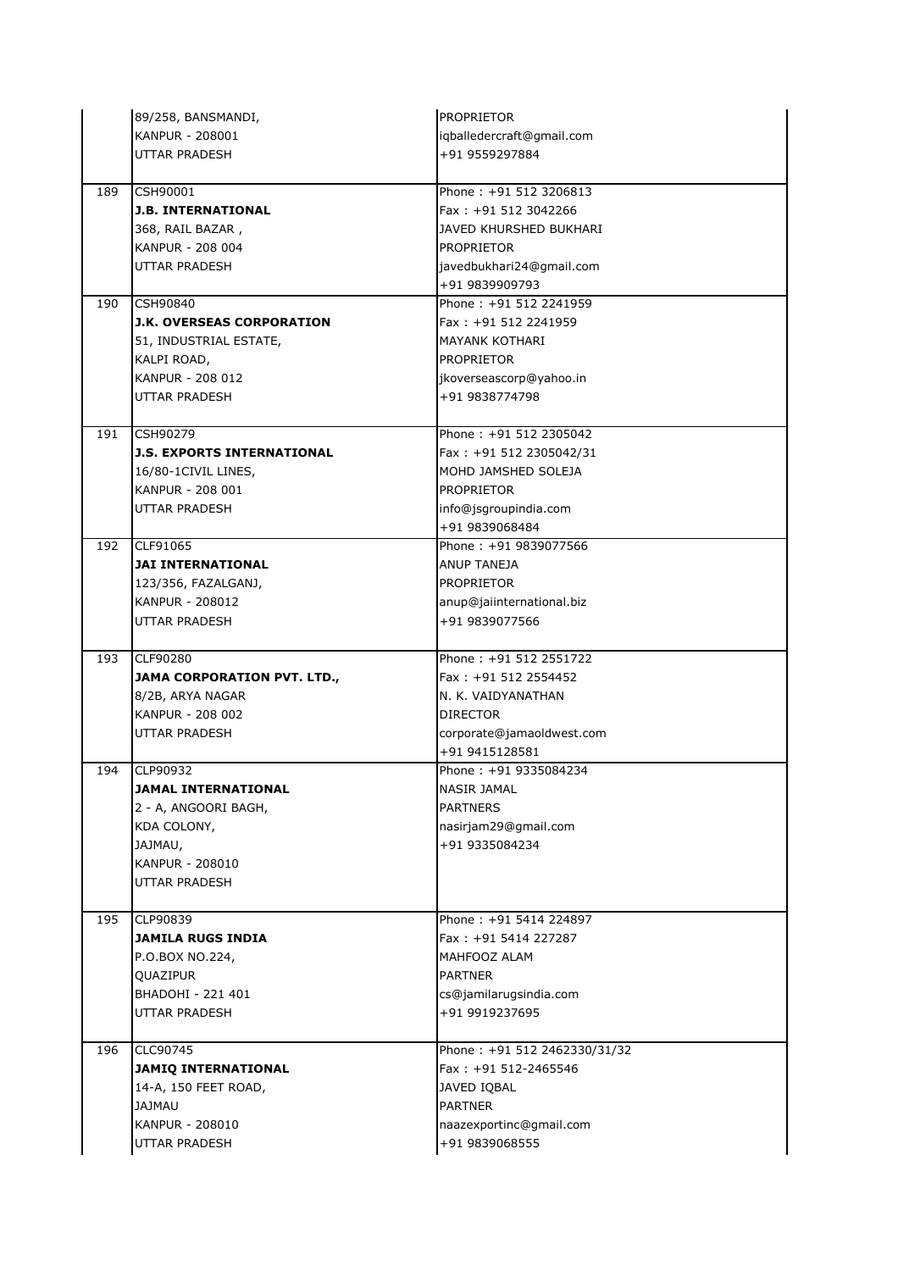|     | 89/258, BANSMANDI,                | <b>PROPRIETOR</b>            |
|-----|-----------------------------------|------------------------------|
|     | KANPUR - 208001                   | iqballedercraft@gmail.com    |
|     | <b>UTTAR PRADESH</b>              | +91 9559297884               |
|     |                                   |                              |
| 189 | CSH90001                          | Phone: +91 512 3206813       |
|     | <b>J.B. INTERNATIONAL</b>         | Fax: +91 512 3042266         |
|     | 368, RAIL BAZAR,                  | JAVED KHURSHED BUKHARI       |
|     | KANPUR - 208 004                  | PROPRIETOR                   |
|     | UTTAR PRADESH                     | javedbukhari24@gmail.com     |
|     |                                   | +91 9839909793               |
| 190 | CSH90840                          | Phone: +91 512 2241959       |
|     | <b>J.K. OVERSEAS CORPORATION</b>  | Fax: +91 512 2241959         |
|     | 51, INDUSTRIAL ESTATE,            | MAYANK KOTHARI               |
|     | KALPI ROAD,                       | PROPRIETOR                   |
|     | KANPUR - 208 012                  | jkoverseascorp@yahoo.in      |
|     | UTTAR PRADESH                     | +91 9838774798               |
|     |                                   |                              |
| 191 | CSH90279                          | Phone: +91 512 2305042       |
|     | <b>J.S. EXPORTS INTERNATIONAL</b> | Fax: +91 512 2305042/31      |
|     | 16/80-1CIVIL LINES,               | MOHD JAMSHED SOLEJA          |
|     | KANPUR - 208 001                  | <b>PROPRIETOR</b>            |
|     | UTTAR PRADESH                     | info@jsgroupindia.com        |
|     |                                   | +91 9839068484               |
| 192 | CLF91065                          | Phone: +91 9839077566        |
|     | <b>JAI INTERNATIONAL</b>          | ANUP TANEJA                  |
|     | 123/356, FAZALGANJ,               | PROPRIETOR                   |
|     | KANPUR - 208012                   | anup@jaiinternational.biz    |
|     | <b>UTTAR PRADESH</b>              | +91 9839077566               |
| 193 | CLF90280                          | Phone: +91 512 2551722       |
|     | JAMA CORPORATION PVT. LTD.,       | Fax: +91 512 2554452         |
|     | 8/2B, ARYA NAGAR                  | N. K. VAIDYANATHAN           |
|     | KANPUR - 208 002                  | DIRECTOR                     |
|     | UTTAR PRADESH                     | corporate@jamaoldwest.com    |
|     |                                   | +91 9415128581               |
| 194 | CLP90932                          | Phone: +91 9335084234        |
|     | <b>JAMAL INTERNATIONAL</b>        | <b>NASIR JAMAL</b>           |
|     | 2 - A, ANGOORI BAGH,              | <b>PARTNERS</b>              |
|     | KDA COLONY,                       | nasirjam29@gmail.com         |
|     | JAJMAU,                           | +91 9335084234               |
|     | KANPUR - 208010                   |                              |
|     | UTTAR PRADESH                     |                              |
|     |                                   |                              |
| 195 | CLP90839                          | Phone: +91 5414 224897       |
|     | <b>JAMILA RUGS INDIA</b>          | Fax: +91 5414 227287         |
|     | P.O.BOX NO.224,                   | MAHFOOZ ALAM                 |
|     | QUAZIPUR                          | PARTNER                      |
|     | BHADOHI - 221 401                 | cs@jamilarugsindia.com       |
|     | UTTAR PRADESH                     | +91 9919237695               |
|     |                                   |                              |
| 196 | CLC90745                          | Phone: +91 512 2462330/31/32 |
|     | <b>JAMIQ INTERNATIONAL</b>        | Fax: +91 512-2465546         |
|     | 14-A, 150 FEET ROAD,              | JAVED IQBAL                  |
|     | UAMLAL                            | PARTNER                      |
|     | KANPUR - 208010                   | naazexportinc@gmail.com      |
|     | UTTAR PRADESH                     | +91 9839068555               |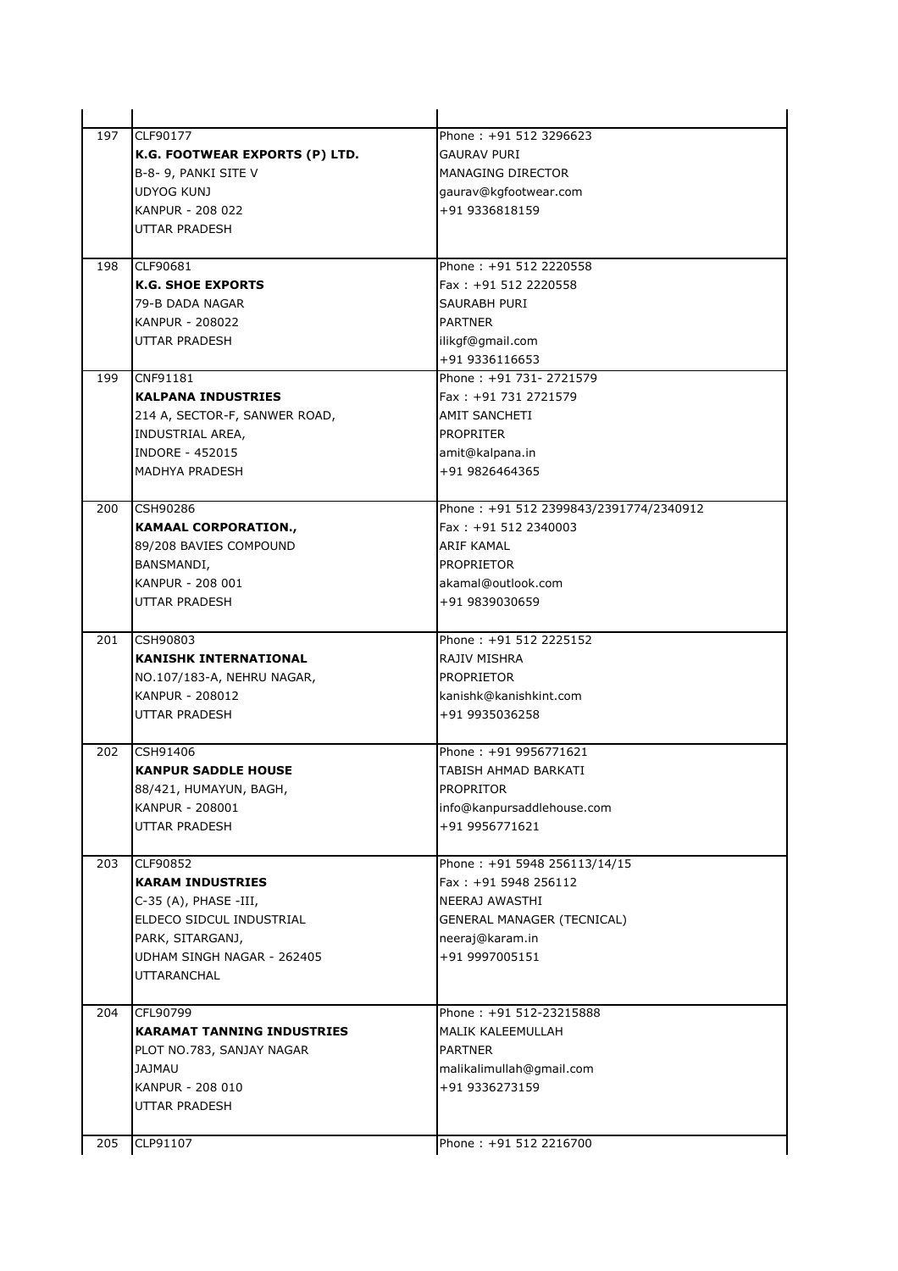| 197 | CLF90177                                          | Phone: +91 512 3296623                               |
|-----|---------------------------------------------------|------------------------------------------------------|
|     | K.G. FOOTWEAR EXPORTS (P) LTD.                    | <b>GAURAV PURI</b>                                   |
|     | B-8-9, PANKI SITE V                               | MANAGING DIRECTOR                                    |
|     | UDYOG KUNJ                                        | gaurav@kgfootwear.com                                |
|     | KANPUR - 208 022                                  | +91 9336818159                                       |
|     | <b>UTTAR PRADESH</b>                              |                                                      |
|     |                                                   |                                                      |
| 198 | CLF90681                                          | Phone: +91 512 2220558                               |
|     | <b>K.G. SHOE EXPORTS</b>                          | Fax: +91 512 2220558                                 |
|     | 79-B DADA NAGAR                                   | SAURABH PURI                                         |
|     | KANPUR - 208022                                   | <b>PARTNER</b>                                       |
|     | <b>UTTAR PRADESH</b>                              | ilikgf@gmail.com                                     |
|     |                                                   | +91 9336116653                                       |
| 199 | CNF91181                                          | Phone: +91 731- 2721579                              |
|     | <b>KALPANA INDUSTRIES</b>                         | Fax: +91 731 2721579                                 |
|     | 214 A, SECTOR-F, SANWER ROAD,                     | <b>AMIT SANCHETI</b>                                 |
|     | INDUSTRIAL AREA,                                  | <b>PROPRITER</b>                                     |
|     | <b>INDORE - 452015</b>                            | amit@kalpana.in                                      |
|     |                                                   |                                                      |
|     | <b>MADHYA PRADESH</b>                             | +91 9826464365                                       |
| 200 | CSH90286                                          | Phone: +91 512 2399843/2391774/2340912               |
|     | <b>KAMAAL CORPORATION.,</b>                       | Fax: +91 512 2340003                                 |
|     | 89/208 BAVIES COMPOUND                            | ARIF KAMAL                                           |
|     |                                                   | <b>PROPRIETOR</b>                                    |
|     | BANSMANDI,                                        |                                                      |
|     | KANPUR - 208 001                                  | akamal@outlook.com                                   |
|     | UTTAR PRADESH                                     | +91 9839030659                                       |
|     |                                                   |                                                      |
| 201 | CSH90803                                          | Phone: +91 512 2225152                               |
|     | <b>KANISHK INTERNATIONAL</b>                      | RAJIV MISHRA                                         |
|     |                                                   |                                                      |
|     | NO.107/183-A, NEHRU NAGAR,                        | <b>PROPRIETOR</b>                                    |
|     | KANPUR - 208012                                   | kanishk@kanishkint.com                               |
|     | <b>UTTAR PRADESH</b>                              | +91 9935036258                                       |
| 202 | CSH91406                                          | Phone: +91 9956771621                                |
|     | <b>KANPUR SADDLE HOUSE</b>                        | TABISH AHMAD BARKATI                                 |
|     |                                                   | PROPRITOR                                            |
|     | 88/421, HUMAYUN, BAGH,<br>KANPUR - 208001         | info@kanpursaddlehouse.com                           |
|     | UTTAR PRADESH                                     | +91 9956771621                                       |
|     |                                                   |                                                      |
| 203 | CLF90852                                          | Phone: +91 5948 256113/14/15                         |
|     | <b>KARAM INDUSTRIES</b>                           | Fax: $+91$ 5948 256112                               |
|     |                                                   | NEERAJ AWASTHI                                       |
|     | C-35 (A), PHASE -III,<br>ELDECO SIDCUL INDUSTRIAL |                                                      |
|     |                                                   | <b>GENERAL MANAGER (TECNICAL)</b><br>neeraj@karam.in |
|     | PARK, SITARGANJ,                                  |                                                      |
|     | UDHAM SINGH NAGAR - 262405                        | +91 9997005151                                       |
|     | UTTARANCHAL                                       |                                                      |
| 204 | CFL90799                                          | Phone: +91 512-23215888                              |
|     | <b>KARAMAT TANNING INDUSTRIES</b>                 | MALIK KALEEMULLAH                                    |
|     | PLOT NO.783, SANJAY NAGAR                         | <b>PARTNER</b>                                       |
|     | UAMLAL                                            | malikalimullah@gmail.com                             |
|     | KANPUR - 208 010                                  | +91 9336273159                                       |
|     | UTTAR PRADESH                                     |                                                      |
|     |                                                   |                                                      |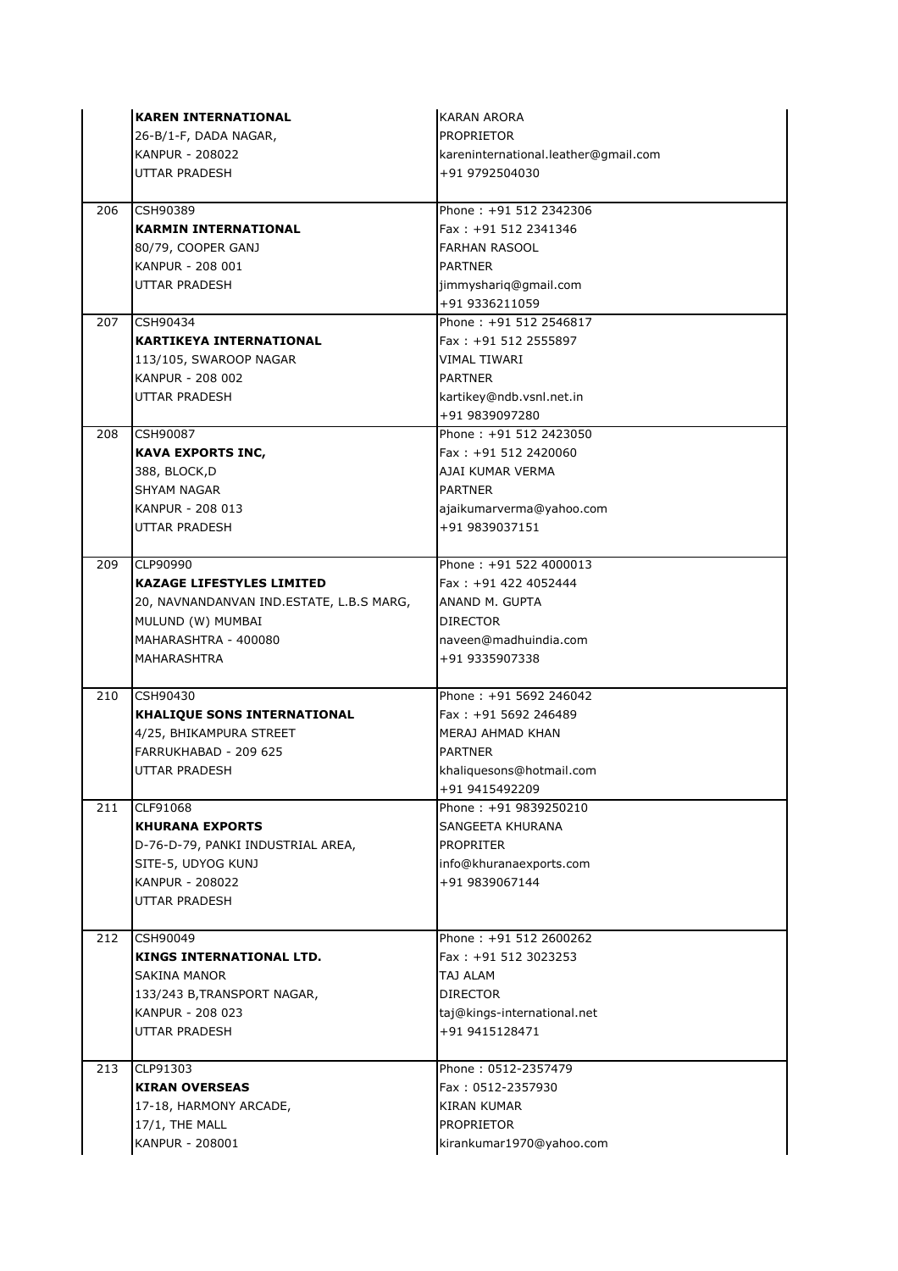|     | <b>KAREN INTERNATIONAL</b>               | <b>KARAN ARORA</b>                   |
|-----|------------------------------------------|--------------------------------------|
|     | 26-B/1-F, DADA NAGAR,                    | <b>PROPRIETOR</b>                    |
|     | KANPUR - 208022                          | kareninternational.leather@gmail.com |
|     | UTTAR PRADESH                            | +91 9792504030                       |
|     |                                          |                                      |
| 206 | CSH90389                                 | Phone: +91 512 2342306               |
|     | <b>KARMIN INTERNATIONAL</b>              | Fax: +91 512 2341346                 |
|     | 80/79, COOPER GANJ                       | <b>FARHAN RASOOL</b>                 |
|     | KANPUR - 208 001                         | <b>PARTNER</b>                       |
|     | UTTAR PRADESH                            | jimmyshariq@gmail.com                |
|     |                                          | +91 9336211059                       |
| 207 | CSH90434                                 | Phone: +91 512 2546817               |
|     | <b>KARTIKEYA INTERNATIONAL</b>           | Fax: +91 512 2555897                 |
|     | 113/105, SWAROOP NAGAR                   | VIMAL TIWARI                         |
|     |                                          |                                      |
|     | KANPUR - 208 002                         | <b>PARTNER</b>                       |
|     | UTTAR PRADESH                            | kartikey@ndb.vsnl.net.in             |
|     |                                          | +91 9839097280                       |
| 208 | <b>CSH90087</b>                          | Phone: +91 512 2423050               |
|     | <b>KAVA EXPORTS INC,</b>                 | Fax: +91 512 2420060                 |
|     | 388, BLOCK, D                            | AJAI KUMAR VERMA                     |
|     | <b>SHYAM NAGAR</b>                       | <b>PARTNER</b>                       |
|     | KANPUR - 208 013                         | ajaikumarverma@yahoo.com             |
|     | UTTAR PRADESH                            | +91 9839037151                       |
|     |                                          |                                      |
| 209 | CLP90990                                 | Phone: +91 522 4000013               |
|     | <b>KAZAGE LIFESTYLES LIMITED</b>         | Fax: +91 422 4052444                 |
|     | 20, NAVNANDANVAN IND.ESTATE, L.B.S MARG, | ANAND M. GUPTA                       |
|     | MULUND (W) MUMBAI                        | <b>DIRECTOR</b>                      |
|     | MAHARASHTRA - 400080                     | naveen@madhuindia.com                |
|     | <b>MAHARASHTRA</b>                       | +91 9335907338                       |
|     |                                          |                                      |
| 210 | CSH90430                                 | Phone: $+91$ 5692 246042             |
|     | <b>KHALIQUE SONS INTERNATIONAL</b>       | Fax: +91 5692 246489                 |
|     | 4/25, BHIKAMPURA STREET                  | MERAJ AHMAD KHAN                     |
|     | FARRUKHABAD - 209 625                    | <b>PARTNER</b>                       |
|     | UTTAR PRADESH                            | khaliquesons@hotmail.com             |
|     |                                          | +91 9415492209                       |
| 211 | CLF91068                                 | Phone: +91 9839250210                |
|     | <b>KHURANA EXPORTS</b>                   | SANGEETA KHURANA                     |
|     | D-76-D-79, PANKI INDUSTRIAL AREA,        | <b>PROPRITER</b>                     |
|     | SITE-5, UDYOG KUNJ                       | info@khuranaexports.com              |
|     | KANPUR - 208022                          | +91 9839067144                       |
|     | UTTAR PRADESH                            |                                      |
|     |                                          |                                      |
| 212 | <b>CSH90049</b>                          | Phone: +91 512 2600262               |
|     | <b>KINGS INTERNATIONAL LTD.</b>          | Fax: +91 512 3023253                 |
|     | SAKINA MANOR                             | TAJ ALAM                             |
|     |                                          |                                      |
|     | 133/243 B, TRANSPORT NAGAR,              | DIRECTOR                             |
|     | KANPUR - 208 023                         | taj@kings-international.net          |
|     | UTTAR PRADESH                            | +91 9415128471                       |
| 213 | CLP91303                                 | Phone: 0512-2357479                  |
|     | <b>KIRAN OVERSEAS</b>                    | Fax: 0512-2357930                    |
|     |                                          |                                      |
|     | 17-18, HARMONY ARCADE,                   | KIRAN KUMAR                          |
|     | 17/1, THE MALL                           | <b>PROPRIETOR</b>                    |
|     | KANPUR - 208001                          | kirankumar1970@yahoo.com             |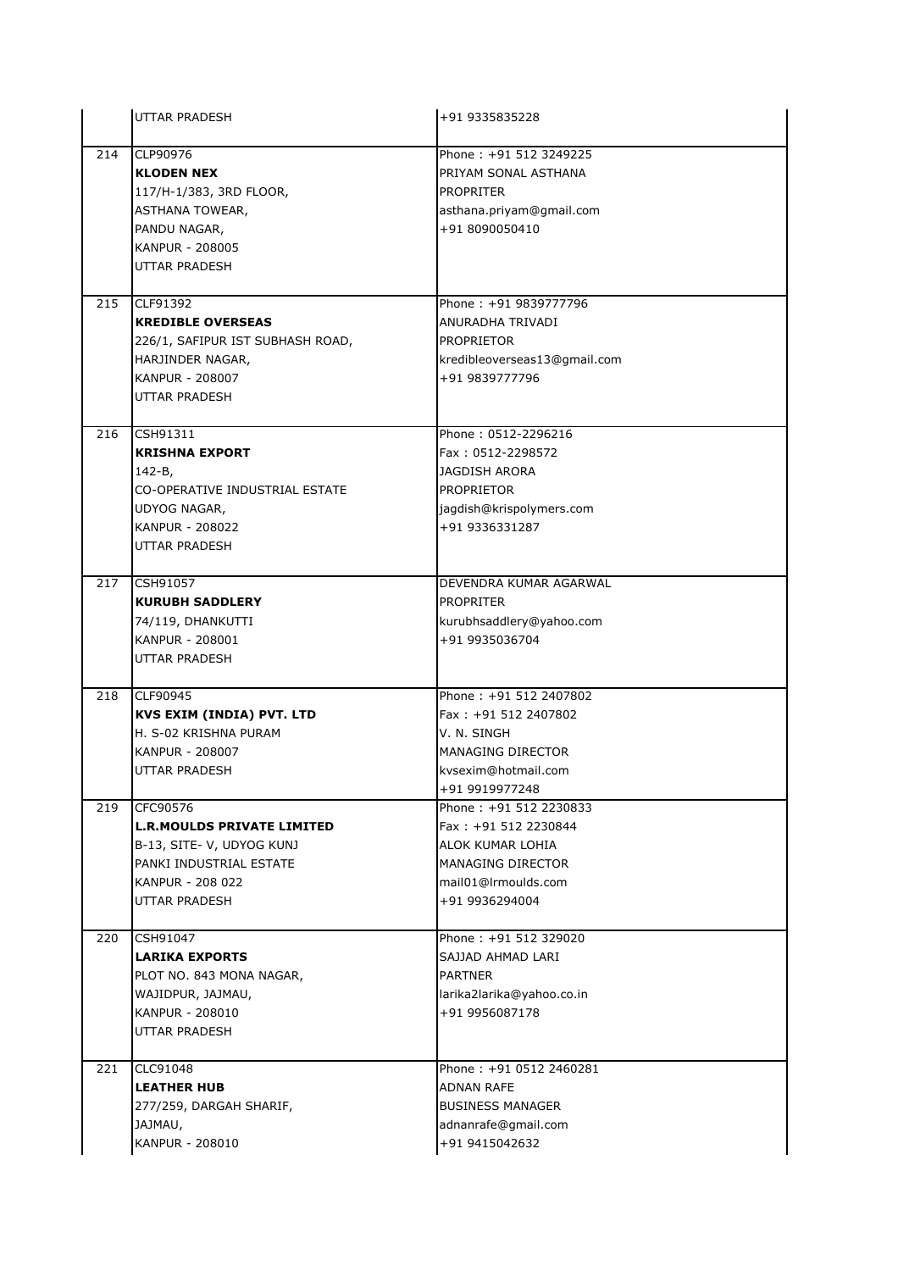|     | <b>UTTAR PRADESH</b>              | +91 9335835228               |
|-----|-----------------------------------|------------------------------|
| 214 | CLP90976                          | Phone: +91 512 3249225       |
|     | <b>KLODEN NEX</b>                 | PRIYAM SONAL ASTHANA         |
|     | 117/H-1/383, 3RD FLOOR,           | <b>PROPRITER</b>             |
|     | <b>ASTHANA TOWEAR,</b>            | asthana.priyam@gmail.com     |
|     | PANDU NAGAR,                      | +91 8090050410               |
|     | KANPUR - 208005                   |                              |
|     | <b>UTTAR PRADESH</b>              |                              |
| 215 | CLF91392                          | Phone: +91 9839777796        |
|     | <b>KREDIBLE OVERSEAS</b>          | ANURADHA TRIVADI             |
|     | 226/1, SAFIPUR IST SUBHASH ROAD,  | <b>PROPRIETOR</b>            |
|     | HARJINDER NAGAR,                  | kredibleoverseas13@gmail.com |
|     | KANPUR - 208007                   | +91 9839777796               |
|     | UTTAR PRADESH                     |                              |
| 216 | CSH91311                          | Phone: 0512-2296216          |
|     | <b>KRISHNA EXPORT</b>             | Fax: 0512-2298572            |
|     | 142-B,                            | <b>JAGDISH ARORA</b>         |
|     | CO-OPERATIVE INDUSTRIAL ESTATE    | <b>PROPRIETOR</b>            |
|     | <b>UDYOG NAGAR,</b>               | jagdish@krispolymers.com     |
|     | <b>KANPUR - 208022</b>            | +91 9336331287               |
|     | UTTAR PRADESH                     |                              |
| 217 | CSH91057                          | DEVENDRA KUMAR AGARWAL       |
|     | <b>KURUBH SADDLERY</b>            | <b>PROPRITER</b>             |
|     | 74/119, DHANKUTTI                 | kurubhsaddlery@yahoo.com     |
|     | KANPUR - 208001                   | +91 9935036704               |
|     | UTTAR PRADESH                     |                              |
| 218 | CLF90945                          | Phone: +91 512 2407802       |
|     | <b>KVS EXIM (INDIA) PVT. LTD</b>  | Fax: +91 512 2407802         |
|     | H. S-02 KRISHNA PURAM             | V. N. SINGH                  |
|     | KANPUR - 208007                   | <b>MANAGING DIRECTOR</b>     |
|     | <b>UTTAR PRADESH</b>              | kvsexim@hotmail.com          |
|     |                                   | +91 9919977248               |
| 219 | CFC90576                          | Phone: +91 512 2230833       |
|     | <b>L.R.MOULDS PRIVATE LIMITED</b> | Fax: +91 512 2230844         |
|     | B-13, SITE- V, UDYOG KUNJ         | ALOK KUMAR LOHIA             |
|     | PANKI INDUSTRIAL ESTATE           | <b>MANAGING DIRECTOR</b>     |
|     | KANPUR - 208 022                  | mail01@Irmoulds.com          |
|     | UTTAR PRADESH                     | +91 9936294004               |
| 220 | CSH91047                          | Phone: +91 512 329020        |
|     | <b>LARIKA EXPORTS</b>             | SAJJAD AHMAD LARI            |
|     | PLOT NO. 843 MONA NAGAR,          | <b>PARTNER</b>               |
|     | WAJIDPUR, JAJMAU,                 | larika2larika@yahoo.co.in    |
|     | <b>KANPUR - 208010</b>            | +91 9956087178               |
|     | UTTAR PRADESH                     |                              |
| 221 | CLC91048                          | Phone: +91 0512 2460281      |
|     | <b>LEATHER HUB</b>                | <b>ADNAN RAFE</b>            |
|     | 277/259, DARGAH SHARIF,           | <b>BUSINESS MANAGER</b>      |
|     | JAJMAU,                           | adnanrafe@gmail.com          |
|     | KANPUR - 208010                   | +91 9415042632               |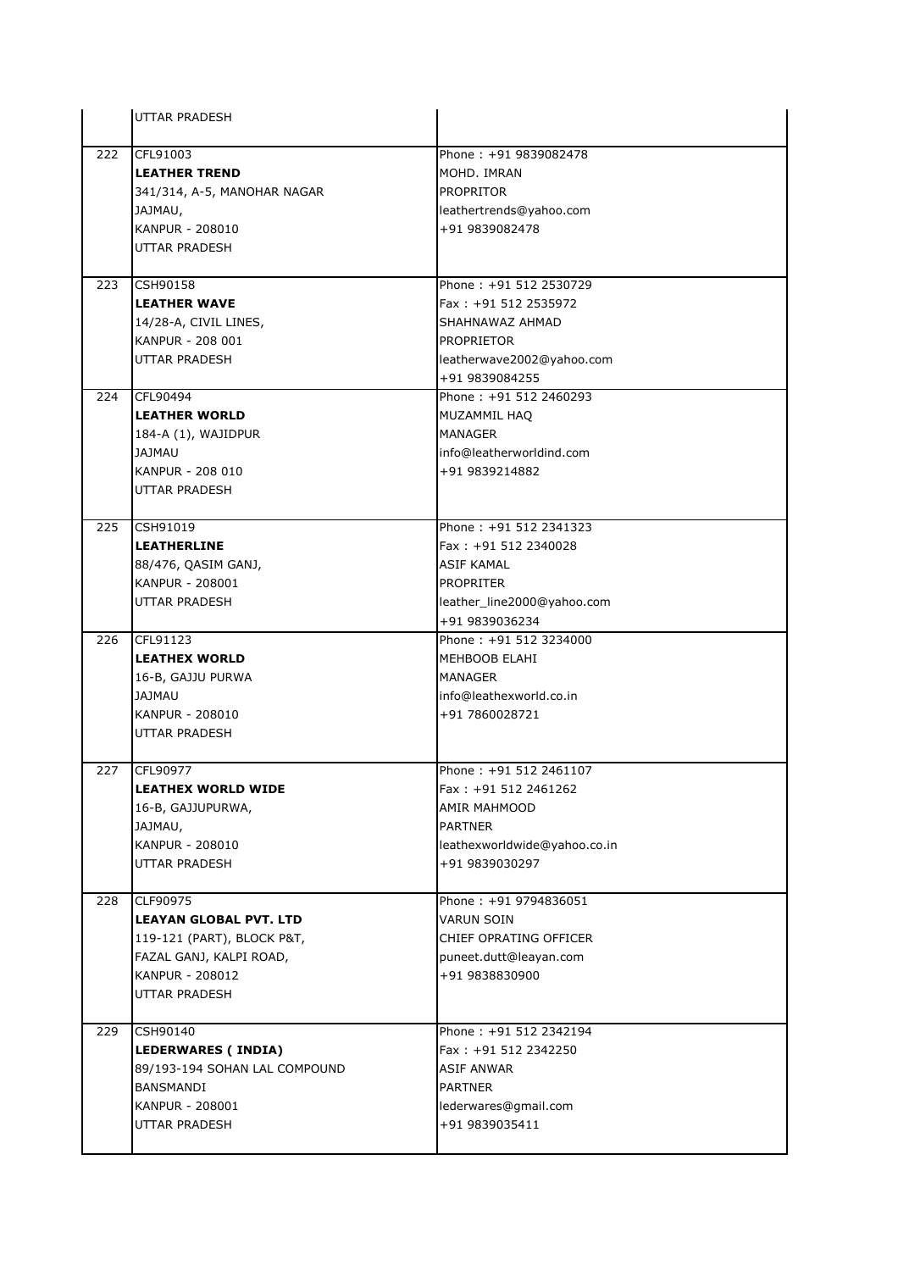|     | <b>UTTAR PRADESH</b>          |                              |
|-----|-------------------------------|------------------------------|
|     |                               |                              |
| 222 | CFL91003                      | Phone: +91 9839082478        |
|     | <b>LEATHER TREND</b>          | MOHD. IMRAN                  |
|     | 341/314, A-5, MANOHAR NAGAR   | PROPRITOR                    |
|     | JAJMAU,                       | leathertrends@yahoo.com      |
|     | KANPUR - 208010               | +91 9839082478               |
|     | UTTAR PRADESH                 |                              |
| 223 | <b>CSH90158</b>               | Phone: +91 512 2530729       |
|     | <b>LEATHER WAVE</b>           | Fax: +91 512 2535972         |
|     | 14/28-A, CIVIL LINES,         | SHAHNAWAZ AHMAD              |
|     | KANPUR - 208 001              | PROPRIETOR                   |
|     | UTTAR PRADESH                 | leatherwave2002@yahoo.com    |
|     |                               | +91 9839084255               |
| 224 | CFL90494                      | Phone: +91 512 2460293       |
|     | <b>LEATHER WORLD</b>          | MUZAMMIL HAO                 |
|     | 184-A (1), WAJIDPUR           | MANAGER                      |
|     | <b>JAJMAU</b>                 | info@leatherworldind.com     |
|     | KANPUR - 208 010              | +91 9839214882               |
|     | UTTAR PRADESH                 |                              |
| 225 | CSH91019                      | Phone: +91 512 2341323       |
|     | <b>LEATHERLINE</b>            | Fax: +91 512 2340028         |
|     | 88/476, QASIM GANJ,           | ASIF KAMAL                   |
|     | KANPUR - 208001               | PROPRITER                    |
|     | <b>UTTAR PRADESH</b>          | leather_line2000@yahoo.com   |
|     |                               | +91 9839036234               |
| 226 | CFL91123                      | Phone: +91 512 3234000       |
|     | <b>LEATHEX WORLD</b>          | MEHBOOB ELAHI                |
|     | 16-B, GAJJU PURWA             | MANAGER                      |
|     | <b>JAJMAU</b>                 | info@leathexworld.co.in      |
|     | KANPUR - 208010               | +91 7860028721               |
|     | UTTAR PRADESH                 |                              |
| 227 | CFL90977                      | Phone: +91 512 2461107       |
|     | <b>LEATHEX WORLD WIDE</b>     | Fax : +91 512 2461262        |
|     | 16-B, GAJJUPURWA,             | AMIR MAHMOOD                 |
|     | JAJMAU,                       | PARTNER                      |
|     | KANPUR - 208010               | leathexworldwide@yahoo.co.in |
|     | UTTAR PRADESH                 | +91 9839030297               |
| 228 | CLF90975                      | Phone: +91 9794836051        |
|     | <b>LEAYAN GLOBAL PVT. LTD</b> | VARUN SOIN                   |
|     | 119-121 (PART), BLOCK P&T,    | CHIEF OPRATING OFFICER       |
|     | FAZAL GANJ, KALPI ROAD,       | puneet.dutt@leayan.com       |
|     | KANPUR - 208012               | +91 9838830900               |
|     | UTTAR PRADESH                 |                              |
| 229 | CSH90140                      | Phone: +91 512 2342194       |
|     | <b>LEDERWARES (INDIA)</b>     | Fax: +91 512 2342250         |
|     | 89/193-194 SOHAN LAL COMPOUND | ASIF ANWAR                   |
|     | BANSMANDI                     | PARTNER                      |
|     | KANPUR - 208001               | lederwares@gmail.com         |
|     | UTTAR PRADESH                 | +91 9839035411               |
|     |                               |                              |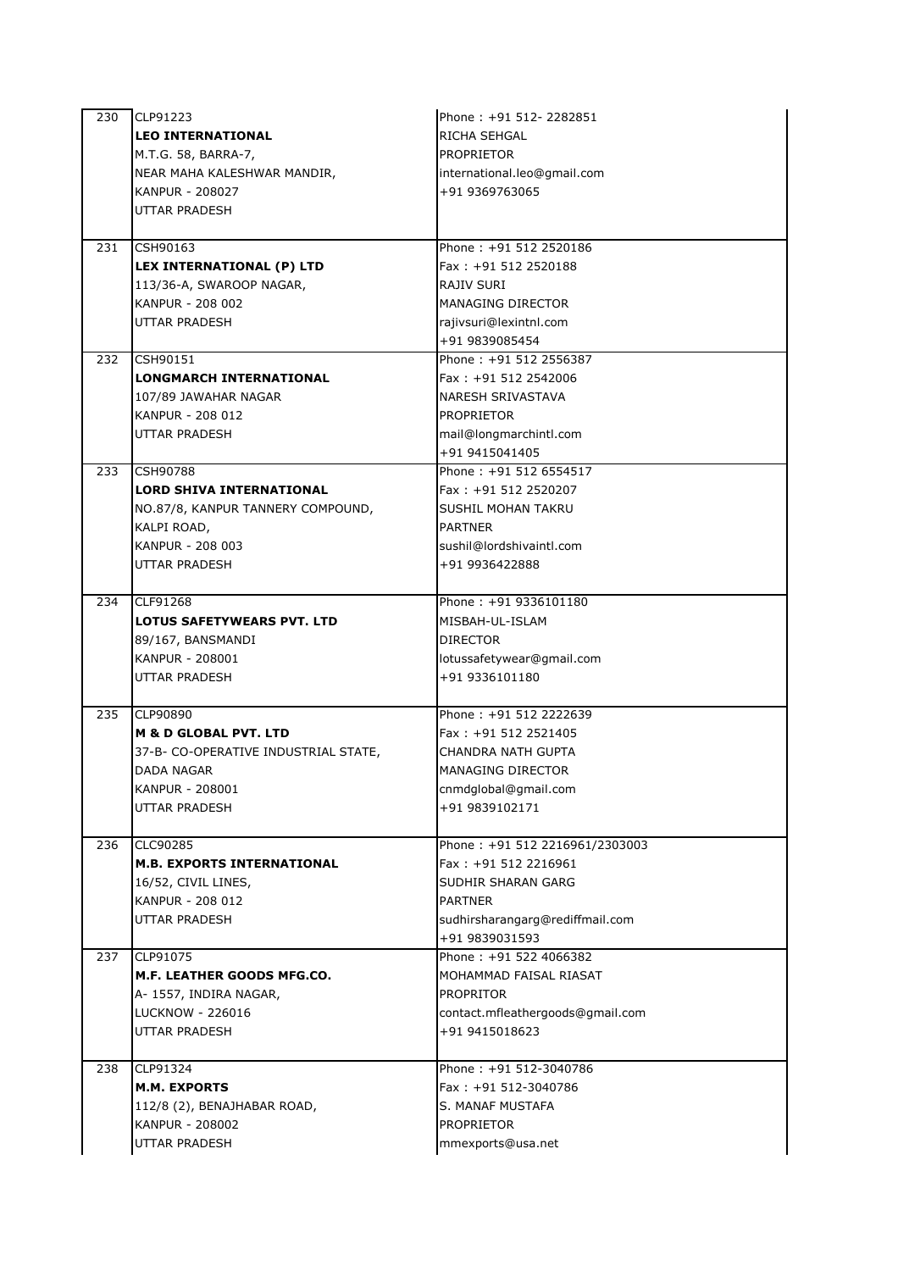| 230 | CLP91223                             | Phone: +91 512-2282851           |
|-----|--------------------------------------|----------------------------------|
|     | <b>LEO INTERNATIONAL</b>             | RICHA SEHGAL                     |
|     | M.T.G. 58, BARRA-7,                  | <b>PROPRIETOR</b>                |
|     | NEAR MAHA KALESHWAR MANDIR,          | international.leo@gmail.com      |
|     | KANPUR - 208027                      | +91 9369763065                   |
|     | <b>UTTAR PRADESH</b>                 |                                  |
|     |                                      |                                  |
| 231 | CSH90163                             | Phone: +91 512 2520186           |
|     | LEX INTERNATIONAL (P) LTD            | Fax: +91 512 2520188             |
|     | 113/36-A, SWAROOP NAGAR,             | RAJIV SURI                       |
|     | KANPUR - 208 002                     | MANAGING DIRECTOR                |
|     | UTTAR PRADESH                        | rajivsuri@lexintnl.com           |
|     |                                      | +91 9839085454                   |
| 232 | CSH90151                             | Phone: +91 512 2556387           |
|     | <b>LONGMARCH INTERNATIONAL</b>       | Fax: +91 512 2542006             |
|     |                                      | NARESH SRIVASTAVA                |
|     | 107/89 JAWAHAR NAGAR                 | <b>PROPRIETOR</b>                |
|     | KANPUR - 208 012                     |                                  |
|     | UTTAR PRADESH                        | mail@longmarchintl.com           |
|     |                                      | +91 9415041405                   |
| 233 | <b>CSH90788</b>                      | Phone: +91 512 6554517           |
|     | <b>LORD SHIVA INTERNATIONAL</b>      | Fax: +91 512 2520207             |
|     | NO.87/8, KANPUR TANNERY COMPOUND,    | <b>SUSHIL MOHAN TAKRU</b>        |
|     | KALPI ROAD,                          | <b>PARTNER</b>                   |
|     | KANPUR - 208 003                     | sushil@lordshivaintl.com         |
|     | <b>UTTAR PRADESH</b>                 | +91 9936422888                   |
|     |                                      |                                  |
| 234 | CLF91268                             | Phone: +91 9336101180            |
|     | <b>LOTUS SAFETYWEARS PVT. LTD</b>    | MISBAH-UL-ISLAM                  |
|     | 89/167, BANSMANDI                    | <b>DIRECTOR</b>                  |
|     | KANPUR - 208001                      | lotussafetywear@gmail.com        |
|     | <b>UTTAR PRADESH</b>                 | +91 9336101180                   |
|     |                                      |                                  |
| 235 | CLP90890                             | Phone: +91 512 2222639           |
|     | <b>M &amp; D GLOBAL PVT. LTD</b>     | Fax: +91 512 2521405             |
|     | 37-B- CO-OPERATIVE INDUSTRIAL STATE, | <b>CHANDRA NATH GUPTA</b>        |
|     | DADA NAGAR                           | MANAGING DIRECTOR                |
|     | KANPUR - 208001                      | cnmdglobal@gmail.com             |
|     | UTTAR PRADESH                        | +91 9839102171                   |
|     |                                      |                                  |
| 236 | CLC90285                             | Phone: +91 512 2216961/2303003   |
|     | <b>M.B. EXPORTS INTERNATIONAL</b>    | Fax: +91 512 2216961             |
|     | 16/52, CIVIL LINES,                  | <b>SUDHIR SHARAN GARG</b>        |
|     | KANPUR - 208 012                     | <b>PARTNER</b>                   |
|     | <b>UTTAR PRADESH</b>                 | sudhirsharangarg@rediffmail.com  |
|     |                                      | +91 9839031593                   |
| 237 | CLP91075                             | Phone: +91 522 4066382           |
|     | M.F. LEATHER GOODS MFG.CO.           | MOHAMMAD FAISAL RIASAT           |
|     | A- 1557, INDIRA NAGAR,               | <b>PROPRITOR</b>                 |
|     | <b>LUCKNOW - 226016</b>              | contact.mfleathergoods@gmail.com |
|     | UTTAR PRADESH                        | +91 9415018623                   |
|     |                                      |                                  |
| 238 | CLP91324                             | Phone: +91 512-3040786           |
|     | <b>M.M. EXPORTS</b>                  | Fax: +91 512-3040786             |
|     | 112/8 (2), BENAJHABAR ROAD,          | S. MANAF MUSTAFA                 |
|     | KANPUR - 208002                      | <b>PROPRIETOR</b>                |
|     | UTTAR PRADESH                        | mmexports@usa.net                |
|     |                                      |                                  |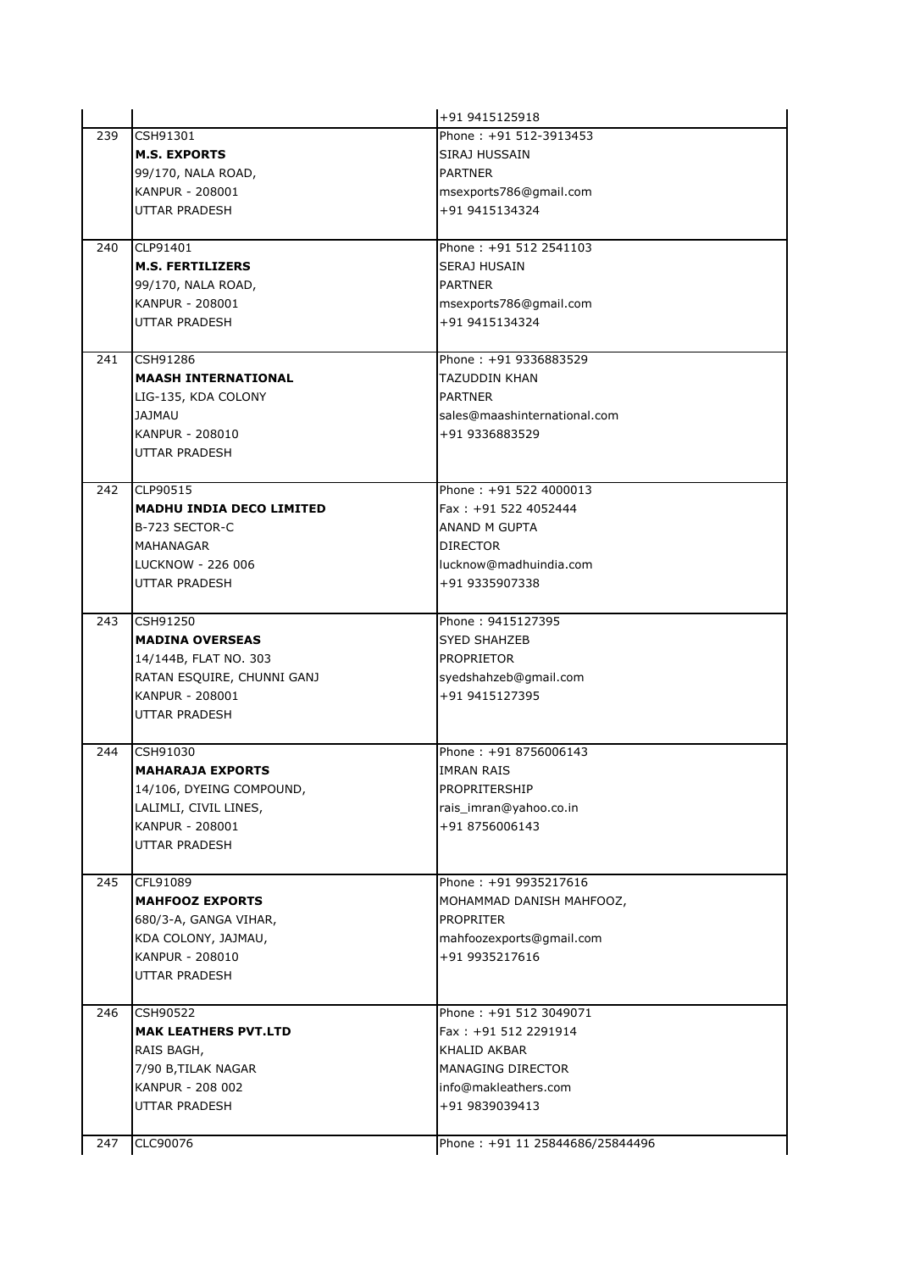|     |                                 | +91 9415125918                  |
|-----|---------------------------------|---------------------------------|
| 239 | CSH91301                        | Phone: +91 512-3913453          |
|     | <b>M.S. EXPORTS</b>             | SIRAJ HUSSAIN                   |
|     | 99/170, NALA ROAD,              | <b>PARTNER</b>                  |
|     | KANPUR - 208001                 | msexports786@gmail.com          |
|     | <b>UTTAR PRADESH</b>            | +91 9415134324                  |
|     |                                 |                                 |
| 240 | CLP91401                        | Phone: +91 512 2541103          |
|     | <b>M.S. FERTILIZERS</b>         | <b>SERAJ HUSAIN</b>             |
|     | 99/170, NALA ROAD,              | <b>PARTNER</b>                  |
|     | KANPUR - 208001                 | msexports786@gmail.com          |
|     | UTTAR PRADESH                   | +91 9415134324                  |
|     |                                 |                                 |
| 241 | CSH91286                        | Phone: +91 9336883529           |
|     | <b>MAASH INTERNATIONAL</b>      | TAZUDDIN KHAN                   |
|     | LIG-135, KDA COLONY             | <b>PARTNER</b>                  |
|     | <b>JAJMAU</b>                   | sales@maashinternational.com    |
|     | KANPUR - 208010                 | +91 9336883529                  |
|     | <b>UTTAR PRADESH</b>            |                                 |
|     |                                 |                                 |
| 242 | CLP90515                        | Phone: +91 522 4000013          |
|     | <b>MADHU INDIA DECO LIMITED</b> | Fax: +91 522 4052444            |
|     | B-723 SECTOR-C                  | ANAND M GUPTA                   |
|     | MAHANAGAR                       | <b>DIRECTOR</b>                 |
|     | LUCKNOW - 226 006               | lucknow@madhuindia.com          |
|     | <b>UTTAR PRADESH</b>            | +91 9335907338                  |
|     |                                 |                                 |
| 243 | CSH91250                        | Phone: 9415127395               |
|     | <b>MADINA OVERSEAS</b>          | <b>SYED SHAHZEB</b>             |
|     | 14/144B, FLAT NO. 303           | <b>PROPRIETOR</b>               |
|     | RATAN ESQUIRE, CHUNNI GANJ      | syedshahzeb@gmail.com           |
|     | KANPUR - 208001                 | +91 9415127395                  |
|     | UTTAR PRADESH                   |                                 |
|     |                                 |                                 |
| 244 | CSH91030                        | Phone: +91 8756006143           |
|     | <b>MAHARAJA EXPORTS</b>         | <b>IMRAN RAIS</b>               |
|     | 14/106, DYEING COMPOUND,        | PROPRITERSHIP                   |
|     | LALIMLI, CIVIL LINES,           | rais imran@yahoo.co.in          |
|     | KANPUR - 208001                 | +91 8756006143                  |
|     | <b>UTTAR PRADESH</b>            |                                 |
| 245 | CFL91089                        | Phone: +91 9935217616           |
|     | <b>MAHFOOZ EXPORTS</b>          | MOHAMMAD DANISH MAHFOOZ,        |
|     | 680/3-A, GANGA VIHAR,           | <b>PROPRITER</b>                |
|     | KDA COLONY, JAJMAU,             | mahfoozexports@gmail.com        |
|     | KANPUR - 208010                 | +91 9935217616                  |
|     | UTTAR PRADESH                   |                                 |
|     |                                 |                                 |
| 246 | CSH90522                        | Phone: +91 512 3049071          |
|     | <b>MAK LEATHERS PVT.LTD</b>     | Fax: +91 512 2291914            |
|     | RAIS BAGH,                      | KHALID AKBAR                    |
|     | 7/90 B, TILAK NAGAR             | <b>MANAGING DIRECTOR</b>        |
|     | KANPUR - 208 002                | info@makleathers.com            |
|     | UTTAR PRADESH                   | +91 9839039413                  |
|     |                                 |                                 |
| 247 | CLC90076                        | Phone: +91 11 25844686/25844496 |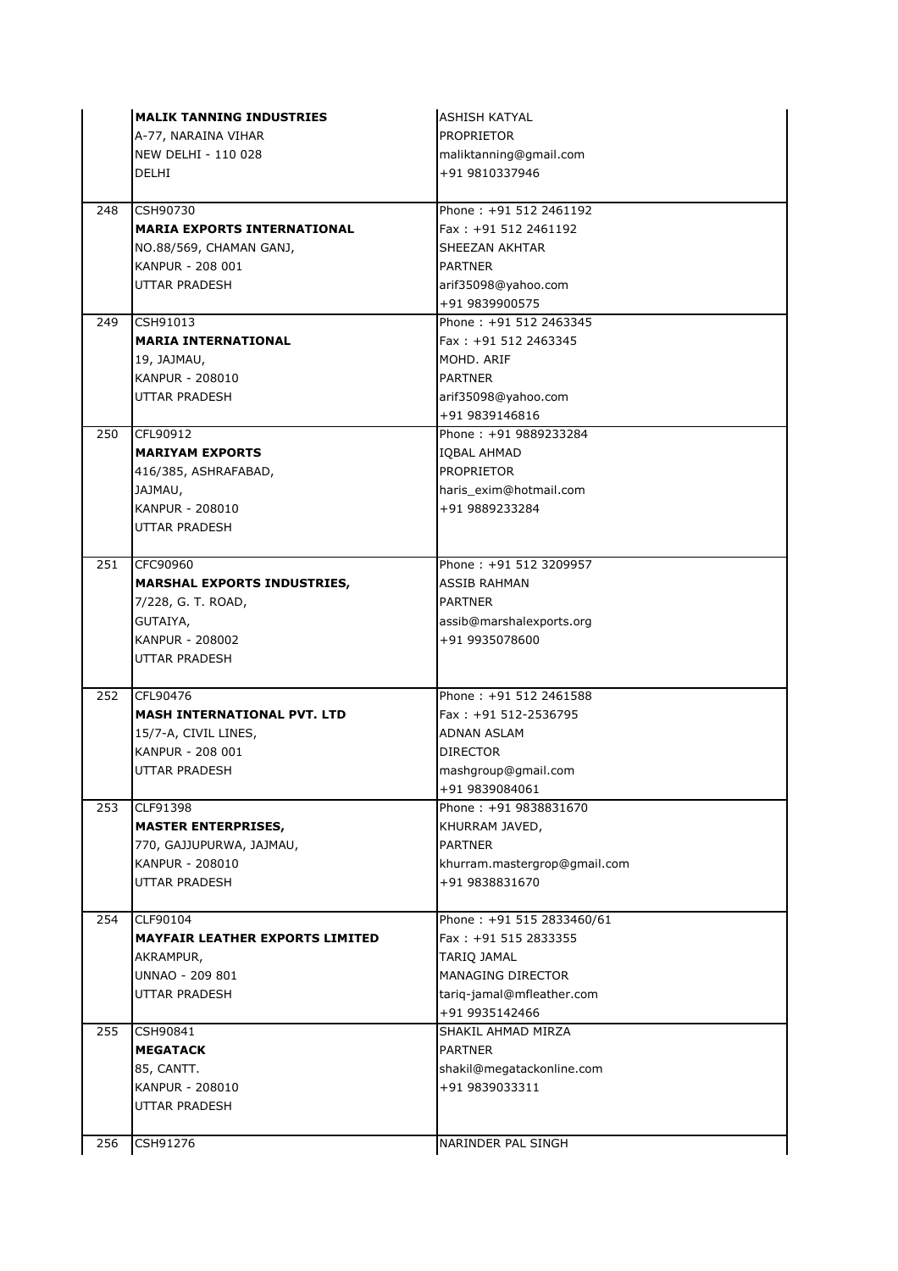|     | <b>MALIK TANNING INDUSTRIES</b>        | <b>ASHISH KATYAL</b>         |
|-----|----------------------------------------|------------------------------|
|     | A-77, NARAINA VIHAR                    | <b>PROPRIETOR</b>            |
|     | NEW DELHI - 110 028                    | maliktanning@gmail.com       |
|     | <b>DELHI</b>                           | +91 9810337946               |
|     |                                        |                              |
| 248 | CSH90730                               | Phone: +91 512 2461192       |
|     | <b>MARIA EXPORTS INTERNATIONAL</b>     | Fax: +91 512 2461192         |
|     | NO.88/569, CHAMAN GANJ,                | SHEEZAN AKHTAR               |
|     | KANPUR - 208 001                       | <b>PARTNER</b>               |
|     | UTTAR PRADESH                          | arif35098@yahoo.com          |
|     |                                        | +91 9839900575               |
| 249 | CSH91013                               | Phone: +91 512 2463345       |
|     | <b>MARIA INTERNATIONAL</b>             | Fax: +91 512 2463345         |
|     | 19, JAJMAU,                            | MOHD, ARIF                   |
|     | KANPUR - 208010                        | <b>PARTNER</b>               |
|     | UTTAR PRADESH                          | arif35098@yahoo.com          |
|     |                                        | +91 9839146816               |
| 250 | CFL90912                               | Phone: +91 9889233284        |
|     |                                        |                              |
|     | <b>MARIYAM EXPORTS</b>                 | <b>IQBAL AHMAD</b>           |
|     | 416/385, ASHRAFABAD,                   | <b>PROPRIETOR</b>            |
|     | JAJMAU,                                | haris exim@hotmail.com       |
|     | KANPUR - 208010                        | +91 9889233284               |
|     | <b>UTTAR PRADESH</b>                   |                              |
|     |                                        |                              |
| 251 | CFC90960                               | Phone: +91 512 3209957       |
|     | <b>MARSHAL EXPORTS INDUSTRIES,</b>     | <b>ASSIB RAHMAN</b>          |
|     | 7/228, G. T. ROAD,                     | <b>PARTNER</b>               |
|     | GUTAIYA,                               | assib@marshalexports.org     |
|     | KANPUR - 208002                        | +91 9935078600               |
|     | UTTAR PRADESH                          |                              |
|     |                                        |                              |
| 252 | CFL90476                               | Phone: +91 512 2461588       |
|     | <b>MASH INTERNATIONAL PVT. LTD</b>     | $Fax: +91512-2536795$        |
|     | 15/7-A, CIVIL LINES,                   | <b>ADNAN ASLAM</b>           |
|     | KANPUR - 208 001                       | <b>DIRECTOR</b>              |
|     | UTTAR PRADESH                          | mashgroup@gmail.com          |
|     |                                        | +91 9839084061               |
| 253 | CLF91398                               | Phone: +91 9838831670        |
|     | <b>MASTER ENTERPRISES,</b>             | KHURRAM JAVED,               |
|     | 770, GAJJUPURWA, JAJMAU,               | <b>PARTNER</b>               |
|     | KANPUR - 208010                        | khurram.mastergrop@gmail.com |
|     | <b>UTTAR PRADESH</b>                   | +91 9838831670               |
|     |                                        |                              |
| 254 | CLF90104                               | Phone: +91 515 2833460/61    |
|     | <b>MAYFAIR LEATHER EXPORTS LIMITED</b> | Fax: +91 515 2833355         |
|     | AKRAMPUR,                              | TARIQ JAMAL                  |
|     | UNNAO - 209 801                        | <b>MANAGING DIRECTOR</b>     |
|     | UTTAR PRADESH                          | tariq-jamal@mfleather.com    |
|     |                                        |                              |
|     |                                        | +91 9935142466               |
| 255 | CSH90841                               | SHAKIL AHMAD MIRZA           |
|     | <b>MEGATACK</b>                        | <b>PARTNER</b>               |
|     | 85, CANTT.                             | shakil@megatackonline.com    |
|     | KANPUR - 208010                        | +91 9839033311               |
|     | <b>UTTAR PRADESH</b>                   |                              |
|     |                                        |                              |
| 256 | CSH91276                               | NARINDER PAL SINGH           |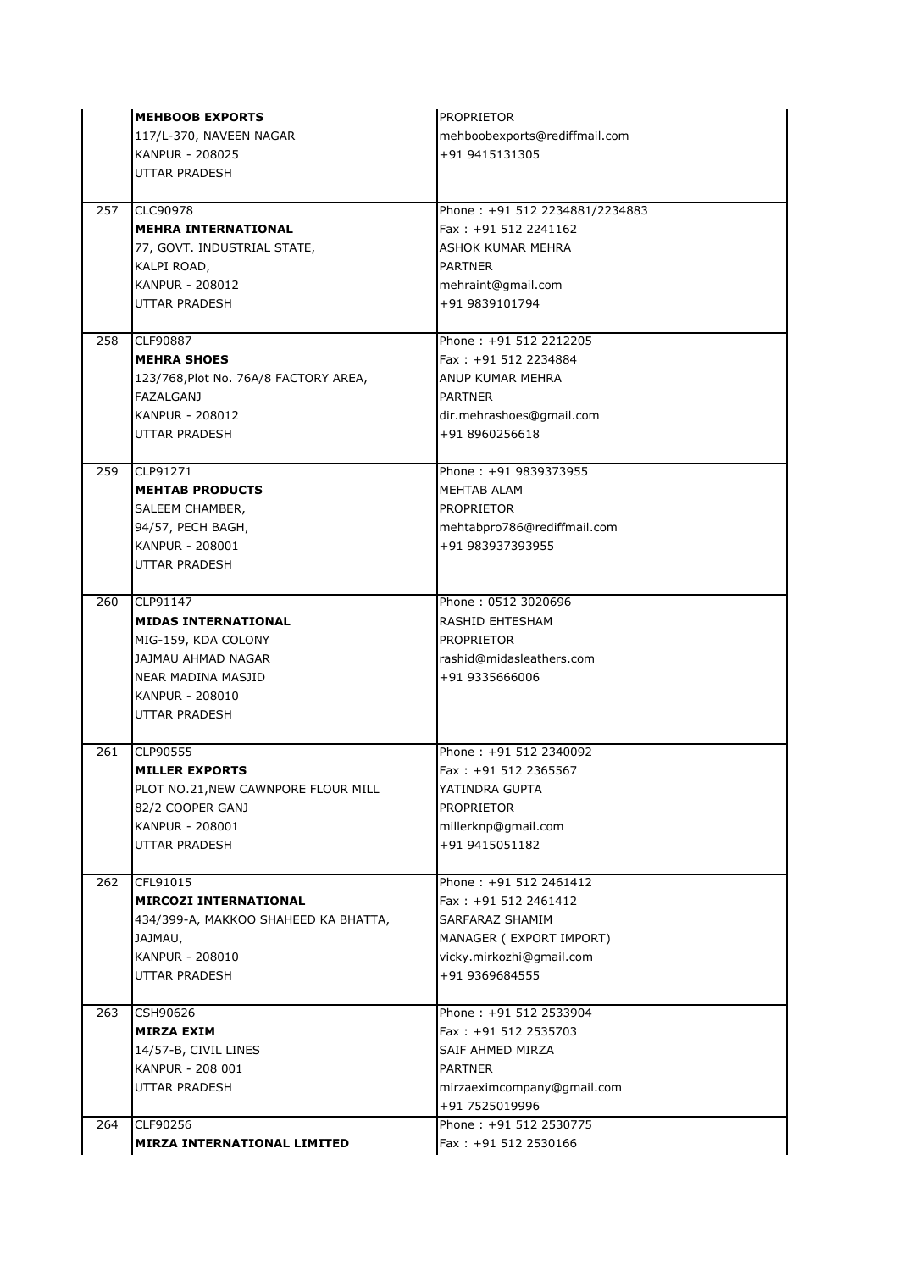|     | <b>MEHBOOB EXPORTS</b>                | <b>PROPRIETOR</b>              |
|-----|---------------------------------------|--------------------------------|
|     | 117/L-370, NAVEEN NAGAR               | mehboobexports@rediffmail.com  |
|     | KANPUR - 208025                       | +91 9415131305                 |
|     | <b>UTTAR PRADESH</b>                  |                                |
|     |                                       |                                |
| 257 | CLC90978                              | Phone: +91 512 2234881/2234883 |
|     | <b>MEHRA INTERNATIONAL</b>            | Fax: +91 512 2241162           |
|     | 77, GOVT. INDUSTRIAL STATE,           | ASHOK KUMAR MEHRA              |
|     | KALPI ROAD,                           | <b>PARTNER</b>                 |
|     | KANPUR - 208012                       | mehraint@gmail.com             |
|     | UTTAR PRADESH                         | +91 9839101794                 |
|     |                                       |                                |
| 258 | CLF90887                              | Phone: +91 512 2212205         |
|     | <b>MEHRA SHOES</b>                    | Fax: +91 512 2234884           |
|     | 123/768, Plot No. 76A/8 FACTORY AREA, | ANUP KUMAR MEHRA               |
|     | FAZALGANJ                             | PARTNER                        |
|     | KANPUR - 208012                       | dir.mehrashoes@gmail.com       |
|     | <b>UTTAR PRADESH</b>                  | +91 8960256618                 |
|     |                                       |                                |
| 259 | CLP91271                              | Phone: +91 9839373955          |
|     | <b>MEHTAB PRODUCTS</b>                | <b>MEHTAB ALAM</b>             |
|     | SALEEM CHAMBER,                       | <b>PROPRIETOR</b>              |
|     | 94/57, PECH BAGH,                     | mehtabpro786@rediffmail.com    |
|     | KANPUR - 208001                       | +91 983937393955               |
|     | <b>UTTAR PRADESH</b>                  |                                |
|     |                                       |                                |
| 260 | CLP91147                              | Phone: 0512 3020696            |
|     | <b>MIDAS INTERNATIONAL</b>            | RASHID EHTESHAM                |
|     | MIG-159, KDA COLONY                   | PROPRIETOR                     |
|     | JAJMAU AHMAD NAGAR                    | rashid@midasleathers.com       |
|     | NEAR MADINA MASJID                    | +91 9335666006                 |
|     | KANPUR - 208010                       |                                |
|     | <b>UTTAR PRADESH</b>                  |                                |
|     |                                       |                                |
| 261 | CLP90555                              | Phone: +91 512 2340092         |
|     | <b>MILLER EXPORTS</b>                 | Fax: +91 512 2365567           |
|     | PLOT NO.21, NEW CAWNPORE FLOUR MILL   | YATINDRA GUPTA                 |
|     | 82/2 COOPER GANJ                      | <b>PROPRIETOR</b>              |
|     | KANPUR - 208001                       | millerknp@gmail.com            |
|     | UTTAR PRADESH                         | +91 9415051182                 |
|     |                                       |                                |
| 262 | CFL91015                              | Phone: +91 512 2461412         |
|     | <b>MIRCOZI INTERNATIONAL</b>          | Fax: +91 512 2461412           |
|     | 434/399-A, MAKKOO SHAHEED KA BHATTA,  | SARFARAZ SHAMIM                |
|     | JAJMAU,                               | MANAGER (EXPORT IMPORT)        |
|     | KANPUR - 208010                       | vicky.mirkozhi@gmail.com       |
|     | UTTAR PRADESH                         | +91 9369684555                 |
|     |                                       |                                |
| 263 | CSH90626                              | Phone: +91 512 2533904         |
|     | <b>MIRZA EXIM</b>                     | Fax: +91 512 2535703           |
|     | 14/57-B, CIVIL LINES                  | SAIF AHMED MIRZA               |
|     | KANPUR - 208 001                      | PARTNER                        |
|     | UTTAR PRADESH                         | mirzaeximcompany@gmail.com     |
|     |                                       | +91 7525019996                 |
| 264 | CLF90256                              | Phone: +91 512 2530775         |
|     | <b>MIRZA INTERNATIONAL LIMITED</b>    | Fax: +91 512 2530166           |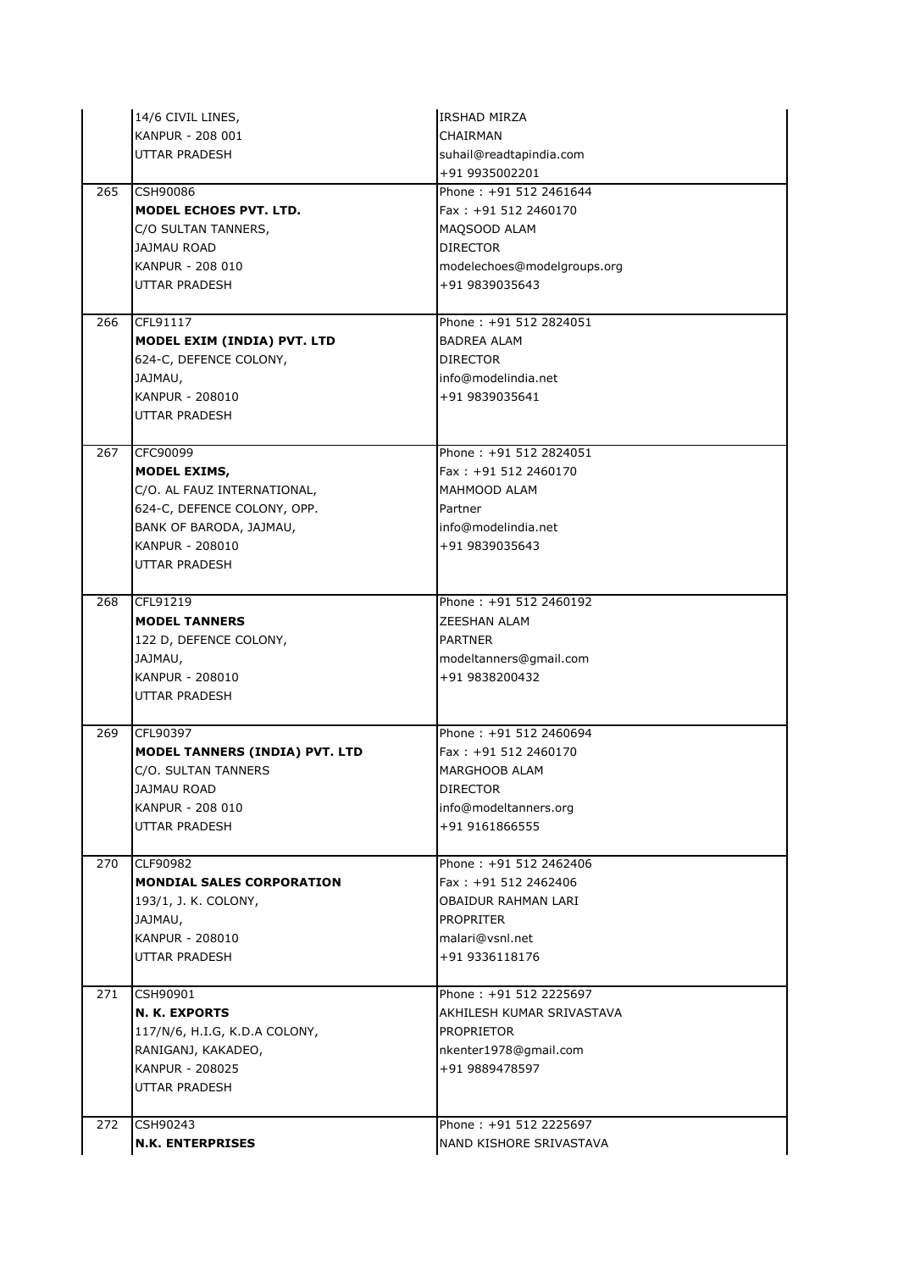|     | 14/6 CIVIL LINES,                        | <b>IRSHAD MIRZA</b>                           |
|-----|------------------------------------------|-----------------------------------------------|
|     | KANPUR - 208 001                         | CHAIRMAN                                      |
|     | <b>UTTAR PRADESH</b>                     | suhail@readtapindia.com                       |
|     |                                          | +91 9935002201                                |
| 265 | <b>CSH90086</b>                          | Phone: +91 512 2461644                        |
|     | MODEL ECHOES PVT. LTD.                   | Fax: +91 512 2460170                          |
|     | C/O SULTAN TANNERS,                      | MAQSOOD ALAM                                  |
|     | <b>JAJMAU ROAD</b>                       | <b>DIRECTOR</b>                               |
|     |                                          |                                               |
|     | KANPUR - 208 010<br><b>UTTAR PRADESH</b> | modelechoes@modelgroups.org<br>+91 9839035643 |
|     |                                          |                                               |
| 266 | CFL91117                                 | Phone: +91 512 2824051                        |
|     |                                          |                                               |
|     | MODEL EXIM (INDIA) PVT. LTD              | <b>BADREA ALAM</b>                            |
|     | 624-C, DEFENCE COLONY,                   | <b>DIRECTOR</b>                               |
|     | JAJMAU,                                  | info@modelindia.net                           |
|     | KANPUR - 208010                          | +91 9839035641                                |
|     | UTTAR PRADESH                            |                                               |
|     |                                          |                                               |
| 267 | CFC90099                                 | Phone: +91 512 2824051                        |
|     | <b>MODEL EXIMS,</b>                      | Fax: +91 512 2460170                          |
|     | C/O. AL FAUZ INTERNATIONAL,              | MAHMOOD ALAM                                  |
|     | 624-C, DEFENCE COLONY, OPP.              | Partner                                       |
|     | BANK OF BARODA, JAJMAU,                  | info@modelindia.net                           |
|     | KANPUR - 208010                          | +91 9839035643                                |
|     | <b>UTTAR PRADESH</b>                     |                                               |
|     |                                          |                                               |
| 268 | CFL91219                                 | Phone: +91 512 2460192                        |
|     | <b>MODEL TANNERS</b>                     | <b>ZEESHAN ALAM</b>                           |
|     | 122 D, DEFENCE COLONY,                   | <b>PARTNER</b>                                |
|     | JAJMAU,                                  | modeltanners@gmail.com                        |
|     | KANPUR - 208010                          | +91 9838200432                                |
|     | <b>UTTAR PRADESH</b>                     |                                               |
| 269 | CFL90397                                 | Phone: +91 512 2460694                        |
|     | MODEL TANNERS (INDIA) PVT. LTD           | Fax: +91 512 2460170                          |
|     | C/O. SULTAN TANNERS                      | MARGHOOB ALAM                                 |
|     | JAJMAU ROAD                              | <b>DIRECTOR</b>                               |
|     | KANPUR - 208 010                         | info@modeltanners.org                         |
|     | <b>UTTAR PRADESH</b>                     | +91 9161866555                                |
|     |                                          |                                               |
| 270 | CLF90982                                 | Phone: +91 512 2462406                        |
|     | <b>MONDIAL SALES CORPORATION</b>         | Fax: $+91$ 512 2462406                        |
|     | 193/1, J. K. COLONY,                     | OBAIDUR RAHMAN LARI                           |
|     | JAJMAU,                                  | <b>PROPRITER</b>                              |
|     | KANPUR - 208010                          | malari@vsnl.net                               |
|     | UTTAR PRADESH                            | +91 9336118176                                |
|     |                                          |                                               |
| 271 | CSH90901                                 | Phone: +91 512 2225697                        |
|     | <b>N. K. EXPORTS</b>                     | AKHILESH KUMAR SRIVASTAVA                     |
|     | 117/N/6, H.I.G, K.D.A COLONY,            | <b>PROPRIETOR</b>                             |
|     | RANIGANJ, KAKADEO,                       | nkenter1978@gmail.com                         |
|     | KANPUR - 208025                          | +91 9889478597                                |
|     | UTTAR PRADESH                            |                                               |
|     |                                          |                                               |
| 272 | CSH90243                                 | Phone: +91 512 2225697                        |
|     | <b>N.K. ENTERPRISES</b>                  | NAND KISHORE SRIVASTAVA                       |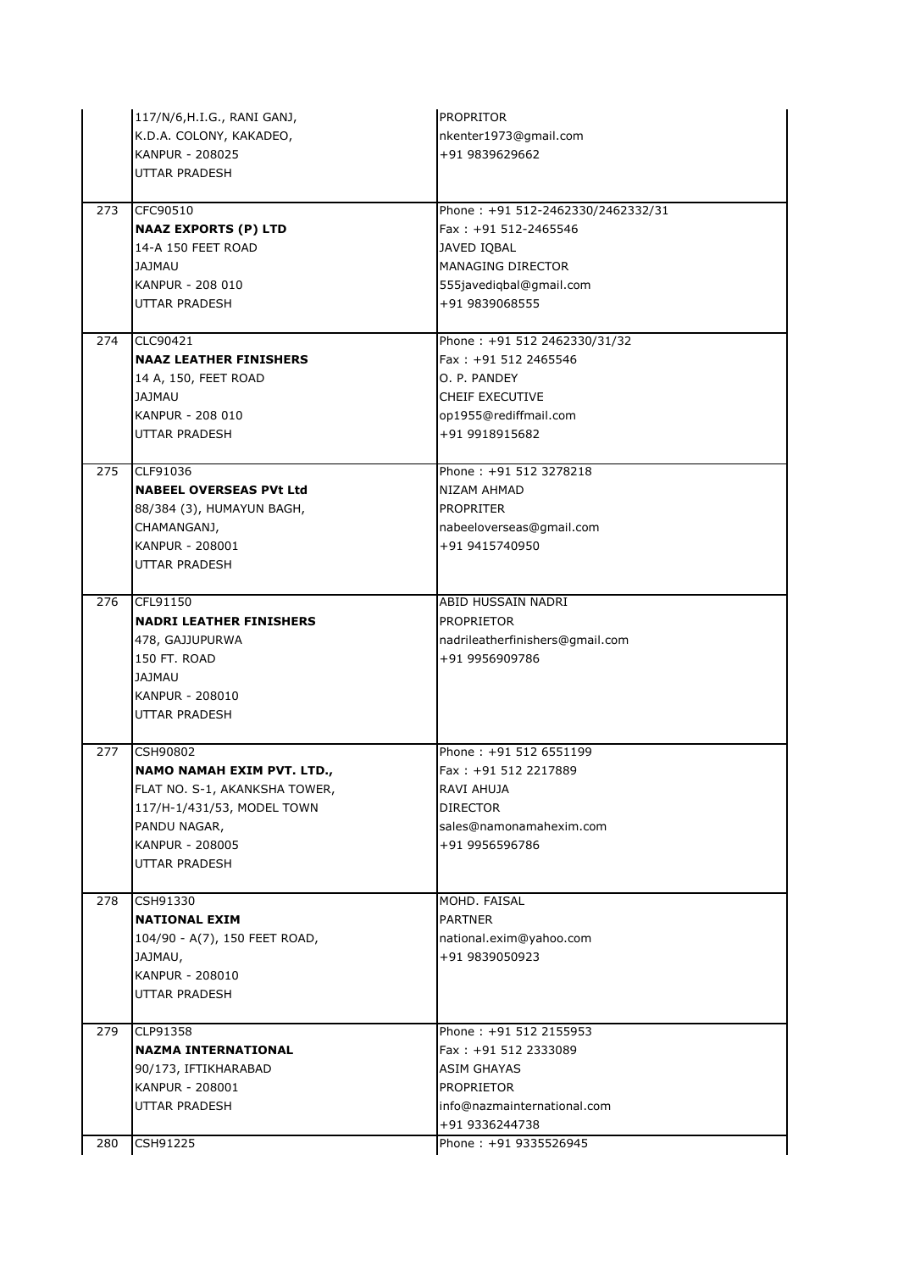|     | 117/N/6, H.I.G., RANI GANJ,    | <b>PROPRITOR</b>                  |
|-----|--------------------------------|-----------------------------------|
|     | K.D.A. COLONY, KAKADEO,        | nkenter1973@gmail.com             |
|     | KANPUR - 208025                | +91 9839629662                    |
|     | <b>UTTAR PRADESH</b>           |                                   |
|     |                                |                                   |
| 273 | CFC90510                       | Phone: +91 512-2462330/2462332/31 |
|     | <b>NAAZ EXPORTS (P) LTD</b>    | Fax: $+91$ 512-2465546            |
|     | 14-A 150 FEET ROAD             | JAVED IQBAL                       |
|     | <b>JAJMAU</b>                  | <b>MANAGING DIRECTOR</b>          |
|     | KANPUR - 208 010               | 555javediqbal@gmail.com           |
|     | <b>UTTAR PRADESH</b>           | +91 9839068555                    |
|     |                                |                                   |
| 274 | CLC90421                       | Phone: +91 512 2462330/31/32      |
|     | <b>NAAZ LEATHER FINISHERS</b>  | Fax: +91 512 2465546              |
|     | 14 A, 150, FEET ROAD           | O. P. PANDEY                      |
|     | UAMLAL                         | <b>CHEIF EXECUTIVE</b>            |
|     | KANPUR - 208 010               | op1955@rediffmail.com             |
|     | UTTAR PRADESH                  | +91 9918915682                    |
|     |                                |                                   |
| 275 | CLF91036                       | Phone: +91 512 3278218            |
|     | <b>NABEEL OVERSEAS PVt Ltd</b> | NIZAM AHMAD                       |
|     | 88/384 (3), HUMAYUN BAGH,      | <b>PROPRITER</b>                  |
|     | CHAMANGANJ,                    | nabeeloverseas@gmail.com          |
|     | KANPUR - 208001                | +91 9415740950                    |
|     | <b>UTTAR PRADESH</b>           |                                   |
|     |                                |                                   |
| 276 | CFL91150                       | ABID HUSSAIN NADRI                |
|     | <b>NADRI LEATHER FINISHERS</b> | <b>PROPRIETOR</b>                 |
|     | 478, GAJJUPURWA                | nadrileatherfinishers@gmail.com   |
|     | 150 FT. ROAD                   | +91 9956909786                    |
|     | JAJMAU                         |                                   |
|     | KANPUR - 208010                |                                   |
|     | <b>UTTAR PRADESH</b>           |                                   |
|     |                                |                                   |
| 277 | CSH90802                       | Phone: +91 512 6551199            |
|     | NAMO NAMAH EXIM PVT. LTD.,     | Fax: +91 512 2217889              |
|     | FLAT NO. S-1, AKANKSHA TOWER,  | RAVI AHUJA                        |
|     | 117/H-1/431/53, MODEL TOWN     | <b>DIRECTOR</b>                   |
|     | PANDU NAGAR,                   | sales@namonamahexim.com           |
|     | KANPUR - 208005                | +91 9956596786                    |
|     | <b>UTTAR PRADESH</b>           |                                   |
|     |                                |                                   |
| 278 | CSH91330                       | MOHD. FAISAL                      |
|     | <b>NATIONAL EXIM</b>           | <b>PARTNER</b>                    |
|     | 104/90 - A(7), 150 FEET ROAD,  | national.exim@yahoo.com           |
|     | JAJMAU,                        | +91 9839050923                    |
|     | KANPUR - 208010                |                                   |
|     | UTTAR PRADESH                  |                                   |
| 279 | CLP91358                       | Phone: +91 512 2155953            |
|     | <b>NAZMA INTERNATIONAL</b>     | Fax: +91 512 2333089              |
|     |                                |                                   |
|     | 90/173, IFTIKHARABAD           | <b>ASIM GHAYAS</b>                |
|     | KANPUR - 208001                | <b>PROPRIETOR</b>                 |
|     | <b>UTTAR PRADESH</b>           | info@nazmainternational.com       |
|     |                                | +91 9336244738                    |
| 280 | CSH91225                       | Phone: +91 9335526945             |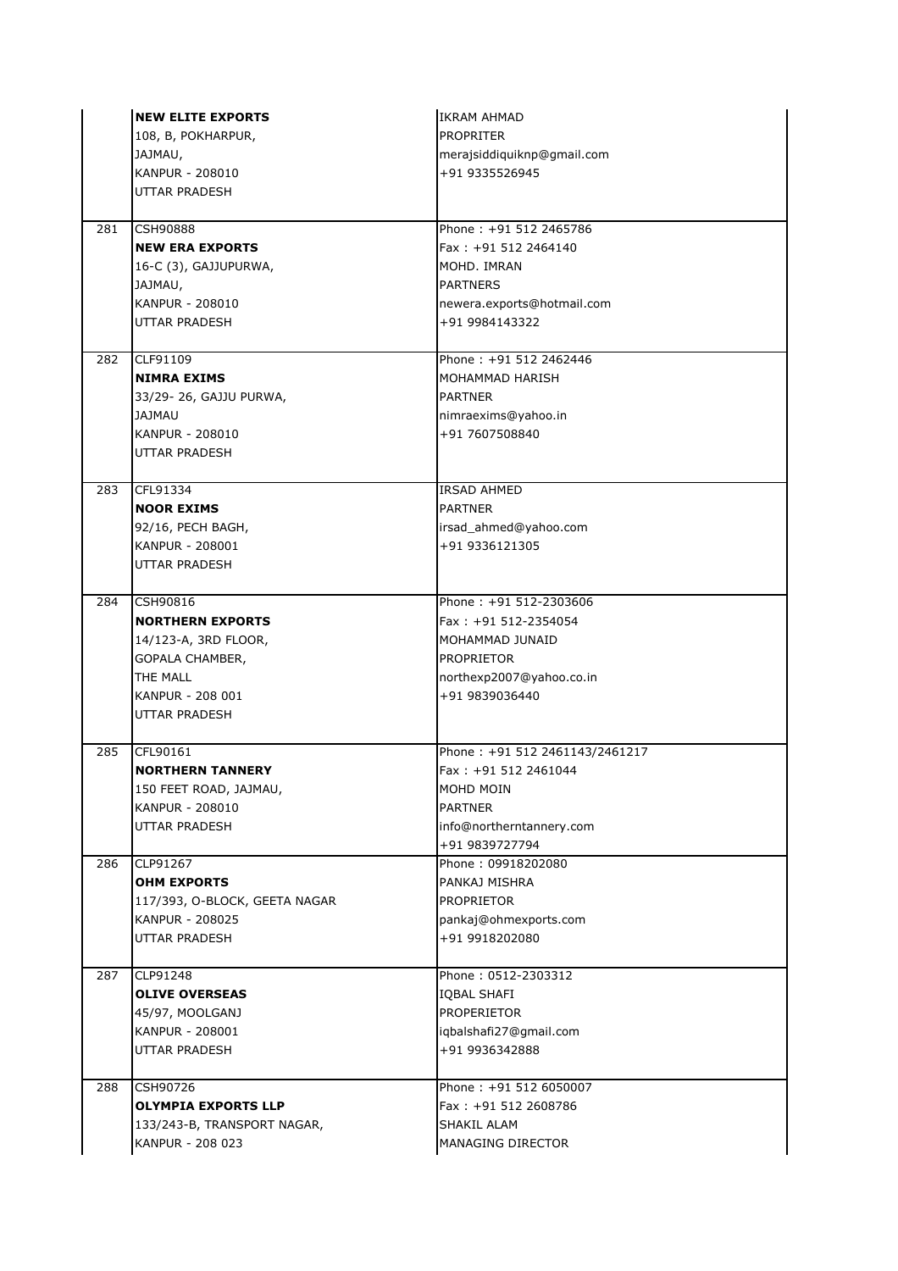|     | <b>NEW ELITE EXPORTS</b><br>108, B, POKHARPUR,<br>JAJMAU,<br>KANPUR - 208010 | <b>IKRAM AHMAD</b><br>PROPRITER<br>merajsiddiquiknp@gmail.com<br>+91 9335526945 |
|-----|------------------------------------------------------------------------------|---------------------------------------------------------------------------------|
|     | <b>UTTAR PRADESH</b>                                                         |                                                                                 |
| 281 | <b>CSH90888</b>                                                              | Phone: +91 512 2465786                                                          |
|     | <b>NEW ERA EXPORTS</b>                                                       | Fax: +91 512 2464140                                                            |
|     | 16-C (3), GAJJUPURWA,                                                        | MOHD. IMRAN                                                                     |
|     | JAJMAU,                                                                      | <b>PARTNERS</b>                                                                 |
|     | KANPUR - 208010                                                              | newera.exports@hotmail.com                                                      |
|     | <b>UTTAR PRADESH</b>                                                         | +91 9984143322                                                                  |
| 282 | CLF91109                                                                     | Phone: +91 512 2462446                                                          |
|     | <b>NIMRA EXIMS</b>                                                           | MOHAMMAD HARISH                                                                 |
|     | 33/29-26, GAJJU PURWA,                                                       | PARTNER                                                                         |
|     | UAMLAL                                                                       | nimraexims@yahoo.in                                                             |
|     | KANPUR - 208010                                                              | +91 7607508840                                                                  |
|     | <b>UTTAR PRADESH</b>                                                         |                                                                                 |
| 283 | CFL91334                                                                     | <b>IRSAD AHMED</b>                                                              |
|     | <b>NOOR EXIMS</b>                                                            | <b>PARTNER</b>                                                                  |
|     | 92/16, PECH BAGH,                                                            | irsad_ahmed@yahoo.com                                                           |
|     | KANPUR - 208001                                                              | +91 9336121305                                                                  |
|     | <b>UTTAR PRADESH</b>                                                         |                                                                                 |
| 284 | CSH90816                                                                     | Phone: +91 512-2303606                                                          |
|     | <b>NORTHERN EXPORTS</b>                                                      | Fax : +91 512-2354054                                                           |
|     | 14/123-A, 3RD FLOOR,                                                         | MOHAMMAD JUNAID                                                                 |
|     | GOPALA CHAMBER,                                                              | PROPRIETOR                                                                      |
|     | THE MALL                                                                     | northexp2007@yahoo.co.in                                                        |
|     | KANPUR - 208 001                                                             | +91 9839036440                                                                  |
|     | <b>UTTAR PRADESH</b>                                                         |                                                                                 |
| 285 | CFL90161                                                                     | Phone: +91 512 2461143/2461217                                                  |
|     | <b>NORTHERN TANNERY</b>                                                      | Fax: +91 512 2461044                                                            |
|     | 150 FEET ROAD, JAJMAU,                                                       | MOHD MOIN                                                                       |
|     | KANPUR - 208010                                                              | <b>PARTNER</b>                                                                  |
|     | UTTAR PRADESH                                                                | info@northerntannery.com                                                        |
|     |                                                                              | +91 9839727794                                                                  |
| 286 | CLP91267                                                                     | Phone: 09918202080                                                              |
|     | <b>OHM EXPORTS</b>                                                           | PANKAJ MISHRA                                                                   |
|     | 117/393, O-BLOCK, GEETA NAGAR                                                | PROPRIETOR                                                                      |
|     | KANPUR - 208025                                                              | pankaj@ohmexports.com                                                           |
|     | <b>UTTAR PRADESH</b>                                                         | +91 9918202080                                                                  |
| 287 | CLP91248                                                                     | Phone: 0512-2303312                                                             |
|     | <b>OLIVE OVERSEAS</b>                                                        | IQBAL SHAFI                                                                     |
|     | 45/97, MOOLGANJ                                                              | PROPERIETOR                                                                     |
|     | KANPUR - 208001                                                              | iqbalshafi27@gmail.com                                                          |
|     | UTTAR PRADESH                                                                | +91 9936342888                                                                  |
| 288 | CSH90726                                                                     | Phone: +91 512 6050007                                                          |
|     | <b>OLYMPIA EXPORTS LLP</b>                                                   | Fax: +91 512 2608786                                                            |
|     | 133/243-B, TRANSPORT NAGAR,                                                  | SHAKIL ALAM                                                                     |
|     | KANPUR - 208 023                                                             | MANAGING DIRECTOR                                                               |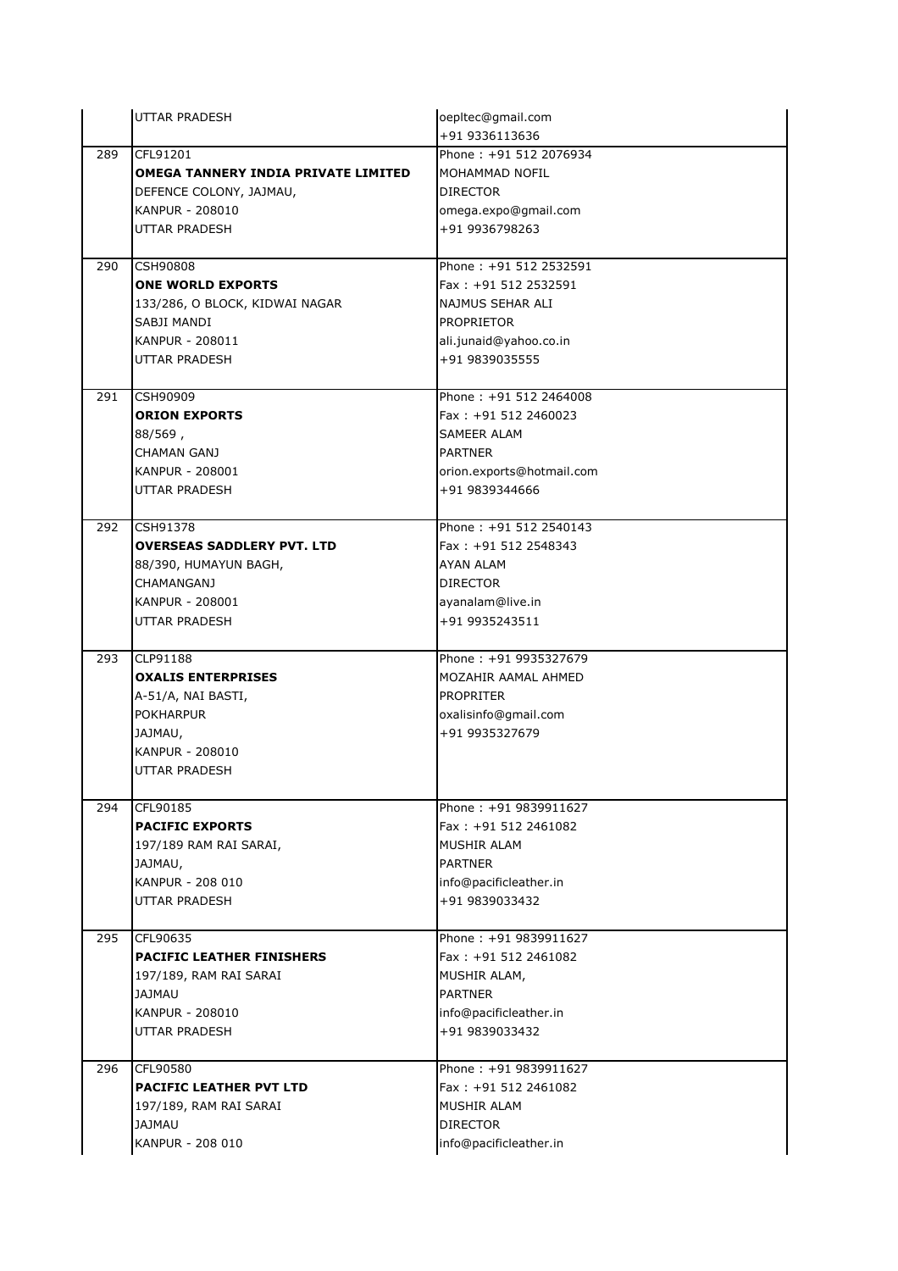|     | UTTAR PRADESH                              | oepltec@gmail.com         |
|-----|--------------------------------------------|---------------------------|
|     |                                            | +91 9336113636            |
| 289 | CFL91201                                   | Phone: +91 512 2076934    |
|     | <b>OMEGA TANNERY INDIA PRIVATE LIMITED</b> | MOHAMMAD NOFIL            |
|     | DEFENCE COLONY, JAJMAU,                    | <b>DIRECTOR</b>           |
|     | KANPUR - 208010                            | omega.expo@gmail.com      |
|     | <b>UTTAR PRADESH</b>                       | +91 9936798263            |
|     |                                            |                           |
| 290 | <b>CSH90808</b>                            | Phone: +91 512 2532591    |
|     | <b>ONE WORLD EXPORTS</b>                   | Fax: +91 512 2532591      |
|     | 133/286, O BLOCK, KIDWAI NAGAR             | NAJMUS SEHAR ALI          |
|     | SABJI MANDI                                | <b>PROPRIETOR</b>         |
|     | KANPUR - 208011                            | ali.junaid@yahoo.co.in    |
|     | UTTAR PRADESH                              | +91 9839035555            |
| 291 | CSH90909                                   | Phone: +91 512 2464008    |
|     | <b>ORION EXPORTS</b>                       | Fax: +91 512 2460023      |
|     | 88/569,                                    | SAMEER ALAM               |
|     | <b>CHAMAN GANJ</b>                         | <b>PARTNER</b>            |
|     | <b>KANPUR - 208001</b>                     | orion.exports@hotmail.com |
|     | UTTAR PRADESH                              | +91 9839344666            |
|     |                                            |                           |
| 292 | CSH91378                                   | Phone: +91 512 2540143    |
|     | <b>OVERSEAS SADDLERY PVT. LTD</b>          | Fax: +91 512 2548343      |
|     | 88/390, HUMAYUN BAGH,                      | AYAN ALAM                 |
|     | <b>CHAMANGANJ</b>                          | <b>DIRECTOR</b>           |
|     | KANPUR - 208001                            | ayanalam@live.in          |
|     | UTTAR PRADESH                              | +91 9935243511            |
|     |                                            |                           |
| 293 | CLP91188                                   | Phone: +91 9935327679     |
|     | <b>OXALIS ENTERPRISES</b>                  | MOZAHIR AAMAL AHMED       |
|     | A-51/A, NAI BASTI,                         | <b>PROPRITER</b>          |
|     | <b>POKHARPUR</b>                           | oxalisinfo@gmail.com      |
|     | JAJMAU,                                    | +91 9935327679            |
|     | KANPUR - 208010                            |                           |
|     | UTTAR PRADESH                              |                           |
| 294 | CFL90185                                   | Phone: +91 9839911627     |
|     | <b>PACIFIC EXPORTS</b>                     | Fax: +91 512 2461082      |
|     | 197/189 RAM RAI SARAI,                     | <b>MUSHIR ALAM</b>        |
|     | JAJMAU,                                    | <b>PARTNER</b>            |
|     | KANPUR - 208 010                           | info@pacificleather.in    |
|     | <b>UTTAR PRADESH</b>                       | +91 9839033432            |
|     |                                            |                           |
| 295 | CFL90635                                   | Phone: +91 9839911627     |
|     | <b>PACIFIC LEATHER FINISHERS</b>           | Fax: +91 512 2461082      |
|     | 197/189, RAM RAI SARAI                     | MUSHIR ALAM,              |
|     | <b>UANLAL</b>                              | <b>PARTNER</b>            |
|     | KANPUR - 208010                            | info@pacificleather.in    |
|     | UTTAR PRADESH                              | +91 9839033432            |
| 296 | CFL90580                                   | Phone: +91 9839911627     |
|     | PACIFIC LEATHER PVT LTD                    | Fax: +91 512 2461082      |
|     |                                            | <b>MUSHIR ALAM</b>        |
|     | 197/189, RAM RAI SARAI                     |                           |
|     | UAMLAL                                     | DIRECTOR                  |
|     | KANPUR - 208 010                           | info@pacificleather.in    |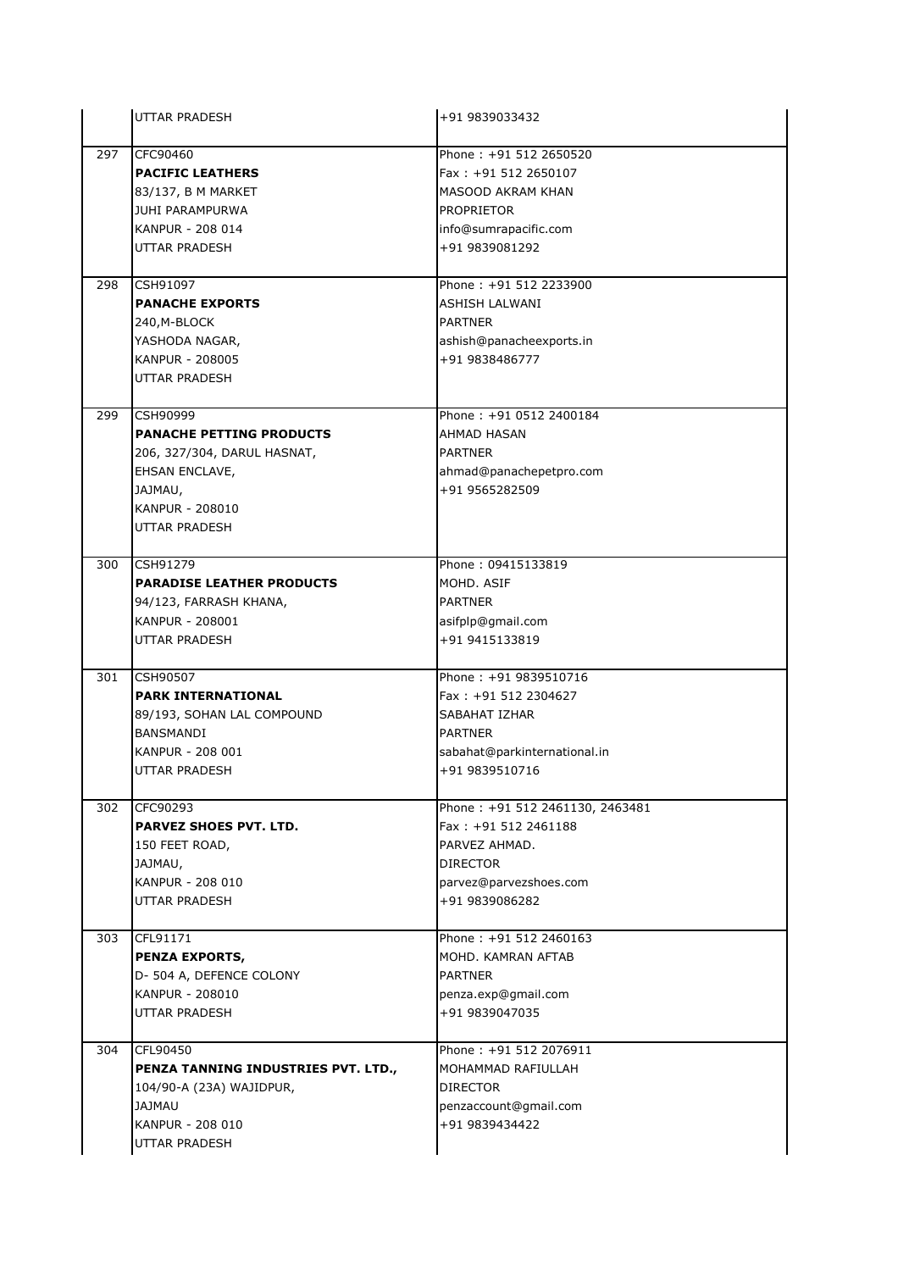|     | <b>UTTAR PRADESH</b>                | +91 9839033432                  |
|-----|-------------------------------------|---------------------------------|
| 297 | CFC90460                            | Phone: +91 512 2650520          |
|     | <b>PACIFIC LEATHERS</b>             | Fax: +91 512 2650107            |
|     | 83/137, B M MARKET                  | MASOOD AKRAM KHAN               |
|     | JUHI PARAMPURWA                     | <b>PROPRIETOR</b>               |
|     | KANPUR - 208 014                    | info@sumrapacific.com           |
|     | <b>UTTAR PRADESH</b>                | +91 9839081292                  |
|     |                                     |                                 |
| 298 | CSH91097                            | Phone: +91 512 2233900          |
|     | <b>PANACHE EXPORTS</b>              | ASHISH LALWANI                  |
|     | 240, M-BLOCK                        | <b>PARTNER</b>                  |
|     | YASHODA NAGAR,                      | ashish@panacheexports.in        |
|     | KANPUR - 208005                     | +91 9838486777                  |
|     | UTTAR PRADESH                       |                                 |
| 299 | <b>CSH90999</b>                     | Phone: +91 0512 2400184         |
|     | <b>PANACHE PETTING PRODUCTS</b>     | AHMAD HASAN                     |
|     | 206, 327/304, DARUL HASNAT,         | <b>PARTNER</b>                  |
|     | <b>EHSAN ENCLAVE,</b>               | ahmad@panachepetpro.com         |
|     | JAJMAU,                             | +91 9565282509                  |
|     | KANPUR - 208010                     |                                 |
|     | <b>UTTAR PRADESH</b>                |                                 |
| 300 | CSH91279                            | Phone: 09415133819              |
|     |                                     | MOHD, ASIF                      |
|     | <b>PARADISE LEATHER PRODUCTS</b>    |                                 |
|     | 94/123, FARRASH KHANA,              | <b>PARTNER</b>                  |
|     | KANPUR - 208001                     | asifplp@gmail.com               |
|     | <b>UTTAR PRADESH</b>                | +91 9415133819                  |
| 301 | CSH90507                            | Phone: +91 9839510716           |
|     | <b>PARK INTERNATIONAL</b>           | Fax: +91 512 2304627            |
|     | 89/193, SOHAN LAL COMPOUND          | SABAHAT IZHAR                   |
|     | BANSMANDI                           | <b>PARTNER</b>                  |
|     | KANPUR - 208 001                    | sabahat@parkinternational.in    |
|     | <b>UTTAR PRADESH</b>                | +91 9839510716                  |
| 302 | CFC90293                            | Phone: +91 512 2461130, 2463481 |
|     | PARVEZ SHOES PVT. LTD.              | Fax: +91 512 2461188            |
|     | 150 FEET ROAD,                      | PARVEZ AHMAD.                   |
|     | JAJMAU,                             | <b>DIRECTOR</b>                 |
|     | KANPUR - 208 010                    | parvez@parvezshoes.com          |
|     | <b>UTTAR PRADESH</b>                | +91 9839086282                  |
| 303 | CFL91171                            | Phone: +91 512 2460163          |
|     | <b>PENZA EXPORTS,</b>               | MOHD. KAMRAN AFTAB              |
|     | D-504 A, DEFENCE COLONY             | <b>PARTNER</b>                  |
|     | KANPUR - 208010                     | penza.exp@gmail.com             |
|     | <b>UTTAR PRADESH</b>                | +91 9839047035                  |
| 304 | CFL90450                            | Phone: +91 512 2076911          |
|     | PENZA TANNING INDUSTRIES PVT. LTD., | MOHAMMAD RAFIULLAH              |
|     | 104/90-A (23A) WAJIDPUR,            | <b>DIRECTOR</b>                 |
|     | <b>UANLAL</b>                       | penzaccount@gmail.com           |
|     | KANPUR - 208 010                    | +91 9839434422                  |
|     | UTTAR PRADESH                       |                                 |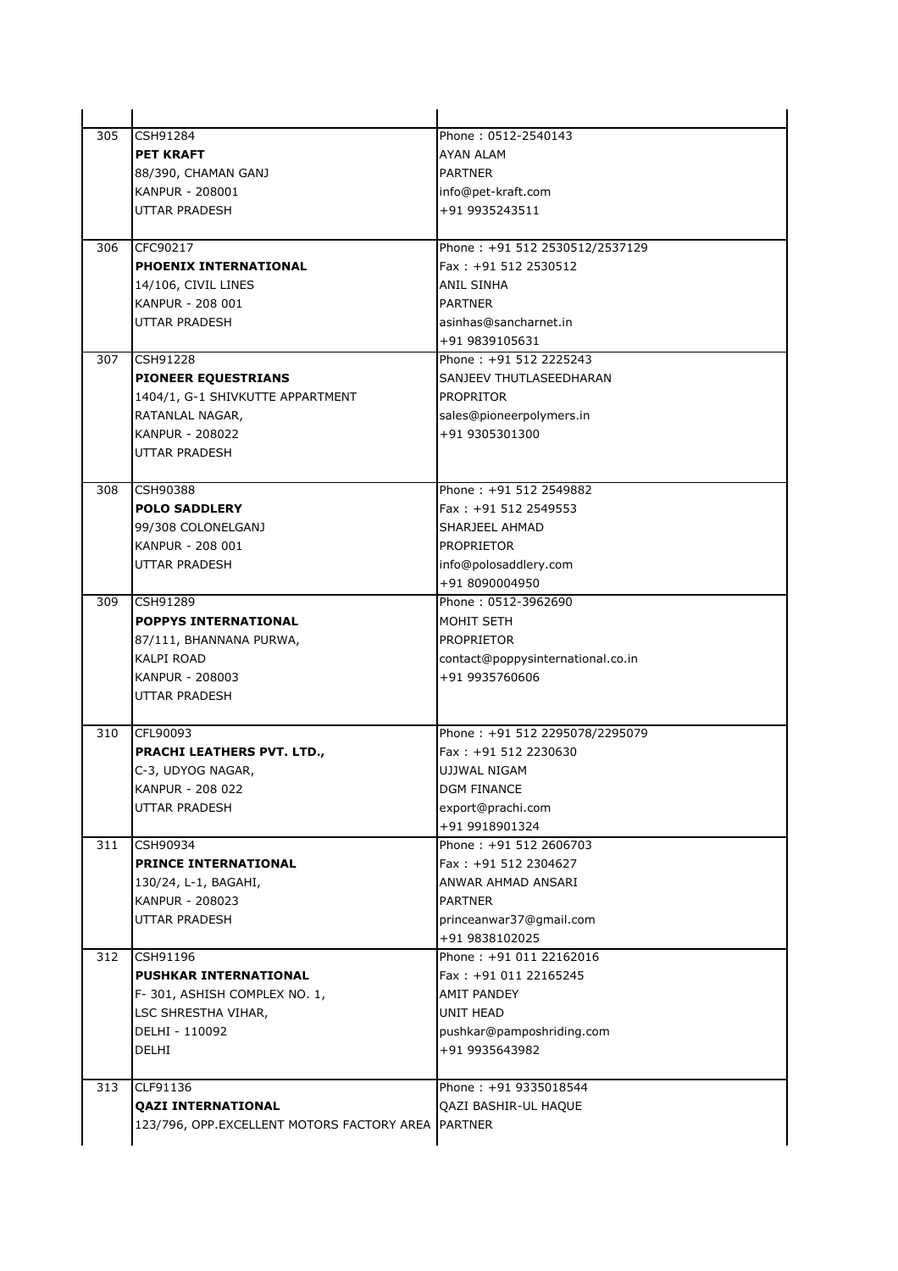| 305 | CSH91284                         | Phone: 0512-2540143               |
|-----|----------------------------------|-----------------------------------|
|     | <b>PET KRAFT</b>                 | AYAN ALAM                         |
|     | 88/390, CHAMAN GANJ              | <b>PARTNER</b>                    |
|     | KANPUR - 208001                  | info@pet-kraft.com                |
|     | <b>UTTAR PRADESH</b>             | +91 9935243511                    |
|     |                                  |                                   |
| 306 | CFC90217                         | Phone: +91 512 2530512/2537129    |
|     | <b>PHOENIX INTERNATIONAL</b>     | Fax: +91 512 2530512              |
|     | 14/106, CIVIL LINES              | ANIL SINHA                        |
|     | KANPUR - 208 001                 | <b>PARTNER</b>                    |
|     | UTTAR PRADESH                    | asinhas@sancharnet.in             |
|     |                                  | +91 9839105631                    |
| 307 | CSH91228                         | Phone: +91 512 2225243            |
|     | <b>PIONEER EQUESTRIANS</b>       | SANJEEV THUTLASEEDHARAN           |
|     | 1404/1, G-1 SHIVKUTTE APPARTMENT | <b>PROPRITOR</b>                  |
|     | RATANLAL NAGAR,                  | sales@pioneerpolymers.in          |
|     | KANPUR - 208022                  | +91 9305301300                    |
|     | <b>UTTAR PRADESH</b>             |                                   |
|     |                                  |                                   |
| 308 | CSH90388                         | Phone: +91 512 2549882            |
|     | <b>POLO SADDLERY</b>             | Fax: +91 512 2549553              |
|     | 99/308 COLONELGANJ               | SHARJEEL AHMAD                    |
|     | KANPUR - 208 001                 | <b>PROPRIETOR</b>                 |
|     | UTTAR PRADESH                    | info@polosaddlery.com             |
|     |                                  | +91 8090004950                    |
| 309 | CSH91289                         | Phone: 0512-3962690               |
|     |                                  |                                   |
|     | POPPYS INTERNATIONAL             | MOHIT SETH                        |
|     | 87/111, BHANNANA PURWA,          | <b>PROPRIETOR</b>                 |
|     | <b>KALPI ROAD</b>                | contact@poppysinternational.co.in |
|     | KANPUR - 208003                  | +91 9935760606                    |
|     | <b>UTTAR PRADESH</b>             |                                   |
| 310 | CFL90093                         | Phone: +91 512 2295078/2295079    |
|     | PRACHI LEATHERS PVT. LTD.,       | Fax: +91 512 2230630              |
|     | C-3, UDYOG NAGAR,                | UJJWAL NIGAM                      |
|     | KANPUR - 208 022                 | <b>DGM FINANCE</b>                |
|     |                                  |                                   |
|     | UTTAR PRADESH                    | export@prachi.com                 |
|     |                                  | +91 9918901324                    |
| 311 | CSH90934                         | Phone: +91 512 2606703            |
|     | PRINCE INTERNATIONAL             | Fax: +91 512 2304627              |
|     | 130/24, L-1, BAGAHI,             | ANWAR AHMAD ANSARI                |
|     | KANPUR - 208023                  | PARTNER                           |
|     | UTTAR PRADESH                    | princeanwar37@qmail.com           |
|     |                                  | +91 9838102025                    |
| 312 | CSH91196                         | Phone: +91 011 22162016           |
|     |                                  | Fax: +91 011 22165245             |
|     | <b>PUSHKAR INTERNATIONAL</b>     |                                   |
|     | F-301, ASHISH COMPLEX NO. 1,     | AMIT PANDEY                       |
|     | LSC SHRESTHA VIHAR,              | UNIT HEAD                         |
|     | DELHI - 110092                   | pushkar@pamposhriding.com         |
|     | DELHI                            | +91 9935643982                    |
|     |                                  |                                   |
| 313 | CLF91136                         | Phone: +91 9335018544             |
|     | <b>QAZI INTERNATIONAL</b>        | QAZI BASHIR-UL HAQUE              |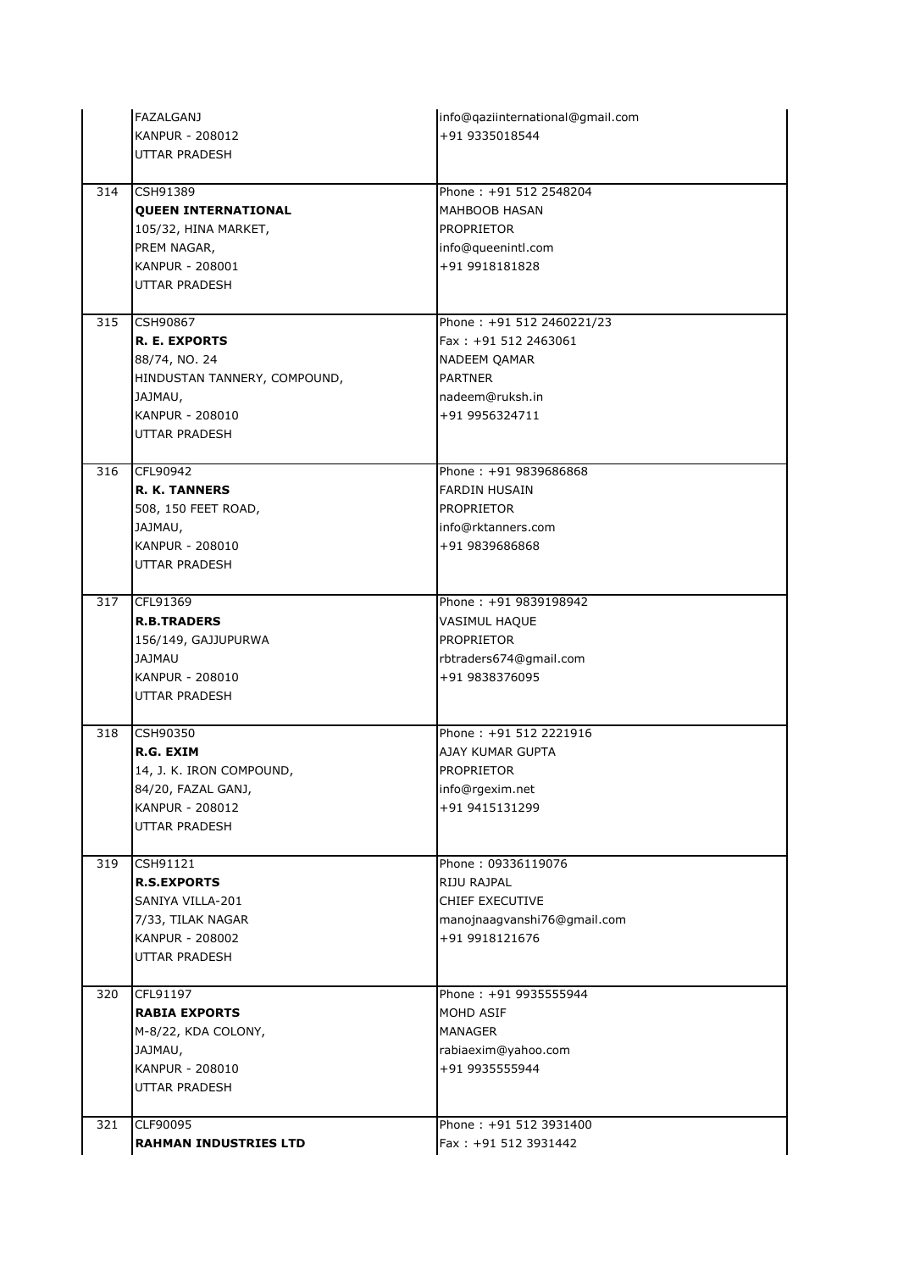|     | <b>FAZALGANJ</b>             | info@qaziinternational@gmail.com |
|-----|------------------------------|----------------------------------|
|     | KANPUR - 208012              | +91 9335018544                   |
|     | UTTAR PRADESH                |                                  |
|     |                              |                                  |
| 314 | CSH91389                     | Phone: +91 512 2548204           |
|     | <b>QUEEN INTERNATIONAL</b>   | MAHBOOB HASAN                    |
|     | 105/32, HINA MARKET,         | <b>PROPRIETOR</b>                |
|     | PREM NAGAR,                  | info@queenintl.com               |
|     | KANPUR - 208001              | +91 9918181828                   |
|     | <b>UTTAR PRADESH</b>         |                                  |
|     |                              |                                  |
| 315 | <b>CSH90867</b>              | Phone: +91 512 2460221/23        |
|     | <b>R. E. EXPORTS</b>         | Fax: +91 512 2463061             |
|     | 88/74, NO. 24                | NADEEM QAMAR                     |
|     | HINDUSTAN TANNERY, COMPOUND, | PARTNER                          |
|     |                              |                                  |
|     | JAJMAU,                      | nadeem@ruksh.in                  |
|     | KANPUR - 208010              | +91 9956324711                   |
|     | <b>UTTAR PRADESH</b>         |                                  |
| 316 | CFL90942                     | Phone: +91 9839686868            |
|     | <b>R. K. TANNERS</b>         | <b>FARDIN HUSAIN</b>             |
|     | 508, 150 FEET ROAD,          | <b>PROPRIETOR</b>                |
|     |                              |                                  |
|     | JAJMAU,                      | info@rktanners.com               |
|     | KANPUR - 208010              | +91 9839686868                   |
|     | <b>UTTAR PRADESH</b>         |                                  |
| 317 | CFL91369                     | Phone: +91 9839198942            |
|     | <b>R.B.TRADERS</b>           | VASIMUL HAQUE                    |
|     | 156/149, GAJJUPURWA          | <b>PROPRIETOR</b>                |
|     | UAMLAL                       | rbtraders674@gmail.com           |
|     | KANPUR - 208010              | +91 9838376095                   |
|     | UTTAR PRADESH                |                                  |
|     |                              |                                  |
| 318 | CSH90350                     | Phone: +91 512 2221916           |
|     | R.G. EXIM                    | AJAY KUMAR GUPTA                 |
|     | 14, J. K. IRON COMPOUND,     | <b>PROPRIETOR</b>                |
|     | 84/20, FAZAL GANJ,           | info@rgexim.net                  |
|     | KANPUR - 208012              | +91 9415131299                   |
|     | UTTAR PRADESH                |                                  |
|     |                              |                                  |
| 319 | CSH91121                     | Phone: 09336119076               |
|     | <b>R.S.EXPORTS</b>           | RIJU RAJPAL                      |
|     | SANIYA VILLA-201             | CHIEF EXECUTIVE                  |
|     | 7/33, TILAK NAGAR            | manojnaagvanshi76@gmail.com      |
|     | KANPUR - 208002              | +91 9918121676                   |
|     | UTTAR PRADESH                |                                  |
|     |                              |                                  |
| 320 | CFL91197                     | Phone: +91 9935555944            |
|     | <b>RABIA EXPORTS</b>         | MOHD ASIF                        |
|     | M-8/22, KDA COLONY,          | <b>MANAGER</b>                   |
|     | JAJMAU,                      | rabiaexim@yahoo.com              |
|     | KANPUR - 208010              | +91 9935555944                   |
|     | UTTAR PRADESH                |                                  |
|     |                              |                                  |
| 321 | CLF90095                     | Phone: +91 512 3931400           |
|     | <b>RAHMAN INDUSTRIES LTD</b> | Fax: +91 512 3931442             |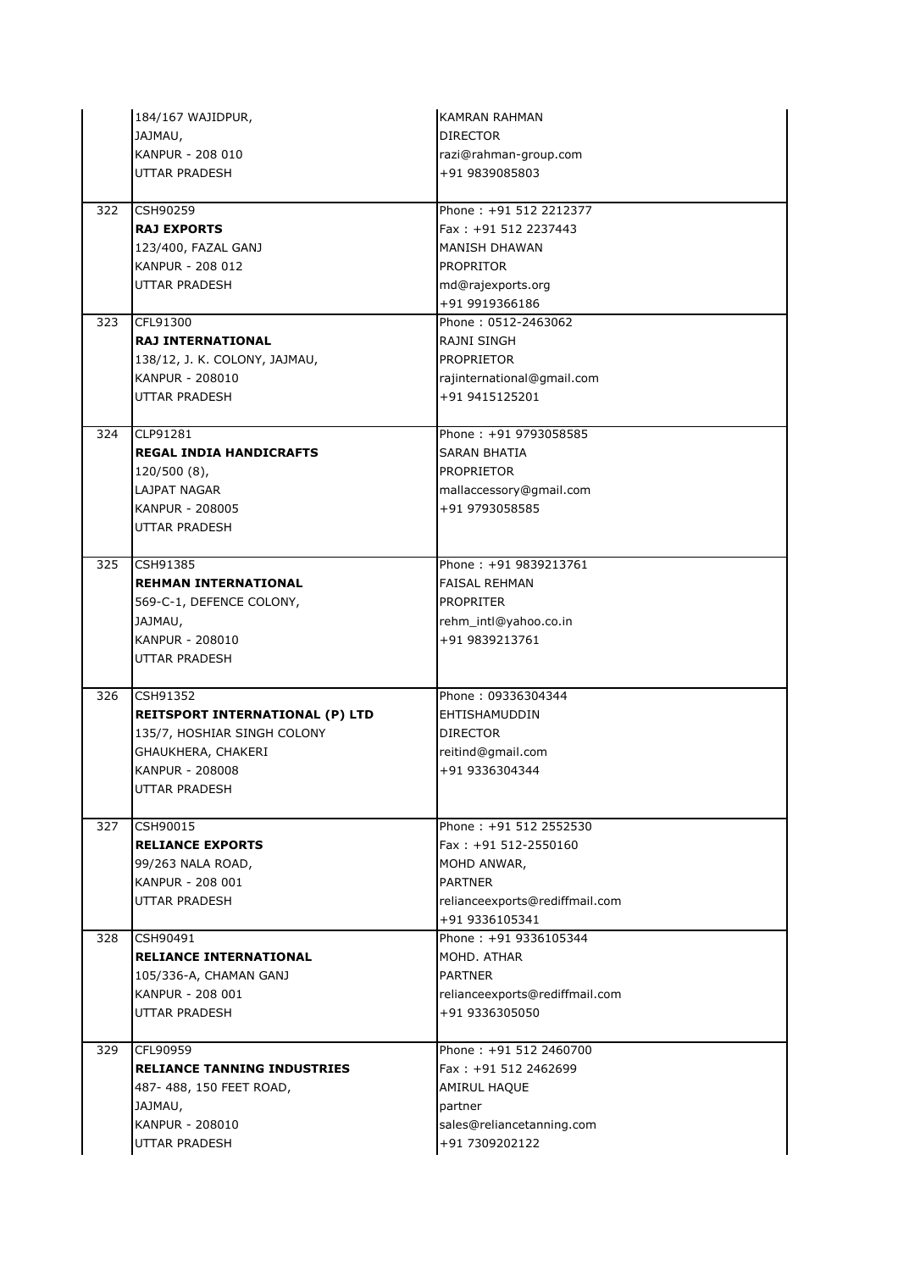|     | 184/167 WAJIDPUR,                  | <b>KAMRAN RAHMAN</b>           |
|-----|------------------------------------|--------------------------------|
|     | JAJMAU,                            | <b>DIRECTOR</b>                |
|     | KANPUR - 208 010                   | razi@rahman-group.com          |
|     | <b>UTTAR PRADESH</b>               | +91 9839085803                 |
|     |                                    |                                |
| 322 | CSH90259                           | Phone: +91 512 2212377         |
|     | <b>RAJ EXPORTS</b>                 | Fax: +91 512 2237443           |
|     | 123/400, FAZAL GANJ                | <b>MANISH DHAWAN</b>           |
|     | KANPUR - 208 012                   | <b>PROPRITOR</b>               |
|     | UTTAR PRADESH                      | md@rajexports.org              |
|     |                                    | +91 9919366186                 |
| 323 | CFL91300                           | Phone: 0512-2463062            |
|     | <b>RAJ INTERNATIONAL</b>           | RAJNI SINGH                    |
|     | 138/12, J. K. COLONY, JAJMAU,      | <b>PROPRIETOR</b>              |
|     | KANPUR - 208010                    | rajinternational@gmail.com     |
|     | UTTAR PRADESH                      | +91 9415125201                 |
|     |                                    |                                |
| 324 | CLP91281                           | Phone: +91 9793058585          |
|     | <b>REGAL INDIA HANDICRAFTS</b>     | SARAN BHATIA                   |
|     | $120/500(8)$ ,                     | <b>PROPRIETOR</b>              |
|     | <b>LAJPAT NAGAR</b>                | mallaccessory@gmail.com        |
|     | KANPUR - 208005                    | +91 9793058585                 |
|     | UTTAR PRADESH                      |                                |
|     |                                    |                                |
| 325 | CSH91385                           | Phone: +91 9839213761          |
|     | <b>REHMAN INTERNATIONAL</b>        | <b>FAISAL REHMAN</b>           |
|     | 569-C-1, DEFENCE COLONY,           | <b>PROPRITER</b>               |
|     | JAJMAU,                            | rehm_intl@yahoo.co.in          |
|     | KANPUR - 208010                    | +91 9839213761                 |
|     | UTTAR PRADESH                      |                                |
|     |                                    |                                |
| 326 | CSH91352                           | Phone: 09336304344             |
|     | REITSPORT INTERNATIONAL (P) LTD    | EHTISHAMUDDIN                  |
|     | 135/7, HOSHIAR SINGH COLONY        | <b>DIRECTOR</b>                |
|     | GHAUKHERA, CHAKERI                 | reitind@gmail.com              |
|     | KANPUR - 208008                    | +91 9336304344                 |
|     | UTTAR PRADESH                      |                                |
|     |                                    |                                |
| 327 | CSH90015                           | Phone: +91 512 2552530         |
|     | <b>RELIANCE EXPORTS</b>            | $Fax: +91512-2550160$          |
|     | 99/263 NALA ROAD,                  | MOHD ANWAR,                    |
|     | KANPUR - 208 001                   | <b>PARTNER</b>                 |
|     | <b>UTTAR PRADESH</b>               | relianceexports@rediffmail.com |
|     |                                    | +91 9336105341                 |
| 328 | CSH90491                           | Phone: +91 9336105344          |
|     | <b>RELIANCE INTERNATIONAL</b>      | MOHD, ATHAR                    |
|     | 105/336-A, CHAMAN GANJ             | <b>PARTNER</b>                 |
|     | KANPUR - 208 001                   | relianceexports@rediffmail.com |
|     | <b>UTTAR PRADESH</b>               | +91 9336305050                 |
|     |                                    |                                |
| 329 | CFL90959                           | Phone: +91 512 2460700         |
|     | <b>RELIANCE TANNING INDUSTRIES</b> | Fax: +91 512 2462699           |
|     | 487-488, 150 FEET ROAD,            | AMIRUL HAQUE                   |
|     | JAJMAU,                            | partner                        |
|     | KANPUR - 208010                    | sales@reliancetanning.com      |
|     | UTTAR PRADESH                      | +91 7309202122                 |
|     |                                    |                                |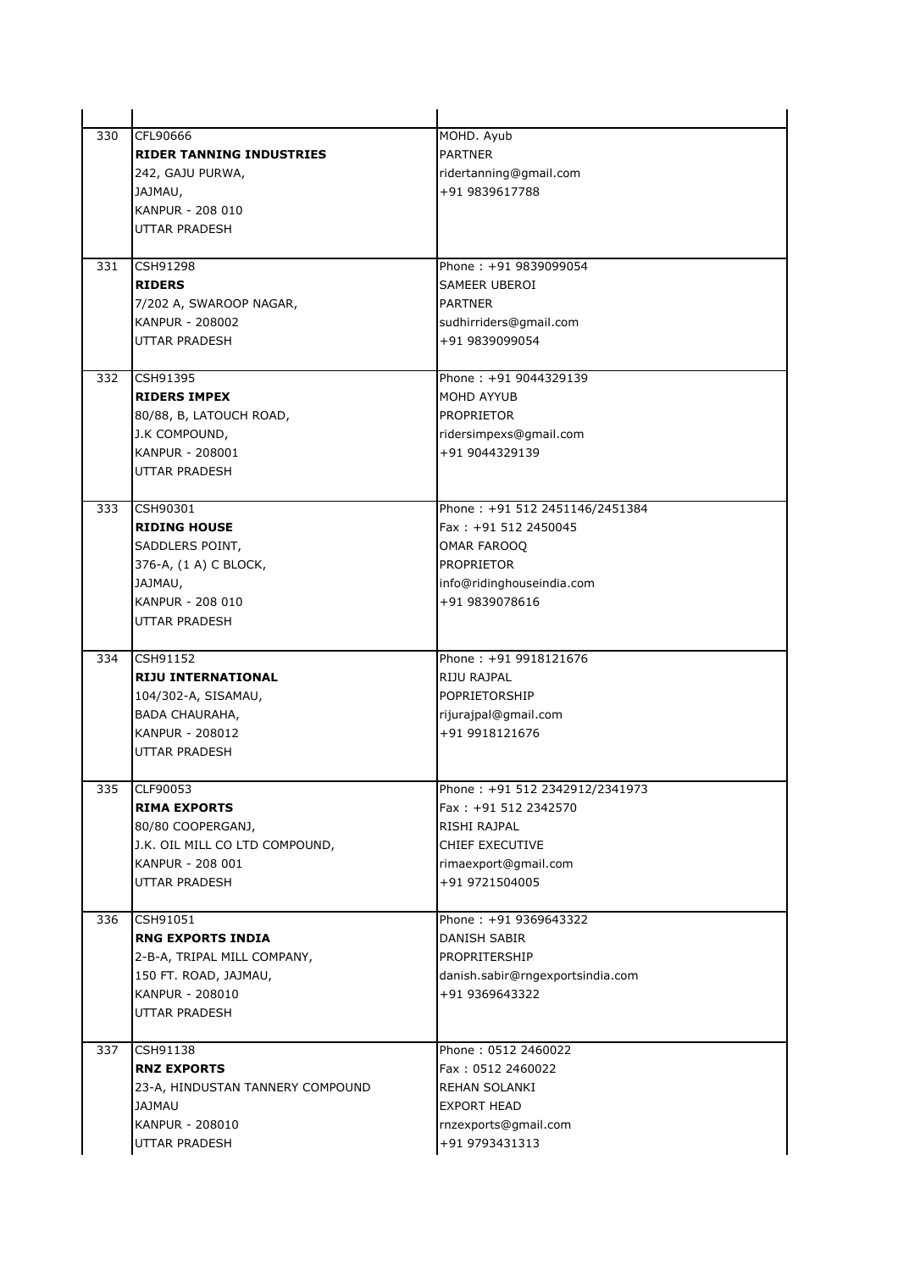| 330 | CFL90666<br><b>RIDER TANNING INDUSTRIES</b> | MOHD. Ayub<br><b>PARTNER</b>     |
|-----|---------------------------------------------|----------------------------------|
|     | 242, GAJU PURWA,                            | ridertanning@gmail.com           |
|     | JAJMAU,                                     | +91 9839617788                   |
|     | KANPUR - 208 010                            |                                  |
|     | <b>UTTAR PRADESH</b>                        |                                  |
|     |                                             |                                  |
| 331 | <b>CSH91298</b>                             | Phone: +91 9839099054            |
|     | <b>RIDERS</b>                               | SAMEER UBEROI                    |
|     | 7/202 A, SWAROOP NAGAR,                     | <b>PARTNER</b>                   |
|     | KANPUR - 208002                             | sudhirriders@gmail.com           |
|     | UTTAR PRADESH                               | +91 9839099054                   |
| 332 | CSH91395                                    | Phone: +91 9044329139            |
|     | <b>RIDERS IMPEX</b>                         | MOHD AYYUB                       |
|     | 80/88, B, LATOUCH ROAD,                     | <b>PROPRIETOR</b>                |
|     | J.K COMPOUND,                               | ridersimpexs@gmail.com           |
|     | KANPUR - 208001                             | +91 9044329139                   |
|     | UTTAR PRADESH                               |                                  |
| 333 | CSH90301                                    | Phone: +91 512 2451146/2451384   |
|     | <b>RIDING HOUSE</b>                         | Fax: +91 512 2450045             |
|     | SADDLERS POINT,                             | <b>OMAR FAROOO</b>               |
|     | 376-A, (1 A) C BLOCK,                       | <b>PROPRIETOR</b>                |
|     | JAJMAU,                                     | info@ridinghouseindia.com        |
|     | KANPUR - 208 010                            | +91 9839078616                   |
|     | UTTAR PRADESH                               |                                  |
|     |                                             |                                  |
| 334 | CSH91152                                    | Phone: +91 9918121676            |
|     | <b>RIJU INTERNATIONAL</b>                   | <b>RIJU RAJPAL</b>               |
|     | 104/302-A, SISAMAU,                         | POPRIETORSHIP                    |
|     | <b>BADA CHAURAHA,</b>                       | rijurajpal@gmail.com             |
|     | KANPUR - 208012                             | +91 9918121676                   |
|     | <b>UTTAR PRADESH</b>                        |                                  |
|     | 335 CLF90053                                | Phone: +91 512 2342912/2341973   |
|     | <b>RIMA EXPORTS</b>                         | Fax: +91 512 2342570             |
|     | 80/80 COOPERGANJ,                           | RISHI RAJPAL                     |
|     | J.K. OIL MILL CO LTD COMPOUND,              | <b>CHIEF EXECUTIVE</b>           |
|     | KANPUR - 208 001                            | rimaexport@gmail.com             |
|     | UTTAR PRADESH                               | +91 9721504005                   |
| 336 | CSH91051                                    | Phone: +91 9369643322            |
|     | <b>RNG EXPORTS INDIA</b>                    | DANISH SABIR                     |
|     | 2-B-A, TRIPAL MILL COMPANY,                 | PROPRITERSHIP                    |
|     | 150 FT. ROAD, JAJMAU,                       | danish.sabir@rngexportsindia.com |
|     | KANPUR - 208010                             | +91 9369643322                   |
|     | UTTAR PRADESH                               |                                  |
| 337 | CSH91138                                    | Phone: 0512 2460022              |
|     | <b>RNZ EXPORTS</b>                          | Fax: 0512 2460022                |
|     | 23-A, HINDUSTAN TANNERY COMPOUND            | REHAN SOLANKI                    |
|     | UAMLAL                                      | <b>EXPORT HEAD</b>               |
|     | KANPUR - 208010                             | rnzexports@gmail.com             |
|     | UTTAR PRADESH                               | +91 9793431313                   |
|     |                                             |                                  |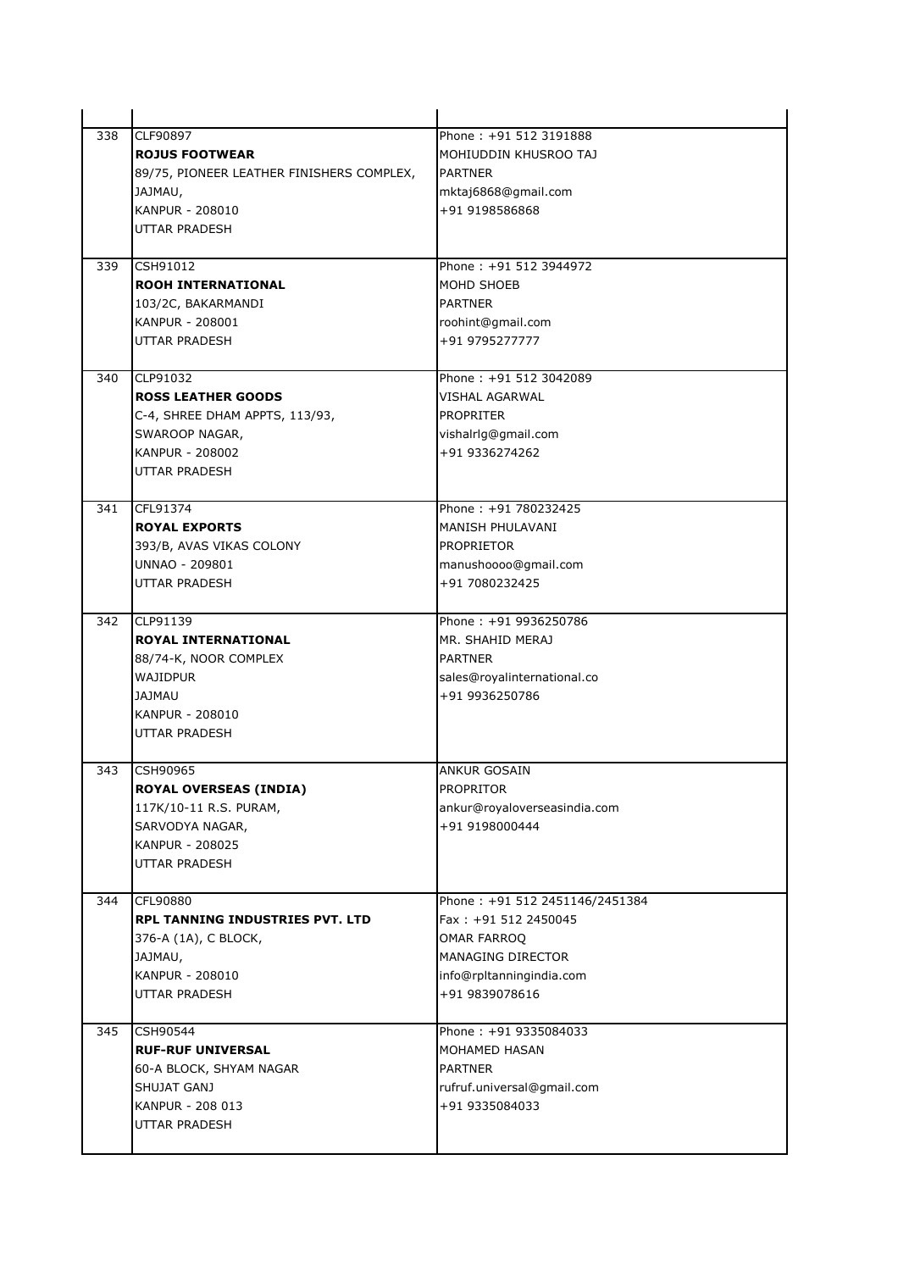| 338 | CLF90897                                  | Phone: +91 512 3191888                     |
|-----|-------------------------------------------|--------------------------------------------|
|     | <b>ROJUS FOOTWEAR</b>                     | MOHIUDDIN KHUSROO TAJ                      |
|     | 89/75, PIONEER LEATHER FINISHERS COMPLEX, | <b>PARTNER</b>                             |
|     | JAJMAU,                                   | mktaj6868@gmail.com                        |
|     | KANPUR - 208010                           | +91 9198586868                             |
|     | UTTAR PRADESH                             |                                            |
| 339 | CSH91012                                  | Phone: +91 512 3944972                     |
|     | <b>ROOH INTERNATIONAL</b>                 | MOHD SHOEB                                 |
|     | 103/2C, BAKARMANDI                        | <b>PARTNER</b>                             |
|     | KANPUR - 208001                           | roohint@gmail.com                          |
|     | UTTAR PRADESH                             | +91 9795277777                             |
|     |                                           |                                            |
| 340 | CLP91032                                  | Phone: +91 512 3042089                     |
|     | <b>ROSS LEATHER GOODS</b>                 | VISHAL AGARWAL                             |
|     | C-4, SHREE DHAM APPTS, 113/93,            | <b>PROPRITER</b>                           |
|     | SWAROOP NAGAR,                            | vishalrlg@gmail.com                        |
|     | KANPUR - 208002                           | +91 9336274262                             |
|     | <b>UTTAR PRADESH</b>                      |                                            |
| 341 | CFL91374                                  | Phone: +91 780232425                       |
|     | <b>ROYAL EXPORTS</b>                      | <b>MANISH PHULAVANI</b>                    |
|     | 393/B, AVAS VIKAS COLONY                  | <b>PROPRIETOR</b>                          |
|     | UNNAO - 209801                            | manushoooo@gmail.com                       |
|     | <b>UTTAR PRADESH</b>                      | +91 7080232425                             |
|     |                                           |                                            |
| 342 | CLP91139                                  | Phone: +91 9936250786                      |
|     | <b>ROYAL INTERNATIONAL</b>                | MR. SHAHID MERAJ                           |
|     | 88/74-K, NOOR COMPLEX                     | <b>PARTNER</b>                             |
|     | WAJIDPUR                                  | sales@royalinternational.co                |
|     | <b>JAJMAU</b>                             | +91 9936250786                             |
|     | KANPUR - 208010                           |                                            |
|     | <b>UTTAR PRADESH</b>                      |                                            |
| 343 | CSH90965                                  | <b>ANKUR GOSAIN</b>                        |
|     | <b>ROYAL OVERSEAS (INDIA)</b>             | <b>PROPRITOR</b>                           |
|     | 117K/10-11 R.S. PURAM,                    | ankur@royaloverseasindia.com               |
|     | SARVODYA NAGAR,                           | +91 9198000444                             |
|     | KANPUR - 208025                           |                                            |
|     | <b>UTTAR PRADESH</b>                      |                                            |
| 344 | CFL90880                                  | Phone: +91 512 2451146/2451384             |
|     | RPL TANNING INDUSTRIES PVT. LTD           | Fax: +91 512 2450045                       |
|     | 376-A (1A), C BLOCK,                      | <b>OMAR FARROO</b>                         |
|     | JAJMAU,                                   | <b>MANAGING DIRECTOR</b>                   |
|     | KANPUR - 208010                           |                                            |
|     | UTTAR PRADESH                             | info@rpltanningindia.com<br>+91 9839078616 |
|     |                                           |                                            |
| 345 | CSH90544                                  | Phone: +91 9335084033                      |
|     | <b>RUF-RUF UNIVERSAL</b>                  | MOHAMED HASAN                              |
|     | 60-A BLOCK, SHYAM NAGAR                   | <b>PARTNER</b>                             |
|     | SHUJAT GANJ                               | rufruf.universal@gmail.com                 |
|     | KANPUR - 208 013                          | +91 9335084033                             |
|     | UTTAR PRADESH                             |                                            |
|     |                                           |                                            |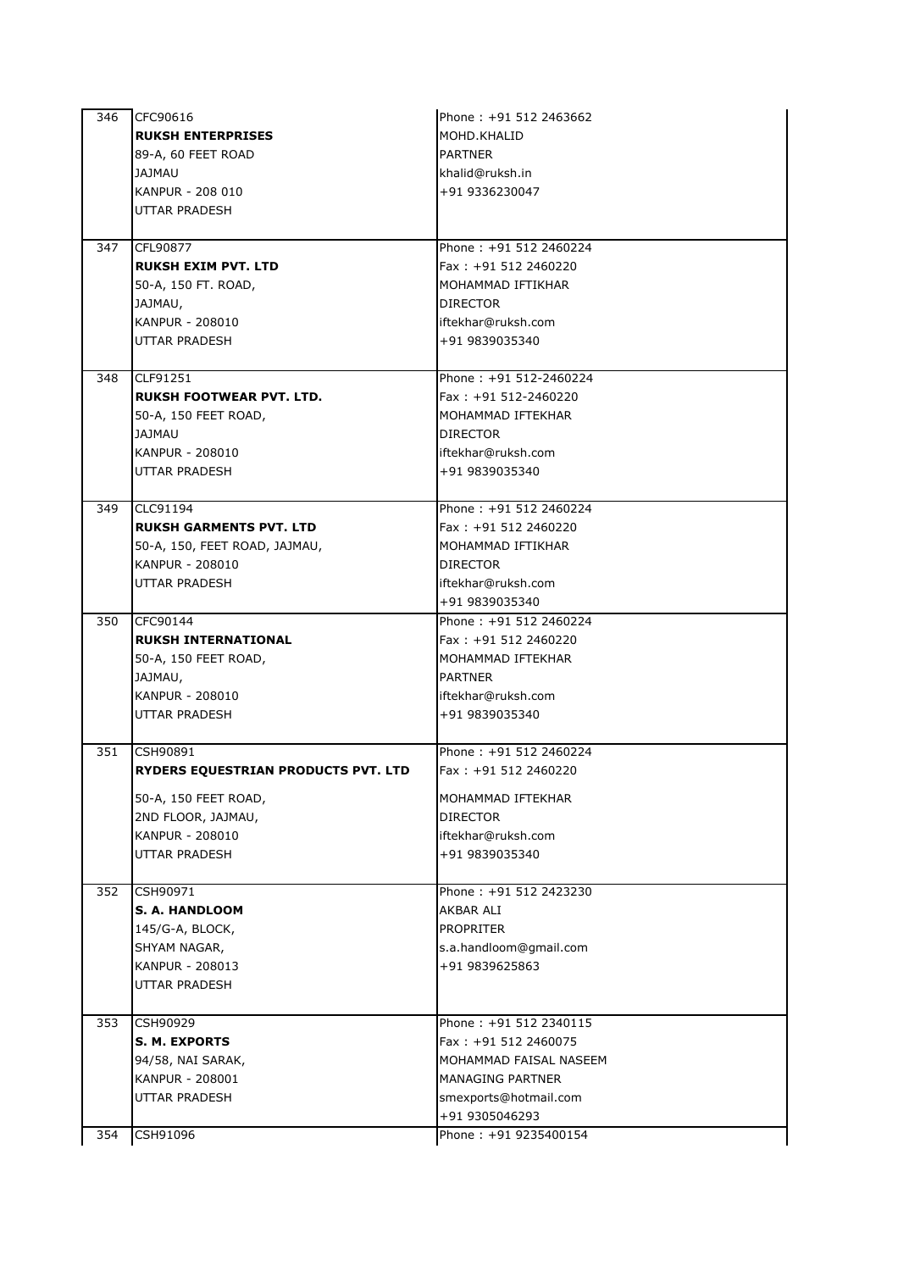| <b>RUKSH ENTERPRISES</b><br>MOHD.KHALID<br>89-A, 60 FEET ROAD<br><b>PARTNER</b><br>khalid@ruksh.in<br>JAJMAU<br>KANPUR - 208 010<br>+91 9336230047<br><b>UTTAR PRADESH</b><br>Phone: +91 512 2460224<br>347<br>CFL90877<br>Fax: +91 512 2460220<br><b>RUKSH EXIM PVT. LTD</b><br>50-A, 150 FT. ROAD,<br>MOHAMMAD IFTIKHAR<br><b>DIRECTOR</b><br>JAJMAU,<br>KANPUR - 208010<br>iftekhar@ruksh.com<br>UTTAR PRADESH<br>+91 9839035340<br>348<br>CLF91251<br>Phone: +91 512-2460224<br><b>RUKSH FOOTWEAR PVT. LTD.</b><br>Fax: $+91$ 512-2460220<br>50-A, 150 FEET ROAD,<br>MOHAMMAD IFTEKHAR<br><b>UANLAL</b><br><b>DIRECTOR</b><br>KANPUR - 208010<br>iftekhar@ruksh.com<br>UTTAR PRADESH<br>+91 9839035340<br>349<br>CLC91194<br>Phone: +91 512 2460224<br><b>RUKSH GARMENTS PVT. LTD</b><br>Fax: +91 512 2460220<br>50-A, 150, FEET ROAD, JAJMAU,<br>MOHAMMAD IFTIKHAR<br>KANPUR - 208010<br><b>DIRECTOR</b><br><b>UTTAR PRADESH</b><br>iftekhar@ruksh.com<br>+91 9839035340<br>CFC90144<br>350<br>Phone: +91 512 2460224<br><b>RUKSH INTERNATIONAL</b><br>Fax: $+91$ 512 2460220<br>MOHAMMAD IFTEKHAR<br>50-A, 150 FEET ROAD,<br><b>PARTNER</b><br>JAJMAU,<br>KANPUR - 208010<br>iftekhar@ruksh.com<br>UTTAR PRADESH<br>+91 9839035340<br>351<br>Phone: +91 512 2460224<br>CSH90891<br>RYDERS EQUESTRIAN PRODUCTS PVT. LTD<br>Fax: +91 512 2460220<br>50-A, 150 FEET ROAD,<br>MOHAMMAD IFTEKHAR<br>2ND FLOOR, JAJMAU,<br><b>DIRECTOR</b><br>KANPUR - 208010<br>iftekhar@ruksh.com<br>UTTAR PRADESH<br>+91 9839035340<br>352<br>CSH90971<br>Phone: +91 512 2423230<br>S. A. HANDLOOM<br>AKBAR ALI<br>145/G-A, BLOCK,<br><b>PROPRITER</b><br>s.a.handloom@gmail.com<br>SHYAM NAGAR,<br>KANPUR - 208013<br>+91 9839625863<br>UTTAR PRADESH<br>353<br>Phone: +91 512 2340115<br>CSH90929<br><b>S. M. EXPORTS</b><br>Fax: +91 512 2460075<br>MOHAMMAD FAISAL NASEEM<br>94/58, NAI SARAK, | 346 | CFC90616 | Phone: +91 512 2463662 |
|---------------------------------------------------------------------------------------------------------------------------------------------------------------------------------------------------------------------------------------------------------------------------------------------------------------------------------------------------------------------------------------------------------------------------------------------------------------------------------------------------------------------------------------------------------------------------------------------------------------------------------------------------------------------------------------------------------------------------------------------------------------------------------------------------------------------------------------------------------------------------------------------------------------------------------------------------------------------------------------------------------------------------------------------------------------------------------------------------------------------------------------------------------------------------------------------------------------------------------------------------------------------------------------------------------------------------------------------------------------------------------------------------------------------------------------------------------------------------------------------------------------------------------------------------------------------------------------------------------------------------------------------------------------------------------------------------------------------------------------------------------------------------------------------------------------------------------------------------------------------------------------|-----|----------|------------------------|
|                                                                                                                                                                                                                                                                                                                                                                                                                                                                                                                                                                                                                                                                                                                                                                                                                                                                                                                                                                                                                                                                                                                                                                                                                                                                                                                                                                                                                                                                                                                                                                                                                                                                                                                                                                                                                                                                                       |     |          |                        |
|                                                                                                                                                                                                                                                                                                                                                                                                                                                                                                                                                                                                                                                                                                                                                                                                                                                                                                                                                                                                                                                                                                                                                                                                                                                                                                                                                                                                                                                                                                                                                                                                                                                                                                                                                                                                                                                                                       |     |          |                        |
|                                                                                                                                                                                                                                                                                                                                                                                                                                                                                                                                                                                                                                                                                                                                                                                                                                                                                                                                                                                                                                                                                                                                                                                                                                                                                                                                                                                                                                                                                                                                                                                                                                                                                                                                                                                                                                                                                       |     |          |                        |
|                                                                                                                                                                                                                                                                                                                                                                                                                                                                                                                                                                                                                                                                                                                                                                                                                                                                                                                                                                                                                                                                                                                                                                                                                                                                                                                                                                                                                                                                                                                                                                                                                                                                                                                                                                                                                                                                                       |     |          |                        |
|                                                                                                                                                                                                                                                                                                                                                                                                                                                                                                                                                                                                                                                                                                                                                                                                                                                                                                                                                                                                                                                                                                                                                                                                                                                                                                                                                                                                                                                                                                                                                                                                                                                                                                                                                                                                                                                                                       |     |          |                        |
|                                                                                                                                                                                                                                                                                                                                                                                                                                                                                                                                                                                                                                                                                                                                                                                                                                                                                                                                                                                                                                                                                                                                                                                                                                                                                                                                                                                                                                                                                                                                                                                                                                                                                                                                                                                                                                                                                       |     |          |                        |
|                                                                                                                                                                                                                                                                                                                                                                                                                                                                                                                                                                                                                                                                                                                                                                                                                                                                                                                                                                                                                                                                                                                                                                                                                                                                                                                                                                                                                                                                                                                                                                                                                                                                                                                                                                                                                                                                                       |     |          |                        |
|                                                                                                                                                                                                                                                                                                                                                                                                                                                                                                                                                                                                                                                                                                                                                                                                                                                                                                                                                                                                                                                                                                                                                                                                                                                                                                                                                                                                                                                                                                                                                                                                                                                                                                                                                                                                                                                                                       |     |          |                        |
|                                                                                                                                                                                                                                                                                                                                                                                                                                                                                                                                                                                                                                                                                                                                                                                                                                                                                                                                                                                                                                                                                                                                                                                                                                                                                                                                                                                                                                                                                                                                                                                                                                                                                                                                                                                                                                                                                       |     |          |                        |
|                                                                                                                                                                                                                                                                                                                                                                                                                                                                                                                                                                                                                                                                                                                                                                                                                                                                                                                                                                                                                                                                                                                                                                                                                                                                                                                                                                                                                                                                                                                                                                                                                                                                                                                                                                                                                                                                                       |     |          |                        |
|                                                                                                                                                                                                                                                                                                                                                                                                                                                                                                                                                                                                                                                                                                                                                                                                                                                                                                                                                                                                                                                                                                                                                                                                                                                                                                                                                                                                                                                                                                                                                                                                                                                                                                                                                                                                                                                                                       |     |          |                        |
|                                                                                                                                                                                                                                                                                                                                                                                                                                                                                                                                                                                                                                                                                                                                                                                                                                                                                                                                                                                                                                                                                                                                                                                                                                                                                                                                                                                                                                                                                                                                                                                                                                                                                                                                                                                                                                                                                       |     |          |                        |
|                                                                                                                                                                                                                                                                                                                                                                                                                                                                                                                                                                                                                                                                                                                                                                                                                                                                                                                                                                                                                                                                                                                                                                                                                                                                                                                                                                                                                                                                                                                                                                                                                                                                                                                                                                                                                                                                                       |     |          |                        |
|                                                                                                                                                                                                                                                                                                                                                                                                                                                                                                                                                                                                                                                                                                                                                                                                                                                                                                                                                                                                                                                                                                                                                                                                                                                                                                                                                                                                                                                                                                                                                                                                                                                                                                                                                                                                                                                                                       |     |          |                        |
|                                                                                                                                                                                                                                                                                                                                                                                                                                                                                                                                                                                                                                                                                                                                                                                                                                                                                                                                                                                                                                                                                                                                                                                                                                                                                                                                                                                                                                                                                                                                                                                                                                                                                                                                                                                                                                                                                       |     |          |                        |
|                                                                                                                                                                                                                                                                                                                                                                                                                                                                                                                                                                                                                                                                                                                                                                                                                                                                                                                                                                                                                                                                                                                                                                                                                                                                                                                                                                                                                                                                                                                                                                                                                                                                                                                                                                                                                                                                                       |     |          |                        |
|                                                                                                                                                                                                                                                                                                                                                                                                                                                                                                                                                                                                                                                                                                                                                                                                                                                                                                                                                                                                                                                                                                                                                                                                                                                                                                                                                                                                                                                                                                                                                                                                                                                                                                                                                                                                                                                                                       |     |          |                        |
|                                                                                                                                                                                                                                                                                                                                                                                                                                                                                                                                                                                                                                                                                                                                                                                                                                                                                                                                                                                                                                                                                                                                                                                                                                                                                                                                                                                                                                                                                                                                                                                                                                                                                                                                                                                                                                                                                       |     |          |                        |
|                                                                                                                                                                                                                                                                                                                                                                                                                                                                                                                                                                                                                                                                                                                                                                                                                                                                                                                                                                                                                                                                                                                                                                                                                                                                                                                                                                                                                                                                                                                                                                                                                                                                                                                                                                                                                                                                                       |     |          |                        |
|                                                                                                                                                                                                                                                                                                                                                                                                                                                                                                                                                                                                                                                                                                                                                                                                                                                                                                                                                                                                                                                                                                                                                                                                                                                                                                                                                                                                                                                                                                                                                                                                                                                                                                                                                                                                                                                                                       |     |          |                        |
|                                                                                                                                                                                                                                                                                                                                                                                                                                                                                                                                                                                                                                                                                                                                                                                                                                                                                                                                                                                                                                                                                                                                                                                                                                                                                                                                                                                                                                                                                                                                                                                                                                                                                                                                                                                                                                                                                       |     |          |                        |
|                                                                                                                                                                                                                                                                                                                                                                                                                                                                                                                                                                                                                                                                                                                                                                                                                                                                                                                                                                                                                                                                                                                                                                                                                                                                                                                                                                                                                                                                                                                                                                                                                                                                                                                                                                                                                                                                                       |     |          |                        |
|                                                                                                                                                                                                                                                                                                                                                                                                                                                                                                                                                                                                                                                                                                                                                                                                                                                                                                                                                                                                                                                                                                                                                                                                                                                                                                                                                                                                                                                                                                                                                                                                                                                                                                                                                                                                                                                                                       |     |          |                        |
|                                                                                                                                                                                                                                                                                                                                                                                                                                                                                                                                                                                                                                                                                                                                                                                                                                                                                                                                                                                                                                                                                                                                                                                                                                                                                                                                                                                                                                                                                                                                                                                                                                                                                                                                                                                                                                                                                       |     |          |                        |
|                                                                                                                                                                                                                                                                                                                                                                                                                                                                                                                                                                                                                                                                                                                                                                                                                                                                                                                                                                                                                                                                                                                                                                                                                                                                                                                                                                                                                                                                                                                                                                                                                                                                                                                                                                                                                                                                                       |     |          |                        |
|                                                                                                                                                                                                                                                                                                                                                                                                                                                                                                                                                                                                                                                                                                                                                                                                                                                                                                                                                                                                                                                                                                                                                                                                                                                                                                                                                                                                                                                                                                                                                                                                                                                                                                                                                                                                                                                                                       |     |          |                        |
|                                                                                                                                                                                                                                                                                                                                                                                                                                                                                                                                                                                                                                                                                                                                                                                                                                                                                                                                                                                                                                                                                                                                                                                                                                                                                                                                                                                                                                                                                                                                                                                                                                                                                                                                                                                                                                                                                       |     |          |                        |
|                                                                                                                                                                                                                                                                                                                                                                                                                                                                                                                                                                                                                                                                                                                                                                                                                                                                                                                                                                                                                                                                                                                                                                                                                                                                                                                                                                                                                                                                                                                                                                                                                                                                                                                                                                                                                                                                                       |     |          |                        |
|                                                                                                                                                                                                                                                                                                                                                                                                                                                                                                                                                                                                                                                                                                                                                                                                                                                                                                                                                                                                                                                                                                                                                                                                                                                                                                                                                                                                                                                                                                                                                                                                                                                                                                                                                                                                                                                                                       |     |          |                        |
|                                                                                                                                                                                                                                                                                                                                                                                                                                                                                                                                                                                                                                                                                                                                                                                                                                                                                                                                                                                                                                                                                                                                                                                                                                                                                                                                                                                                                                                                                                                                                                                                                                                                                                                                                                                                                                                                                       |     |          |                        |
|                                                                                                                                                                                                                                                                                                                                                                                                                                                                                                                                                                                                                                                                                                                                                                                                                                                                                                                                                                                                                                                                                                                                                                                                                                                                                                                                                                                                                                                                                                                                                                                                                                                                                                                                                                                                                                                                                       |     |          |                        |
|                                                                                                                                                                                                                                                                                                                                                                                                                                                                                                                                                                                                                                                                                                                                                                                                                                                                                                                                                                                                                                                                                                                                                                                                                                                                                                                                                                                                                                                                                                                                                                                                                                                                                                                                                                                                                                                                                       |     |          |                        |
|                                                                                                                                                                                                                                                                                                                                                                                                                                                                                                                                                                                                                                                                                                                                                                                                                                                                                                                                                                                                                                                                                                                                                                                                                                                                                                                                                                                                                                                                                                                                                                                                                                                                                                                                                                                                                                                                                       |     |          |                        |
|                                                                                                                                                                                                                                                                                                                                                                                                                                                                                                                                                                                                                                                                                                                                                                                                                                                                                                                                                                                                                                                                                                                                                                                                                                                                                                                                                                                                                                                                                                                                                                                                                                                                                                                                                                                                                                                                                       |     |          |                        |
|                                                                                                                                                                                                                                                                                                                                                                                                                                                                                                                                                                                                                                                                                                                                                                                                                                                                                                                                                                                                                                                                                                                                                                                                                                                                                                                                                                                                                                                                                                                                                                                                                                                                                                                                                                                                                                                                                       |     |          |                        |
|                                                                                                                                                                                                                                                                                                                                                                                                                                                                                                                                                                                                                                                                                                                                                                                                                                                                                                                                                                                                                                                                                                                                                                                                                                                                                                                                                                                                                                                                                                                                                                                                                                                                                                                                                                                                                                                                                       |     |          |                        |
|                                                                                                                                                                                                                                                                                                                                                                                                                                                                                                                                                                                                                                                                                                                                                                                                                                                                                                                                                                                                                                                                                                                                                                                                                                                                                                                                                                                                                                                                                                                                                                                                                                                                                                                                                                                                                                                                                       |     |          |                        |
|                                                                                                                                                                                                                                                                                                                                                                                                                                                                                                                                                                                                                                                                                                                                                                                                                                                                                                                                                                                                                                                                                                                                                                                                                                                                                                                                                                                                                                                                                                                                                                                                                                                                                                                                                                                                                                                                                       |     |          |                        |
|                                                                                                                                                                                                                                                                                                                                                                                                                                                                                                                                                                                                                                                                                                                                                                                                                                                                                                                                                                                                                                                                                                                                                                                                                                                                                                                                                                                                                                                                                                                                                                                                                                                                                                                                                                                                                                                                                       |     |          |                        |
|                                                                                                                                                                                                                                                                                                                                                                                                                                                                                                                                                                                                                                                                                                                                                                                                                                                                                                                                                                                                                                                                                                                                                                                                                                                                                                                                                                                                                                                                                                                                                                                                                                                                                                                                                                                                                                                                                       |     |          |                        |
|                                                                                                                                                                                                                                                                                                                                                                                                                                                                                                                                                                                                                                                                                                                                                                                                                                                                                                                                                                                                                                                                                                                                                                                                                                                                                                                                                                                                                                                                                                                                                                                                                                                                                                                                                                                                                                                                                       |     |          |                        |
|                                                                                                                                                                                                                                                                                                                                                                                                                                                                                                                                                                                                                                                                                                                                                                                                                                                                                                                                                                                                                                                                                                                                                                                                                                                                                                                                                                                                                                                                                                                                                                                                                                                                                                                                                                                                                                                                                       |     |          |                        |
|                                                                                                                                                                                                                                                                                                                                                                                                                                                                                                                                                                                                                                                                                                                                                                                                                                                                                                                                                                                                                                                                                                                                                                                                                                                                                                                                                                                                                                                                                                                                                                                                                                                                                                                                                                                                                                                                                       |     |          |                        |
|                                                                                                                                                                                                                                                                                                                                                                                                                                                                                                                                                                                                                                                                                                                                                                                                                                                                                                                                                                                                                                                                                                                                                                                                                                                                                                                                                                                                                                                                                                                                                                                                                                                                                                                                                                                                                                                                                       |     |          |                        |
|                                                                                                                                                                                                                                                                                                                                                                                                                                                                                                                                                                                                                                                                                                                                                                                                                                                                                                                                                                                                                                                                                                                                                                                                                                                                                                                                                                                                                                                                                                                                                                                                                                                                                                                                                                                                                                                                                       |     |          |                        |
|                                                                                                                                                                                                                                                                                                                                                                                                                                                                                                                                                                                                                                                                                                                                                                                                                                                                                                                                                                                                                                                                                                                                                                                                                                                                                                                                                                                                                                                                                                                                                                                                                                                                                                                                                                                                                                                                                       |     |          |                        |
|                                                                                                                                                                                                                                                                                                                                                                                                                                                                                                                                                                                                                                                                                                                                                                                                                                                                                                                                                                                                                                                                                                                                                                                                                                                                                                                                                                                                                                                                                                                                                                                                                                                                                                                                                                                                                                                                                       |     |          |                        |
|                                                                                                                                                                                                                                                                                                                                                                                                                                                                                                                                                                                                                                                                                                                                                                                                                                                                                                                                                                                                                                                                                                                                                                                                                                                                                                                                                                                                                                                                                                                                                                                                                                                                                                                                                                                                                                                                                       |     |          |                        |
|                                                                                                                                                                                                                                                                                                                                                                                                                                                                                                                                                                                                                                                                                                                                                                                                                                                                                                                                                                                                                                                                                                                                                                                                                                                                                                                                                                                                                                                                                                                                                                                                                                                                                                                                                                                                                                                                                       |     |          |                        |
|                                                                                                                                                                                                                                                                                                                                                                                                                                                                                                                                                                                                                                                                                                                                                                                                                                                                                                                                                                                                                                                                                                                                                                                                                                                                                                                                                                                                                                                                                                                                                                                                                                                                                                                                                                                                                                                                                       |     |          |                        |
| KANPUR - 208001<br><b>MANAGING PARTNER</b>                                                                                                                                                                                                                                                                                                                                                                                                                                                                                                                                                                                                                                                                                                                                                                                                                                                                                                                                                                                                                                                                                                                                                                                                                                                                                                                                                                                                                                                                                                                                                                                                                                                                                                                                                                                                                                            |     |          |                        |
| UTTAR PRADESH<br>smexports@hotmail.com                                                                                                                                                                                                                                                                                                                                                                                                                                                                                                                                                                                                                                                                                                                                                                                                                                                                                                                                                                                                                                                                                                                                                                                                                                                                                                                                                                                                                                                                                                                                                                                                                                                                                                                                                                                                                                                |     |          |                        |
| +91 9305046293                                                                                                                                                                                                                                                                                                                                                                                                                                                                                                                                                                                                                                                                                                                                                                                                                                                                                                                                                                                                                                                                                                                                                                                                                                                                                                                                                                                                                                                                                                                                                                                                                                                                                                                                                                                                                                                                        |     |          |                        |
| 354<br>CSH91096<br>Phone: +91 9235400154                                                                                                                                                                                                                                                                                                                                                                                                                                                                                                                                                                                                                                                                                                                                                                                                                                                                                                                                                                                                                                                                                                                                                                                                                                                                                                                                                                                                                                                                                                                                                                                                                                                                                                                                                                                                                                              |     |          |                        |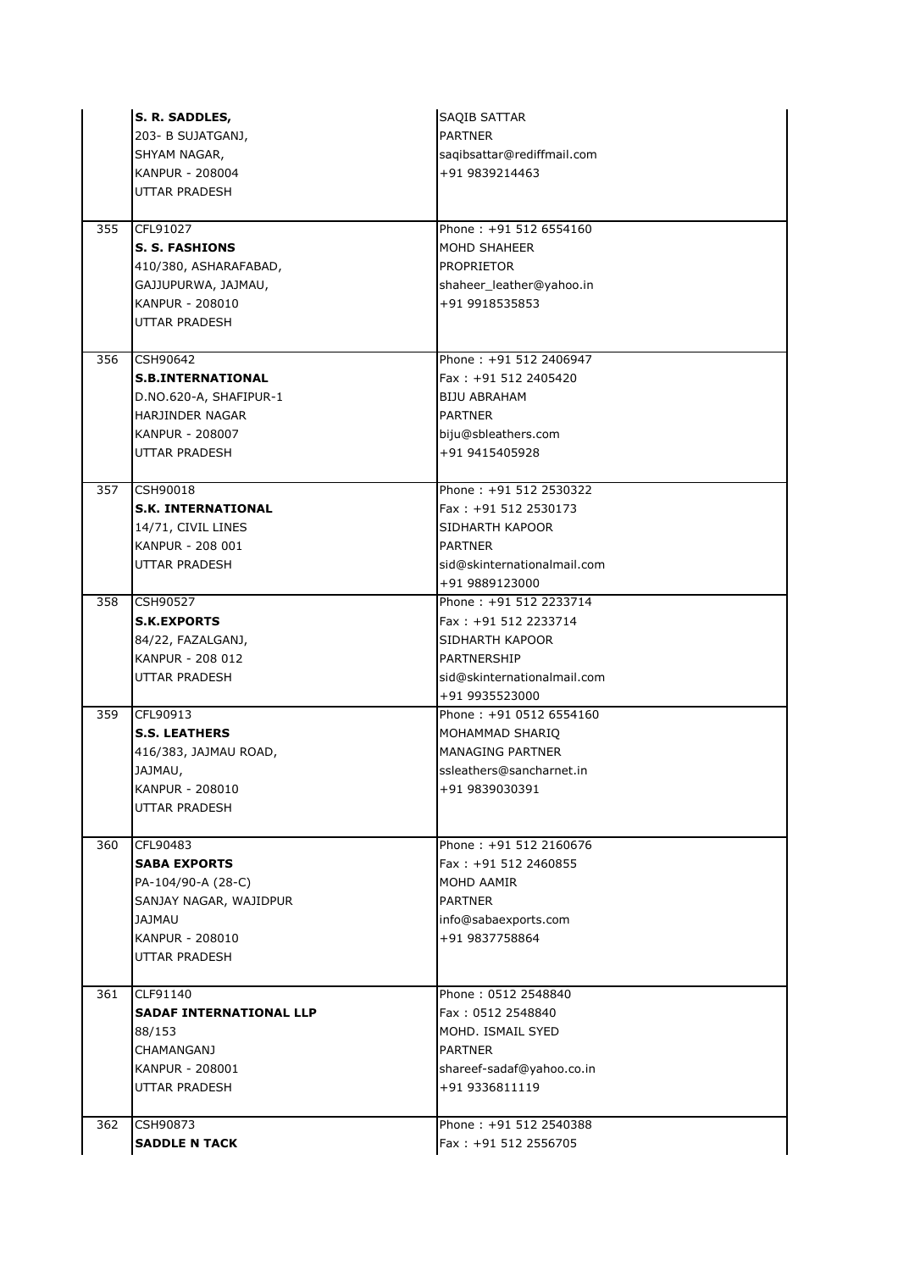|     | S. R. SADDLES,<br>203- B SUJATGANJ,<br>SHYAM NAGAR, | SAQIB SATTAR<br>PARTNER<br>saqibsattar@rediffmail.com |
|-----|-----------------------------------------------------|-------------------------------------------------------|
|     | KANPUR - 208004<br><b>UTTAR PRADESH</b>             | +91 9839214463                                        |
| 355 | CFL91027                                            | Phone: +91 512 6554160                                |
|     | <b>S. S. FASHIONS</b>                               | <b>MOHD SHAHEER</b>                                   |
|     | 410/380, ASHARAFABAD,                               | PROPRIETOR                                            |
|     | GAJJUPURWA, JAJMAU,                                 | shaheer_leather@yahoo.in                              |
|     | KANPUR - 208010                                     | +91 9918535853                                        |
|     | UTTAR PRADESH                                       |                                                       |
|     |                                                     |                                                       |
| 356 | CSH90642                                            | Phone: +91 512 2406947                                |
|     | <b>S.B.INTERNATIONAL</b>                            | Fax: +91 512 2405420                                  |
|     | D.NO.620-A, SHAFIPUR-1                              | BIJU ABRAHAM                                          |
|     | HARJINDER NAGAR                                     | PARTNER                                               |
|     | KANPUR - 208007                                     | biju@sbleathers.com                                   |
|     | UTTAR PRADESH                                       | +91 9415405928                                        |
| 357 | CSH90018                                            | Phone: +91 512 2530322                                |
|     | <b>S.K. INTERNATIONAL</b>                           | Fax: +91 512 2530173                                  |
|     | 14/71, CIVIL LINES                                  | SIDHARTH KAPOOR                                       |
|     | KANPUR - 208 001                                    | PARTNER                                               |
|     | <b>UTTAR PRADESH</b>                                | sid@skinternationalmail.com                           |
|     |                                                     | +91 9889123000                                        |
| 358 | CSH90527                                            | Phone: +91 512 2233714                                |
|     | <b>S.K.EXPORTS</b>                                  | Fax: +91 512 2233714                                  |
|     | 84/22, FAZALGANJ,                                   | SIDHARTH KAPOOR                                       |
|     | KANPUR - 208 012                                    | PARTNERSHIP                                           |
|     | UTTAR PRADESH                                       | sid@skinternationalmail.com                           |
|     |                                                     | +91 9935523000                                        |
| 359 | CFL90913                                            | Phone: +91 0512 6554160                               |
|     | <b>S.S. LEATHERS</b>                                | MOHAMMAD SHARIQ                                       |
|     | 416/383, JAJMAU ROAD,                               | MANAGING PARTNER                                      |
|     | JAJMAU,<br>KANPUR - 208010                          | ssleathers@sancharnet.in                              |
|     | UTTAR PRADESH                                       | +91 9839030391                                        |
|     |                                                     |                                                       |
| 360 | CFL90483                                            | Phone: +91 512 2160676                                |
|     | <b>SABA EXPORTS</b>                                 | Fax: +91 512 2460855                                  |
|     | PA-104/90-A (28-C)                                  | MOHD AAMIR                                            |
|     | SANJAY NAGAR, WAJIDPUR                              | PARTNER                                               |
|     | UAMLAL                                              | info@sabaexports.com                                  |
|     | KANPUR - 208010                                     | +91 9837758864                                        |
|     | UTTAR PRADESH                                       |                                                       |
| 361 | CLF91140                                            | Phone: 0512 2548840                                   |
|     | <b>SADAF INTERNATIONAL LLP</b>                      | Fax: 0512 2548840                                     |
|     | 88/153                                              | MOHD. ISMAIL SYED                                     |
|     | CHAMANGANJ                                          | PARTNER                                               |
|     | KANPUR - 208001                                     | shareef-sadaf@yahoo.co.in                             |
|     | UTTAR PRADESH                                       | +91 9336811119                                        |
|     |                                                     |                                                       |
| 362 | CSH90873                                            | Phone: +91 512 2540388                                |
|     | <b>SADDLE N TACK</b>                                | Fax: +91 512 2556705                                  |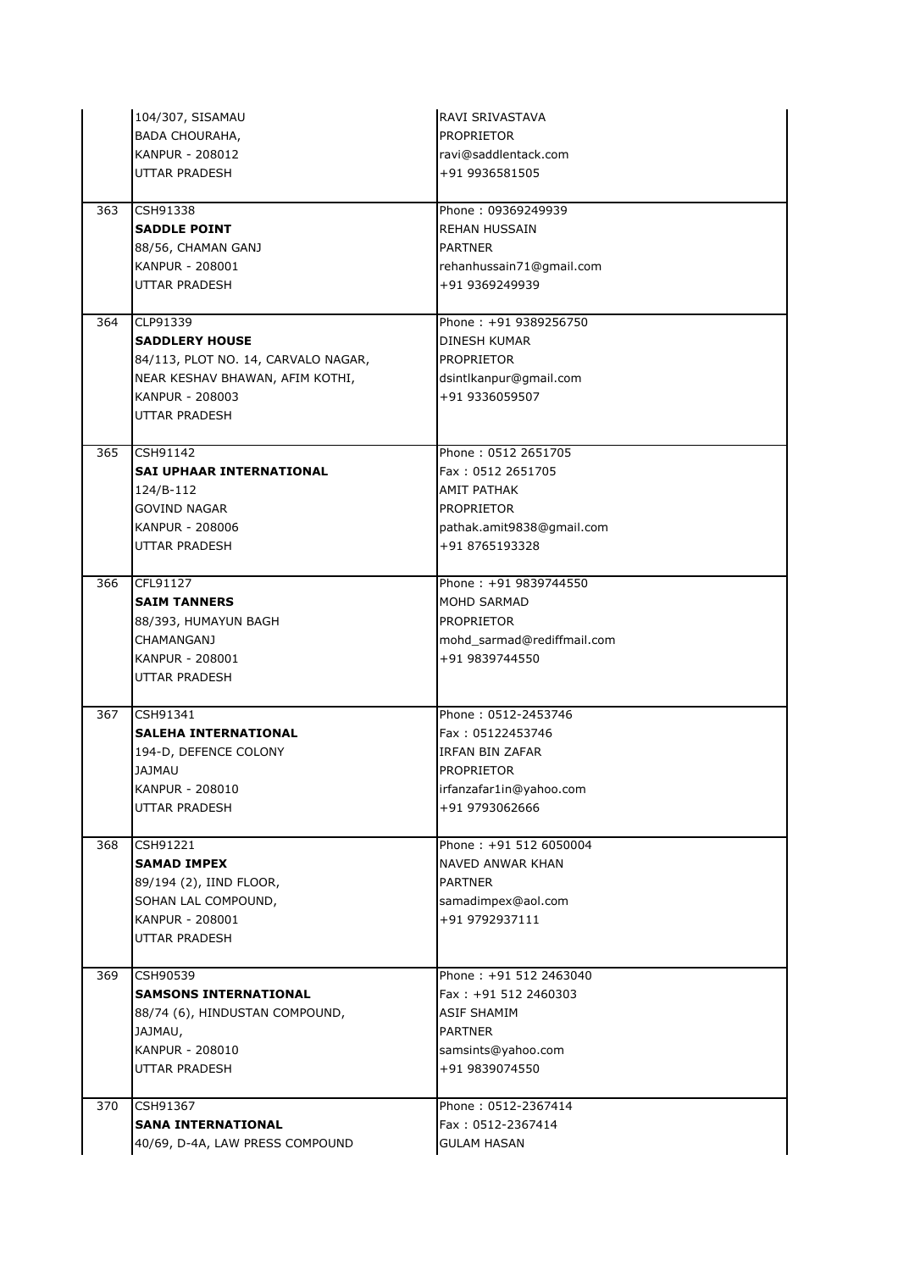|     | 104/307, SISAMAU                    | RAVI SRIVASTAVA            |
|-----|-------------------------------------|----------------------------|
|     | <b>BADA CHOURAHA,</b>               | PROPRIETOR                 |
|     | KANPUR - 208012                     | ravi@saddlentack.com       |
|     | <b>UTTAR PRADESH</b>                | +91 9936581505             |
|     |                                     |                            |
| 363 | CSH91338                            | Phone: 09369249939         |
|     | <b>SADDLE POINT</b>                 | REHAN HUSSAIN              |
|     | 88/56, CHAMAN GANJ                  | PARTNER                    |
|     | KANPUR - 208001                     | rehanhussain71@gmail.com   |
|     | UTTAR PRADESH                       | +91 9369249939             |
|     |                                     |                            |
| 364 | CLP91339                            | Phone: +91 9389256750      |
|     | <b>SADDLERY HOUSE</b>               | DINESH KUMAR               |
|     | 84/113, PLOT NO. 14, CARVALO NAGAR, | PROPRIETOR                 |
|     | NEAR KESHAV BHAWAN, AFIM KOTHI,     | dsintlkanpur@gmail.com     |
|     | KANPUR - 208003                     | +91 9336059507             |
|     | <b>UTTAR PRADESH</b>                |                            |
|     |                                     |                            |
| 365 | CSH91142                            | Phone: 0512 2651705        |
|     | <b>SAI UPHAAR INTERNATIONAL</b>     | Fax: 0512 2651705          |
|     | 124/B-112                           | AMIT PATHAK                |
|     | <b>GOVIND NAGAR</b>                 | <b>PROPRIETOR</b>          |
|     | KANPUR - 208006                     | pathak.amit9838@gmail.com  |
|     | <b>UTTAR PRADESH</b>                | +91 8765193328             |
|     |                                     |                            |
| 366 | CFL91127                            | Phone: +91 9839744550      |
|     | <b>SAIM TANNERS</b>                 | MOHD SARMAD                |
|     | 88/393, HUMAYUN BAGH                | PROPRIETOR                 |
|     | <b>CHAMANGANJ</b>                   | mohd_sarmad@rediffmail.com |
|     | KANPUR - 208001                     | +91 9839744550             |
|     | UTTAR PRADESH                       |                            |
|     |                                     |                            |
| 367 | CSH91341                            | Phone: 0512-2453746        |
|     | <b>SALEHA INTERNATIONAL</b>         | Fax: 05122453746           |
|     | 194-D, DEFENCE COLONY               | IRFAN BIN ZAFAR            |
|     | UAMLAL                              | PROPRIETOR                 |
|     | KANPUR - 208010                     | irfanzafar1in@yahoo.com    |
|     | UTTAR PRADESH                       | +91 9793062666             |
|     |                                     |                            |
| 368 | CSH91221                            | Phone: +91 512 6050004     |
|     | <b>SAMAD IMPEX</b>                  | NAVED ANWAR KHAN           |
|     | 89/194 (2), IIND FLOOR,             | <b>PARTNER</b>             |
|     | SOHAN LAL COMPOUND,                 | samadimpex@aol.com         |
|     | KANPUR - 208001                     | +91 9792937111             |
|     | UTTAR PRADESH                       |                            |
| 369 | CSH90539                            | Phone: +91 512 2463040     |
|     | <b>SAMSONS INTERNATIONAL</b>        | Fax: +91 512 2460303       |
|     |                                     | ASIF SHAMIM                |
|     | 88/74 (6), HINDUSTAN COMPOUND,      |                            |
|     | JAJMAU,                             | PARTNER                    |
|     | KANPUR - 208010                     | samsints@yahoo.com         |
|     | UTTAR PRADESH                       | +91 9839074550             |
| 370 | CSH91367                            | Phone: 0512-2367414        |
|     | <b>SANA INTERNATIONAL</b>           | Fax: 0512-2367414          |
|     | 40/69, D-4A, LAW PRESS COMPOUND     | <b>GULAM HASAN</b>         |
|     |                                     |                            |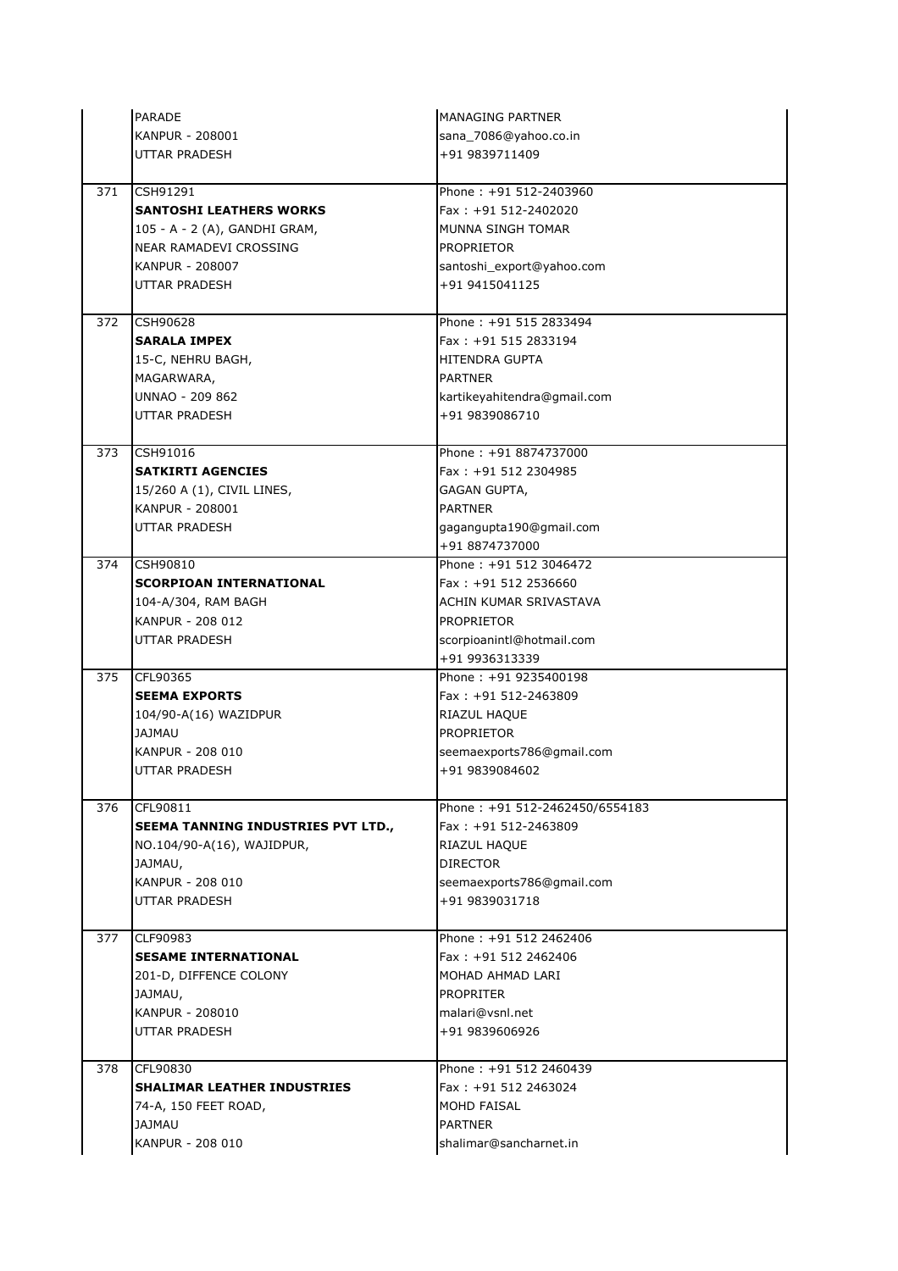|     | <b>PARADE</b>                      | <b>MANAGING PARTNER</b>        |
|-----|------------------------------------|--------------------------------|
|     | KANPUR - 208001                    | sana 7086@yahoo.co.in          |
|     | UTTAR PRADESH                      | +91 9839711409                 |
|     |                                    |                                |
| 371 | CSH91291                           | Phone: +91 512-2403960         |
|     | <b>SANTOSHI LEATHERS WORKS</b>     | Fax: $+91$ 512-2402020         |
|     | 105 - A - 2 (A), GANDHI GRAM,      | MUNNA SINGH TOMAR              |
|     | NEAR RAMADEVI CROSSING             | <b>PROPRIETOR</b>              |
|     | KANPUR - 208007                    | santoshi_export@yahoo.com      |
|     | UTTAR PRADESH                      | +91 9415041125                 |
|     |                                    |                                |
| 372 | <b>CSH90628</b>                    | Phone: +91 515 2833494         |
|     | <b>SARALA IMPEX</b>                | Fax: +91 515 2833194           |
|     | 15-C, NEHRU BAGH,                  | <b>HITENDRA GUPTA</b>          |
|     | MAGARWARA,                         | <b>PARTNER</b>                 |
|     | <b>UNNAO - 209 862</b>             |                                |
|     |                                    | kartikeyahitendra@gmail.com    |
|     | UTTAR PRADESH                      | +91 9839086710                 |
| 373 | CSH91016                           | Phone: +91 8874737000          |
|     | <b>SATKIRTI AGENCIES</b>           | Fax: +91 512 2304985           |
|     | 15/260 A (1), CIVIL LINES,         | <b>GAGAN GUPTA,</b>            |
|     |                                    |                                |
|     | KANPUR - 208001                    | <b>PARTNER</b>                 |
|     | UTTAR PRADESH                      | gagangupta190@gmail.com        |
|     |                                    | +91 8874737000                 |
| 374 | CSH90810                           | Phone: +91 512 3046472         |
|     | <b>SCORPIOAN INTERNATIONAL</b>     | Fax: $+91$ 512 2536660         |
|     | 104-A/304, RAM BAGH                | ACHIN KUMAR SRIVASTAVA         |
|     | KANPUR - 208 012                   | <b>PROPRIETOR</b>              |
|     | UTTAR PRADESH                      | scorpioanintl@hotmail.com      |
|     |                                    | +91 9936313339                 |
| 375 | CFL90365                           | Phone: +91 9235400198          |
|     | <b>SEEMA EXPORTS</b>               | Fax: +91 512-2463809           |
|     | 104/90-A(16) WAZIDPUR              | RIAZUL HAQUE                   |
|     | UAMLAL                             | <b>PROPRIETOR</b>              |
|     | KANPUR - 208 010                   | seemaexports786@gmail.com      |
|     | <b>UTTAR PRADESH</b>               | +91 9839084602                 |
|     |                                    |                                |
| 376 | CFL90811                           | Phone: +91 512-2462450/6554183 |
|     | SEEMA TANNING INDUSTRIES PVT LTD., | Fax: +91 512-2463809           |
|     | NO.104/90-A(16), WAJIDPUR,         | RIAZUL HAQUE                   |
|     | JAJMAU,                            | <b>DIRECTOR</b>                |
|     | KANPUR - 208 010                   | seemaexports786@gmail.com      |
|     | <b>UTTAR PRADESH</b>               | +91 9839031718                 |
|     |                                    |                                |
| 377 | CLF90983                           | Phone: +91 512 2462406         |
|     | <b>SESAME INTERNATIONAL</b>        | Fax: +91 512 2462406           |
|     | 201-D, DIFFENCE COLONY             | MOHAD AHMAD LARI               |
|     | JAJMAU,                            | <b>PROPRITER</b>               |
|     | KANPUR - 208010                    | malari@vsnl.net                |
|     | UTTAR PRADESH                      | +91 9839606926                 |
|     |                                    |                                |
| 378 | CFL90830                           | Phone: +91 512 2460439         |
|     | <b>SHALIMAR LEATHER INDUSTRIES</b> | Fax: +91 512 2463024           |
|     | 74-A, 150 FEET ROAD,               | <b>MOHD FAISAL</b>             |
|     | UAMLAL                             | <b>PARTNER</b>                 |
|     | KANPUR - 208 010                   | shalimar@sancharnet.in         |
|     |                                    |                                |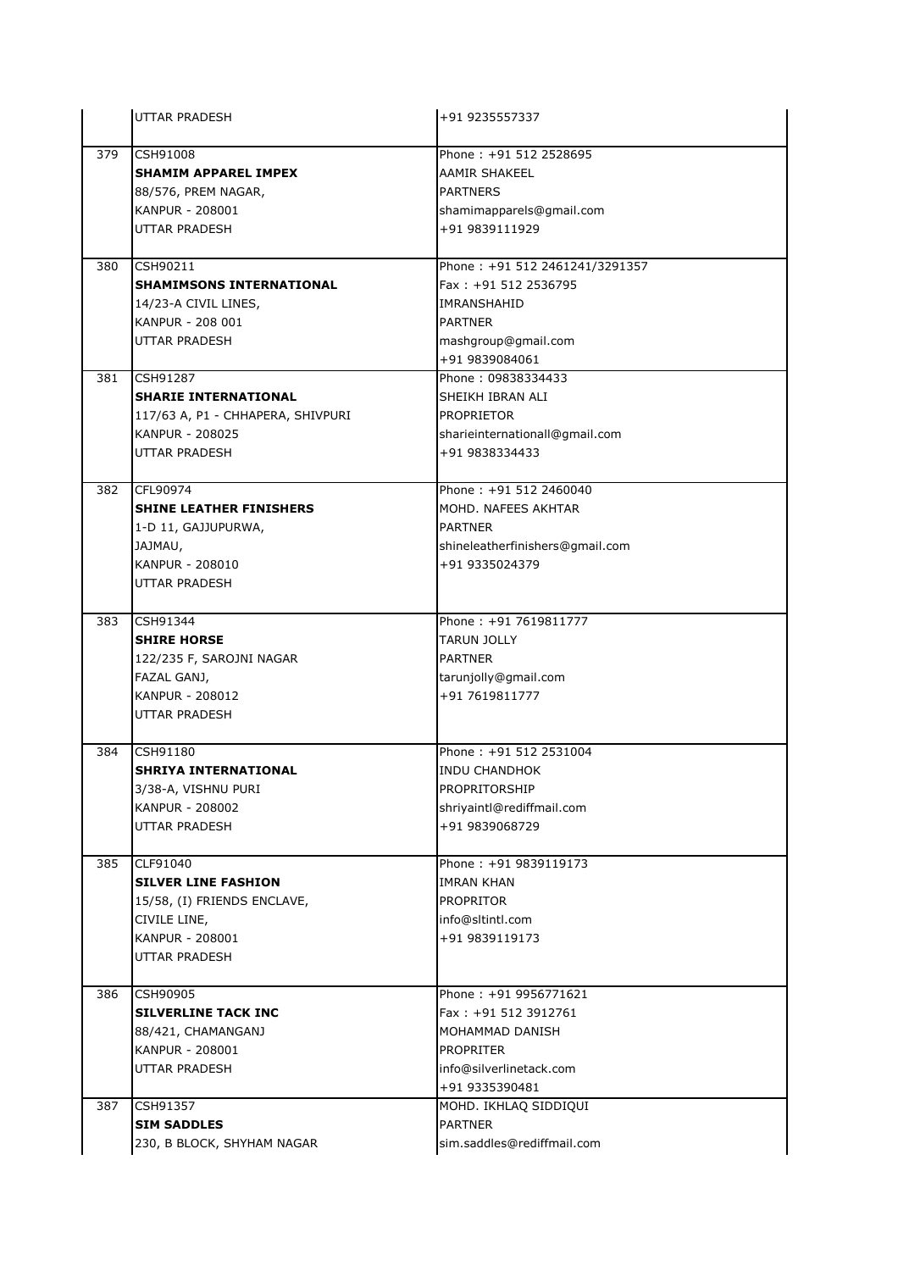|     | <b>UTTAR PRADESH</b>              | +91 9235557337                                    |
|-----|-----------------------------------|---------------------------------------------------|
| 379 | <b>CSH91008</b>                   | Phone: +91 512 2528695                            |
|     | <b>SHAMIM APPAREL IMPEX</b>       | AAMIR SHAKEEL                                     |
|     | 88/576, PREM NAGAR,               | <b>PARTNERS</b>                                   |
|     | <b>KANPUR - 208001</b>            | shamimapparels@gmail.com                          |
|     | UTTAR PRADESH                     | +91 9839111929                                    |
|     |                                   |                                                   |
| 380 | CSH90211                          | Phone: +91 512 2461241/3291357                    |
|     | <b>SHAMIMSONS INTERNATIONAL</b>   | Fax: +91 512 2536795                              |
|     | 14/23-A CIVIL LINES,              | <b>IMRANSHAHID</b>                                |
|     | KANPUR - 208 001                  | <b>PARTNER</b>                                    |
|     | UTTAR PRADESH                     | mashgroup@gmail.com                               |
|     |                                   | +91 9839084061                                    |
| 381 | CSH91287                          | Phone: 09838334433                                |
|     | <b>SHARIE INTERNATIONAL</b>       | SHEIKH IBRAN ALI                                  |
|     | 117/63 A, P1 - CHHAPERA, SHIVPURI | <b>PROPRIETOR</b>                                 |
|     | KANPUR - 208025                   | sharieinternationall@gmail.com                    |
|     | UTTAR PRADESH                     | +91 9838334433                                    |
|     |                                   |                                                   |
| 382 | CFL90974                          | Phone: +91 512 2460040<br>MOHD. NAFEES AKHTAR     |
|     | <b>SHINE LEATHER FINISHERS</b>    | <b>PARTNER</b>                                    |
|     | 1-D 11, GAJJUPURWA,               |                                                   |
|     | JAJMAU,<br>KANPUR - 208010        | shineleatherfinishers@gmail.com<br>+91 9335024379 |
|     | UTTAR PRADESH                     |                                                   |
|     |                                   |                                                   |
| 383 | CSH91344                          | Phone: +91 7619811777                             |
|     | <b>SHIRE HORSE</b>                | TARUN JOLLY                                       |
|     | 122/235 F, SAROJNI NAGAR          | <b>PARTNER</b>                                    |
|     | FAZAL GANJ,                       | tarunjolly@gmail.com                              |
|     | KANPUR - 208012                   | +91 7619811777                                    |
|     | <b>UTTAR PRADESH</b>              |                                                   |
|     |                                   |                                                   |
| 384 | CSH91180                          | Phone: +91 512 2531004                            |
|     | <b>SHRIYA INTERNATIONAL</b>       | <b>INDU CHANDHOK</b>                              |
|     | 3/38-A, VISHNU PURI               | PROPRITORSHIP                                     |
|     | KANPUR - 208002                   | shriyaintl@rediffmail.com                         |
|     | UTTAR PRADESH                     | +91 9839068729                                    |
|     |                                   |                                                   |
| 385 | CLF91040                          | Phone: +91 9839119173                             |
|     | <b>SILVER LINE FASHION</b>        | <b>IMRAN KHAN</b>                                 |
|     | 15/58, (I) FRIENDS ENCLAVE,       | <b>PROPRITOR</b>                                  |
|     | CIVILE LINE,                      | info@sltintl.com                                  |
|     | KANPUR - 208001                   | +91 9839119173                                    |
|     | UTTAR PRADESH                     |                                                   |
| 386 | CSH90905                          | Phone: +91 9956771621                             |
|     | <b>SILVERLINE TACK INC</b>        | Fax: +91 512 3912761                              |
|     | 88/421, CHAMANGANJ                | MOHAMMAD DANISH                                   |
|     |                                   |                                                   |
|     | KANPUR - 208001                   | PROPRITER                                         |
|     | UTTAR PRADESH                     | info@silverlinetack.com                           |
|     |                                   | +91 9335390481                                    |
| 387 | CSH91357                          | MOHD. IKHLAQ SIDDIQUI                             |
|     | <b>SIM SADDLES</b>                | <b>PARTNER</b>                                    |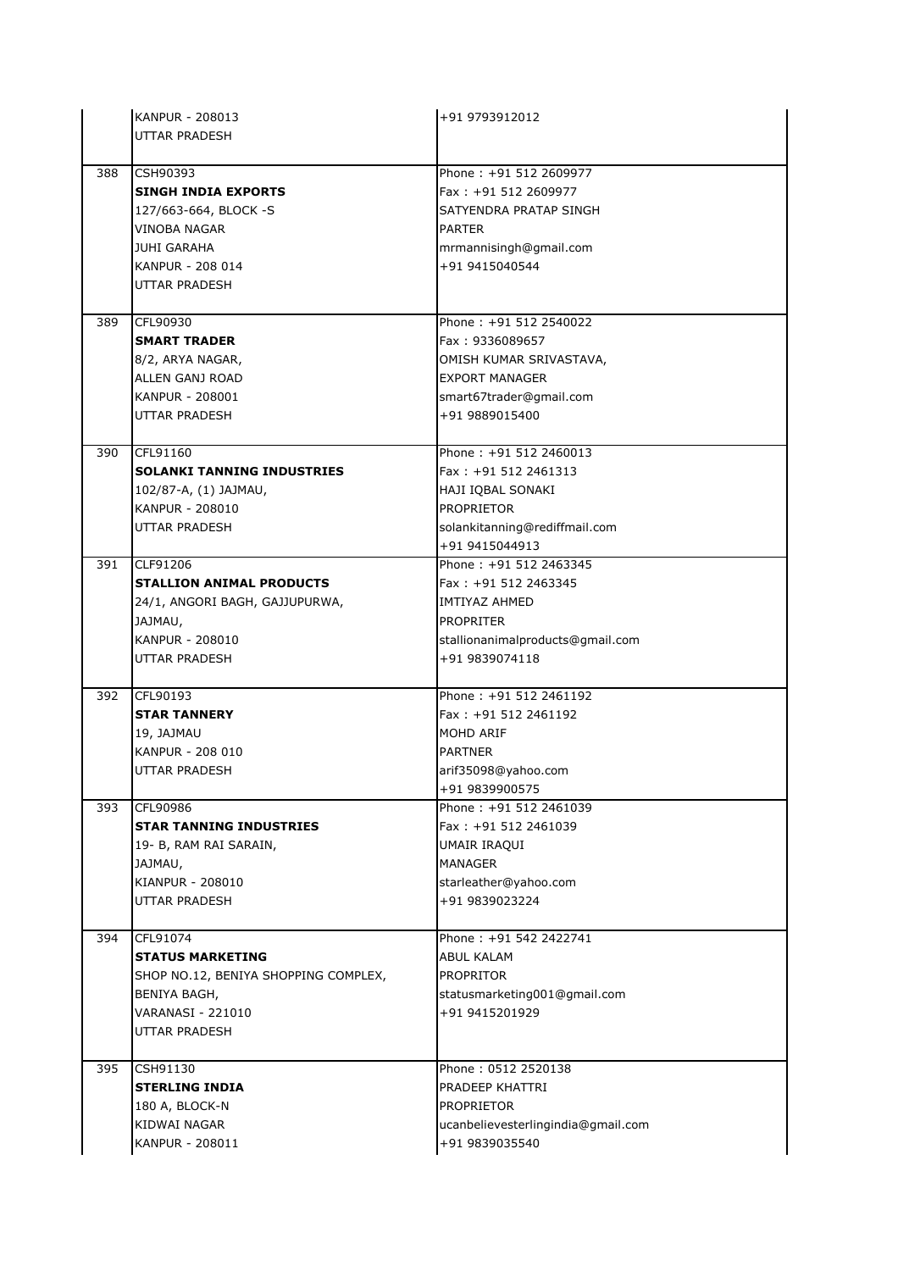|     | KANPUR - 208013                      | +91 9793912012                     |
|-----|--------------------------------------|------------------------------------|
|     | <b>UTTAR PRADESH</b>                 |                                    |
|     |                                      |                                    |
| 388 | CSH90393                             | Phone: +91 512 2609977             |
|     | <b>SINGH INDIA EXPORTS</b>           | Fax: +91 512 2609977               |
|     | 127/663-664, BLOCK -S                | SATYENDRA PRATAP SINGH             |
|     | VINOBA NAGAR                         | <b>PARTER</b>                      |
|     | <b>JUHI GARAHA</b>                   | mrmannisingh@gmail.com             |
|     | KANPUR - 208 014                     | +91 9415040544                     |
|     | <b>UTTAR PRADESH</b>                 |                                    |
|     |                                      |                                    |
| 389 | CFL90930                             | Phone: +91 512 2540022             |
|     | <b>SMART TRADER</b>                  | Fax: 9336089657                    |
|     | 8/2, ARYA NAGAR,                     | OMISH KUMAR SRIVASTAVA,            |
|     | ALLEN GANJ ROAD                      | <b>EXPORT MANAGER</b>              |
|     |                                      |                                    |
|     | <b>KANPUR - 208001</b>               | smart67trader@gmail.com            |
|     | UTTAR PRADESH                        | +91 9889015400                     |
| 390 | CFL91160                             | Phone: +91 512 2460013             |
|     | <b>SOLANKI TANNING INDUSTRIES</b>    | Fax: +91 512 2461313               |
|     | 102/87-A, (1) JAJMAU,                | HAJI IOBAL SONAKI                  |
|     | KANPUR - 208010                      | <b>PROPRIETOR</b>                  |
|     | UTTAR PRADESH                        | solankitanning@rediffmail.com      |
|     |                                      | +91 9415044913                     |
| 391 | CLF91206                             | Phone: +91 512 2463345             |
|     | <b>STALLION ANIMAL PRODUCTS</b>      |                                    |
|     |                                      | Fax: +91 512 2463345               |
|     | 24/1, ANGORI BAGH, GAJJUPURWA,       | <b>IMTIYAZ AHMED</b>               |
|     | JAJMAU,                              | <b>PROPRITER</b>                   |
|     | KANPUR - 208010                      | stallionanimalproducts@gmail.com   |
|     | UTTAR PRADESH                        | +91 9839074118                     |
| 392 | CFL90193                             | Phone: +91 512 2461192             |
|     | <b>STAR TANNERY</b>                  | Fax: +91 512 2461192               |
|     | 19, JAJMAU                           | MOHD ARIF                          |
|     | KANPUR - 208 010                     | <b>PARTNER</b>                     |
|     | UTTAR PRADESH                        | arif35098@yahoo.com                |
|     |                                      | +91 9839900575                     |
| 393 | CFL90986                             | Phone: +91 512 2461039             |
|     | <b>STAR TANNING INDUSTRIES</b>       | Fax: +91 512 2461039               |
|     | 19- B, RAM RAI SARAIN,               | UMAIR IRAQUI                       |
|     | JAJMAU,                              | MANAGER                            |
|     | KIANPUR - 208010                     | starleather@yahoo.com              |
|     | UTTAR PRADESH                        | +91 9839023224                     |
|     |                                      |                                    |
| 394 | CFL91074                             | Phone: +91 542 2422741             |
|     | <b>STATUS MARKETING</b>              | ABUL KALAM                         |
|     | SHOP NO.12, BENIYA SHOPPING COMPLEX, | <b>PROPRITOR</b>                   |
|     | BENIYA BAGH,                         | statusmarketing001@gmail.com       |
|     | VARANASI - 221010                    | +91 9415201929                     |
|     | UTTAR PRADESH                        |                                    |
|     |                                      |                                    |
| 395 | CSH91130                             | Phone: 0512 2520138                |
|     | <b>STERLING INDIA</b>                | PRADEEP KHATTRI                    |
|     | 180 A, BLOCK-N                       | <b>PROPRIETOR</b>                  |
|     | KIDWAI NAGAR                         | ucanbelievesterlingindia@gmail.com |
|     | KANPUR - 208011                      | +91 9839035540                     |
|     |                                      |                                    |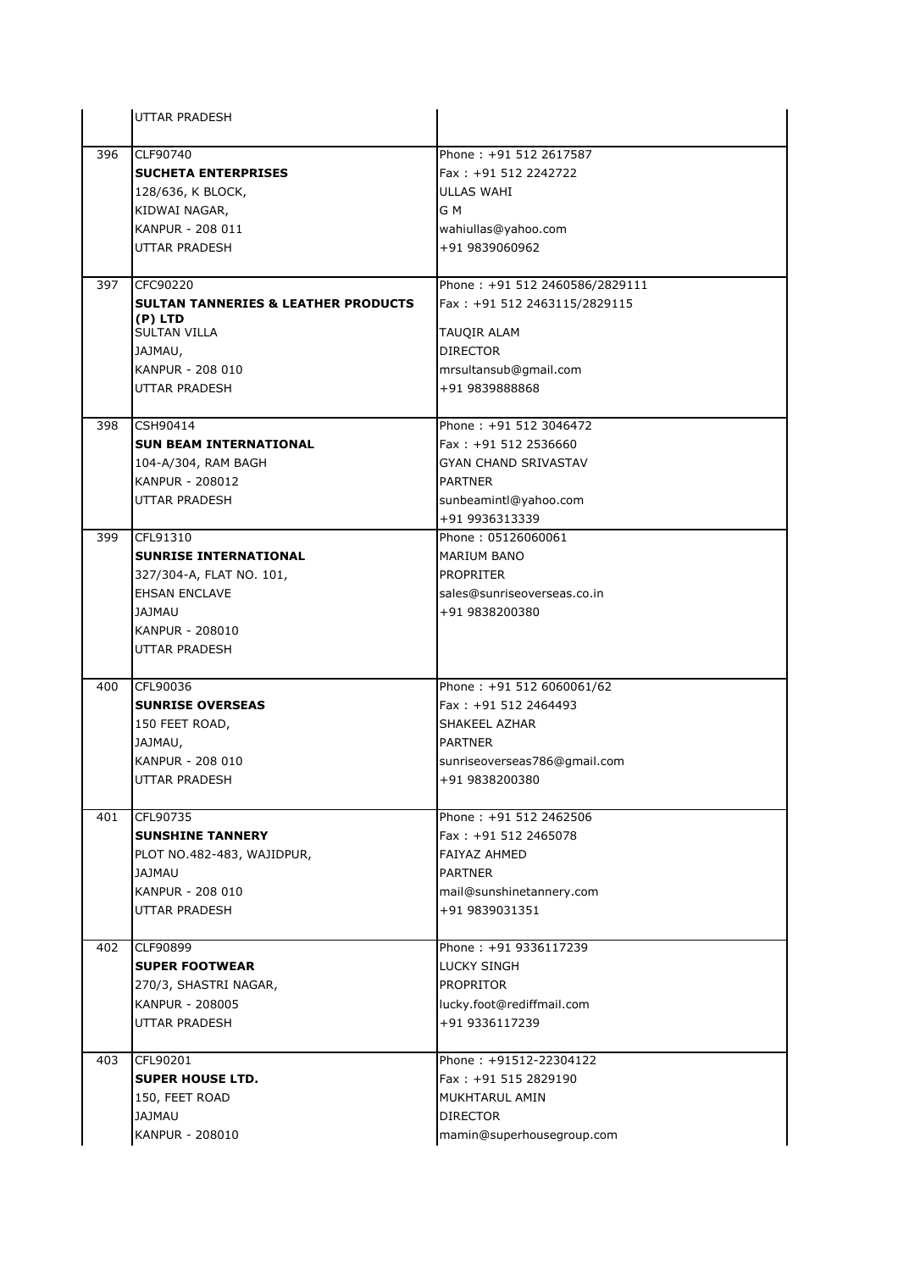|     | <b>UTTAR PRADESH</b>                           |                                |
|-----|------------------------------------------------|--------------------------------|
|     |                                                |                                |
| 396 | CLF90740                                       | Phone: +91 512 2617587         |
|     | <b>SUCHETA ENTERPRISES</b>                     | Fax: +91 512 2242722           |
|     | 128/636, K BLOCK,                              | ULLAS WAHI                     |
|     | KIDWAI NAGAR,                                  | G M                            |
|     | KANPUR - 208 011                               | wahiullas@yahoo.com            |
|     | <b>UTTAR PRADESH</b>                           | +91 9839060962                 |
|     |                                                |                                |
| 397 | CFC90220                                       | Phone: +91 512 2460586/2829111 |
|     | <b>SULTAN TANNERIES &amp; LEATHER PRODUCTS</b> | Fax: +91 512 2463115/2829115   |
|     | (P) LTD<br>SULTAN VILLA                        | TAUQIR ALAM                    |
|     | JAJMAU,                                        | <b>DIRECTOR</b>                |
|     | KANPUR - 208 010                               | mrsultansub@gmail.com          |
|     | UTTAR PRADESH                                  | +91 9839888868                 |
|     |                                                |                                |
| 398 | CSH90414                                       | Phone: +91 512 3046472         |
|     | <b>SUN BEAM INTERNATIONAL</b>                  | Fax: +91 512 2536660           |
|     | 104-A/304, RAM BAGH                            | GYAN CHAND SRIVASTAV           |
|     | KANPUR - 208012                                | PARTNER                        |
|     | <b>UTTAR PRADESH</b>                           | sunbeamintl@yahoo.com          |
|     |                                                | +91 9936313339                 |
| 399 | CFL91310                                       | Phone: 05126060061             |
|     | <b>SUNRISE INTERNATIONAL</b>                   | <b>MARIUM BANO</b>             |
|     | 327/304-A, FLAT NO. 101,                       | PROPRITER                      |
|     | <b>EHSAN ENCLAVE</b>                           | sales@sunriseoverseas.co.in    |
|     | <b>JAJMAU</b>                                  | +91 9838200380                 |
|     | KANPUR - 208010                                |                                |
|     | <b>UTTAR PRADESH</b>                           |                                |
|     |                                                |                                |
| 400 | CFL90036                                       | Phone: +91 512 6060061/62      |
|     | <b>SUNRISE OVERSEAS</b>                        | Fax: +91 512 2464493           |
|     | 150 FEET ROAD,                                 | SHAKEEL AZHAR                  |
|     | JAJMAU,                                        | PARTNER                        |
|     | KANPUR - 208 010                               | sunriseoverseas786@gmail.com   |
|     | UTTAR PRADESH                                  | +91 9838200380                 |
|     |                                                |                                |
| 401 | CFL90735                                       | Phone: +91 512 2462506         |
|     | <b>SUNSHINE TANNERY</b>                        | Fax: +91 512 2465078           |
|     | PLOT NO.482-483, WAJIDPUR,                     | FAIYAZ AHMED                   |
|     | <b>JAJMAU</b>                                  | PARTNER                        |
|     | KANPUR - 208 010                               | mail@sunshinetannery.com       |
|     | <b>UTTAR PRADESH</b>                           | +91 9839031351                 |
|     |                                                |                                |
| 402 | CLF90899                                       | Phone: +91 9336117239          |
|     | <b>SUPER FOOTWEAR</b>                          | LUCKY SINGH                    |
|     | 270/3, SHASTRI NAGAR,                          | PROPRITOR                      |
|     | KANPUR - 208005                                | lucky.foot@rediffmail.com      |
|     | <b>UTTAR PRADESH</b>                           | +91 9336117239                 |
|     |                                                |                                |
| 403 | CFL90201                                       | Phone: +91512-22304122         |
|     | <b>SUPER HOUSE LTD.</b>                        | Fax: +91 515 2829190           |
|     | 150, FEET ROAD                                 | MUKHTARUL AMIN                 |
|     | UAMLAL                                         | DIRECTOR                       |
|     | KANPUR - 208010                                | mamin@superhousegroup.com      |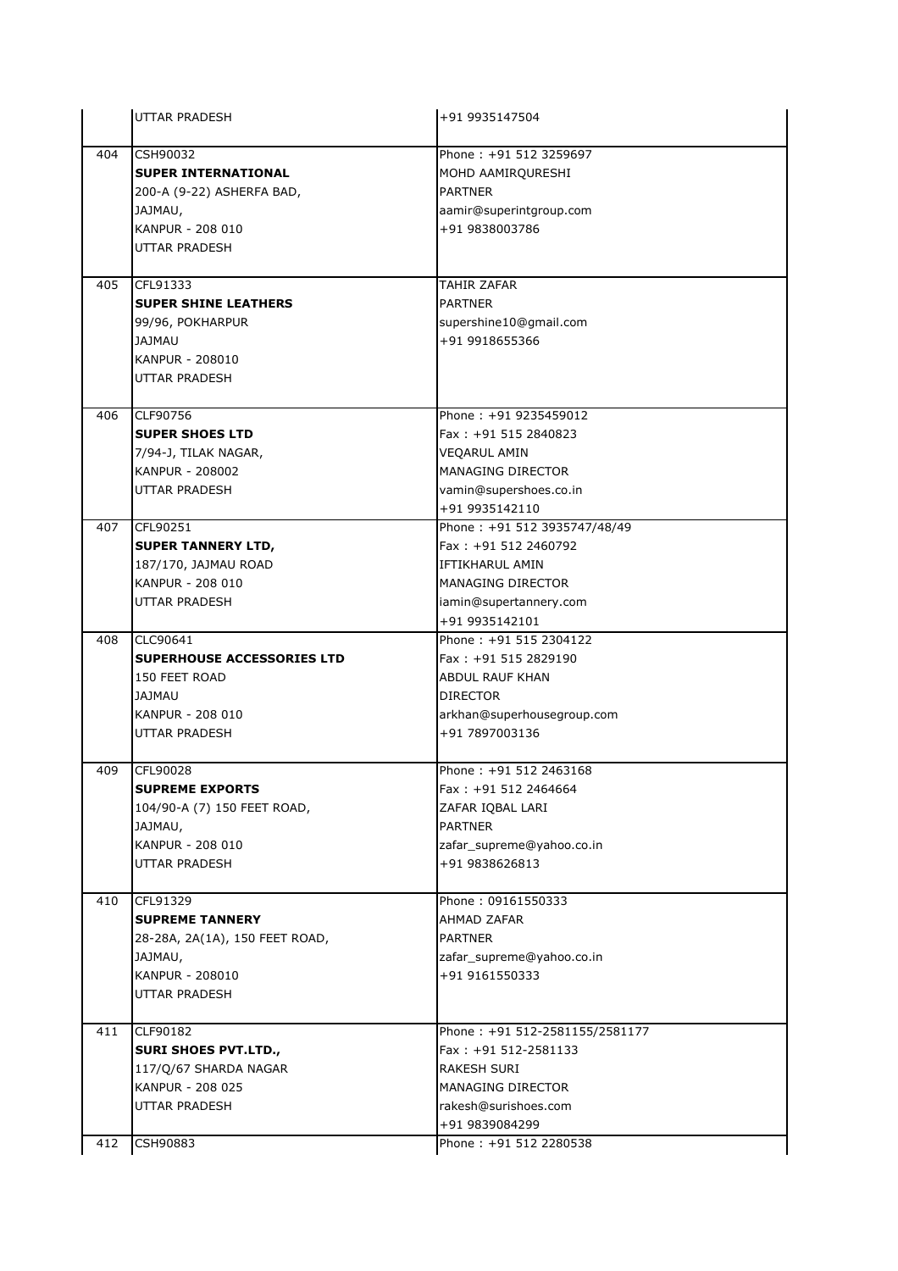|     | <b>UTTAR PRADESH</b>           | +91 9935147504                         |
|-----|--------------------------------|----------------------------------------|
| 404 | CSH90032                       | Phone: +91 512 3259697                 |
|     | <b>SUPER INTERNATIONAL</b>     | MOHD AAMIRQURESHI                      |
|     | 200-A (9-22) ASHERFA BAD,      | <b>PARTNER</b>                         |
|     | JAJMAU,                        | aamir@superintgroup.com                |
|     | KANPUR - 208 010               | +91 9838003786                         |
|     | UTTAR PRADESH                  |                                        |
|     |                                |                                        |
| 405 | CFL91333                       | <b>TAHIR ZAFAR</b>                     |
|     | <b>SUPER SHINE LEATHERS</b>    | PARTNER                                |
|     | 99/96, POKHARPUR               | supershine10@gmail.com                 |
|     | <b>UANLAL</b>                  | +91 9918655366                         |
|     | KANPUR - 208010                |                                        |
|     | UTTAR PRADESH                  |                                        |
| 406 | CLF90756                       | Phone: +91 9235459012                  |
|     | <b>SUPER SHOES LTD</b>         | Fax: +91 515 2840823                   |
|     | 7/94-J, TILAK NAGAR,           | <b>VEOARUL AMIN</b>                    |
|     | KANPUR - 208002                | MANAGING DIRECTOR                      |
|     | UTTAR PRADESH                  | vamin@supershoes.co.in                 |
|     |                                | +91 9935142110                         |
| 407 | CFL90251                       | Phone: +91 512 3935747/48/49           |
|     | <b>SUPER TANNERY LTD,</b>      | Fax: +91 512 2460792                   |
|     | 187/170, JAJMAU ROAD           | IFTIKHARUL AMIN                        |
|     | KANPUR - 208 010               | MANAGING DIRECTOR                      |
|     | <b>UTTAR PRADESH</b>           | iamin@supertannery.com                 |
|     |                                | +91 9935142101                         |
| 408 | CLC90641                       | Phone: +91 515 2304122                 |
|     | SUPERHOUSE ACCESSORIES LTD     | Fax: +91 515 2829190                   |
|     | 150 FEET ROAD                  | ABDUL RAUF KHAN                        |
|     | UAMLAL<br>KANPUR - 208 010     | DIRECTOR<br>arkhan@superhousegroup.com |
|     | <b>UTTAR PRADESH</b>           | +91 7897003136                         |
|     |                                |                                        |
| 409 | CFL90028                       | Phone: +91 512 2463168                 |
|     | <b>SUPREME EXPORTS</b>         | Fax: +91 512 2464664                   |
|     | 104/90-A (7) 150 FEET ROAD,    | ZAFAR IQBAL LARI                       |
|     | JAJMAU,                        | PARTNER                                |
|     | KANPUR - 208 010               | zafar_supreme@yahoo.co.in              |
|     | UTTAR PRADESH                  | +91 9838626813                         |
| 410 | CFL91329                       | Phone: 09161550333                     |
|     | <b>SUPREME TANNERY</b>         | AHMAD ZAFAR                            |
|     | 28-28A, 2A(1A), 150 FEET ROAD, | PARTNER                                |
|     | JAJMAU,                        | zafar supreme@yahoo.co.in              |
|     | KANPUR - 208010                | +91 9161550333                         |
|     | UTTAR PRADESH                  |                                        |
| 411 | CLF90182                       | Phone: +91 512-2581155/2581177         |
|     | <b>SURI SHOES PVT.LTD.,</b>    | Fax: +91 512-2581133                   |
|     | 117/Q/67 SHARDA NAGAR          | RAKESH SURI                            |
|     | KANPUR - 208 025               | MANAGING DIRECTOR                      |
|     | UTTAR PRADESH                  | rakesh@surishoes.com                   |
|     |                                | +91 9839084299                         |
| 412 | CSH90883                       | Phone: +91 512 2280538                 |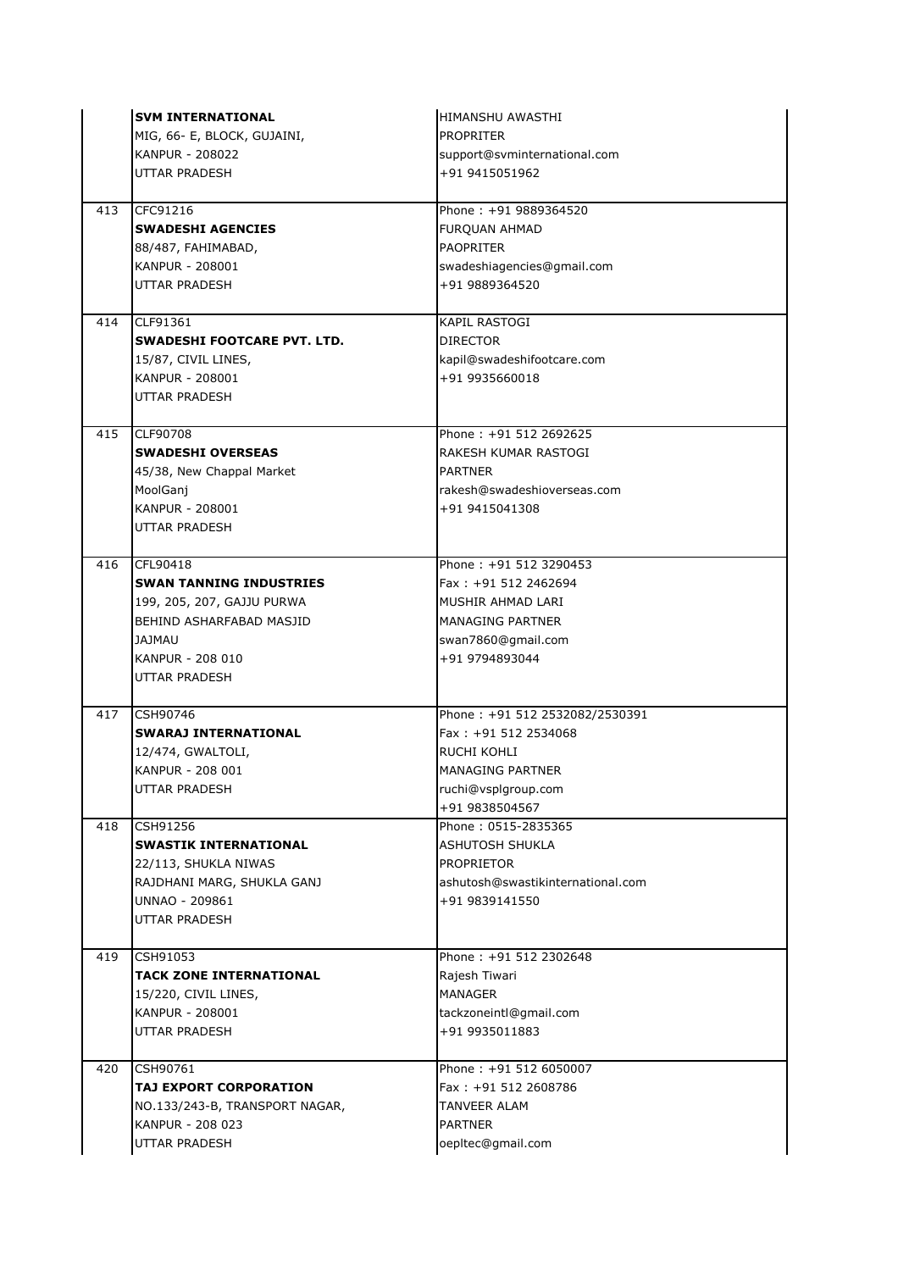|     | <b>SVM INTERNATIONAL</b>       | HIMANSHU AWASTHI                  |
|-----|--------------------------------|-----------------------------------|
|     | MIG, 66- E, BLOCK, GUJAINI,    | PROPRITER                         |
|     | KANPUR - 208022                | support@svminternational.com      |
|     | UTTAR PRADESH                  | +91 9415051962                    |
|     |                                |                                   |
| 413 | CFC91216                       | Phone: +91 9889364520             |
|     | <b>SWADESHI AGENCIES</b>       | <b>FURQUAN AHMAD</b>              |
|     | 88/487, FAHIMABAD,             | PAOPRITER                         |
|     | KANPUR - 208001                | swadeshiagencies@gmail.com        |
|     | <b>UTTAR PRADESH</b>           | +91 9889364520                    |
|     |                                |                                   |
| 414 | CLF91361                       | KAPIL RASTOGI                     |
|     | SWADESHI FOOTCARE PVT. LTD.    | DIRECTOR                          |
|     | 15/87, CIVIL LINES,            | kapil@swadeshifootcare.com        |
|     | KANPUR - 208001                | +91 9935660018                    |
|     | <b>UTTAR PRADESH</b>           |                                   |
|     |                                |                                   |
| 415 | CLF90708                       | Phone: +91 512 2692625            |
|     | <b>SWADESHI OVERSEAS</b>       | RAKESH KUMAR RASTOGI              |
|     | 45/38, New Chappal Market      | PARTNER                           |
|     | MoolGanj                       | rakesh@swadeshioverseas.com       |
|     | KANPUR - 208001                | +91 9415041308                    |
|     | <b>UTTAR PRADESH</b>           |                                   |
|     |                                |                                   |
| 416 | CFL90418                       | Phone: +91 512 3290453            |
|     | <b>SWAN TANNING INDUSTRIES</b> | Fax: +91 512 2462694              |
|     | 199, 205, 207, GAJJU PURWA     | MUSHIR AHMAD LARI                 |
|     | BEHIND ASHARFABAD MASJID       | MANAGING PARTNER                  |
|     | UAMLAL                         | swan7860@gmail.com                |
|     | KANPUR - 208 010               | +91 9794893044                    |
|     | <b>UTTAR PRADESH</b>           |                                   |
|     |                                |                                   |
| 417 | CSH90746                       | Phone: +91 512 2532082/2530391    |
|     | <b>SWARAJ INTERNATIONAL</b>    | Fax: +91 512 2534068              |
|     | 12/474, GWALTOLI,              | RUCHI KOHLI                       |
|     | KANPUR - 208 001               | <b>MANAGING PARTNER</b>           |
|     | UTTAR PRADESH                  | ruchi@vsplgroup.com               |
|     |                                | +91 9838504567                    |
| 418 | CSH91256                       | Phone: 0515-2835365               |
|     | <b>SWASTIK INTERNATIONAL</b>   | ASHUTOSH SHUKLA                   |
|     | 22/113, SHUKLA NIWAS           | PROPRIETOR                        |
|     | RAJDHANI MARG, SHUKLA GANJ     | ashutosh@swastikinternational.com |
|     | UNNAO - 209861                 | +91 9839141550                    |
|     | <b>UTTAR PRADESH</b>           |                                   |
|     |                                |                                   |
| 419 | CSH91053                       | Phone: +91 512 2302648            |
|     | <b>TACK ZONE INTERNATIONAL</b> | Rajesh Tiwari                     |
|     | 15/220, CIVIL LINES,           | MANAGER                           |
|     | KANPUR - 208001                | tackzoneintl@gmail.com            |
|     | UTTAR PRADESH                  | +91 9935011883                    |
| 420 | CSH90761                       | Phone: +91 512 6050007            |
|     | <b>TAJ EXPORT CORPORATION</b>  | Fax: +91 512 2608786              |
|     |                                |                                   |
|     | NO.133/243-B, TRANSPORT NAGAR, | TANVEER ALAM                      |
|     | KANPUR - 208 023               | PARTNER                           |
|     | UTTAR PRADESH                  | oepltec@gmail.com                 |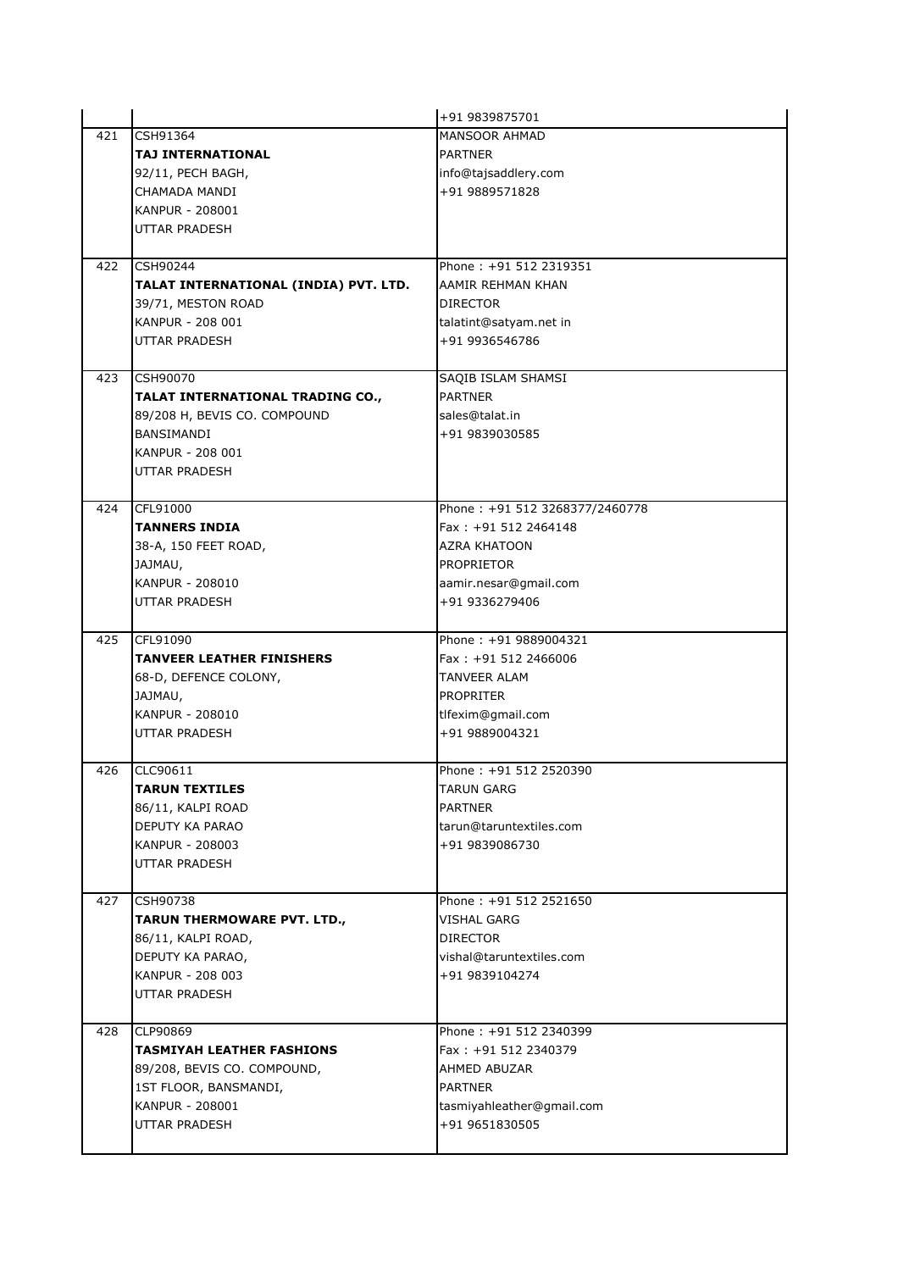|     |                                       | +91 9839875701                 |
|-----|---------------------------------------|--------------------------------|
| 421 | CSH91364                              | <b>MANSOOR AHMAD</b>           |
|     | <b>TAJ INTERNATIONAL</b>              | <b>PARTNER</b>                 |
|     | 92/11, PECH BAGH,                     | info@tajsaddlery.com           |
|     | CHAMADA MANDI                         | +91 9889571828                 |
|     | KANPUR - 208001                       |                                |
|     | <b>UTTAR PRADESH</b>                  |                                |
|     |                                       |                                |
| 422 | CSH90244                              | Phone: +91 512 2319351         |
|     | TALAT INTERNATIONAL (INDIA) PVT. LTD. | AAMIR REHMAN KHAN              |
|     | 39/71, MESTON ROAD                    | <b>DIRECTOR</b>                |
|     | KANPUR - 208 001                      | talatint@satyam.net in         |
|     | UTTAR PRADESH                         | +91 9936546786                 |
|     |                                       |                                |
| 423 | CSH90070                              | SAQIB ISLAM SHAMSI             |
|     | TALAT INTERNATIONAL TRADING CO.,      | <b>PARTNER</b>                 |
|     | 89/208 H, BEVIS CO. COMPOUND          | sales@talat.in                 |
|     | BANSIMANDI                            | +91 9839030585                 |
|     | KANPUR - 208 001                      |                                |
|     | <b>UTTAR PRADESH</b>                  |                                |
|     |                                       |                                |
| 424 | CFL91000                              | Phone: +91 512 3268377/2460778 |
|     | <b>TANNERS INDIA</b>                  | Fax: +91 512 2464148           |
|     | 38-A, 150 FEET ROAD,                  | <b>AZRA KHATOON</b>            |
|     | JAJMAU,                               | <b>PROPRIETOR</b>              |
|     | KANPUR - 208010                       | aamir.nesar@gmail.com          |
|     | <b>UTTAR PRADESH</b>                  | +91 9336279406                 |
|     |                                       |                                |
| 425 | CFL91090                              | Phone: +91 9889004321          |
|     | <b>TANVEER LEATHER FINISHERS</b>      | Fax: +91 512 2466006           |
|     | 68-D, DEFENCE COLONY,                 | <b>TANVEER ALAM</b>            |
|     | JAJMAU,                               | <b>PROPRITER</b>               |
|     | KANPUR - 208010                       | tlfexim@gmail.com              |
|     | UTTAR PRADESH                         | +91 9889004321                 |
| 426 | CLC90611                              | Phone: +91 512 2520390         |
|     | <b>TARUN TEXTILES</b>                 | <b>TARUN GARG</b>              |
|     | 86/11, KALPI ROAD                     | <b>PARTNER</b>                 |
|     | DEPUTY KA PARAO                       | tarun@taruntextiles.com        |
|     | KANPUR - 208003                       | +91 9839086730                 |
|     | UTTAR PRADESH                         |                                |
|     |                                       |                                |
| 427 | CSH90738                              | Phone: +91 512 2521650         |
|     | <b>TARUN THERMOWARE PVT. LTD.,</b>    | <b>VISHAL GARG</b>             |
|     | 86/11, KALPI ROAD,                    | <b>DIRECTOR</b>                |
|     | DEPUTY KA PARAO,                      | vishal@taruntextiles.com       |
|     | KANPUR - 208 003                      | +91 9839104274                 |
|     | <b>UTTAR PRADESH</b>                  |                                |
|     |                                       |                                |
| 428 | CLP90869                              | Phone: +91 512 2340399         |
|     | <b>TASMIYAH LEATHER FASHIONS</b>      | Fax: +91 512 2340379           |
|     | 89/208, BEVIS CO. COMPOUND,           | AHMED ABUZAR                   |
|     | 1ST FLOOR, BANSMANDI,                 | <b>PARTNER</b>                 |
|     | KANPUR - 208001                       | tasmiyahleather@gmail.com      |
|     | UTTAR PRADESH                         | +91 9651830505                 |
|     |                                       |                                |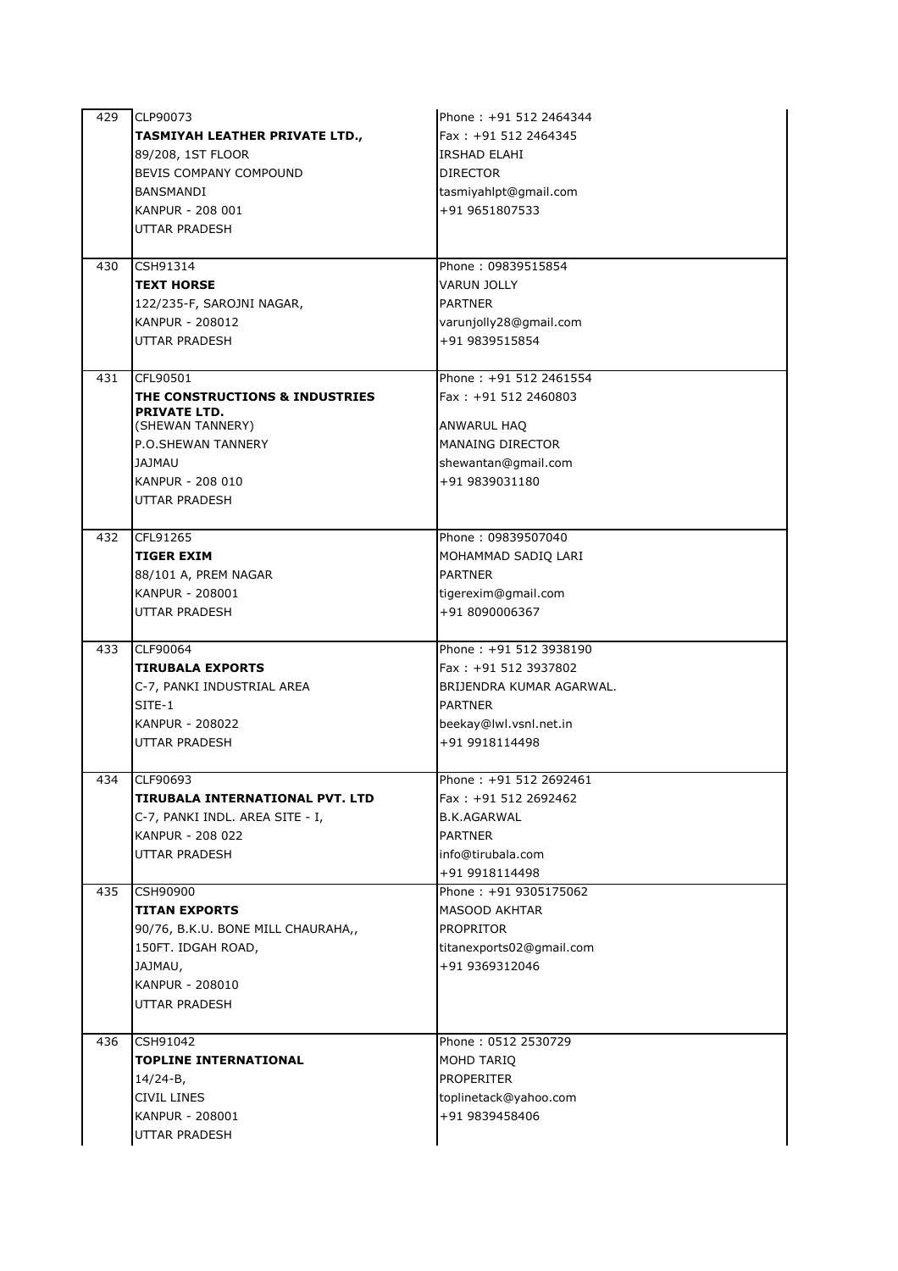| 429 | CLP90073                                 | Phone: +91 512 2464344   |
|-----|------------------------------------------|--------------------------|
|     | <b>TASMIYAH LEATHER PRIVATE LTD.,</b>    | Fax: +91 512 2464345     |
|     | 89/208, 1ST FLOOR                        | <b>IRSHAD ELAHI</b>      |
|     | BEVIS COMPANY COMPOUND                   | <b>DIRECTOR</b>          |
|     | BANSMANDI                                | tasmiyahlpt@gmail.com    |
|     | KANPUR - 208 001                         | +91 9651807533           |
|     | <b>UTTAR PRADESH</b>                     |                          |
|     |                                          |                          |
| 430 | CSH91314                                 | Phone: 09839515854       |
|     | <b>TEXT HORSE</b>                        | <b>VARUN JOLLY</b>       |
|     | 122/235-F, SAROJNI NAGAR,                | <b>PARTNER</b>           |
|     | KANPUR - 208012                          | varunjolly28@gmail.com   |
|     | UTTAR PRADESH                            | +91 9839515854           |
|     |                                          |                          |
| 431 | CFL90501                                 | Phone: +91 512 2461554   |
|     | THE CONSTRUCTIONS & INDUSTRIES           | Fax: +91 512 2460803     |
|     | <b>PRIVATE LTD.</b><br>(SHEWAN TANNERY)  | ANWARUL HAQ              |
|     | <b>P.O.SHEWAN TANNERY</b>                | <b>MANAING DIRECTOR</b>  |
|     |                                          |                          |
|     | <b>JAJMAU</b>                            | shewantan@gmail.com      |
|     | KANPUR - 208 010<br><b>UTTAR PRADESH</b> | +91 9839031180           |
|     |                                          |                          |
| 432 | CFL91265                                 | Phone: 09839507040       |
|     | <b>TIGER EXIM</b>                        | MOHAMMAD SADIQ LARI      |
|     | 88/101 A, PREM NAGAR                     | <b>PARTNER</b>           |
|     | KANPUR - 208001                          | tigerexim@gmail.com      |
|     | UTTAR PRADESH                            | +91 8090006367           |
|     |                                          |                          |
| 433 | CLF90064                                 | Phone: +91 512 3938190   |
|     | <b>TIRUBALA EXPORTS</b>                  | Fax: +91 512 3937802     |
|     | C-7, PANKI INDUSTRIAL AREA               | BRIJENDRA KUMAR AGARWAL. |
|     | SITE-1                                   | <b>PARTNER</b>           |
|     | KANPUR - 208022                          | beekay@lwl.vsnl.net.in   |
|     | UTTAR PRADESH                            | +91 9918114498           |
|     |                                          |                          |
| 434 | CLF90693                                 | Phone: +91 512 2692461   |
|     | TIRUBALA INTERNATIONAL PVT. LTD          | Fax: $+91$ 512 2692462   |
|     | C-7, PANKI INDL. AREA SITE - I,          | <b>B.K.AGARWAL</b>       |
|     | KANPUR - 208 022                         | <b>PARTNER</b>           |
|     | UTTAR PRADESH                            | info@tirubala.com        |
|     |                                          | +91 9918114498           |
| 435 | <b>CSH90900</b>                          | Phone: +91 9305175062    |
|     | <b>TITAN EXPORTS</b>                     | MASOOD AKHTAR            |
|     | 90/76, B.K.U. BONE MILL CHAURAHA,,       | <b>PROPRITOR</b>         |
|     | 150FT. IDGAH ROAD,                       | titanexports02@gmail.com |
|     | JAJMAU,                                  | +91 9369312046           |
|     | KANPUR - 208010                          |                          |
|     | UTTAR PRADESH                            |                          |
| 436 | CSH91042                                 | Phone: 0512 2530729      |
|     | <b>TOPLINE INTERNATIONAL</b>             | MOHD TARIQ               |
|     | $14/24 - B$ ,                            | <b>PROPERITER</b>        |
|     | CIVIL LINES                              | toplinetack@yahoo.com    |
|     | KANPUR - 208001                          | +91 9839458406           |
|     | UTTAR PRADESH                            |                          |
|     |                                          |                          |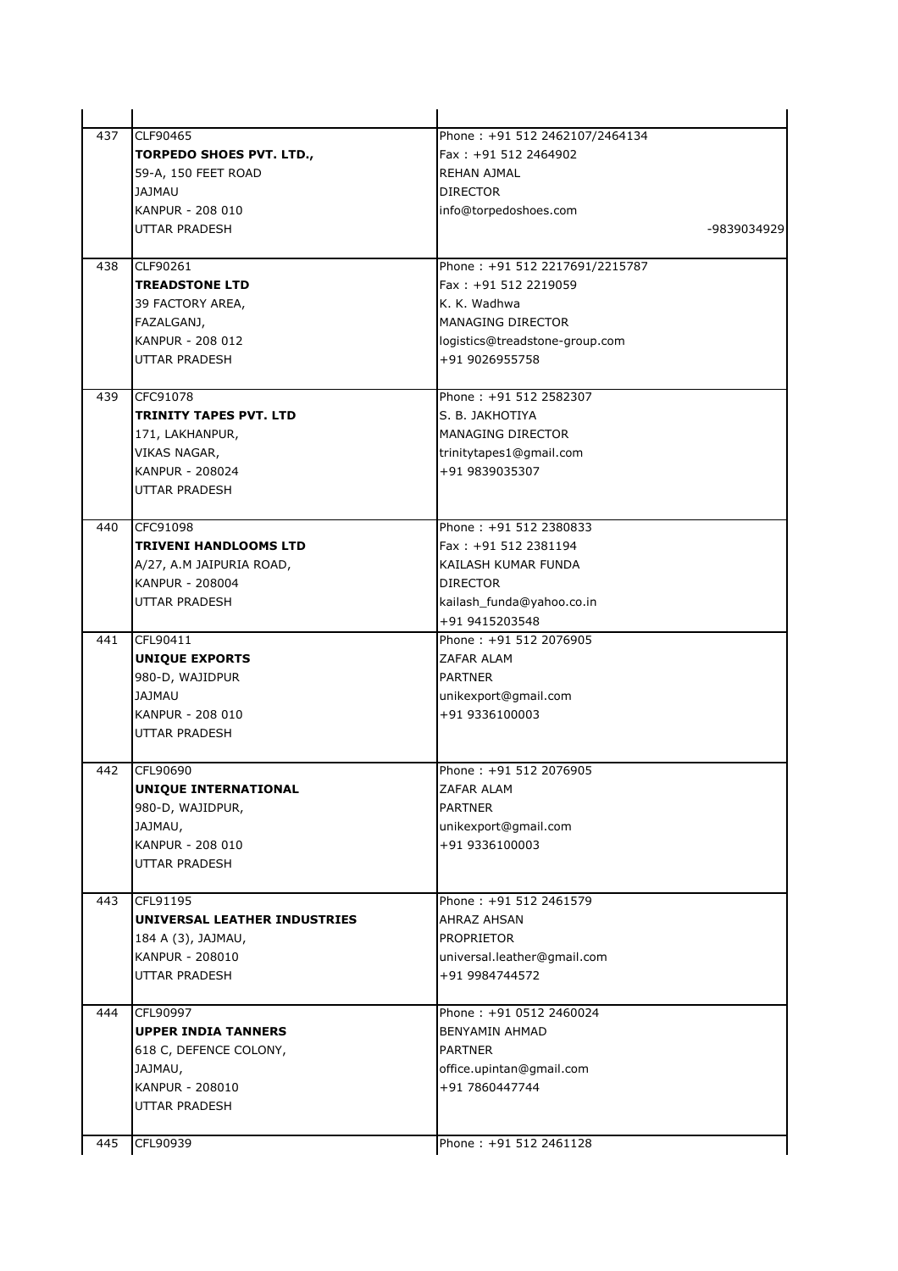| 437 | CLF90465                        | Phone: +91 512 2462107/2464134 |             |
|-----|---------------------------------|--------------------------------|-------------|
|     | <b>TORPEDO SHOES PVT. LTD.,</b> | Fax: $+91$ 512 2464902         |             |
|     | 59-A, 150 FEET ROAD             | <b>REHAN AJMAL</b>             |             |
|     | <b>JAJMAU</b>                   | <b>DIRECTOR</b>                |             |
|     | KANPUR - 208 010                | info@torpedoshoes.com          |             |
|     | <b>UTTAR PRADESH</b>            |                                | -9839034929 |
|     |                                 |                                |             |
| 438 | CLF90261                        | Phone: +91 512 2217691/2215787 |             |
|     | <b>TREADSTONE LTD</b>           | Fax: +91 512 2219059           |             |
|     | 39 FACTORY AREA,                | K. K. Wadhwa                   |             |
|     | FAZALGANJ,                      | MANAGING DIRECTOR              |             |
|     | KANPUR - 208 012                | logistics@treadstone-group.com |             |
|     | UTTAR PRADESH                   | +91 9026955758                 |             |
|     |                                 |                                |             |
| 439 | CFC91078                        | Phone: +91 512 2582307         |             |
|     | <b>TRINITY TAPES PVT. LTD</b>   | S. B. JAKHOTIYA                |             |
|     | 171, LAKHANPUR,                 | <b>MANAGING DIRECTOR</b>       |             |
|     |                                 |                                |             |
|     | VIKAS NAGAR,                    | trinitytapes1@gmail.com        |             |
|     | KANPUR - 208024                 | +91 9839035307                 |             |
|     | <b>UTTAR PRADESH</b>            |                                |             |
| 440 | CFC91098                        | Phone: +91 512 2380833         |             |
|     |                                 | Fax: +91 512 2381194           |             |
|     | <b>TRIVENI HANDLOOMS LTD</b>    |                                |             |
|     | A/27, A.M JAIPURIA ROAD,        | KAILASH KUMAR FUNDA            |             |
|     | KANPUR - 208004                 | <b>DIRECTOR</b>                |             |
|     | <b>UTTAR PRADESH</b>            | kailash_funda@yahoo.co.in      |             |
|     |                                 | +91 9415203548                 |             |
| 441 | CFL90411                        | Phone: +91 512 2076905         |             |
|     | <b>UNIQUE EXPORTS</b>           | ZAFAR ALAM                     |             |
|     | 980-D, WAJIDPUR                 | <b>PARTNER</b>                 |             |
|     | <b>UANLAL</b>                   | unikexport@gmail.com           |             |
|     | KANPUR - 208 010                | +91 9336100003                 |             |
|     | UTTAR PRADESH                   |                                |             |
|     |                                 |                                |             |
| 442 | CFL90690                        | Phone: +91 512 2076905         |             |
|     | UNIQUE INTERNATIONAL            | ZAFAR ALAM                     |             |
|     | 980-D, WAJIDPUR,                | <b>PARTNER</b>                 |             |
|     | JAJMAU,                         | unikexport@gmail.com           |             |
|     | KANPUR - 208 010                | +91 9336100003                 |             |
|     | <b>UTTAR PRADESH</b>            |                                |             |
|     |                                 |                                |             |
| 443 | CFL91195                        | Phone: +91 512 2461579         |             |
|     | UNIVERSAL LEATHER INDUSTRIES    | AHRAZ AHSAN                    |             |
|     | 184 A (3), JAJMAU,              | <b>PROPRIETOR</b>              |             |
|     | KANPUR - 208010                 | universal.leather@gmail.com    |             |
|     | UTTAR PRADESH                   | +91 9984744572                 |             |
|     |                                 |                                |             |
| 444 | CFL90997                        | Phone: +91 0512 2460024        |             |
|     | <b>UPPER INDIA TANNERS</b>      | <b>BENYAMIN AHMAD</b>          |             |
|     | 618 C, DEFENCE COLONY,          | <b>PARTNER</b>                 |             |
|     | JAJMAU,                         | office.upintan@gmail.com       |             |
|     | KANPUR - 208010                 | +91 7860447744                 |             |
|     | UTTAR PRADESH                   |                                |             |
|     |                                 |                                |             |
| 445 | CFL90939                        | Phone: +91 512 2461128         |             |
|     |                                 |                                |             |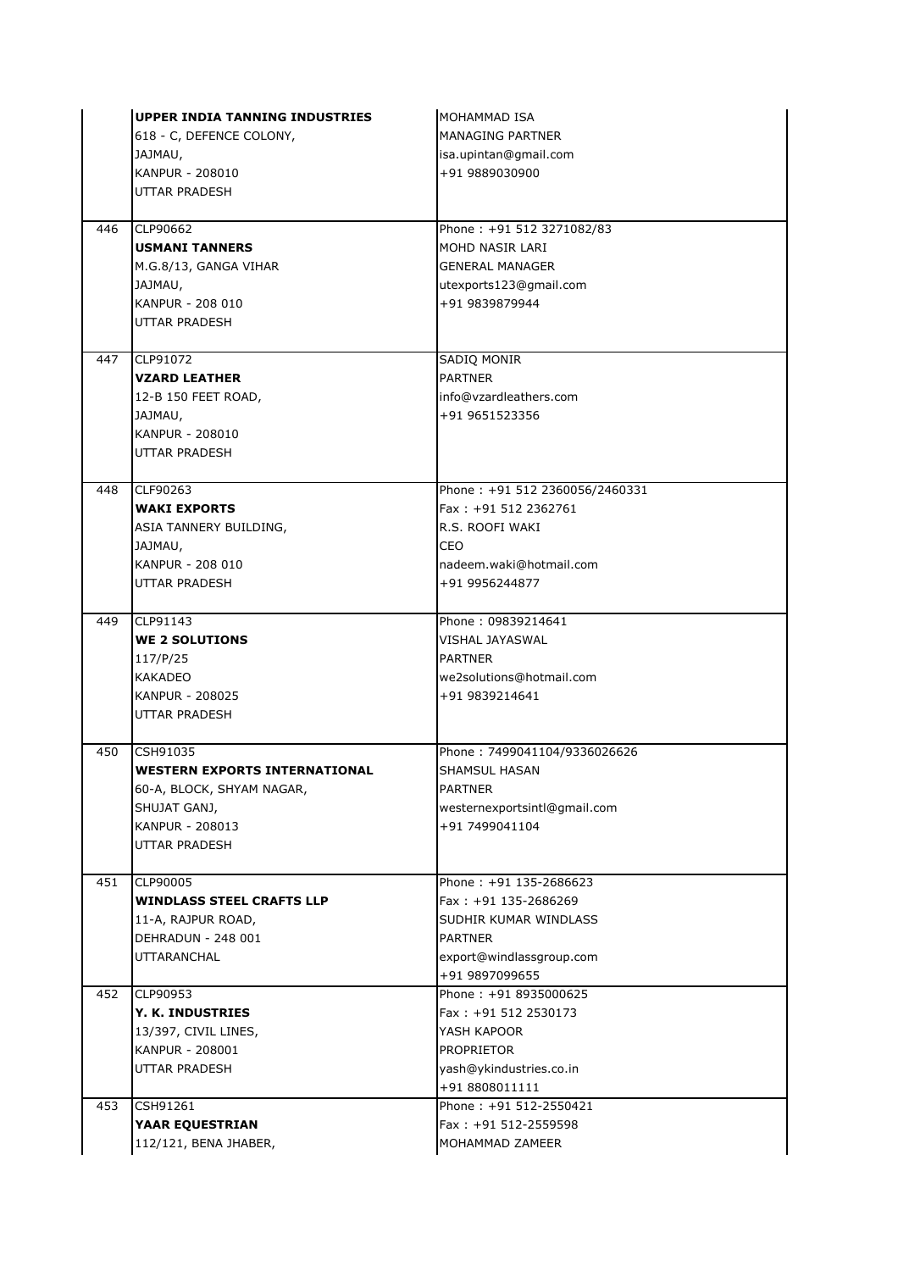|     | <b>UPPER INDIA TANNING INDUSTRIES</b> | <b>MOHAMMAD ISA</b>            |
|-----|---------------------------------------|--------------------------------|
|     | 618 - C, DEFENCE COLONY,              | <b>MANAGING PARTNER</b>        |
|     | JAJMAU,                               | isa.upintan@gmail.com          |
|     | KANPUR - 208010                       | +91 9889030900                 |
|     | <b>UTTAR PRADESH</b>                  |                                |
|     |                                       |                                |
| 446 | CLP90662                              | Phone: +91 512 3271082/83      |
|     | <b>USMANI TANNERS</b>                 | MOHD NASIR LARI                |
|     | M.G.8/13, GANGA VIHAR                 | <b>GENERAL MANAGER</b>         |
|     | JAJMAU,                               | utexports123@gmail.com         |
|     | KANPUR - 208 010                      | +91 9839879944                 |
|     | UTTAR PRADESH                         |                                |
|     |                                       |                                |
| 447 | CLP91072                              | SADIQ MONIR                    |
|     | <b>VZARD LEATHER</b>                  | <b>PARTNER</b>                 |
|     | 12-B 150 FEET ROAD,                   | info@vzardleathers.com         |
|     | JAJMAU,                               | +91 9651523356                 |
|     | KANPUR - 208010                       |                                |
|     | <b>UTTAR PRADESH</b>                  |                                |
|     |                                       |                                |
| 448 | CLF90263                              | Phone: +91 512 2360056/2460331 |
|     | <b>WAKI EXPORTS</b>                   | Fax: +91 512 2362761           |
|     | ASIA TANNERY BUILDING,                | R.S. ROOFI WAKI                |
|     | JAJMAU,                               | CEO                            |
|     | KANPUR - 208 010                      | nadeem.waki@hotmail.com        |
|     | <b>UTTAR PRADESH</b>                  | +91 9956244877                 |
| 449 | CLP91143                              | Phone: 09839214641             |
|     | <b>WE 2 SOLUTIONS</b>                 | VISHAL JAYASWAL                |
|     | 117/P/25                              | <b>PARTNER</b>                 |
|     | KAKADEO                               | we2solutions@hotmail.com       |
|     | KANPUR - 208025                       | +91 9839214641                 |
|     | <b>UTTAR PRADESH</b>                  |                                |
|     |                                       |                                |
| 450 | CSH91035                              | Phone: 7499041104/9336026626   |
|     | <b>WESTERN EXPORTS INTERNATIONAL</b>  | <b>SHAMSUL HASAN</b>           |
|     | 60-A, BLOCK, SHYAM NAGAR,             | <b>PARTNER</b>                 |
|     | SHUJAT GANJ,                          | westernexportsintl@gmail.com   |
|     | KANPUR - 208013                       | +91 7499041104                 |
|     | UTTAR PRADESH                         |                                |
|     |                                       |                                |
| 451 | CLP90005                              | Phone: +91 135-2686623         |
|     | <b>WINDLASS STEEL CRAFTS LLP</b>      | Fax: +91 135-2686269           |
|     | 11-A, RAJPUR ROAD,                    | SUDHIR KUMAR WINDLASS          |
|     | DEHRADUN - 248 001                    | <b>PARTNER</b>                 |
|     | UTTARANCHAL                           | export@windlassgroup.com       |
|     |                                       | +91 9897099655                 |
| 452 | CLP90953                              | Phone: +91 8935000625          |
|     | Y. K. INDUSTRIES                      | Fax: +91 512 2530173           |
|     | 13/397, CIVIL LINES,                  | YASH KAPOOR                    |
|     | KANPUR - 208001                       | <b>PROPRIETOR</b>              |
|     | UTTAR PRADESH                         | yash@ykindustries.co.in        |
|     |                                       | +91 8808011111                 |
| 453 | CSH91261                              | Phone: +91 512-2550421         |
|     | YAAR EQUESTRIAN                       | Fax: +91 512-2559598           |
|     | 112/121, BENA JHABER,                 | MOHAMMAD ZAMEER                |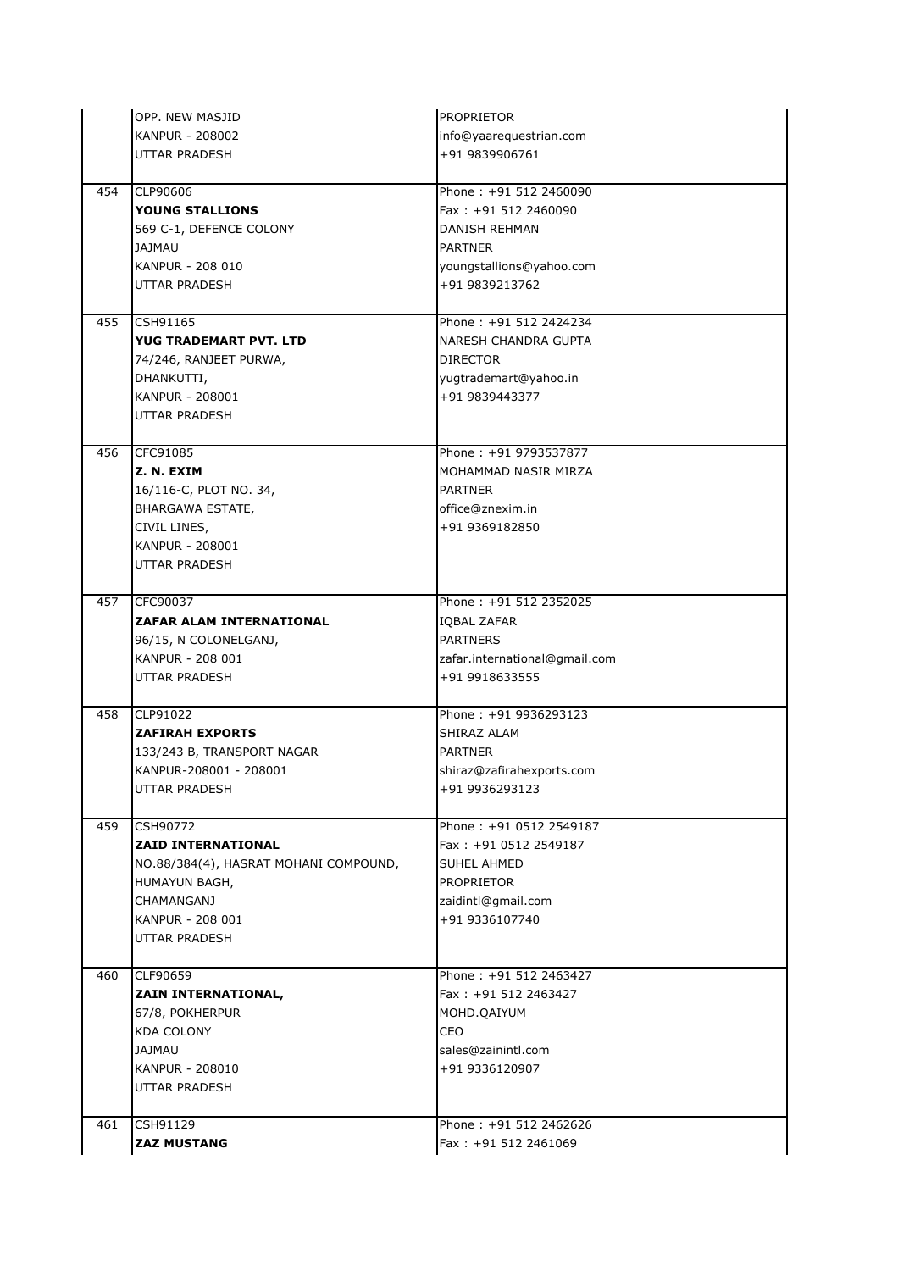|     | OPP. NEW MASJID                       | <b>PROPRIETOR</b>             |
|-----|---------------------------------------|-------------------------------|
|     | KANPUR - 208002                       | info@yaarequestrian.com       |
|     | <b>UTTAR PRADESH</b>                  | +91 9839906761                |
|     |                                       |                               |
| 454 | CLP90606                              | Phone: +91 512 2460090        |
|     | YOUNG STALLIONS                       | Fax: +91 512 2460090          |
|     | 569 C-1, DEFENCE COLONY               | <b>DANISH REHMAN</b>          |
|     | UAMLAL                                | <b>PARTNER</b>                |
|     | KANPUR - 208 010                      | youngstallions@yahoo.com      |
|     | UTTAR PRADESH                         | +91 9839213762                |
|     |                                       |                               |
| 455 | CSH91165                              | Phone: +91 512 2424234        |
|     | YUG TRADEMART PVT. LTD                | NARESH CHANDRA GUPTA          |
|     | 74/246, RANJEET PURWA,                | DIRECTOR                      |
|     | DHANKUTTI,                            | yugtrademart@yahoo.in         |
|     | KANPUR - 208001                       | +91 9839443377                |
|     | <b>UTTAR PRADESH</b>                  |                               |
|     |                                       |                               |
| 456 | CFC91085                              | Phone: +91 9793537877         |
|     | Z. N. EXIM                            | MOHAMMAD NASIR MIRZA          |
|     | 16/116-C, PLOT NO. 34,                | <b>PARTNER</b>                |
|     | <b>BHARGAWA ESTATE,</b>               | office@znexim.in              |
|     |                                       |                               |
|     | CIVIL LINES,                          | +91 9369182850                |
|     | KANPUR - 208001                       |                               |
|     | <b>UTTAR PRADESH</b>                  |                               |
| 457 | CFC90037                              | Phone: +91 512 2352025        |
|     | <b>ZAFAR ALAM INTERNATIONAL</b>       | <b>IQBAL ZAFAR</b>            |
|     |                                       |                               |
|     | 96/15, N COLONELGANJ,                 | <b>PARTNERS</b>               |
|     | KANPUR - 208 001                      | zafar.international@gmail.com |
|     | UTTAR PRADESH                         | +91 9918633555                |
|     | CLP91022                              | Phone: +91 9936293123         |
| 458 |                                       |                               |
|     | <b>ZAFIRAH EXPORTS</b>                | SHIRAZ ALAM                   |
|     | 133/243 B, TRANSPORT NAGAR            | <b>PARTNER</b>                |
|     | KANPUR-208001 - 208001                | shiraz@zafirahexports.com     |
|     | UTTAR PRADESH                         | +91 9936293123                |
| 459 | CSH90772                              | Phone: +91 0512 2549187       |
|     | <b>ZAID INTERNATIONAL</b>             | Fax: +91 0512 2549187         |
|     | NO.88/384(4), HASRAT MOHANI COMPOUND, | SUHEL AHMED                   |
|     | HUMAYUN BAGH,                         | <b>PROPRIETOR</b>             |
|     | CHAMANGANJ                            | zaidintl@gmail.com            |
|     |                                       | +91 9336107740                |
|     | KANPUR - 208 001                      |                               |
|     | UTTAR PRADESH                         |                               |
| 460 | CLF90659                              | Phone: +91 512 2463427        |
|     | <b>ZAIN INTERNATIONAL,</b>            | Fax: +91 512 2463427          |
|     | 67/8, POKHERPUR                       | MOHD.QAIYUM                   |
|     | KDA COLONY                            | CEO                           |
|     |                                       |                               |
|     | UAMLAL                                | sales@zainintl.com            |
|     | KANPUR - 208010                       | +91 9336120907                |
|     | <b>UTTAR PRADESH</b>                  |                               |
|     |                                       |                               |
| 461 | CSH91129                              | Phone: +91 512 2462626        |
|     | <b>ZAZ MUSTANG</b>                    | Fax: +91 512 2461069          |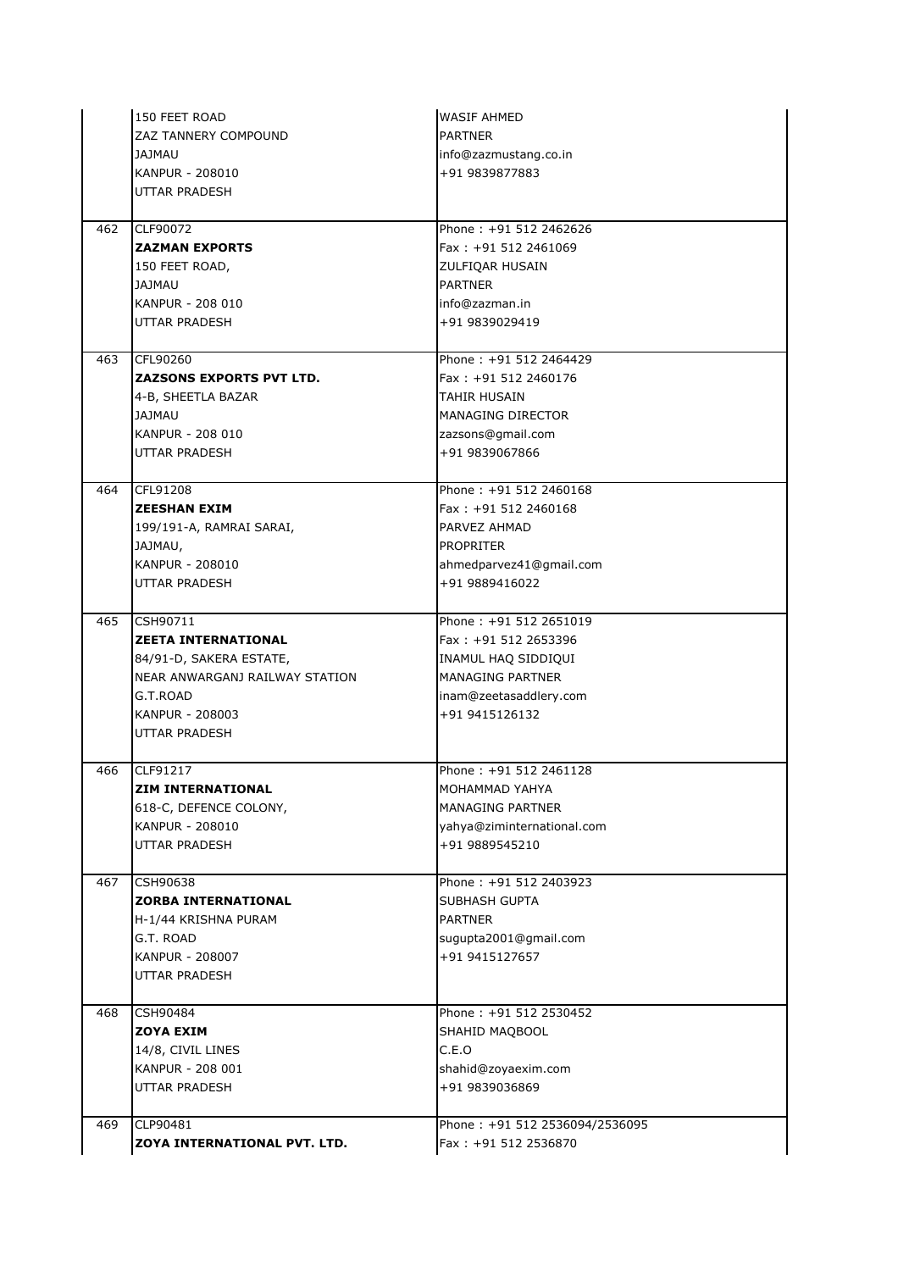|     | 150 FEET ROAD                            | <b>WASIF AHMED</b>                                     |
|-----|------------------------------------------|--------------------------------------------------------|
|     | ZAZ TANNERY COMPOUND                     | PARTNER                                                |
|     | <b>JAJMAU</b>                            | info@zazmustang.co.in                                  |
|     | KANPUR - 208010                          | +91 9839877883                                         |
|     | UTTAR PRADESH                            |                                                        |
|     |                                          |                                                        |
| 462 | CLF90072                                 | Phone: +91 512 2462626                                 |
|     | <b>ZAZMAN EXPORTS</b>                    | Fax: +91 512 2461069                                   |
|     | 150 FEET ROAD,                           | ZULFIQAR HUSAIN                                        |
|     | <b>UANLAL</b>                            | PARTNER<br>info@zazman.in                              |
|     | KANPUR - 208 010<br>UTTAR PRADESH        | +91 9839029419                                         |
|     |                                          |                                                        |
| 463 | CFL90260                                 | Phone: +91 512 2464429                                 |
|     | ZAZSONS EXPORTS PVT LTD.                 | Fax: +91 512 2460176                                   |
|     | 4-B, SHEETLA BAZAR                       | TAHIR HUSAIN                                           |
|     | UAMLAL                                   | <b>MANAGING DIRECTOR</b>                               |
|     | KANPUR - 208 010                         | zazsons@gmail.com                                      |
|     | <b>UTTAR PRADESH</b>                     | +91 9839067866                                         |
|     |                                          |                                                        |
| 464 | CFL91208                                 | Phone: +91 512 2460168                                 |
|     | <b>ZEESHAN EXIM</b>                      | Fax: +91 512 2460168                                   |
|     | 199/191-A, RAMRAI SARAI,                 | PARVEZ AHMAD                                           |
|     | JAJMAU,                                  | PROPRITER                                              |
|     | KANPUR - 208010                          | ahmedparvez41@gmail.com                                |
|     | UTTAR PRADESH                            | +91 9889416022                                         |
| 465 | CSH90711                                 | Phone: +91 512 2651019                                 |
|     | <b>ZEETA INTERNATIONAL</b>               | Fax: +91 512 2653396                                   |
|     | 84/91-D, SAKERA ESTATE,                  | INAMUL HAQ SIDDIQUI                                    |
|     |                                          |                                                        |
|     |                                          |                                                        |
|     | NEAR ANWARGANJ RAILWAY STATION           | MANAGING PARTNER                                       |
|     | G.T.ROAD                                 | inam@zeetasaddlery.com                                 |
|     | KANPUR - 208003<br>UTTAR PRADESH         | +91 9415126132                                         |
|     |                                          |                                                        |
| 466 | CLF91217                                 | Phone: +91 512 2461128                                 |
|     | <b>ZIM INTERNATIONAL</b>                 | MOHAMMAD YAHYA                                         |
|     | 618-C, DEFENCE COLONY,                   | <b>MANAGING PARTNER</b>                                |
|     | KANPUR - 208010                          | yahya@ziminternational.com                             |
|     | UTTAR PRADESH                            | +91 9889545210                                         |
|     |                                          |                                                        |
| 467 | CSH90638                                 | Phone: +91 512 2403923                                 |
|     | <b>ZORBA INTERNATIONAL</b>               | SUBHASH GUPTA                                          |
|     | H-1/44 KRISHNA PURAM                     | PARTNER                                                |
|     | G.T. ROAD                                | sugupta2001@gmail.com                                  |
|     | KANPUR - 208007<br>UTTAR PRADESH         | +91 9415127657                                         |
|     |                                          |                                                        |
| 468 | CSH90484                                 | Phone: +91 512 2530452                                 |
|     | <b>ZOYA EXIM</b>                         | SHAHID MAQBOOL                                         |
|     | 14/8, CIVIL LINES                        | C.E.O                                                  |
|     | KANPUR - 208 001                         | shahid@zoyaexim.com                                    |
|     | UTTAR PRADESH                            | +91 9839036869                                         |
|     |                                          |                                                        |
| 469 | CLP90481<br>ZOYA INTERNATIONAL PVT. LTD. | Phone: +91 512 2536094/2536095<br>Fax: +91 512 2536870 |